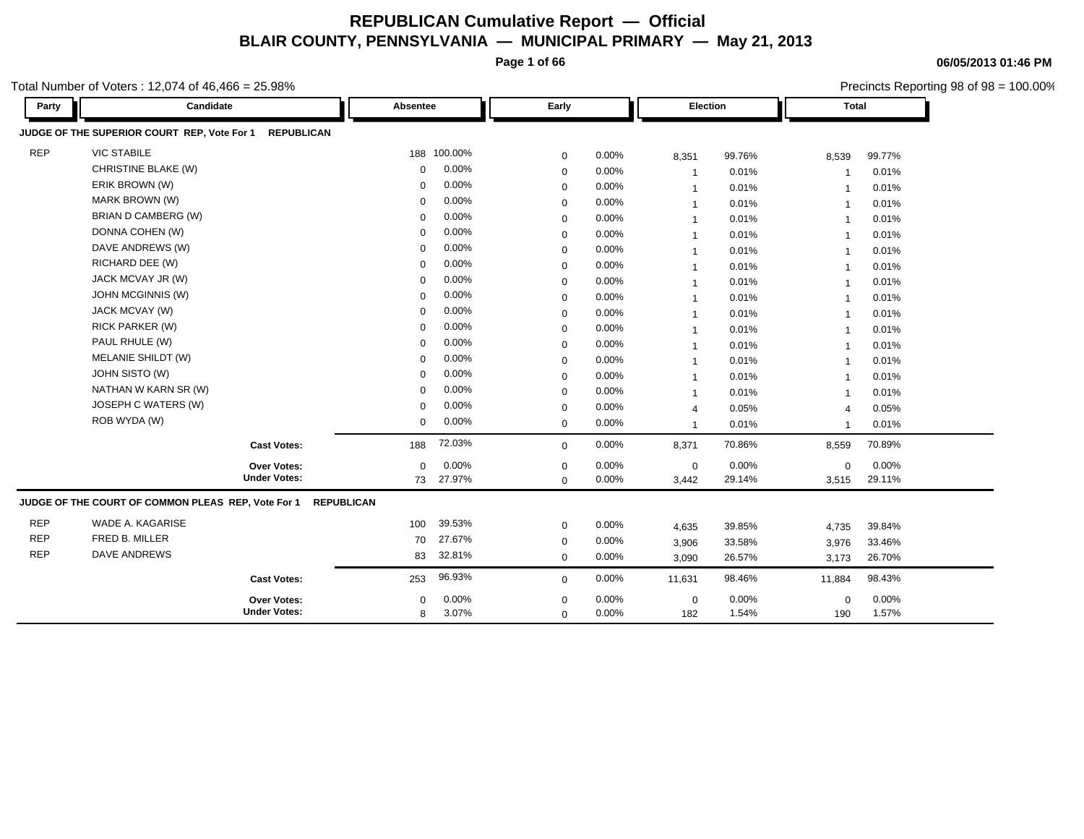**Page 1 of 66**

**06/05/2013 01:46 PM**

Precincts Reporting 98 of 98 = 100.00%

| Party      | Candidate                                                        | Absentee          |         | Early       |       | Election                 |        | <b>Total</b>             |        |
|------------|------------------------------------------------------------------|-------------------|---------|-------------|-------|--------------------------|--------|--------------------------|--------|
|            | JUDGE OF THE SUPERIOR COURT REP, Vote For 1<br><b>REPUBLICAN</b> |                   |         |             |       |                          |        |                          |        |
| <b>REP</b> | <b>VIC STABILE</b>                                               | 188               | 100.00% | $\mathsf 0$ | 0.00% | 8,351                    | 99.76% | 8,539                    | 99.77% |
|            | CHRISTINE BLAKE (W)                                              | $\Omega$          | 0.00%   | 0           | 0.00% | $\overline{\phantom{a}}$ | 0.01%  | $\overline{\phantom{0}}$ | 0.01%  |
|            | ERIK BROWN (W)                                                   | $\Omega$          | 0.00%   | $\mathbf 0$ | 0.00% | $\mathbf{1}$             | 0.01%  | $\overline{\mathbf{1}}$  | 0.01%  |
|            | MARK BROWN (W)                                                   | $\mathbf 0$       | 0.00%   | $\mathbf 0$ | 0.00% | $\mathbf 1$              | 0.01%  | $\overline{\mathbf{1}}$  | 0.01%  |
|            | BRIAN D CAMBERG (W)                                              | $\mathbf 0$       | 0.00%   | $\mathbf 0$ | 0.00% | -1                       | 0.01%  | -1                       | 0.01%  |
|            | DONNA COHEN (W)                                                  | $\Omega$          | 0.00%   | 0           | 0.00% | $\overline{1}$           | 0.01%  | $\overline{\mathbf{1}}$  | 0.01%  |
|            | DAVE ANDREWS (W)                                                 | $\Omega$          | 0.00%   | $\mathbf 0$ | 0.00% | -1                       | 0.01%  | $\overline{\mathbf{1}}$  | 0.01%  |
|            | RICHARD DEE (W)                                                  | $\Omega$          | 0.00%   | $\mathbf 0$ | 0.00% | $\overline{1}$           | 0.01%  | $\overline{1}$           | 0.01%  |
|            | JACK MCVAY JR (W)                                                | $\Omega$          | 0.00%   | 0           | 0.00% |                          | 0.01%  | $\overline{\mathbf{1}}$  | 0.01%  |
|            | <b>JOHN MCGINNIS (W)</b>                                         | $\Omega$          | 0.00%   | 0           | 0.00% | -1                       | 0.01%  | $\overline{1}$           | 0.01%  |
|            | JACK MCVAY (W)                                                   | $\Omega$          | 0.00%   | $\mathbf 0$ | 0.00% | -1                       | 0.01%  | $\overline{\mathbf{1}}$  | 0.01%  |
|            | <b>RICK PARKER (W)</b>                                           | $\Omega$          | 0.00%   | $\mathbf 0$ | 0.00% | $\mathbf 1$              | 0.01%  | $\overline{\mathbf{1}}$  | 0.01%  |
|            | PAUL RHULE (W)                                                   | $\Omega$          | 0.00%   | $\mathbf 0$ | 0.00% | $\mathbf 1$              | 0.01%  | $\overline{1}$           | 0.01%  |
|            | MELANIE SHILDT (W)                                               | $\Omega$          | 0.00%   | $\mathbf 0$ | 0.00% | 1                        | 0.01%  | $\overline{1}$           | 0.01%  |
|            | JOHN SISTO (W)                                                   | $\Omega$          | 0.00%   | 0           | 0.00% | 1                        | 0.01%  | $\overline{1}$           | 0.01%  |
|            | NATHAN W KARN SR (W)                                             | $\Omega$          | 0.00%   | 0           | 0.00% | -1                       | 0.01%  | $\overline{\mathbf{1}}$  | 0.01%  |
|            | JOSEPH C WATERS (W)                                              | $\Omega$          | 0.00%   | 0           | 0.00% | $\overline{4}$           | 0.05%  | $\overline{4}$           | 0.05%  |
|            | ROB WYDA (W)                                                     | $\mathbf 0$       | 0.00%   | $\mathbf 0$ | 0.00% | -1                       | 0.01%  | $\overline{\mathbf{1}}$  | 0.01%  |
|            | <b>Cast Votes:</b>                                               | 188               | 72.03%  | $\mathbf 0$ | 0.00% | 8,371                    | 70.86% | 8,559                    | 70.89% |
|            | Over Votes:                                                      | $\Omega$          | 0.00%   | 0           | 0.00% | $\mathbf 0$              | 0.00%  | 0                        | 0.00%  |
|            | <b>Under Votes:</b>                                              | 73                | 27.97%  | $\Omega$    | 0.00% | 3,442                    | 29.14% | 3,515                    | 29.11% |
|            | JUDGE OF THE COURT OF COMMON PLEAS REP, Vote For 1               | <b>REPUBLICAN</b> |         |             |       |                          |        |                          |        |
| <b>REP</b> | WADE A. KAGARISE                                                 | 100               | 39.53%  | 0           | 0.00% | 4,635                    | 39.85% | 4,735                    | 39.84% |
| <b>REP</b> | FRED B. MILLER                                                   | 70                | 27.67%  | 0           | 0.00% | 3,906                    | 33.58% | 3,976                    | 33.46% |
| <b>REP</b> | <b>DAVE ANDREWS</b>                                              | 83                | 32.81%  | 0           | 0.00% | 3,090                    | 26.57% | 3,173                    | 26.70% |
|            | <b>Cast Votes:</b>                                               | 253               | 96.93%  | $\mathbf 0$ | 0.00% | 11,631                   | 98.46% | 11,884                   | 98.43% |
|            |                                                                  |                   |         |             |       |                          |        |                          |        |
|            | Over Votes:<br><b>Under Votes:</b>                               | $\Omega$          | 0.00%   | 0           | 0.00% | $\mathbf 0$              | 0.00%  | $\mathbf 0$              | 0.00%  |
|            |                                                                  | 8                 | 3.07%   | $\mathbf 0$ | 0.00% | 182                      | 1.54%  | 190                      | 1.57%  |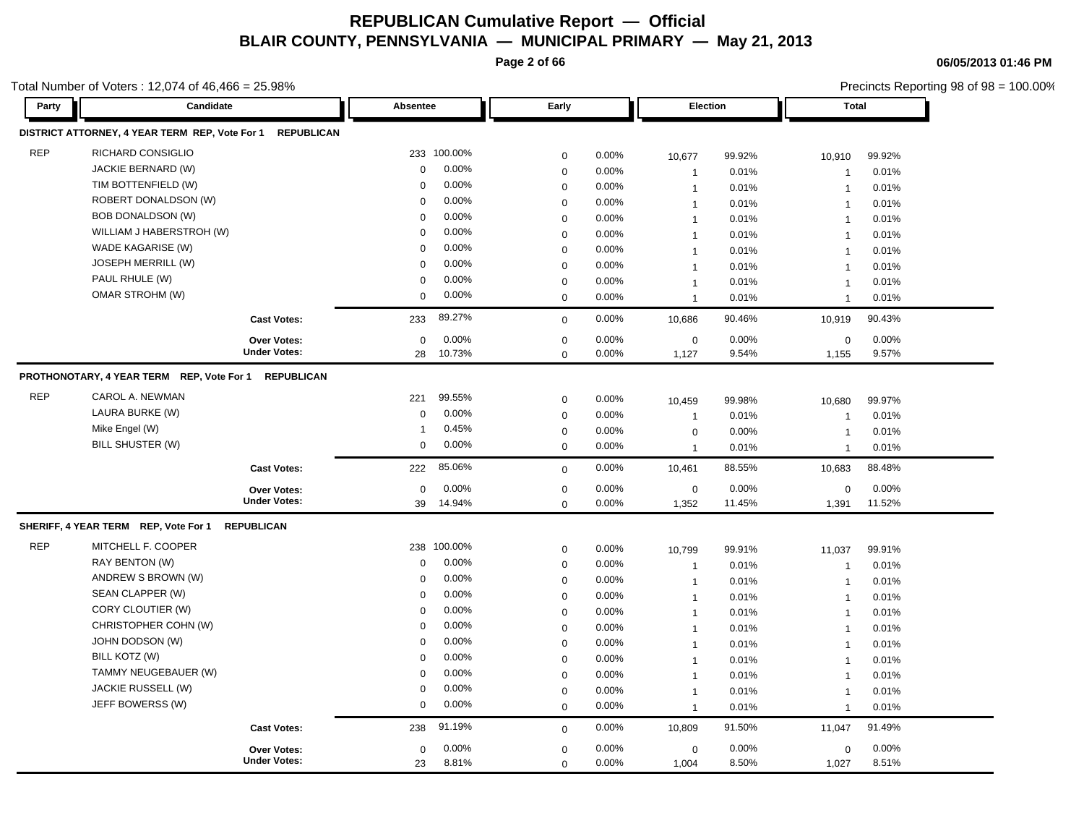**Page 2 of 66**

**06/05/2013 01:46 PM**

|            | Total Number of Voters: 12,074 of 46,466 = 25.98%    |                     |             |             |                  |          |                 |        |                         | Precincts Reporting 98 of 98 = 100.00% |  |
|------------|------------------------------------------------------|---------------------|-------------|-------------|------------------|----------|-----------------|--------|-------------------------|----------------------------------------|--|
| Party      | Candidate                                            |                     | Absentee    |             | Early            |          | <b>Election</b> |        | <b>Total</b>            |                                        |  |
|            | DISTRICT ATTORNEY, 4 YEAR TERM REP, Vote For 1       | <b>REPUBLICAN</b>   |             |             |                  |          |                 |        |                         |                                        |  |
| <b>REP</b> | RICHARD CONSIGLIO                                    |                     |             | 233 100.00% | $\mathbf 0$      | 0.00%    | 10,677          | 99.92% | 10,910                  | 99.92%                                 |  |
|            | JACKIE BERNARD (W)                                   |                     | $\mathbf 0$ | 0.00%       | $\boldsymbol{0}$ | 0.00%    | $\mathbf{1}$    | 0.01%  | $\overline{1}$          | 0.01%                                  |  |
|            | TIM BOTTENFIELD (W)                                  |                     | $\Omega$    | 0.00%       | $\mathbf 0$      | 0.00%    | $\mathbf{1}$    | 0.01%  | $\overline{1}$          | 0.01%                                  |  |
|            | ROBERT DONALDSON (W)                                 |                     | $\mathbf 0$ | 0.00%       | $\mathbf 0$      | 0.00%    | $\mathbf{1}$    | 0.01%  | $\overline{1}$          | 0.01%                                  |  |
|            | <b>BOB DONALDSON (W)</b>                             |                     | $\Omega$    | 0.00%       | $\mathbf 0$      | 0.00%    | $\mathbf{1}$    | 0.01%  | $\overline{1}$          | 0.01%                                  |  |
|            | WILLIAM J HABERSTROH (W)                             |                     | 0           | 0.00%       | $\mathbf 0$      | 0.00%    | $\mathbf{1}$    | 0.01%  | $\overline{1}$          | 0.01%                                  |  |
|            | WADE KAGARISE (W)                                    |                     | $\Omega$    | 0.00%       | $\mathbf 0$      | 0.00%    | $\mathbf{1}$    | 0.01%  | $\overline{1}$          | 0.01%                                  |  |
|            | <b>JOSEPH MERRILL (W)</b>                            |                     | $\Omega$    | 0.00%       | $\mathbf 0$      | 0.00%    | $\overline{1}$  | 0.01%  | $\overline{1}$          | 0.01%                                  |  |
|            | PAUL RHULE (W)                                       |                     | $\mathbf 0$ | 0.00%       | $\mathbf 0$      | 0.00%    | $\mathbf{1}$    | 0.01%  | $\overline{\mathbf{1}}$ | 0.01%                                  |  |
|            | OMAR STROHM (W)                                      |                     | $\mathbf 0$ | 0.00%       | $\mathbf 0$      | 0.00%    | $\mathbf{1}$    | 0.01%  | $\overline{1}$          | 0.01%                                  |  |
|            |                                                      | <b>Cast Votes:</b>  | 233         | 89.27%      | $\mathbf 0$      | 0.00%    | 10,686          | 90.46% | 10,919                  | 90.43%                                 |  |
|            |                                                      | Over Votes:         | $\mathbf 0$ | 0.00%       | 0                | 0.00%    | $\mathbf 0$     | 0.00%  | 0                       | 0.00%                                  |  |
|            |                                                      | <b>Under Votes:</b> | 28          | 10.73%      | $\mathbf 0$      | 0.00%    | 1,127           | 9.54%  | 1,155                   | 9.57%                                  |  |
|            | PROTHONOTARY, 4 YEAR TERM REP, Vote For 1 REPUBLICAN |                     |             |             |                  |          |                 |        |                         |                                        |  |
| <b>REP</b> | CAROL A. NEWMAN                                      |                     | 221         | 99.55%      | 0                | 0.00%    | 10,459          | 99.98% | 10,680                  | 99.97%                                 |  |
|            | LAURA BURKE (W)                                      |                     | $\mathbf 0$ | 0.00%       | $\mathbf 0$      | 0.00%    | $\mathbf{1}$    | 0.01%  | $\overline{1}$          | 0.01%                                  |  |
|            | Mike Engel (W)                                       |                     | -1          | 0.45%       | $\mathbf 0$      | 0.00%    | $\mathbf 0$     | 0.00%  | $\overline{1}$          | 0.01%                                  |  |
|            | BILL SHUSTER (W)                                     |                     | 0           | 0.00%       | $\mathbf 0$      | 0.00%    | $\mathbf{1}$    | 0.01%  | $\overline{1}$          | 0.01%                                  |  |
|            |                                                      | <b>Cast Votes:</b>  | 222         | 85.06%      | $\mathbf 0$      | $0.00\%$ | 10,461          | 88.55% | 10,683                  | 88.48%                                 |  |
|            |                                                      | Over Votes:         | $\mathbf 0$ | 0.00%       | $\mathbf 0$      | 0.00%    | $\mathbf 0$     | 0.00%  | 0                       | 0.00%                                  |  |
|            |                                                      | <b>Under Votes:</b> | 39          | 14.94%      | $\mathbf 0$      | 0.00%    | 1,352           | 11.45% | 1,391                   | 11.52%                                 |  |
|            | SHERIFF, 4 YEAR TERM REP, Vote For 1                 | <b>REPUBLICAN</b>   |             |             |                  |          |                 |        |                         |                                        |  |
| <b>REP</b> | MITCHELL F. COOPER                                   |                     | 238         | 100.00%     | $\boldsymbol{0}$ | 0.00%    | 10,799          | 99.91% | 11,037                  | 99.91%                                 |  |
|            | RAY BENTON (W)                                       |                     | $\mathbf 0$ | 0.00%       | $\mathbf 0$      | 0.00%    | $\mathbf{1}$    | 0.01%  | $\overline{1}$          | 0.01%                                  |  |
|            | ANDREW S BROWN (W)                                   |                     | $\mathbf 0$ | 0.00%       | 0                | 0.00%    | $\mathbf{1}$    | 0.01%  | $\overline{1}$          | 0.01%                                  |  |
|            | SEAN CLAPPER (W)                                     |                     | $\Omega$    | 0.00%       | $\mathbf 0$      | 0.00%    | $\mathbf{1}$    | 0.01%  | $\overline{1}$          | 0.01%                                  |  |
|            | CORY CLOUTIER (W)                                    |                     | $\mathbf 0$ | 0.00%       | $\mathbf 0$      | 0.00%    | $\mathbf{1}$    | 0.01%  | $\overline{1}$          | 0.01%                                  |  |
|            | CHRISTOPHER COHN (W)                                 |                     | 0           | 0.00%       | $\mathbf 0$      | 0.00%    | $\mathbf{1}$    | 0.01%  | $\overline{1}$          | 0.01%                                  |  |
|            | JOHN DODSON (W)                                      |                     | $\mathbf 0$ | 0.00%       | $\mathbf 0$      | 0.00%    | $\mathbf{1}$    | 0.01%  | $\overline{1}$          | 0.01%                                  |  |
|            | BILL KOTZ (W)                                        |                     | $\mathbf 0$ | 0.00%       | $\mathbf 0$      | 0.00%    | $\mathbf{1}$    | 0.01%  | $\overline{1}$          | 0.01%                                  |  |
|            | TAMMY NEUGEBAUER (W)                                 |                     | $\Omega$    | 0.00%       | $\mathbf 0$      | 0.00%    | $\mathbf{1}$    | 0.01%  | $\overline{1}$          | 0.01%                                  |  |
|            | JACKIE RUSSELL (W)                                   |                     | $\mathbf 0$ | 0.00%       | $\mathbf 0$      | 0.00%    | $\mathbf{1}$    | 0.01%  | $\overline{1}$          | 0.01%                                  |  |
|            | JEFF BOWERSS (W)                                     |                     | 0           | 0.00%       | 0                | 0.00%    | $\mathbf{1}$    | 0.01%  | $\overline{1}$          | 0.01%                                  |  |
|            |                                                      | <b>Cast Votes:</b>  | 238         | 91.19%      | $\mathbf 0$      | 0.00%    | 10,809          | 91.50% | 11,047                  | 91.49%                                 |  |
|            |                                                      | <b>Over Votes:</b>  | $\mathbf 0$ | 0.00%       | $\mathbf 0$      | 0.00%    | $\mathbf 0$     | 0.00%  | 0                       | 0.00%                                  |  |
|            |                                                      | <b>Under Votes:</b> | 23          | 8.81%       | $\mathbf 0$      | 0.00%    | 1,004           | 8.50%  | 1,027                   | 8.51%                                  |  |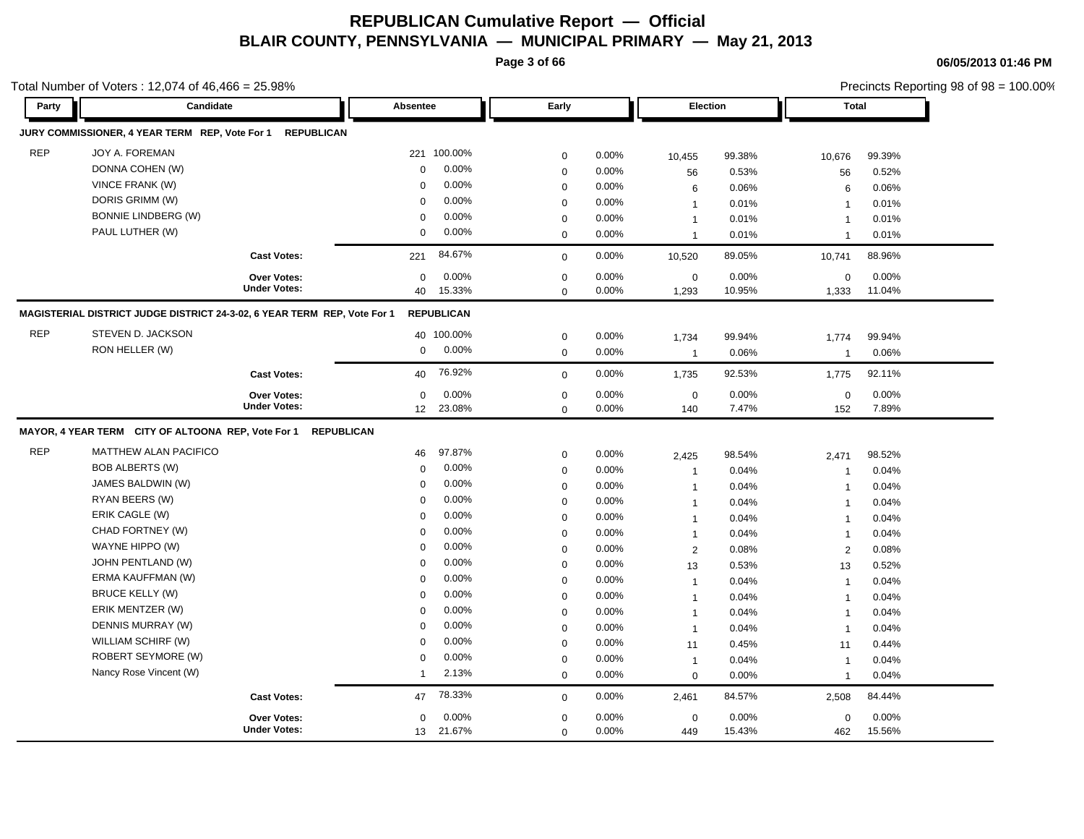**Page 3 of 66**

**06/05/2013 01:46 PM**

|            | otal Number of Voters: $12,074$ of $46,466 = 25.98\%$                    |                     |             |                   |             |       |                |          |                | Precincts Reporting 98 of 98 = 100.00% |  |
|------------|--------------------------------------------------------------------------|---------------------|-------------|-------------------|-------------|-------|----------------|----------|----------------|----------------------------------------|--|
| Party      | Candidate                                                                |                     | Absentee    |                   | Early       |       | Election       |          | <b>Total</b>   |                                        |  |
|            | JURY COMMISSIONER, 4 YEAR TERM REP, Vote For 1                           | <b>REPUBLICAN</b>   |             |                   |             |       |                |          |                |                                        |  |
| <b>REP</b> | JOY A. FOREMAN                                                           |                     |             | 221 100.00%       | $\mathbf 0$ | 0.00% | 10,455         | 99.38%   | 10,676         | 99.39%                                 |  |
|            | DONNA COHEN (W)                                                          |                     | $\mathbf 0$ | 0.00%             | $\mathsf 0$ | 0.00% | 56             | 0.53%    | 56             | 0.52%                                  |  |
|            | VINCE FRANK (W)                                                          |                     | $\Omega$    | 0.00%             | 0           | 0.00% | 6              | 0.06%    | 6              | 0.06%                                  |  |
|            | DORIS GRIMM (W)                                                          |                     | $\Omega$    | 0.00%             | $\mathbf 0$ | 0.00% | -1             | 0.01%    | -1             | 0.01%                                  |  |
|            | <b>BONNIE LINDBERG (W)</b>                                               |                     | $\Omega$    | 0.00%             | $\mathsf 0$ | 0.00% | $\mathbf{1}$   | 0.01%    | -1             | 0.01%                                  |  |
|            | PAUL LUTHER (W)                                                          |                     | $\Omega$    | 0.00%             | $\mathbf 0$ | 0.00% | $\mathbf{1}$   | 0.01%    | $\overline{1}$ | 0.01%                                  |  |
|            |                                                                          | <b>Cast Votes:</b>  | 221         | 84.67%            | $\mathbf 0$ | 0.00% | 10,520         | 89.05%   | 10,741         | 88.96%                                 |  |
|            |                                                                          | Over Votes:         | $\mathbf 0$ | 0.00%             | 0           | 0.00% | 0              | 0.00%    | 0              | 0.00%                                  |  |
|            |                                                                          | <b>Under Votes:</b> | 40          | 15.33%            | $\mathbf 0$ | 0.00% | 1,293          | 10.95%   | 1,333          | 11.04%                                 |  |
|            | MAGISTERIAL DISTRICT JUDGE DISTRICT 24-3-02, 6 YEAR TERM REP, Vote For 1 |                     |             | <b>REPUBLICAN</b> |             |       |                |          |                |                                        |  |
| <b>REP</b> | STEVEN D. JACKSON                                                        |                     |             | 40 100.00%        | $\mathbf 0$ | 0.00% | 1,734          | 99.94%   | 1,774          | 99.94%                                 |  |
|            | RON HELLER (W)                                                           |                     | 0           | 0.00%             | 0           | 0.00% | $\mathbf{1}$   | 0.06%    | $\overline{1}$ | 0.06%                                  |  |
|            |                                                                          | <b>Cast Votes:</b>  | 40          | 76.92%            | $\mathbf 0$ | 0.00% | 1,735          | 92.53%   | 1,775          | 92.11%                                 |  |
|            |                                                                          | Over Votes:         | 0           | 0.00%             | 0           | 0.00% | $\mathbf 0$    | 0.00%    | $\mathbf 0$    | 0.00%                                  |  |
|            |                                                                          | <b>Under Votes:</b> | 12          | 23.08%            | 0           | 0.00% | 140            | 7.47%    | 152            | 7.89%                                  |  |
|            | MAYOR, 4 YEAR TERM CITY OF ALTOONA REP, Vote For 1                       | <b>REPUBLICAN</b>   |             |                   |             |       |                |          |                |                                        |  |
| <b>REP</b> | MATTHEW ALAN PACIFICO                                                    |                     | 46          | 97.87%            | 0           | 0.00% | 2,425          | 98.54%   | 2,471          | 98.52%                                 |  |
|            | <b>BOB ALBERTS (W)</b>                                                   |                     | 0           | 0.00%             | $\mathbf 0$ | 0.00% | $\overline{1}$ | 0.04%    | $\overline{1}$ | 0.04%                                  |  |
|            | JAMES BALDWIN (W)                                                        |                     | $\mathbf 0$ | 0.00%             | $\mathsf 0$ | 0.00% | $\mathbf{1}$   | 0.04%    | $\overline{1}$ | 0.04%                                  |  |
|            | RYAN BEERS (W)                                                           |                     | $\Omega$    | 0.00%             | 0           | 0.00% | $\mathbf{1}$   | 0.04%    | -1             | 0.04%                                  |  |
|            | ERIK CAGLE (W)                                                           |                     | 0           | 0.00%             | $\mathbf 0$ | 0.00% | $\mathbf{1}$   | 0.04%    | $\overline{1}$ | 0.04%                                  |  |
|            | CHAD FORTNEY (W)                                                         |                     | 0           | 0.00%             | $\mathbf 0$ | 0.00% | $\mathbf{1}$   | 0.04%    | $\overline{1}$ | 0.04%                                  |  |
|            | WAYNE HIPPO (W)                                                          |                     | $\Omega$    | 0.00%             | $\mathsf 0$ | 0.00% | $\overline{2}$ | 0.08%    | 2              | 0.08%                                  |  |
|            | JOHN PENTLAND (W)                                                        |                     | $\Omega$    | 0.00%             | $\mathsf 0$ | 0.00% | 13             | 0.53%    | 13             | 0.52%                                  |  |
|            | ERMA KAUFFMAN (W)                                                        |                     | $\Omega$    | 0.00%             | $\mathbf 0$ | 0.00% | $\mathbf{1}$   | 0.04%    | $\overline{1}$ | 0.04%                                  |  |
|            | <b>BRUCE KELLY (W)</b>                                                   |                     | $\mathbf 0$ | 0.00%             | 0           | 0.00% | $\mathbf{1}$   | 0.04%    | $\overline{1}$ | 0.04%                                  |  |
|            | ERIK MENTZER (W)                                                         |                     | 0           | 0.00%             | $\mathbf 0$ | 0.00% | $\mathbf{1}$   | 0.04%    | $\overline{1}$ | 0.04%                                  |  |
|            | DENNIS MURRAY (W)                                                        |                     | $\Omega$    | 0.00%             | $\mathbf 0$ | 0.00% | $\mathbf{1}$   | 0.04%    | $\overline{1}$ | 0.04%                                  |  |
|            | WILLIAM SCHIRF (W)                                                       |                     | $\Omega$    | 0.00%             | $\mathbf 0$ | 0.00% | 11             | 0.45%    | 11             | 0.44%                                  |  |
|            | ROBERT SEYMORE (W)                                                       |                     | $\Omega$    | 0.00%             | 0           | 0.00% | $\mathbf{1}$   | 0.04%    | $\overline{1}$ | 0.04%                                  |  |
|            | Nancy Rose Vincent (W)                                                   |                     | $\mathbf 1$ | 2.13%             | $\mathbf 0$ | 0.00% | $\mathbf 0$    | 0.00%    | $\mathbf{1}$   | 0.04%                                  |  |
|            |                                                                          | <b>Cast Votes:</b>  | 47          | 78.33%            | $\mathbf 0$ | 0.00% | 2,461          | 84.57%   | 2,508          | 84.44%                                 |  |
|            |                                                                          | Over Votes:         | 0           | 0.00%             | 0           | 0.00% | $\mathbf 0$    | $0.00\%$ | 0              | 0.00%                                  |  |
|            |                                                                          | <b>Under Votes:</b> | 13          | 21.67%            | $\mathbf 0$ | 0.00% | 449            | 15.43%   | 462            | 15.56%                                 |  |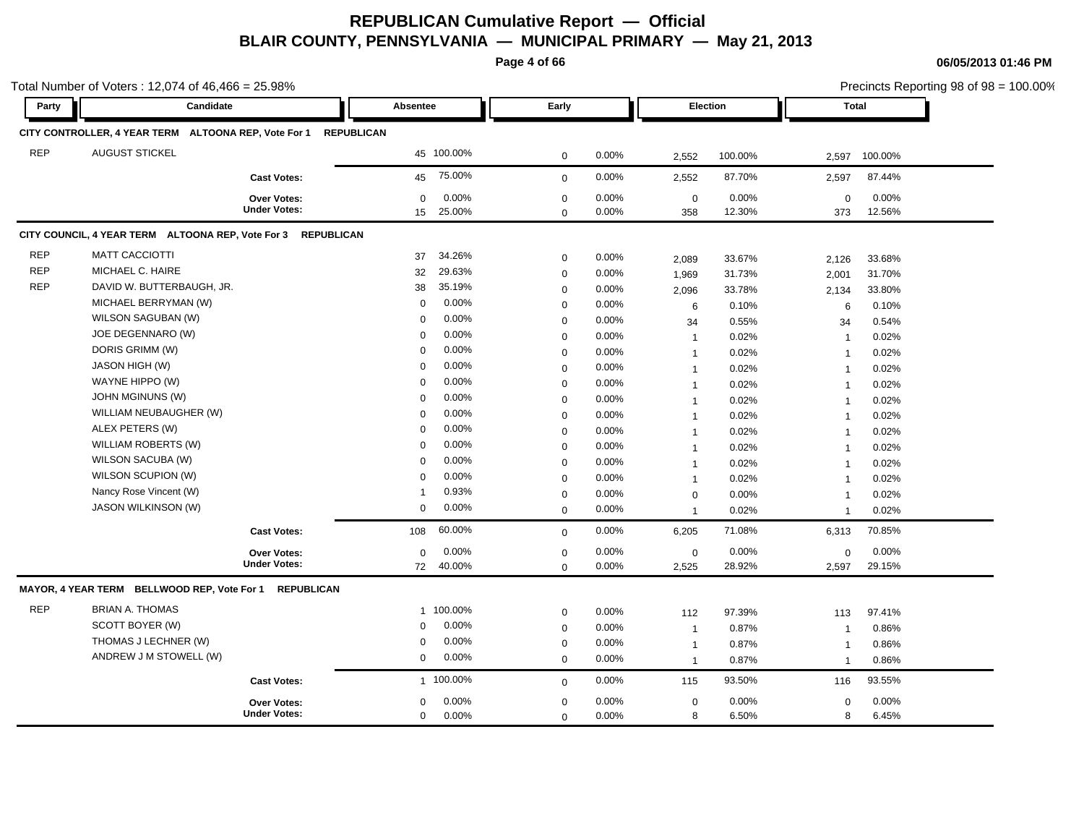**Page 4 of 66**

**06/05/2013 01:46 PM**

|            | Total Number of Voters: 12,074 of 46,466 = 25.98%            |                     |             |            |             |          |                 |         |                | Precincts Reporting 98 of 98 = 100.00% |
|------------|--------------------------------------------------------------|---------------------|-------------|------------|-------------|----------|-----------------|---------|----------------|----------------------------------------|
| Party      | Candidate                                                    |                     | Absentee    |            | Early       |          | <b>Election</b> |         |                | Total                                  |
|            | CITY CONTROLLER, 4 YEAR TERM ALTOONA REP, Vote For 1         | <b>REPUBLICAN</b>   |             |            |             |          |                 |         |                |                                        |
| <b>REP</b> | <b>AUGUST STICKEL</b>                                        |                     |             | 45 100.00% | $\mathbf 0$ | 0.00%    | 2,552           | 100.00% | 2,597          | 100.00%                                |
|            |                                                              | <b>Cast Votes:</b>  | 45          | 75.00%     | $\mathbf 0$ | 0.00%    | 2,552           | 87.70%  | 2,597          | 87.44%                                 |
|            |                                                              | <b>Over Votes:</b>  | 0           | 0.00%      | $\mathbf 0$ | 0.00%    | $\mathbf 0$     | 0.00%   | $\mathbf 0$    | 0.00%                                  |
|            |                                                              | <b>Under Votes:</b> | 15          | 25.00%     | $\mathbf 0$ | 0.00%    | 358             | 12.30%  | 373            | 12.56%                                 |
|            | CITY COUNCIL, 4 YEAR TERM ALTOONA REP, Vote For 3 REPUBLICAN |                     |             |            |             |          |                 |         |                |                                        |
| <b>REP</b> | <b>MATT CACCIOTTI</b>                                        |                     | 37          | 34.26%     | $\mathbf 0$ | 0.00%    | 2,089           | 33.67%  | 2,126          | 33.68%                                 |
| <b>REP</b> | MICHAEL C. HAIRE                                             |                     | 32          | 29.63%     | $\mathbf 0$ | 0.00%    | 1,969           | 31.73%  | 2,001          | 31.70%                                 |
| <b>REP</b> | DAVID W. BUTTERBAUGH, JR.                                    |                     | 38          | 35.19%     | $\mathbf 0$ | 0.00%    | 2,096           | 33.78%  | 2,134          | 33.80%                                 |
|            | MICHAEL BERRYMAN (W)                                         |                     | $\mathbf 0$ | 0.00%      | $\mathbf 0$ | 0.00%    | 6               | 0.10%   | 6              | 0.10%                                  |
|            | WILSON SAGUBAN (W)                                           |                     | $\Omega$    | 0.00%      | $\mathbf 0$ | 0.00%    | 34              | 0.55%   | 34             | 0.54%                                  |
|            | JOE DEGENNARO (W)                                            |                     | $\Omega$    | 0.00%      | $\mathbf 0$ | 0.00%    | $\mathbf{1}$    | 0.02%   | $\mathbf 1$    | 0.02%                                  |
|            | DORIS GRIMM (W)                                              |                     | $\Omega$    | 0.00%      | $\mathbf 0$ | 0.00%    | $\mathbf{1}$    | 0.02%   | $\overline{1}$ | 0.02%                                  |
|            | <b>JASON HIGH (W)</b>                                        |                     | $\Omega$    | 0.00%      | $\mathbf 0$ | 0.00%    | $\mathbf{1}$    | 0.02%   | $\overline{1}$ | 0.02%                                  |
|            | WAYNE HIPPO (W)                                              |                     | $\Omega$    | 0.00%      | $\mathbf 0$ | 0.00%    | $\mathbf{1}$    | 0.02%   | $\overline{1}$ | 0.02%                                  |
|            | <b>JOHN MGINUNS (W)</b>                                      |                     | $\Omega$    | 0.00%      | $\mathbf 0$ | 0.00%    | $\mathbf{1}$    | 0.02%   | $\overline{1}$ | 0.02%                                  |
|            | WILLIAM NEUBAUGHER (W)                                       |                     | $\Omega$    | 0.00%      | $\mathbf 0$ | 0.00%    | $\mathbf{1}$    | 0.02%   | $\overline{1}$ | 0.02%                                  |
|            | ALEX PETERS (W)                                              |                     | $\Omega$    | 0.00%      | $\mathbf 0$ | 0.00%    | $\mathbf{1}$    | 0.02%   | $\mathbf{1}$   | 0.02%                                  |
|            | WILLIAM ROBERTS (W)                                          |                     | $\Omega$    | 0.00%      | $\mathbf 0$ | 0.00%    | $\mathbf{1}$    | 0.02%   | $\overline{1}$ | 0.02%                                  |
|            | WILSON SACUBA (W)                                            |                     | $\Omega$    | 0.00%      | $\mathbf 0$ | 0.00%    | $\mathbf{1}$    | 0.02%   | $\overline{1}$ | 0.02%                                  |
|            | WILSON SCUPION (W)                                           |                     | $\Omega$    | 0.00%      | $\mathbf 0$ | 0.00%    | $\mathbf{1}$    | 0.02%   | $\overline{1}$ | 0.02%                                  |
|            | Nancy Rose Vincent (W)                                       |                     | 1           | 0.93%      | $\mathbf 0$ | 0.00%    | $\mathbf 0$     | 0.00%   | $\overline{1}$ | 0.02%                                  |
|            | JASON WILKINSON (W)                                          |                     | $\mathbf 0$ | 0.00%      | $\mathbf 0$ | 0.00%    | $\overline{1}$  | 0.02%   | $\overline{1}$ | 0.02%                                  |
|            |                                                              | <b>Cast Votes:</b>  | 108         | 60.00%     | $\mathbf 0$ | 0.00%    | 6,205           | 71.08%  | 6,313          | 70.85%                                 |
|            |                                                              | Over Votes:         | $\Omega$    | 0.00%      | $\mathbf 0$ | 0.00%    | $\mathbf 0$     | 0.00%   | $\mathbf 0$    | 0.00%                                  |
|            |                                                              | <b>Under Votes:</b> | 72          | 40.00%     | $\Omega$    | $0.00\%$ | 2,525           | 28.92%  | 2,597          | 29.15%                                 |
|            | MAYOR, 4 YEAR TERM BELLWOOD REP, Vote For 1                  | <b>REPUBLICAN</b>   |             |            |             |          |                 |         |                |                                        |
| <b>REP</b> | <b>BRIAN A. THOMAS</b>                                       |                     |             | 1 100.00%  | $\mathbf 0$ | 0.00%    | 112             | 97.39%  | 113            | 97.41%                                 |
|            | SCOTT BOYER (W)                                              |                     | $\Omega$    | 0.00%      | $\mathbf 0$ | 0.00%    | $\mathbf{1}$    | 0.87%   | $\mathbf{1}$   | 0.86%                                  |
|            | THOMAS J LECHNER (W)                                         |                     | 0           | 0.00%      | $\mathbf 0$ | 0.00%    | $\mathbf{1}$    | 0.87%   | $\overline{1}$ | 0.86%                                  |
|            | ANDREW J M STOWELL (W)                                       |                     | $\mathbf 0$ | 0.00%      | $\mathbf 0$ | $0.00\%$ | $\mathbf{1}$    | 0.87%   | $\overline{1}$ | 0.86%                                  |
|            |                                                              | <b>Cast Votes:</b>  |             | 1 100.00%  | $\mathbf 0$ | 0.00%    | 115             | 93.50%  | 116            | 93.55%                                 |
|            |                                                              | <b>Over Votes:</b>  | 0           | 0.00%      | $\mathbf 0$ | 0.00%    | $\mathbf 0$     | 0.00%   | $\mathbf 0$    | 0.00%                                  |
|            |                                                              | <b>Under Votes:</b> | 0           | 0.00%      | $\mathbf 0$ | 0.00%    | 8               | 6.50%   | 8              | 6.45%                                  |

Precincts Reporting 98 of 98 = 100.00%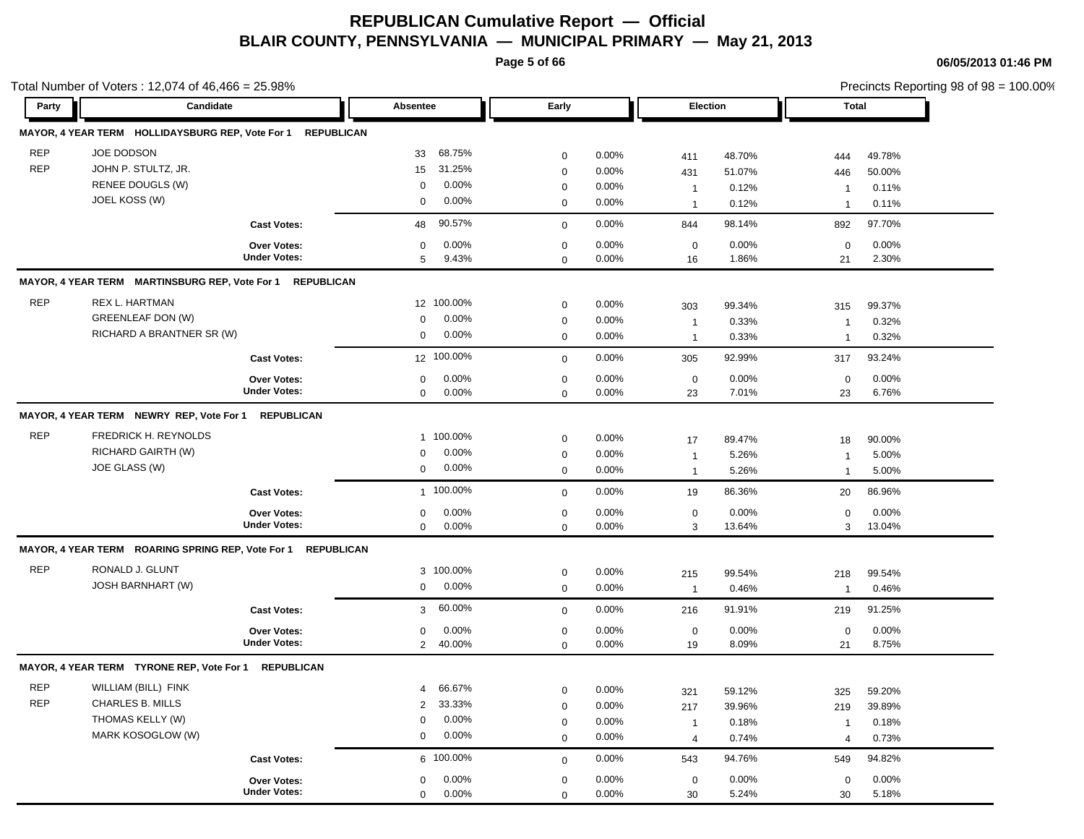**Page 5 of 66**

|            | Total Number of Voters: 12,074 of 46,466 = 25.98%            |                     |                          |             |          |                     |                 |                               | Precincts Reporting 98 of 98 = 100.00% |
|------------|--------------------------------------------------------------|---------------------|--------------------------|-------------|----------|---------------------|-----------------|-------------------------------|----------------------------------------|
| Party      | Candidate                                                    |                     | Absentee                 | Early       |          | Election            |                 | Total                         |                                        |
|            | MAYOR, 4 YEAR TERM HOLLIDAYSBURG REP, Vote For 1             | <b>REPUBLICAN</b>   |                          |             |          |                     |                 |                               |                                        |
| <b>REP</b> | JOE DODSON                                                   |                     | 68.75%<br>33             | $\mathbf 0$ | 0.00%    | 411                 | 48.70%          | 444                           | 49.78%                                 |
| <b>REP</b> | JOHN P. STULTZ, JR.                                          |                     | 31.25%<br>15             | 0           | 0.00%    | 431                 | 51.07%          | 446                           | 50.00%                                 |
|            | RENEE DOUGLS (W)                                             |                     | 0.00%<br>0               | 0           | 0.00%    | $\overline{1}$      | 0.12%           | $\mathbf 1$                   | 0.11%                                  |
|            | JOEL KOSS (W)                                                |                     | 0.00%<br>0               | 0           | 0.00%    | $\overline{1}$      | 0.12%           | $\mathbf 1$                   | 0.11%                                  |
|            |                                                              | <b>Cast Votes:</b>  | 90.57%<br>48             | $\mathbf 0$ | 0.00%    | 844                 | 98.14%          | 892                           | 97.70%                                 |
|            |                                                              | <b>Over Votes:</b>  | 0.00%<br>0               | $\mathbf 0$ | 0.00%    | 0                   | 0.00%           | 0                             | 0.00%                                  |
|            |                                                              | <b>Under Votes:</b> | 9.43%<br>5               | $\mathbf 0$ | 0.00%    | 16                  | 1.86%           | 21                            | 2.30%                                  |
|            | MAYOR, 4 YEAR TERM MARTINSBURG REP, Vote For 1               | <b>REPUBLICAN</b>   |                          |             |          |                     |                 |                               |                                        |
| <b>REP</b> | REX L. HARTMAN                                               |                     | 12 100.00%               | $\mathbf 0$ | $0.00\%$ | 303                 | 99.34%          | 315                           | 99.37%                                 |
|            | GREENLEAF DON (W)                                            |                     | 0.00%<br>0               | 0           | 0.00%    | $\overline{1}$      | 0.33%           | -1                            | 0.32%                                  |
|            | RICHARD A BRANTNER SR (W)                                    |                     | 0.00%<br>0               | $\mathbf 0$ | 0.00%    | $\overline{1}$      | 0.33%           | $\mathbf{1}$                  | 0.32%                                  |
|            |                                                              | <b>Cast Votes:</b>  | 12 100.00%               | $\mathbf 0$ | 0.00%    | 305                 | 92.99%          | 317                           | 93.24%                                 |
|            |                                                              | Over Votes:         | 0.00%<br>0               | 0           | $0.00\%$ | $\mathbf 0$         | 0.00%           | 0                             | 0.00%                                  |
|            |                                                              | <b>Under Votes:</b> | $0.00\%$<br>$\mathbf{0}$ | $\mathbf 0$ | 0.00%    | 23                  | 7.01%           | 23                            | 6.76%                                  |
|            | MAYOR, 4 YEAR TERM NEWRY REP, Vote For 1                     | <b>REPUBLICAN</b>   |                          |             |          |                     |                 |                               |                                        |
| <b>REP</b> | FREDRICK H. REYNOLDS                                         |                     | 1 100.00%                | $\mathbf 0$ | 0.00%    | 17                  | 89.47%          | 18                            | 90.00%                                 |
|            | RICHARD GAIRTH (W)                                           |                     | 0.00%<br>$\Omega$        | 0           | 0.00%    | $\overline{1}$      | 5.26%           | $\overline{1}$                | 5.00%                                  |
|            | JOE GLASS (W)                                                |                     | 0.00%<br>0               | $\mathbf 0$ | 0.00%    | $\overline{1}$      | 5.26%           | $\overline{1}$                | 5.00%                                  |
|            |                                                              | <b>Cast Votes:</b>  | 1 100.00%                | $\mathbf 0$ | 0.00%    | 19                  | 86.36%          | 20                            | 86.96%                                 |
|            |                                                              | Over Votes:         | 0.00%<br>$\mathbf 0$     | $\mathbf 0$ | 0.00%    | $\mathbf 0$         | 0.00%           | $\mathbf 0$                   | 0.00%                                  |
|            |                                                              | <b>Under Votes:</b> | $0.00\%$<br>$\mathbf 0$  | $\mathbf 0$ | $0.00\%$ | 3                   | 13.64%          | 3                             | 13.04%                                 |
|            | MAYOR, 4 YEAR TERM ROARING SPRING REP, Vote For 1 REPUBLICAN |                     |                          |             |          |                     |                 |                               |                                        |
| <b>REP</b> | RONALD J. GLUNT                                              |                     | 3 100.00%                | 0           | $0.00\%$ | 215                 | 99.54%          | 218                           | 99.54%                                 |
|            | JOSH BARNHART (W)                                            |                     | $0.00\%$<br>0            | 0           | 0.00%    | $\overline{1}$      | 0.46%           | $\mathbf{1}$                  | 0.46%                                  |
|            |                                                              | <b>Cast Votes:</b>  | 60.00%<br>3              | $\mathbf 0$ | 0.00%    | 216                 | 91.91%          | 219                           | 91.25%                                 |
|            |                                                              | Over Votes:         | 0.00%<br>0               | $\mathbf 0$ | 0.00%    | $\mathbf 0$         | 0.00%           | 0                             | 0.00%                                  |
|            |                                                              | <b>Under Votes:</b> | 2 40.00%                 | $\mathbf 0$ | 0.00%    | 19                  | 8.09%           | 21                            | 8.75%                                  |
|            | MAYOR, 4 YEAR TERM TYRONE REP, Vote For 1 REPUBLICAN         |                     |                          |             |          |                     |                 |                               |                                        |
| REP        | WILLIAM (BILL) FINK                                          |                     | 66.67%                   |             | 0.00%    |                     |                 |                               |                                        |
| <b>REP</b> | CHARLES B. MILLS                                             |                     | 33.33%<br>$\overline{2}$ | 0<br>0      | 0.00%    | 321                 | 59.12%          | 325                           | 59.20%                                 |
|            | THOMAS KELLY (W)                                             |                     | 0.00%<br>0               | 0           | 0.00%    | 217                 | 39.96%<br>0.18% | 219                           | 39.89%<br>0.18%                        |
|            | MARK KOSOGLOW (W)                                            |                     | $0.00\%$<br>0            | 0           | 0.00%    | $\overline{1}$<br>4 | 0.74%           | $\mathbf 1$<br>$\overline{4}$ | 0.73%                                  |
|            |                                                              |                     |                          |             |          |                     |                 |                               |                                        |
|            |                                                              | <b>Cast Votes:</b>  | 6 100.00%                | $\mathbf 0$ | 0.00%    | 543                 | 94.76%          | 549                           | 94.82%                                 |
|            |                                                              | Over Votes:         | 0.00%<br>0               | 0           | 0.00%    | 0                   | 0.00%           | 0                             | 0.00%                                  |
|            |                                                              | <b>Under Votes:</b> | 0.00%<br>$\mathbf 0$     | 0           | 0.00%    | 30                  | 5.24%           | 30                            | 5.18%                                  |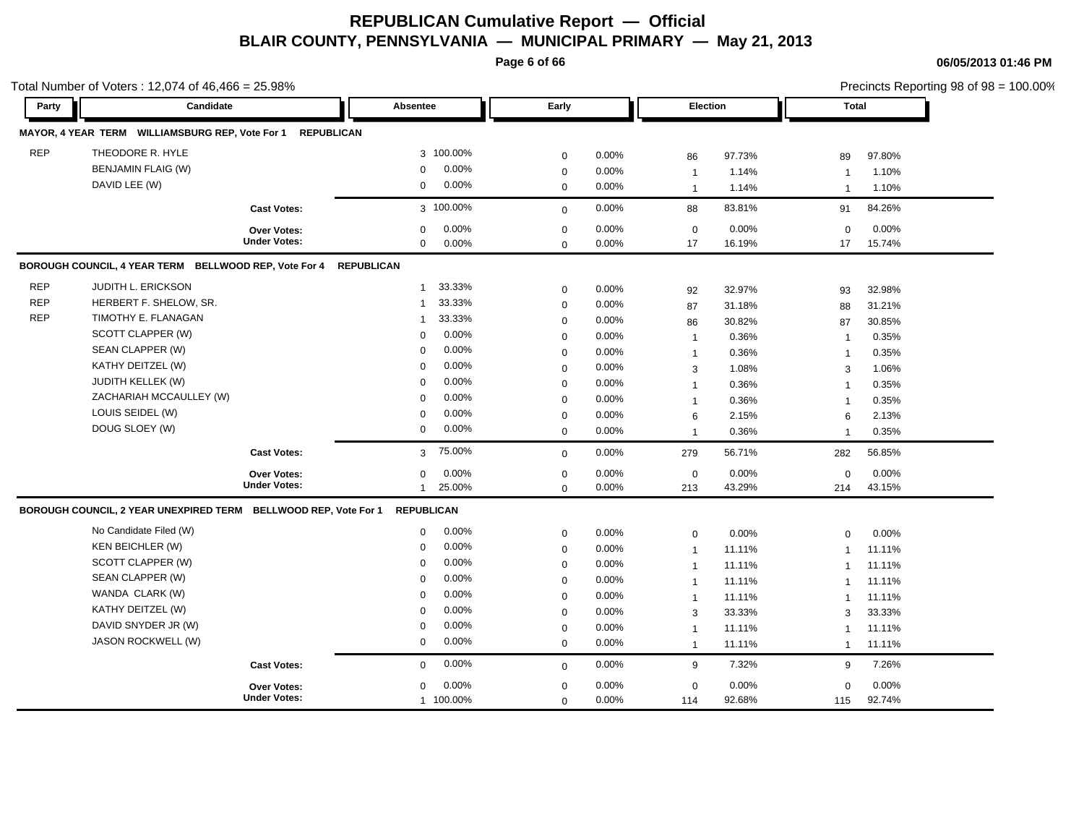**Page 6 of 66**

|            | Total Number of Voters: 12,074 of 46,466 = 25.98%               |                                           |                                    |                            |                |                   |                 |                         | Precincts Reporting 98 of 98 = 100.00% |
|------------|-----------------------------------------------------------------|-------------------------------------------|------------------------------------|----------------------------|----------------|-------------------|-----------------|-------------------------|----------------------------------------|
| Party      | Candidate                                                       |                                           | Absentee                           | Early                      |                | Election          |                 | <b>Total</b>            |                                        |
|            | MAYOR, 4 YEAR TERM WILLIAMSBURG REP, Vote For 1                 | <b>REPUBLICAN</b>                         |                                    |                            |                |                   |                 |                         |                                        |
| <b>REP</b> | THEODORE R. HYLE                                                |                                           | 3 100.00%                          | $\mathbf 0$                | 0.00%          | 86                | 97.73%          | 89                      | 97.80%                                 |
|            | <b>BENJAMIN FLAIG (W)</b>                                       |                                           | 0.00%<br>$\mathbf 0$               | $\mathbf 0$                | 0.00%          | $\mathbf{1}$      | 1.14%           | -1                      | 1.10%                                  |
|            | DAVID LEE (W)                                                   |                                           | 0.00%<br>0                         | $\mathbf 0$                | 0.00%          | $\overline{1}$    | 1.14%           | $\overline{\mathbf{1}}$ | 1.10%                                  |
|            |                                                                 | <b>Cast Votes:</b>                        | 3 100.00%                          | $\mathbf 0$                | 0.00%          | 88                | 83.81%          | 91                      | 84.26%                                 |
|            |                                                                 |                                           |                                    |                            |                |                   |                 |                         |                                        |
|            |                                                                 | <b>Over Votes:</b><br><b>Under Votes:</b> | 0.00%<br>$\mathbf 0$<br>0.00%<br>0 | $\mathbf 0$<br>$\mathbf 0$ | 0.00%<br>0.00% | $\mathbf 0$<br>17 | 0.00%<br>16.19% | $\mathbf 0$<br>17       | 0.00%<br>15.74%                        |
|            |                                                                 |                                           |                                    |                            |                |                   |                 |                         |                                        |
|            | BOROUGH COUNCIL, 4 YEAR TERM BELLWOOD REP, Vote For 4           |                                           | <b>REPUBLICAN</b>                  |                            |                |                   |                 |                         |                                        |
| <b>REP</b> | JUDITH L. ERICKSON                                              |                                           | 33.33%<br>$\overline{1}$           | $\mathbf 0$                | 0.00%          | 92                | 32.97%          | 93                      | 32.98%                                 |
| <b>REP</b> | HERBERT F. SHELOW, SR.                                          |                                           | 33.33%<br>$\mathbf{1}$             | $\mathbf 0$                | 0.00%          | 87                | 31.18%          | 88                      | 31.21%                                 |
| <b>REP</b> | TIMOTHY E. FLANAGAN                                             |                                           | 33.33%<br>$\overline{1}$           | $\mathbf 0$                | 0.00%          | 86                | 30.82%          | 87                      | 30.85%                                 |
|            | SCOTT CLAPPER (W)                                               |                                           | 0.00%<br>0                         | $\mathbf 0$                | 0.00%          | $\mathbf{1}$      | 0.36%           | $\overline{1}$          | 0.35%                                  |
|            | SEAN CLAPPER (W)                                                |                                           | 0.00%<br>$\mathbf 0$               | $\mathbf 0$                | 0.00%          | $\mathbf{1}$      | 0.36%           | $\overline{1}$          | 0.35%                                  |
|            | KATHY DEITZEL (W)                                               |                                           | 0.00%<br>$\Omega$                  | 0                          | 0.00%          | 3                 | 1.08%           | 3                       | 1.06%                                  |
|            | <b>JUDITH KELLEK (W)</b>                                        |                                           | $\Omega$<br>0.00%                  | $\mathbf 0$                | 0.00%          | $\mathbf{1}$      | 0.36%           | -1                      | 0.35%                                  |
|            | ZACHARIAH MCCAULLEY (W)                                         |                                           | 0.00%<br>$\Omega$                  | $\mathbf 0$                | 0.00%          | $\mathbf{1}$      | 0.36%           | $\overline{1}$          | 0.35%                                  |
|            | LOUIS SEIDEL (W)                                                |                                           | 0.00%<br>$\mathbf 0$               | $\mathbf 0$                | 0.00%          | 6                 | 2.15%           | 6                       | 2.13%                                  |
|            | DOUG SLOEY (W)                                                  |                                           | 0.00%<br>0                         | $\mathbf 0$                | 0.00%          | $\overline{1}$    | 0.36%           | $\overline{\mathbf{1}}$ | 0.35%                                  |
|            |                                                                 | <b>Cast Votes:</b>                        | 75.00%<br>3                        | $\mathbf 0$                | 0.00%          | 279               | 56.71%          | 282                     | 56.85%                                 |
|            |                                                                 | Over Votes:                               | 0.00%<br>0                         | $\mathbf 0$                | 0.00%          | $\mathbf 0$       | 0.00%           | $\mathbf 0$             | 0.00%                                  |
|            |                                                                 | <b>Under Votes:</b>                       | 25.00%<br>$\mathbf 1$              | $\mathbf 0$                | 0.00%          | 213               | 43.29%          | 214                     | 43.15%                                 |
|            | BOROUGH COUNCIL, 2 YEAR UNEXPIRED TERM BELLWOOD REP, Vote For 1 |                                           | <b>REPUBLICAN</b>                  |                            |                |                   |                 |                         |                                        |
|            | No Candidate Filed (W)                                          |                                           | 0.00%<br>$\mathbf 0$               | $\pmb{0}$                  | 0.00%          | $\mathbf 0$       | 0.00%           | $\mathbf 0$             | 0.00%                                  |
|            | <b>KEN BEICHLER (W)</b>                                         |                                           | 0.00%<br>$\mathbf 0$               | $\mathbf 0$                | 0.00%          | $\mathbf{1}$      | 11.11%          | $\mathbf{1}$            | 11.11%                                 |
|            | SCOTT CLAPPER (W)                                               |                                           | 0.00%<br>$\mathbf 0$               | $\mathsf 0$                | 0.00%          | $\mathbf{1}$      | 11.11%          | $\overline{1}$          | 11.11%                                 |
|            | SEAN CLAPPER (W)                                                |                                           | 0.00%<br>$\Omega$                  | $\mathbf 0$                | 0.00%          | $\overline{1}$    | 11.11%          | -1                      | 11.11%                                 |
|            | WANDA CLARK (W)                                                 |                                           | 0.00%<br>$\Omega$                  | $\mathbf 0$                | 0.00%          | $\overline{1}$    | 11.11%          | $\overline{1}$          | 11.11%                                 |
|            | KATHY DEITZEL (W)                                               |                                           | 0.00%<br>$\Omega$                  | $\mathbf 0$                | 0.00%          | 3                 | 33.33%          | 3                       | 33.33%                                 |
|            | DAVID SNYDER JR (W)                                             |                                           | 0.00%<br>$\mathbf 0$               | $\mathbf 0$                | 0.00%          | $\overline{1}$    | 11.11%          | $\overline{1}$          | 11.11%                                 |
|            | JASON ROCKWELL (W)                                              |                                           | 0.00%<br>0                         | $\mathbf 0$                | 0.00%          | $\overline{1}$    | 11.11%          | $\overline{1}$          | 11.11%                                 |
|            |                                                                 | <b>Cast Votes:</b>                        | 0.00%<br>$\mathbf{0}$              | $\mathbf 0$                | 0.00%          | 9                 | 7.32%           | 9                       | 7.26%                                  |
|            |                                                                 | <b>Over Votes:</b>                        | 0.00%<br>$\mathbf 0$               | $\mathbf 0$                | 0.00%          | $\mathbf 0$       | 0.00%           | $\mathbf{0}$            | 0.00%                                  |
|            |                                                                 | <b>Under Votes:</b>                       | 1 100.00%                          | $\mathbf 0$                | 0.00%          | 114               | 92.68%          | 115                     | 92.74%                                 |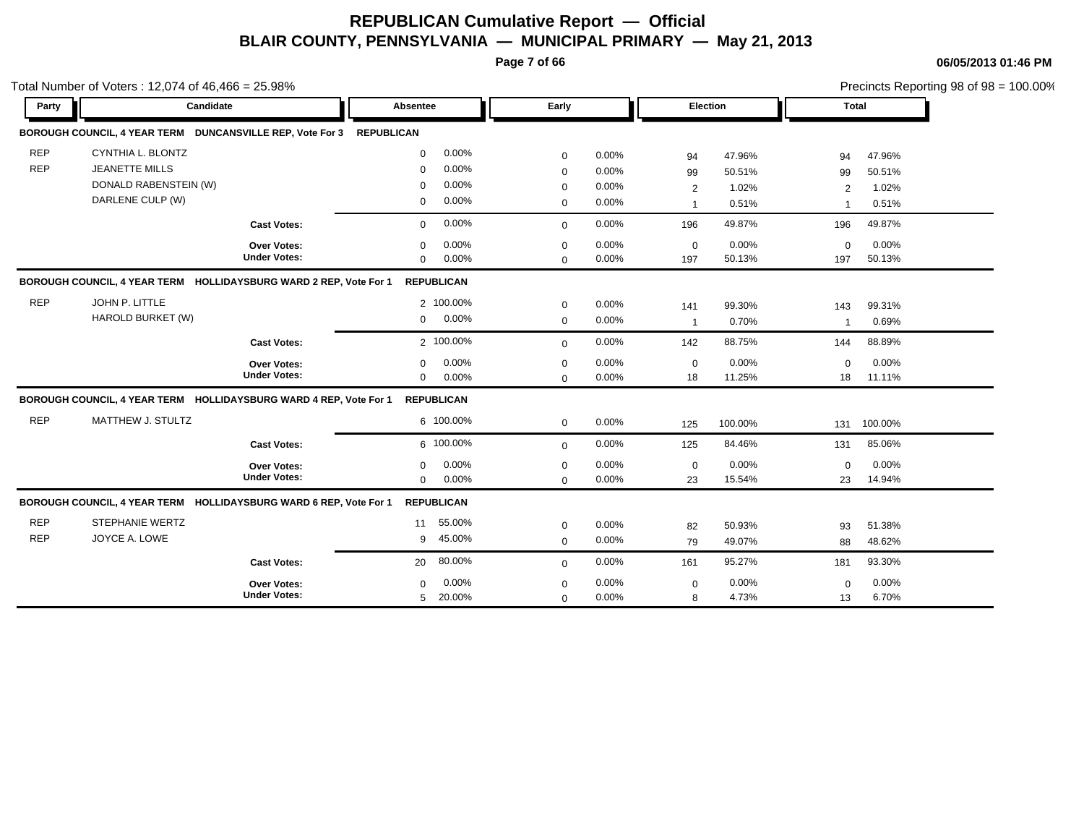**Page 7 of 66**

|            | Total Number of Voters: $12,074$ of $46,466 = 25.98\%$               |                     |                 |                   |              |       |                 |         |                | Precincts Reporting 98 of 98 = 100.00% |  |
|------------|----------------------------------------------------------------------|---------------------|-----------------|-------------------|--------------|-------|-----------------|---------|----------------|----------------------------------------|--|
| Party      | Candidate                                                            |                     | <b>Absentee</b> |                   | Early        |       | <b>Election</b> |         | Total          |                                        |  |
|            | BOROUGH COUNCIL, 4 YEAR TERM DUNCANSVILLE REP, Vote For 3 REPUBLICAN |                     |                 |                   |              |       |                 |         |                |                                        |  |
| <b>REP</b> | CYNTHIA L. BLONTZ                                                    |                     | $\Omega$        | 0.00%             | $\mathbf 0$  | 0.00% | 94              | 47.96%  | 94             | 47.96%                                 |  |
| <b>REP</b> | <b>JEANETTE MILLS</b>                                                |                     | $\mathbf 0$     | 0.00%             | $\mathbf 0$  | 0.00% | 99              | 50.51%  | 99             | 50.51%                                 |  |
|            | DONALD RABENSTEIN (W)                                                |                     | $\mathbf 0$     | 0.00%             | $\mathbf 0$  | 0.00% | $\overline{2}$  | 1.02%   | 2              | 1.02%                                  |  |
|            | DARLENE CULP (W)                                                     |                     | 0               | 0.00%             | $\mathbf 0$  | 0.00% | $\overline{1}$  | 0.51%   | $\overline{1}$ | 0.51%                                  |  |
|            |                                                                      | <b>Cast Votes:</b>  | $\mathbf 0$     | 0.00%             | $\mathbf{0}$ | 0.00% | 196             | 49.87%  | 196            | 49.87%                                 |  |
|            |                                                                      | Over Votes:         | $\mathbf 0$     | 0.00%             | $\mathbf 0$  | 0.00% | $\mathbf 0$     | 0.00%   | $\mathbf 0$    | 0.00%                                  |  |
|            |                                                                      | <b>Under Votes:</b> | $\mathbf 0$     | 0.00%             | $\mathbf 0$  | 0.00% | 197             | 50.13%  | 197            | 50.13%                                 |  |
|            | BOROUGH COUNCIL, 4 YEAR TERM HOLLIDAYSBURG WARD 2 REP, Vote For 1    |                     |                 | <b>REPUBLICAN</b> |              |       |                 |         |                |                                        |  |
| <b>REP</b> | JOHN P. LITTLE                                                       |                     |                 | 2 100.00%         | $\mathbf 0$  | 0.00% | 141             | 99.30%  | 143            | 99.31%                                 |  |
|            | HAROLD BURKET (W)                                                    |                     | $\mathbf 0$     | 0.00%             | $\mathbf 0$  | 0.00% | $\overline{1}$  | 0.70%   | $\overline{1}$ | 0.69%                                  |  |
|            |                                                                      | <b>Cast Votes:</b>  |                 | 2 100.00%         | $\mathbf 0$  | 0.00% | 142             | 88.75%  | 144            | 88.89%                                 |  |
|            |                                                                      | <b>Over Votes:</b>  | $\mathbf 0$     | 0.00%             | $\mathbf 0$  | 0.00% | $\mathbf 0$     | 0.00%   | $\mathbf 0$    | 0.00%                                  |  |
|            |                                                                      | <b>Under Votes:</b> | $\mathbf 0$     | 0.00%             | $\Omega$     | 0.00% | 18              | 11.25%  | 18             | 11.11%                                 |  |
|            | BOROUGH COUNCIL, 4 YEAR TERM HOLLIDAYSBURG WARD 4 REP, Vote For 1    |                     |                 | <b>REPUBLICAN</b> |              |       |                 |         |                |                                        |  |
| <b>REP</b> | MATTHEW J. STULTZ                                                    |                     |                 | 6 100.00%         | $\mathbf 0$  | 0.00% | 125             | 100.00% | 131            | 100.00%                                |  |
|            |                                                                      | <b>Cast Votes:</b>  |                 | 6 100.00%         | $\mathbf 0$  | 0.00% | 125             | 84.46%  | 131            | 85.06%                                 |  |
|            |                                                                      | <b>Over Votes:</b>  | $\mathbf 0$     | 0.00%             | $\mathbf 0$  | 0.00% | $\mathbf 0$     | 0.00%   | $\mathbf 0$    | $0.00\%$                               |  |
|            |                                                                      | <b>Under Votes:</b> | $\Omega$        | 0.00%             | $\Omega$     | 0.00% | 23              | 15.54%  | 23             | 14.94%                                 |  |
|            | BOROUGH COUNCIL, 4 YEAR TERM HOLLIDAYSBURG WARD 6 REP, Vote For 1    |                     |                 | <b>REPUBLICAN</b> |              |       |                 |         |                |                                        |  |
| <b>REP</b> | <b>STEPHANIE WERTZ</b>                                               |                     | 11              | 55.00%            | $\mathbf 0$  | 0.00% | 82              | 50.93%  | 93             | 51.38%                                 |  |
| <b>REP</b> | JOYCE A. LOWE                                                        |                     | 9               | 45.00%            | $\mathbf 0$  | 0.00% | 79              | 49.07%  | 88             | 48.62%                                 |  |
|            |                                                                      | <b>Cast Votes:</b>  | 20              | 80.00%            | $\mathbf 0$  | 0.00% | 161             | 95.27%  | 181            | 93.30%                                 |  |
|            |                                                                      | <b>Over Votes:</b>  | $\Omega$        | 0.00%             | $\mathbf 0$  | 0.00% | $\mathbf 0$     | 0.00%   | $\mathbf{0}$   | 0.00%                                  |  |
|            |                                                                      | <b>Under Votes:</b> | 5               | 20.00%            | $\mathbf 0$  | 0.00% | 8               | 4.73%   | 13             | 6.70%                                  |  |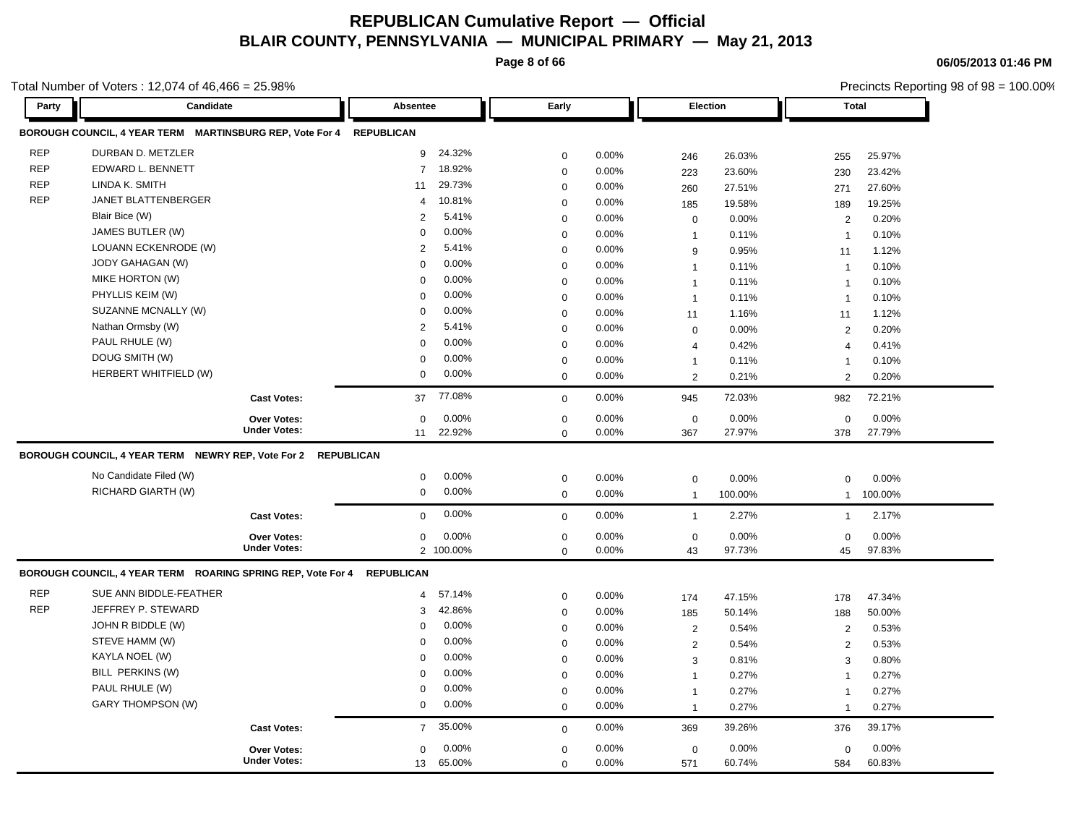**Page 8 of 66**

Precincts Reporting 98 of 98 = 100.00%

**06/05/2013 01:46 PM**

| Party      | Candidate                                                              | Absentee                 | Early       |          | Election       |         | <b>Total</b>   |         |
|------------|------------------------------------------------------------------------|--------------------------|-------------|----------|----------------|---------|----------------|---------|
|            | BOROUGH COUNCIL, 4 YEAR TERM MARTINSBURG REP, Vote For 4 REPUBLICAN    |                          |             |          |                |         |                |         |
| <b>REP</b> | DURBAN D. METZLER                                                      | 24.32%<br>9              | $\mathbf 0$ | 0.00%    | 246            | 26.03%  | 255            | 25.97%  |
| <b>REP</b> | EDWARD L. BENNETT                                                      | 18.92%<br>$\overline{7}$ | $\mathbf 0$ | 0.00%    | 223            | 23.60%  | 230            | 23.42%  |
| <b>REP</b> | LINDA K. SMITH                                                         | 29.73%<br>11             | $\mathbf 0$ | 0.00%    | 260            | 27.51%  | 271            | 27.60%  |
| <b>REP</b> | JANET BLATTENBERGER                                                    | 10.81%<br>4              | $\mathbf 0$ | 0.00%    | 185            | 19.58%  | 189            | 19.25%  |
|            | Blair Bice (W)                                                         | 5.41%<br>$\overline{2}$  | $\mathbf 0$ | 0.00%    | $\mathbf 0$    | 0.00%   | 2              | 0.20%   |
|            | JAMES BUTLER (W)                                                       | 0.00%<br>$\Omega$        | $\mathbf 0$ | $0.00\%$ | $\mathbf{1}$   | 0.11%   | $\overline{1}$ | 0.10%   |
|            | LOUANN ECKENRODE (W)                                                   | 5.41%<br>$\overline{2}$  | $\mathbf 0$ | $0.00\%$ | 9              | 0.95%   | 11             | 1.12%   |
|            | JODY GAHAGAN (W)                                                       | 0.00%<br>$\mathbf 0$     | $\mathbf 0$ | $0.00\%$ | $\mathbf{1}$   | 0.11%   | $\overline{1}$ | 0.10%   |
|            | MIKE HORTON (W)                                                        | $\mathbf 0$<br>0.00%     | $\mathbf 0$ | 0.00%    | $\mathbf{1}$   | 0.11%   | $\mathbf{1}$   | 0.10%   |
|            | PHYLLIS KEIM (W)                                                       | 0.00%<br>$\mathbf 0$     | $\mathbf 0$ | 0.00%    | $\mathbf{1}$   | 0.11%   | $\mathbf{1}$   | 0.10%   |
|            | SUZANNE MCNALLY (W)                                                    | 0.00%<br>$\mathbf 0$     | $\mathbf 0$ | 0.00%    | 11             | 1.16%   | 11             | 1.12%   |
|            | Nathan Ormsby (W)                                                      | 2<br>5.41%               | $\pmb{0}$   | 0.00%    | $\mathbf 0$    | 0.00%   | 2              | 0.20%   |
|            | PAUL RHULE (W)                                                         | 0.00%<br>$\Omega$        | $\mathbf 0$ | 0.00%    | $\overline{4}$ | 0.42%   | $\overline{4}$ | 0.41%   |
|            | DOUG SMITH (W)                                                         | 0.00%<br>$\Omega$        | $\mathbf 0$ | 0.00%    | $\mathbf{1}$   | 0.11%   | $\overline{1}$ | 0.10%   |
|            | HERBERT WHITFIELD (W)                                                  | 0.00%<br>$\mathbf 0$     | $\mathbf 0$ | 0.00%    | 2              | 0.21%   | 2              | 0.20%   |
|            | <b>Cast Votes:</b>                                                     | 77.08%<br>37             | $\Omega$    | 0.00%    | 945            | 72.03%  | 982            | 72.21%  |
|            | <b>Over Votes:</b>                                                     | 0.00%<br>$\mathbf 0$     | $\mathbf 0$ | 0.00%    | $\mathbf 0$    | 0.00%   | $\mathbf 0$    | 0.00%   |
|            | <b>Under Votes:</b>                                                    | 22.92%<br>11             | $\mathbf 0$ | 0.00%    | 367            | 27.97%  | 378            | 27.79%  |
|            | BOROUGH COUNCIL, 4 YEAR TERM NEWRY REP, Vote For 2 REPUBLICAN          |                          |             |          |                |         |                |         |
|            | No Candidate Filed (W)                                                 | 0.00%<br>0               | $\mathbf 0$ | 0.00%    | $\mathbf 0$    | 0.00%   | $\mathbf 0$    | 0.00%   |
|            | RICHARD GIARTH (W)                                                     | 0.00%<br>$\mathbf 0$     | $\mathbf 0$ | 0.00%    | $\mathbf{1}$   | 100.00% | $\mathbf{1}$   | 100.00% |
|            | <b>Cast Votes:</b>                                                     | 0.00%<br>$\mathbf 0$     | $\mathbf 0$ | 0.00%    | $\mathbf{1}$   | 2.27%   | $\mathbf{1}$   | 2.17%   |
|            | Over Votes:                                                            | 0.00%<br>$\mathbf 0$     | $\pmb{0}$   | 0.00%    | $\mathbf 0$    | 0.00%   | $\Omega$       | 0.00%   |
|            | <b>Under Votes:</b>                                                    | 2 100.00%                | $\mathbf 0$ | 0.00%    | 43             | 97.73%  | 45             | 97.83%  |
|            | BOROUGH COUNCIL, 4 YEAR TERM ROARING SPRING REP, Vote For 4 REPUBLICAN |                          |             |          |                |         |                |         |
| <b>REP</b> | SUE ANN BIDDLE-FEATHER                                                 | 57.14%<br>$\overline{4}$ | $\pmb{0}$   | 0.00%    | 174            | 47.15%  | 178            | 47.34%  |
| <b>REP</b> | JEFFREY P. STEWARD                                                     | 42.86%<br>3              | $\mathbf 0$ | 0.00%    | 185            | 50.14%  | 188            | 50.00%  |
|            | JOHN R BIDDLE (W)                                                      | 0.00%<br>0               | $\mathbf 0$ | 0.00%    | 2              | 0.54%   | 2              | 0.53%   |
|            | STEVE HAMM (W)                                                         | 0.00%<br>0               | $\mathbf 0$ | 0.00%    | $\overline{2}$ | 0.54%   | 2              | 0.53%   |
|            | KAYLA NOEL (W)                                                         | 0.00%<br>$\Omega$        | $\mathbf 0$ | 0.00%    | 3              | 0.81%   | 3              | 0.80%   |
|            | BILL PERKINS (W)                                                       | 0.00%<br>$\mathbf 0$     | $\mathbf 0$ | 0.00%    | $\mathbf{1}$   | 0.27%   | $\mathbf{1}$   | 0.27%   |
|            | PAUL RHULE (W)                                                         | 0.00%<br>$\Omega$        | $\mathbf 0$ | 0.00%    | $\mathbf{1}$   | 0.27%   | $\mathbf{1}$   | 0.27%   |
|            | <b>GARY THOMPSON (W)</b>                                               | $\mathbf 0$<br>0.00%     | $\Omega$    | 0.00%    | $\mathbf{1}$   | 0.27%   | $\overline{1}$ | 0.27%   |
|            | <b>Cast Votes:</b>                                                     | 35.00%<br>$\overline{7}$ | $\mathbf 0$ | 0.00%    | 369            | 39.26%  | 376            | 39.17%  |
|            | <b>Over Votes:</b>                                                     | 0.00%<br>$\mathbf 0$     | $\mathbf 0$ | $0.00\%$ | $\mathbf 0$    | 0.00%   | $\mathbf 0$    | 0.00%   |
|            | <b>Under Votes:</b>                                                    | 65.00%<br>13             | $\mathbf 0$ | 0.00%    | 571            | 60.74%  | 584            | 60.83%  |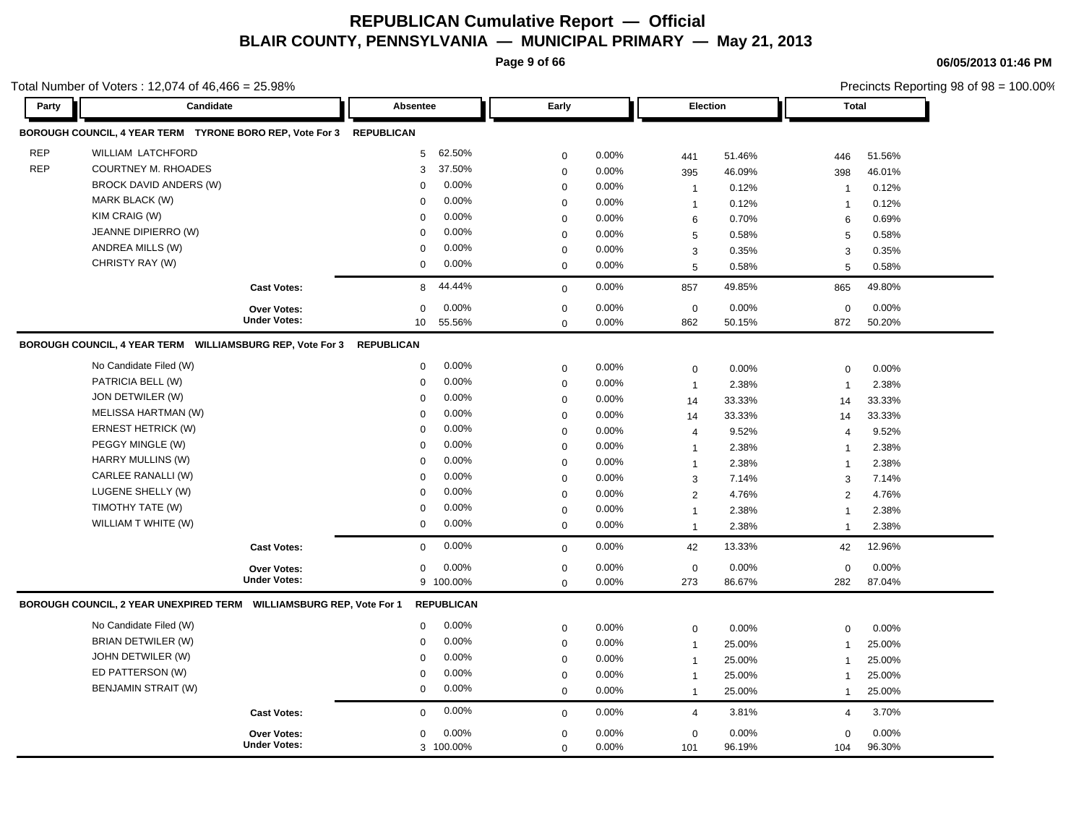**Page 9 of 66**

**06/05/2013 01:46 PM**

|            | Total Number of Voters: 12,074 of 46,466 = 25.98%                      |                     |                           |                |       |                 |        |                | Precincts Reporting 98 of 98 = 100.00% |
|------------|------------------------------------------------------------------------|---------------------|---------------------------|----------------|-------|-----------------|--------|----------------|----------------------------------------|
| Party      | Candidate                                                              |                     | Absentee                  | Early          |       | <b>Election</b> |        | <b>Total</b>   |                                        |
|            | BOROUGH COUNCIL, 4 YEAR TERM TYRONE BORO REP, Vote For 3 REPUBLICAN    |                     |                           |                |       |                 |        |                |                                        |
| <b>REP</b> | WILLIAM LATCHFORD                                                      |                     | 62.50%<br>5               | 0              | 0.00% | 441             | 51.46% | 446            | 51.56%                                 |
| <b>REP</b> | <b>COURTNEY M. RHOADES</b>                                             |                     | 37.50%<br>3               | $\mathbf 0$    | 0.00% | 395             | 46.09% | 398            | 46.01%                                 |
|            | BROCK DAVID ANDERS (W)                                                 |                     | 0.00%<br>$\Omega$         | 0              | 0.00% | $\overline{1}$  | 0.12%  | $\overline{1}$ | 0.12%                                  |
|            | MARK BLACK (W)                                                         |                     | 0.00%<br>$\Omega$         | $\mathbf 0$    | 0.00% | $\mathbf{1}$    | 0.12%  | 1              | 0.12%                                  |
|            | KIM CRAIG (W)                                                          |                     | 0.00%<br>$\Omega$         | 0              | 0.00% | 6               | 0.70%  | 6              | 0.69%                                  |
|            | JEANNE DIPIERRO (W)                                                    |                     | 0.00%<br>$\Omega$         | 0              | 0.00% | 5               | 0.58%  | 5              | 0.58%                                  |
|            | ANDREA MILLS (W)                                                       |                     | 0.00%<br>$\Omega$         | 0              | 0.00% | 3               | 0.35%  | 3              | 0.35%                                  |
|            | CHRISTY RAY (W)                                                        |                     | 0.00%<br>0                | $\mathbf 0$    | 0.00% | 5               | 0.58%  | 5              | 0.58%                                  |
|            |                                                                        | <b>Cast Votes:</b>  | 44.44%<br>8               | $\mathbf 0$    | 0.00% | 857             | 49.85% | 865            | 49.80%                                 |
|            |                                                                        | Over Votes:         | 0.00%<br>0                | 0              | 0.00% | $\mathbf 0$     | 0.00%  | $\mathbf 0$    | 0.00%                                  |
|            |                                                                        | <b>Under Votes:</b> | 55.56%<br>10 <sup>°</sup> | $\mathbf 0$    | 0.00% | 862             | 50.15% | 872            | 50.20%                                 |
|            | BOROUGH COUNCIL, 4 YEAR TERM WILLIAMSBURG REP, Vote For 3              |                     | <b>REPUBLICAN</b>         |                |       |                 |        |                |                                        |
|            | No Candidate Filed (W)                                                 |                     | 0.00%<br>0                | 0              | 0.00% | $\mathbf 0$     | 0.00%  | 0              | 0.00%                                  |
|            | PATRICIA BELL (W)                                                      |                     | 0.00%<br>0                | 0              | 0.00% | $\overline{1}$  | 2.38%  | $\overline{1}$ | 2.38%                                  |
|            | JON DETWILER (W)                                                       |                     | 0.00%<br>$\Omega$         | 0              | 0.00% | 14              | 33.33% | 14             | 33.33%                                 |
|            | <b>MELISSA HARTMAN (W)</b>                                             |                     | 0.00%<br>$\Omega$         | 0              | 0.00% | 14              | 33.33% | 14             | 33.33%                                 |
|            | <b>ERNEST HETRICK (W)</b>                                              |                     | 0.00%<br>0                | 0              | 0.00% | $\overline{4}$  | 9.52%  | $\overline{4}$ | 9.52%                                  |
|            | PEGGY MINGLE (W)                                                       |                     | 0.00%<br>0                | $\mathbf 0$    | 0.00% | $\mathbf 1$     | 2.38%  | $\overline{1}$ | 2.38%                                  |
|            | HARRY MULLINS (W)                                                      |                     | 0.00%<br>$\Omega$         | 0              | 0.00% | $\mathbf{1}$    | 2.38%  | 1              | 2.38%                                  |
|            | CARLEE RANALLI (W)                                                     |                     | 0.00%<br>0                | $\mathbf 0$    | 0.00% | 3               | 7.14%  | 3              | 7.14%                                  |
|            | LUGENE SHELLY (W)                                                      |                     | 0.00%<br>0                | 0              | 0.00% | $\overline{2}$  | 4.76%  | 2              | 4.76%                                  |
|            | TIMOTHY TATE (W)                                                       |                     | 0.00%<br>0                | $\overline{0}$ | 0.00% | $\mathbf 1$     | 2.38%  | $\overline{1}$ | 2.38%                                  |
|            | WILLIAM T WHITE (W)                                                    |                     | 0.00%<br>0                | $\mathbf 0$    | 0.00% | $\overline{1}$  | 2.38%  | $\overline{1}$ | 2.38%                                  |
|            |                                                                        | <b>Cast Votes:</b>  | 0.00%<br>0                | 0              | 0.00% | 42              | 13.33% | 42             | 12.96%                                 |
|            |                                                                        | <b>Over Votes:</b>  | 0.00%<br>0                | $\mathsf 0$    | 0.00% | $\pmb{0}$       | 0.00%  | $\mathbf 0$    | 0.00%                                  |
|            |                                                                        | <b>Under Votes:</b> | 9 100.00%                 | $\mathbf 0$    | 0.00% | 273             | 86.67% | 282            | 87.04%                                 |
|            | BOROUGH COUNCIL, 2 YEAR UNEXPIRED TERM    WILLIAMSBURG REP, Vote For 1 |                     | <b>REPUBLICAN</b>         |                |       |                 |        |                |                                        |
|            | No Candidate Filed (W)                                                 |                     | 0.00%<br>0                | 0              | 0.00% | $\mathbf 0$     | 0.00%  | 0              | 0.00%                                  |
|            | BRIAN DETWILER (W)                                                     |                     | 0.00%<br>$\Omega$         | 0              | 0.00% | $\overline{1}$  | 25.00% | $\overline{1}$ | 25.00%                                 |
|            | JOHN DETWILER (W)                                                      |                     | 0.00%<br>0                | 0              | 0.00% | $\overline{1}$  | 25.00% | $\overline{1}$ | 25.00%                                 |
|            | ED PATTERSON (W)                                                       |                     | 0.00%<br>$\Omega$         | $\mathsf 0$    | 0.00% | $\mathbf{1}$    | 25.00% | $\mathbf{1}$   | 25.00%                                 |
|            | <b>BENJAMIN STRAIT (W)</b>                                             |                     | 0.00%<br>0                | 0              | 0.00% | $\mathbf{1}$    | 25.00% | $\mathbf{1}$   | 25.00%                                 |
|            |                                                                        | <b>Cast Votes:</b>  | 0.00%<br>0                | $\mathbf 0$    | 0.00% | 4               | 3.81%  | 4              | 3.70%                                  |
|            |                                                                        | <b>Over Votes:</b>  | 0.00%<br>0                | 0              | 0.00% | $\mathbf 0$     | 0.00%  | 0              | 0.00%                                  |
|            |                                                                        | <b>Under Votes:</b> | 3 100.00%                 | $\Omega$       | 0.00% | 101             | 96.19% | 104            | 96.30%                                 |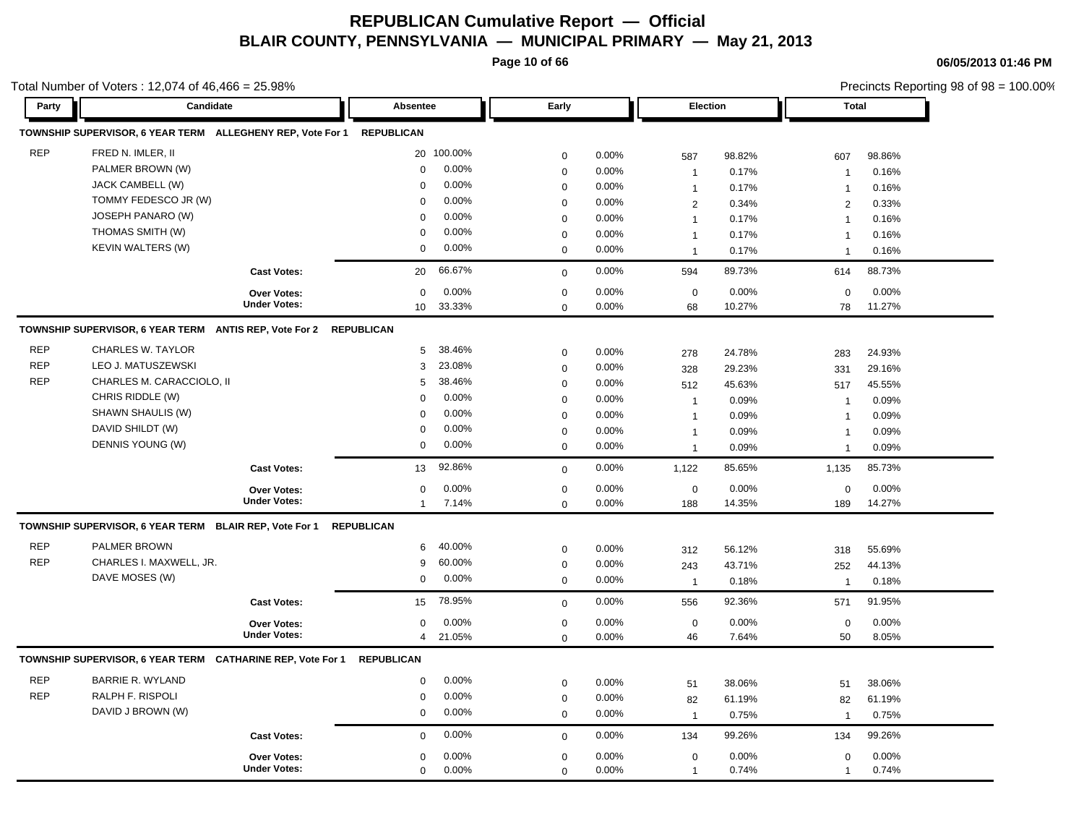**Page 10 of 66**

**06/05/2013 01:46 PM**

|            | Total Number of Voters: 12,074 of 46,466 = 25.98%                     |                     |                   |            |             |          |                 |        |                | Precincts Reporting 98 of 98 = 100.00% |
|------------|-----------------------------------------------------------------------|---------------------|-------------------|------------|-------------|----------|-----------------|--------|----------------|----------------------------------------|
| Party      | Candidate                                                             |                     | Absentee          |            | Early       |          | <b>Election</b> |        | <b>Total</b>   |                                        |
|            | TOWNSHIP SUPERVISOR, 6 YEAR TERM ALLEGHENY REP, Vote For 1            |                     | <b>REPUBLICAN</b> |            |             |          |                 |        |                |                                        |
| <b>REP</b> | FRED N. IMLER, II                                                     |                     |                   | 20 100.00% | 0           | 0.00%    | 587             | 98.82% | 607            | 98.86%                                 |
|            | PALMER BROWN (W)                                                      |                     | 0                 | 0.00%      | 0           | 0.00%    | $\overline{1}$  | 0.17%  | $\overline{1}$ | 0.16%                                  |
|            | JACK CAMBELL (W)                                                      |                     | $\Omega$          | 0.00%      | 0           | 0.00%    | $\mathbf{1}$    | 0.17%  | $\overline{1}$ | 0.16%                                  |
|            | TOMMY FEDESCO JR (W)                                                  |                     | 0                 | 0.00%      | $\mathbf 0$ | 0.00%    | $\overline{2}$  | 0.34%  | $\overline{c}$ | 0.33%                                  |
|            | JOSEPH PANARO (W)                                                     |                     | $\Omega$          | 0.00%      | 0           | 0.00%    | $\mathbf{1}$    | 0.17%  | $\overline{1}$ | 0.16%                                  |
|            | THOMAS SMITH (W)                                                      |                     | $\mathbf 0$       | 0.00%      | $\pmb{0}$   | 0.00%    | $\mathbf{1}$    | 0.17%  | $\overline{1}$ | 0.16%                                  |
|            | KEVIN WALTERS (W)                                                     |                     | 0                 | 0.00%      | 0           | 0.00%    | $\mathbf{1}$    | 0.17%  | $\overline{1}$ | 0.16%                                  |
|            |                                                                       | <b>Cast Votes:</b>  | 20                | 66.67%     | $\mathbf 0$ | 0.00%    | 594             | 89.73% | 614            | 88.73%                                 |
|            |                                                                       | <b>Over Votes:</b>  | 0                 | 0.00%      | 0           | 0.00%    | $\mathbf 0$     | 0.00%  | 0              | 0.00%                                  |
|            |                                                                       | <b>Under Votes:</b> | 10 <sup>1</sup>   | 33.33%     | $\mathbf 0$ | 0.00%    | 68              | 10.27% | 78             | 11.27%                                 |
|            | TOWNSHIP SUPERVISOR, 6 YEAR TERM ANTIS REP, Vote For 2                |                     | <b>REPUBLICAN</b> |            |             |          |                 |        |                |                                        |
| <b>REP</b> | <b>CHARLES W. TAYLOR</b>                                              |                     | 5                 | 38.46%     | 0           | 0.00%    | 278             | 24.78% | 283            | 24.93%                                 |
| <b>REP</b> | LEO J. MATUSZEWSKI                                                    |                     | 3                 | 23.08%     | $\mathbf 0$ | 0.00%    | 328             | 29.23% | 331            | 29.16%                                 |
| <b>REP</b> | CHARLES M. CARACCIOLO, II                                             |                     | 5                 | 38.46%     | 0           | 0.00%    | 512             | 45.63% | 517            | 45.55%                                 |
|            | CHRIS RIDDLE (W)                                                      |                     | 0                 | 0.00%      | $\pmb{0}$   | $0.00\%$ | $\overline{1}$  | 0.09%  | $\overline{1}$ | 0.09%                                  |
|            | SHAWN SHAULIS (W)                                                     |                     | $\mathbf 0$       | 0.00%      | $\mathbf 0$ | 0.00%    | $\overline{1}$  | 0.09%  | $\mathbf{1}$   | 0.09%                                  |
|            | DAVID SHILDT (W)                                                      |                     | $\Omega$          | 0.00%      | $\mathbf 0$ | 0.00%    | $\mathbf{1}$    | 0.09%  | 1              | 0.09%                                  |
|            | DENNIS YOUNG (W)                                                      |                     | 0                 | 0.00%      | $\mathbf 0$ | 0.00%    | $\mathbf{1}$    | 0.09%  | $\overline{1}$ | 0.09%                                  |
|            |                                                                       | <b>Cast Votes:</b>  | 13                | 92.86%     | $\mathbf 0$ | 0.00%    | 1,122           | 85.65% | 1,135          | 85.73%                                 |
|            |                                                                       | <b>Over Votes:</b>  | 0                 | 0.00%      | $\mathbf 0$ | 0.00%    | $\mathbf 0$     | 0.00%  | $\mathsf 0$    | 0.00%                                  |
|            |                                                                       | <b>Under Votes:</b> | $\mathbf{1}$      | 7.14%      | 0           | 0.00%    | 188             | 14.35% | 189            | 14.27%                                 |
|            | TOWNSHIP SUPERVISOR, 6 YEAR TERM BLAIR REP, Vote For 1                |                     | <b>REPUBLICAN</b> |            |             |          |                 |        |                |                                        |
| <b>REP</b> | <b>PALMER BROWN</b>                                                   |                     | 6                 | 40.00%     | 0           | 0.00%    | 312             | 56.12% | 318            | 55.69%                                 |
| <b>REP</b> | CHARLES I. MAXWELL, JR.                                               |                     | 9                 | 60.00%     | $\mathsf 0$ | 0.00%    | 243             | 43.71% | 252            | 44.13%                                 |
|            | DAVE MOSES (W)                                                        |                     | 0                 | 0.00%      | $\mathbf 0$ | 0.00%    | $\overline{1}$  | 0.18%  | $\mathbf{1}$   | 0.18%                                  |
|            |                                                                       | <b>Cast Votes:</b>  | 15                | 78.95%     | $\mathbf 0$ | 0.00%    | 556             | 92.36% | 571            | 91.95%                                 |
|            |                                                                       | <b>Over Votes:</b>  | 0                 | 0.00%      | $\mathsf 0$ | 0.00%    | $\pmb{0}$       | 0.00%  | $\mathbf 0$    | 0.00%                                  |
|            |                                                                       | <b>Under Votes:</b> | $\overline{4}$    | 21.05%     | $\mathbf 0$ | 0.00%    | 46              | 7.64%  | 50             | 8.05%                                  |
|            | TOWNSHIP SUPERVISOR, 6 YEAR TERM CATHARINE REP, Vote For 1 REPUBLICAN |                     |                   |            |             |          |                 |        |                |                                        |
| <b>REP</b> | <b>BARRIE R. WYLAND</b>                                               |                     | 0                 | 0.00%      | 0           | 0.00%    | 51              | 38.06% | 51             | 38.06%                                 |
| <b>REP</b> | RALPH F. RISPOLI                                                      |                     | 0                 | 0.00%      | 0           | 0.00%    | 82              | 61.19% | 82             | 61.19%                                 |
|            | DAVID J BROWN (W)                                                     |                     | 0                 | 0.00%      | 0           | 0.00%    | $\mathbf{1}$    | 0.75%  | $\overline{1}$ | 0.75%                                  |
|            |                                                                       | <b>Cast Votes:</b>  | 0                 | 0.00%      | $\mathbf 0$ | 0.00%    | 134             | 99.26% | 134            | 99.26%                                 |
|            |                                                                       | <b>Over Votes:</b>  | 0                 | 0.00%      | $\mathbf 0$ | 0.00%    | $\mathbf 0$     | 0.00%  | 0              | 0.00%                                  |
|            |                                                                       | <b>Under Votes:</b> | 0                 | 0.00%      | $\mathbf 0$ | 0.00%    | $\overline{1}$  | 0.74%  | $\overline{1}$ | 0.74%                                  |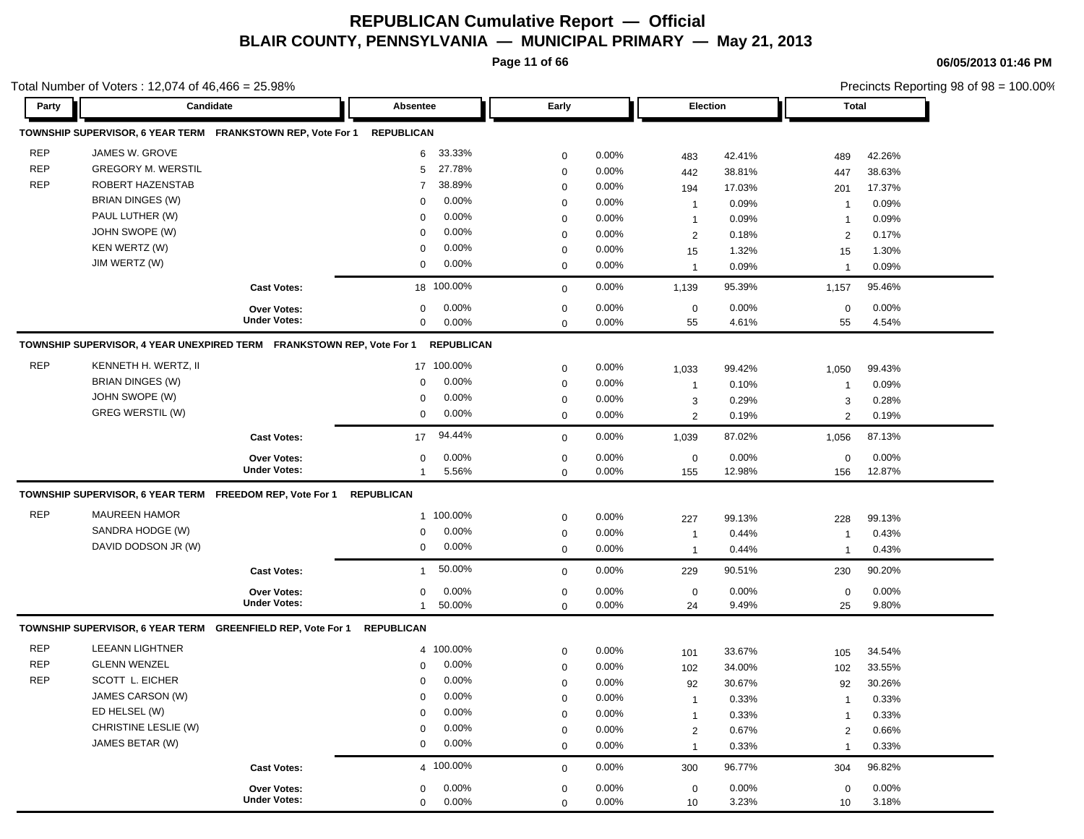**Page 11 of 66**

**06/05/2013 01:46 PM**

|            |                                                                       | Total Number of Voters : 12,074 of 46,466 = 25.98% |                       |                  |       |                      |        |                         | Precincts Reporting 98 of 98 = 100.00% |
|------------|-----------------------------------------------------------------------|----------------------------------------------------|-----------------------|------------------|-------|----------------------|--------|-------------------------|----------------------------------------|
| Party      | Candidate                                                             |                                                    | Absentee              | Early            |       | <b>Election</b>      |        | <b>Total</b>            |                                        |
|            |                                                                       |                                                    | <b>REPUBLICAN</b>     |                  |       |                      |        |                         |                                        |
| <b>REP</b> | JAMES W. GROVE                                                        |                                                    | 33.33%<br>6           | 0                | 0.00% | 483                  | 42.41% | 489                     | 42.26%                                 |
| <b>REP</b> | <b>GREGORY M. WERSTIL</b>                                             |                                                    | 27.78%<br>5           | $\mathbf 0$      | 0.00% | 442                  | 38.81% | 447                     | 38.63%                                 |
| <b>REP</b> | ROBERT HAZENSTAB                                                      |                                                    | 38.89%<br>7           | 0                | 0.00% | 194                  | 17.03% | 201                     | 17.37%                                 |
|            | BRIAN DINGES (W)                                                      |                                                    | 0.00%<br>$\Omega$     | 0                | 0.00% | $\mathbf 1$          | 0.09%  | $\mathbf{1}$            | 0.09%                                  |
|            | PAUL LUTHER (W)                                                       |                                                    | 0.00%<br>$\Omega$     | 0                | 0.00% | $\mathbf 1$          | 0.09%  | $\mathbf{1}$            | 0.09%                                  |
|            | JOHN SWOPE (W)                                                        |                                                    | 0.00%<br>0            | $\mathbf 0$      | 0.00% | $\overline{2}$       | 0.18%  | 2                       | 0.17%                                  |
|            | KEN WERTZ (W)                                                         |                                                    | 0.00%<br>0            | $\mathbf 0$      | 0.00% | 15                   | 1.32%  | 15                      | 1.30%                                  |
|            | JIM WERTZ (W)                                                         |                                                    | 0.00%<br>0            | $\mathbf 0$      | 0.00% | $\overline{1}$       | 0.09%  | $\mathbf{1}$            | 0.09%                                  |
|            |                                                                       | <b>Cast Votes:</b>                                 | 18 100.00%            | $\mathbf 0$      | 0.00% | 1,139                | 95.39% | 1,157                   | 95.46%                                 |
|            |                                                                       | Over Votes:                                        | 0.00%<br>0            | 0                | 0.00% | $\mathbf 0$          | 0.00%  | 0                       | 0.00%                                  |
|            |                                                                       | <b>Under Votes:</b>                                | 0.00%<br>0            | $\mathbf 0$      | 0.00% | 55                   | 4.61%  | 55                      | 4.54%                                  |
|            | TOWNSHIP SUPERVISOR, 4 YEAR UNEXPIRED TERM FRANKSTOWN REP, Vote For 1 |                                                    | <b>REPUBLICAN</b>     |                  |       |                      |        |                         |                                        |
| <b>REP</b> | KENNETH H. WERTZ, II                                                  |                                                    | 17 100.00%            | 0                | 0.00% |                      | 99.42% |                         | 99.43%                                 |
|            | BRIAN DINGES (W)                                                      |                                                    | 0.00%<br>0            | 0                | 0.00% | 1,033<br>$\mathbf 1$ | 0.10%  | 1,050<br>-1             | 0.09%                                  |
|            | JOHN SWOPE (W)                                                        |                                                    | 0.00%<br>0            | 0                | 0.00% | 3                    | 0.29%  | 3                       | 0.28%                                  |
|            | <b>GREG WERSTIL (W)</b>                                               |                                                    | $0.00\%$<br>0         | $\mathbf 0$      | 0.00% | $\overline{2}$       | 0.19%  | 2                       | 0.19%                                  |
|            |                                                                       |                                                    |                       |                  |       |                      |        |                         |                                        |
|            |                                                                       | <b>Cast Votes:</b>                                 | 94.44%<br>17          | $\mathbf 0$      | 0.00% | 1,039                | 87.02% | 1,056                   | 87.13%                                 |
|            |                                                                       | Over Votes:                                        | 0.00%<br>0            | 0                | 0.00% | $\mathbf 0$          | 0.00%  | $\mathbf 0$             | 0.00%                                  |
|            |                                                                       | <b>Under Votes:</b>                                | 5.56%<br>-1           | $\mathbf 0$      | 0.00% | 155                  | 12.98% | 156                     | 12.87%                                 |
|            | TOWNSHIP SUPERVISOR, 6 YEAR TERM FREEDOM REP, Vote For 1              |                                                    | <b>REPUBLICAN</b>     |                  |       |                      |        |                         |                                        |
| <b>REP</b> | <b>MAUREEN HAMOR</b>                                                  |                                                    | 1 100.00%             | $\mathbf 0$      | 0.00% | 227                  | 99.13% | 228                     | 99.13%                                 |
|            | SANDRA HODGE (W)                                                      |                                                    | 0.00%<br>0            | 0                | 0.00% | $\mathbf 1$          | 0.44%  | -1                      | 0.43%                                  |
|            | DAVID DODSON JR (W)                                                   |                                                    | 0.00%<br>0            | 0                | 0.00% | $\mathbf 1$          | 0.44%  | $\mathbf{1}$            | 0.43%                                  |
|            |                                                                       | <b>Cast Votes:</b>                                 | 50.00%<br>-1          | $\mathbf 0$      | 0.00% | 229                  | 90.51% | 230                     | 90.20%                                 |
|            |                                                                       | Over Votes:                                        | 0.00%<br>0            | 0                | 0.00% | $\mathbf 0$          | 0.00%  | 0                       | 0.00%                                  |
|            |                                                                       | <b>Under Votes:</b>                                | 50.00%<br>1           | $\mathbf 0$      | 0.00% | 24                   | 9.49%  | 25                      | 9.80%                                  |
|            | TOWNSHIP SUPERVISOR, 6 YEAR TERM GREENFIELD REP, Vote For 1           |                                                    | REPUBLICAN            |                  |       |                      |        |                         |                                        |
| REP        | <b>LEEANN LIGHTNER</b>                                                |                                                    | 4 100.00%             | 0                | 0.00% | 101                  | 33.67% | 105                     | 34.54%                                 |
| <b>REP</b> | <b>GLENN WENZEL</b>                                                   |                                                    | 0.00%<br>0            | $\mathbf 0$      | 0.00% | 102                  | 34.00% | 102                     | 33.55%                                 |
| <b>REP</b> | SCOTT L. EICHER                                                       |                                                    | 0.00%<br>0            | $\mathbf 0$      | 0.00% | 92                   | 30.67% | 92                      | 30.26%                                 |
|            | JAMES CARSON (W)                                                      |                                                    | 0<br>$0.00\%$         | $\boldsymbol{0}$ | 0.00% | $\mathbf{1}$         | 0.33%  | $\mathbf{1}$            | 0.33%                                  |
|            | ED HELSEL (W)                                                         |                                                    | 0.00%<br>0            | $\mathbf 0$      | 0.00% | $\mathbf{1}$         | 0.33%  | $\overline{1}$          | 0.33%                                  |
|            | CHRISTINE LESLIE (W)                                                  |                                                    | 0.00%<br>0            | $\mathbf 0$      | 0.00% | $\overline{2}$       | 0.67%  | $\overline{\mathbf{c}}$ | 0.66%                                  |
|            | JAMES BETAR (W)                                                       |                                                    | 0.00%<br>0            | $\mathbf 0$      | 0.00% | $\overline{1}$       | 0.33%  | $\mathbf{1}$            | 0.33%                                  |
|            |                                                                       | <b>Cast Votes:</b>                                 | 4 100.00%             | $\mathbf 0$      | 0.00% | 300                  | 96.77% | 304                     | 96.82%                                 |
|            |                                                                       | Over Votes:                                        | 0.00%<br>0            | 0                | 0.00% | 0                    | 0.00%  | $\mathbf 0$             | 0.00%                                  |
|            |                                                                       | <b>Under Votes:</b>                                | 0.00%<br>$\mathbf{0}$ | $\mathbf 0$      | 0.00% | 10                   | 3.23%  | 10                      | 3.18%                                  |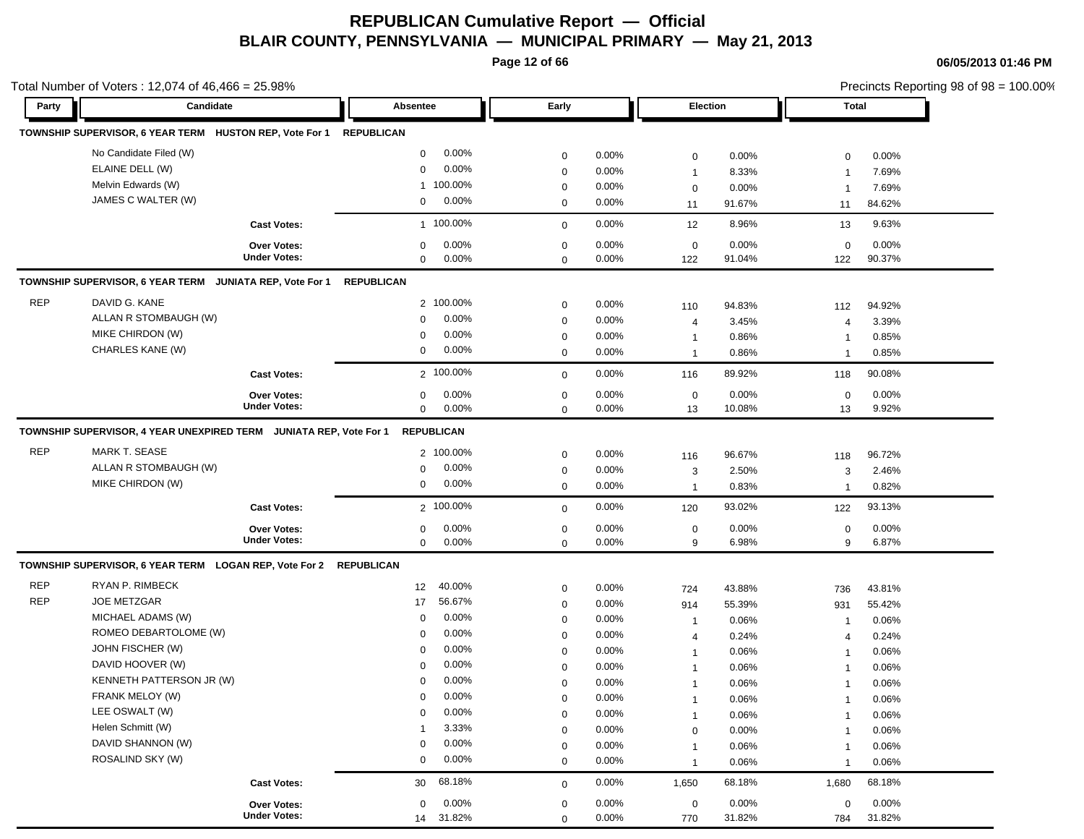**Page 12 of 66**

|            | Total Number of Voters: $12,074$ of $46,466 = 25.98\%$            |                                           |                   |                |                  |                |                   |                |                  |                | Precincts Reporting 98 of 98 = 100.00% |
|------------|-------------------------------------------------------------------|-------------------------------------------|-------------------|----------------|------------------|----------------|-------------------|----------------|------------------|----------------|----------------------------------------|
| Party      | Candidate                                                         |                                           | Absentee          |                | Early            |                | <b>Election</b>   |                | Total            |                |                                        |
|            | TOWNSHIP SUPERVISOR, 6 YEAR TERM HUSTON REP, Vote For 1           |                                           | <b>REPUBLICAN</b> |                |                  |                |                   |                |                  |                |                                        |
|            | No Candidate Filed (W)                                            |                                           | 0                 | 0.00%          | $\mathbf 0$      | 0.00%          | 0                 | 0.00%          | $\mathbf 0$      | 0.00%          |                                        |
|            | ELAINE DELL (W)                                                   |                                           | $\mathbf 0$       | 0.00%          | $\mathbf 0$      | 0.00%          | $\mathbf{1}$      | 8.33%          | -1               | 7.69%          |                                        |
|            | Melvin Edwards (W)                                                |                                           | $\mathbf{1}$      | 100.00%        | $\mathbf 0$      | 0.00%          | $\mathbf 0$       | 0.00%          | -1               | 7.69%          |                                        |
|            | JAMES C WALTER (W)                                                |                                           | 0                 | 0.00%          | $\mathbf 0$      | 0.00%          | 11                | 91.67%         | 11               | 84.62%         |                                        |
|            |                                                                   | <b>Cast Votes:</b>                        |                   | 1 100.00%      | $\mathbf 0$      | 0.00%          | 12                | 8.96%          | 13               | 9.63%          |                                        |
|            |                                                                   | <b>Over Votes:</b>                        | 0                 | $0.00\%$       | $\mathbf 0$      | 0.00%          | $\mathbf 0$       | 0.00%          | $\mathbf 0$      | 0.00%          |                                        |
|            |                                                                   | <b>Under Votes:</b>                       | 0                 | 0.00%          | $\mathbf 0$      | 0.00%          | 122               | 91.04%         | 122              | 90.37%         |                                        |
|            | TOWNSHIP SUPERVISOR, 6 YEAR TERM JUNIATA REP, Vote For 1          |                                           | <b>REPUBLICAN</b> |                |                  |                |                   |                |                  |                |                                        |
| <b>REP</b> | DAVID G. KANE                                                     |                                           |                   | 2 100.00%      | $\mathbf 0$      | 0.00%          | 110               | 94.83%         | 112              | 94.92%         |                                        |
|            | ALLAN R STOMBAUGH (W)                                             |                                           | $\mathbf 0$       | 0.00%          | $\mathbf 0$      | 0.00%          | 4                 | 3.45%          | $\overline{4}$   | 3.39%          |                                        |
|            | MIKE CHIRDON (W)                                                  |                                           | $\mathbf 0$       | 0.00%          | $\mathbf 0$      | 0.00%          | $\mathbf{1}$      | 0.86%          | $\mathbf 1$      | 0.85%          |                                        |
|            | CHARLES KANE (W)                                                  |                                           | 0                 | 0.00%          | $\mathbf 0$      | 0.00%          | $\mathbf{1}$      | 0.86%          | -1               | 0.85%          |                                        |
|            |                                                                   | <b>Cast Votes:</b>                        |                   | 2 100.00%      | $\mathbf 0$      | 0.00%          | 116               | 89.92%         | 118              | 90.08%         |                                        |
|            |                                                                   | <b>Over Votes:</b>                        | 0                 | 0.00%          | $\mathbf 0$      | 0.00%          | $\boldsymbol{0}$  | 0.00%          | $\mathbf 0$      | 0.00%          |                                        |
|            |                                                                   | <b>Under Votes:</b>                       | 0                 | 0.00%          | $\Omega$         | 0.00%          | 13                | 10.08%         | 13               | 9.92%          |                                        |
|            | ALLAN R STOMBAUGH (W)<br>MIKE CHIRDON (W)                         |                                           | 0<br>0            | 0.00%<br>0.00% | 0<br>$\mathbf 0$ | 0.00%<br>0.00% | 3<br>$\mathbf{1}$ | 2.50%<br>0.83% | 3<br>$\mathbf 1$ | 2.46%<br>0.82% |                                        |
|            |                                                                   | <b>Cast Votes:</b>                        |                   | 2 100.00%      | $\mathbf 0$      | 0.00%          | 120               | 93.02%         | 122              | 93.13%         |                                        |
|            |                                                                   | <b>Over Votes:</b><br><b>Under Votes:</b> | 0<br>$\mathbf 0$  | 0.00%<br>0.00% | 0<br>$\mathbf 0$ | 0.00%<br>0.00% | 0<br>9            | 0.00%<br>6.98% | 0<br>9           | 0.00%<br>6.87% |                                        |
|            | TOWNSHIP SUPERVISOR, 6 YEAR TERM LOGAN REP, Vote For 2 REPUBLICAN |                                           |                   |                |                  |                |                   |                |                  |                |                                        |
| <b>REP</b> | RYAN P. RIMBECK                                                   |                                           | 12                | 40.00%         | $\mathbf 0$      | 0.00%          | 724               | 43.88%         | 736              | 43.81%         |                                        |
| <b>REP</b> | <b>JOE METZGAR</b>                                                |                                           | 17                | 56.67%         | $\mathbf 0$      | $0.00\%$       | 914               | 55.39%         | 931              | 55.42%         |                                        |
|            | MICHAEL ADAMS (W)                                                 |                                           | 0                 | 0.00%          | $\mathbf 0$      | 0.00%          | $\mathbf{1}$      | 0.06%          | $\overline{1}$   | 0.06%          |                                        |
|            | ROMEO DEBARTOLOME (W)                                             |                                           | 0                 | 0.00%          | 0                | 0.00%          | 4                 | 0.24%          | 4                | 0.24%          |                                        |
|            | JOHN FISCHER (W)                                                  |                                           | 0                 | 0.00%          | $\mathbf 0$      | 0.00%          | $\mathbf{1}$      | 0.06%          | $\mathbf 1$      | 0.06%          |                                        |
|            | DAVID HOOVER (W)                                                  |                                           | $\Omega$          | 0.00%          | $\mathbf 0$      | 0.00%          | $\mathbf{1}$      | 0.06%          | -1               | 0.06%          |                                        |
|            | KENNETH PATTERSON JR (W)                                          |                                           | 0                 | $0.00\%$       | $\mathbf 0$      | 0.00%          | $\mathbf{1}$      | 0.06%          | -1               | 0.06%          |                                        |
|            | FRANK MELOY (W)                                                   |                                           | 0                 | 0.00%          | $\mathbf 0$      | 0.00%          | $\mathbf{1}$      | 0.06%          | $\mathbf 1$      | 0.06%          |                                        |
|            | LEE OSWALT (W)                                                    |                                           | $\mathbf 0$       | 0.00%          | $\Omega$         | 0.00%          | $\mathbf{1}$      | 0.06%          |                  | 0.06%          |                                        |
|            | Helen Schmitt (W)                                                 |                                           | $\overline{1}$    | 3.33%          | $\mathbf 0$      | 0.00%          | $\mathbf 0$       | 0.00%          | -1               | 0.06%          |                                        |
|            | DAVID SHANNON (W)                                                 |                                           | $\mathbf 0$       | 0.00%          | $\mathbf 0$      | 0.00%          | $\mathbf{1}$      | 0.06%          | -1               | 0.06%          |                                        |
|            | ROSALIND SKY (W)                                                  |                                           | 0                 | $0.00\%$       | $\mathbf 0$      | 0.00%          | $\mathbf{1}$      | 0.06%          | $\overline{1}$   | 0.06%          |                                        |
|            |                                                                   | <b>Cast Votes:</b>                        | 30                | 68.18%         | $\mathbf 0$      | 0.00%          | 1,650             | 68.18%         | 1,680            | 68.18%         |                                        |
|            |                                                                   | Over Votes:                               | $\mathbf 0$       | 0.00%          | $\mathbf 0$      | $0.00\%$       | $\mathbf 0$       | 0.00%          | $\mathbf 0$      | 0.00%          |                                        |
|            |                                                                   | <b>Under Votes:</b>                       |                   | 14 31.82%      | $\mathbf 0$      | 0.00%          | 770               | 31.82%         | 784              | 31.82%         |                                        |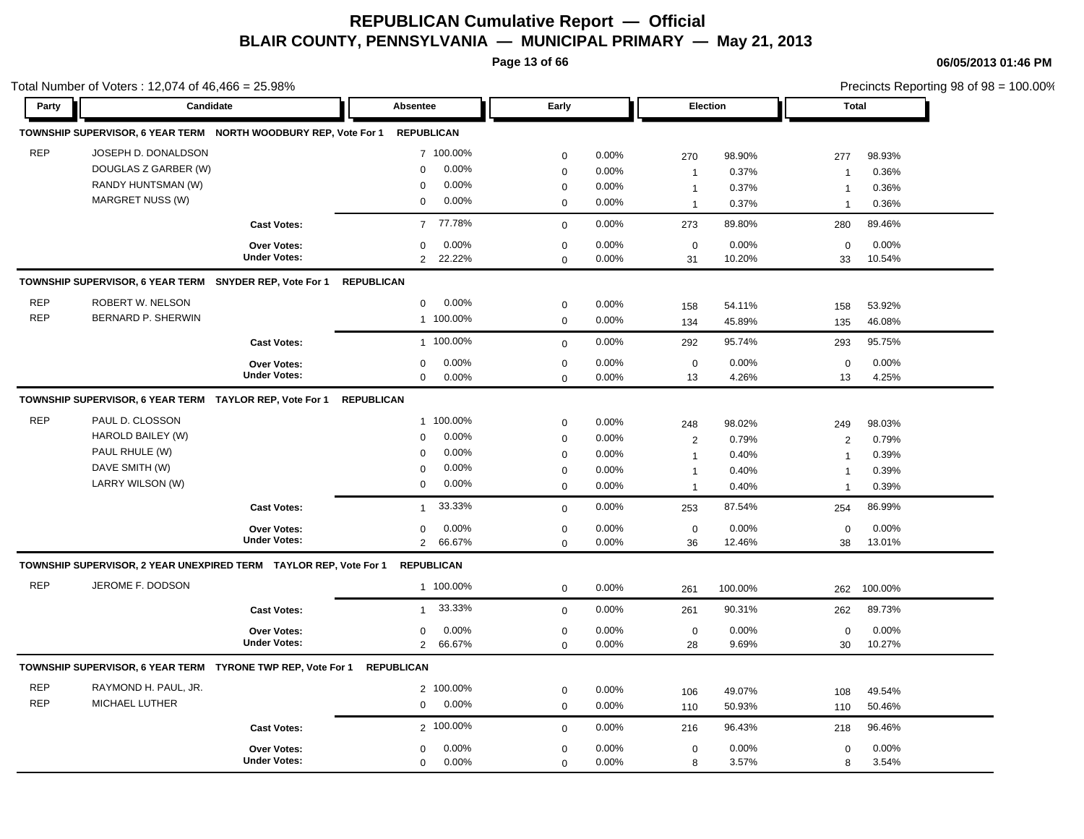**Page 13 of 66**

|            | Total Number of Voters: 12,074 of 46,466 = 25.98%                        |                     |                          |             |       |                     |         |                | Precincts Reporting 98 of 98 = 100.00% |
|------------|--------------------------------------------------------------------------|---------------------|--------------------------|-------------|-------|---------------------|---------|----------------|----------------------------------------|
| Party      | Candidate                                                                |                     | Absentee                 | Early       |       | <b>Election</b>     |         | Total          |                                        |
|            | TOWNSHIP SUPERVISOR, 6 YEAR TERM NORTH WOODBURY REP, Vote For 1          |                     | <b>REPUBLICAN</b>        |             |       |                     |         |                |                                        |
| <b>REP</b> | JOSEPH D. DONALDSON                                                      |                     | 7 100.00%                | $\mathbf 0$ | 0.00% | 270                 | 98.90%  | 277            | 98.93%                                 |
|            | DOUGLAS Z GARBER (W)                                                     |                     | 0.00%<br>$\Omega$        | $\mathbf 0$ | 0.00% | $\mathbf{1}$        | 0.37%   | $\mathbf 1$    | 0.36%                                  |
|            | RANDY HUNTSMAN (W)                                                       |                     | 0.00%<br>$\mathbf 0$     | $\mathbf 0$ | 0.00% | $\mathbf{1}$        | 0.37%   | $\mathbf 1$    | 0.36%                                  |
|            | MARGRET NUSS (W)                                                         |                     | 0.00%<br>$\mathbf 0$     | $\mathbf 0$ | 0.00% | $\mathbf{1}$        | 0.37%   | $\overline{1}$ | 0.36%                                  |
|            |                                                                          | <b>Cast Votes:</b>  | 77.78%<br>$\overline{7}$ | $\mathbf 0$ | 0.00% | 273                 | 89.80%  | 280            | 89.46%                                 |
|            |                                                                          | Over Votes:         | 0.00%<br>0               | $\mathbf 0$ | 0.00% | $\mathbf 0$         | 0.00%   | $\mathbf 0$    | 0.00%                                  |
|            |                                                                          | <b>Under Votes:</b> | 22.22%<br>$\overline{2}$ | $\mathbf 0$ | 0.00% | 31                  | 10.20%  | 33             | 10.54%                                 |
|            | TOWNSHIP SUPERVISOR, 6 YEAR TERM SNYDER REP, Vote For 1                  |                     | <b>REPUBLICAN</b>        |             |       |                     |         |                |                                        |
| <b>REP</b> | ROBERT W. NELSON                                                         |                     | 0.00%<br>$\mathbf 0$     | $\mathbf 0$ | 0.00% | 158                 | 54.11%  | 158            | 53.92%                                 |
| <b>REP</b> | <b>BERNARD P. SHERWIN</b>                                                |                     | 1 100.00%                | $\mathbf 0$ | 0.00% | 134                 | 45.89%  | 135            | 46.08%                                 |
|            |                                                                          | <b>Cast Votes:</b>  | 1 100.00%                | $\mathbf 0$ | 0.00% | 292                 | 95.74%  | 293            | 95.75%                                 |
|            |                                                                          | Over Votes:         | 0.00%<br>$\mathbf 0$     | $\mathbf 0$ | 0.00% | $\mathbf 0$         | 0.00%   | $\mathbf 0$    | 0.00%                                  |
|            |                                                                          | <b>Under Votes:</b> | 0.00%<br>$\mathbf 0$     | $\mathbf 0$ | 0.00% | 13                  | 4.26%   | 13             | 4.25%                                  |
|            | TOWNSHIP SUPERVISOR, 6 YEAR TERM TAYLOR REP, Vote For 1                  |                     | <b>REPUBLICAN</b>        |             |       |                     |         |                |                                        |
| <b>REP</b> | PAUL D. CLOSSON                                                          |                     | 1 100.00%                | $\mathbf 0$ | 0.00% | 248                 | 98.02%  | 249            | 98.03%                                 |
|            | HAROLD BAILEY (W)                                                        |                     | 0.00%<br>0               | $\mathbf 0$ | 0.00% | $\overline{2}$      | 0.79%   | $\overline{2}$ | 0.79%                                  |
|            | PAUL RHULE (W)                                                           |                     | 0.00%<br>$\Omega$        | $\mathbf 0$ | 0.00% | $\mathbf{1}$        | 0.40%   | $\overline{1}$ | 0.39%                                  |
|            | DAVE SMITH (W)                                                           |                     | 0.00%<br>0               | $\mathbf 0$ | 0.00% | $\mathbf{1}$        | 0.40%   | $\overline{1}$ | 0.39%                                  |
|            | LARRY WILSON (W)                                                         |                     | 0.00%<br>0               | $\mathbf 0$ | 0.00% | $\mathbf{1}$        | 0.40%   | $\mathbf{1}$   | 0.39%                                  |
|            |                                                                          | <b>Cast Votes:</b>  | 33.33%<br>$\mathbf{1}$   | $\mathbf 0$ | 0.00% | 253                 | 87.54%  | 254            | 86.99%                                 |
|            |                                                                          | <b>Over Votes:</b>  | 0.00%<br>$\mathbf 0$     | $\mathbf 0$ | 0.00% | $\mathsf{O}\xspace$ | 0.00%   | $\mathbf 0$    | 0.00%                                  |
|            |                                                                          | <b>Under Votes:</b> | $\overline{2}$<br>66.67% | $\mathbf 0$ | 0.00% | 36                  | 12.46%  | 38             | 13.01%                                 |
|            | TOWNSHIP SUPERVISOR, 2 YEAR UNEXPIRED TERM TAYLOR REP, Vote For 1        |                     | <b>REPUBLICAN</b>        |             |       |                     |         |                |                                        |
| <b>REP</b> | JEROME F. DODSON                                                         |                     | 1 100.00%                | $\mathbf 0$ | 0.00% | 261                 | 100.00% | 262            | 100.00%                                |
|            |                                                                          | <b>Cast Votes:</b>  | 33.33%<br>$\mathbf{1}$   | $\mathbf 0$ | 0.00% | 261                 | 90.31%  | 262            | 89.73%                                 |
|            |                                                                          | Over Votes:         | 0.00%<br>0               | $\mathbf 0$ | 0.00% | $\mathbf 0$         | 0.00%   | $\mathbf 0$    | 0.00%                                  |
|            |                                                                          | <b>Under Votes:</b> | $\overline{2}$<br>66.67% | $\mathbf 0$ | 0.00% | 28                  | 9.69%   | 30             | 10.27%                                 |
|            | TOWNSHIP SUPERVISOR, 6 YEAR TERM  TYRONE TWP REP, Vote For 1  REPUBLICAN |                     |                          |             |       |                     |         |                |                                        |
| <b>REP</b> | RAYMOND H. PAUL, JR.                                                     |                     | 2 100.00%                | $\mathbf 0$ | 0.00% | 106                 | 49.07%  | 108            | 49.54%                                 |
| <b>REP</b> | MICHAEL LUTHER                                                           |                     | 0.00%<br>0               | $\mathbf 0$ | 0.00% | 110                 | 50.93%  | 110            | 50.46%                                 |
|            |                                                                          | <b>Cast Votes:</b>  | 2 100.00%                | $\mathbf 0$ | 0.00% | 216                 | 96.43%  | 218            | 96.46%                                 |
|            |                                                                          | <b>Over Votes:</b>  | 0.00%<br>0               | $\mathbf 0$ | 0.00% | $\mathbf 0$         | 0.00%   | $\mathbf 0$    | 0.00%                                  |
|            |                                                                          | <b>Under Votes:</b> | 0.00%<br>$\mathbf 0$     | $\Omega$    | 0.00% | 8                   | 3.57%   | 8              | 3.54%                                  |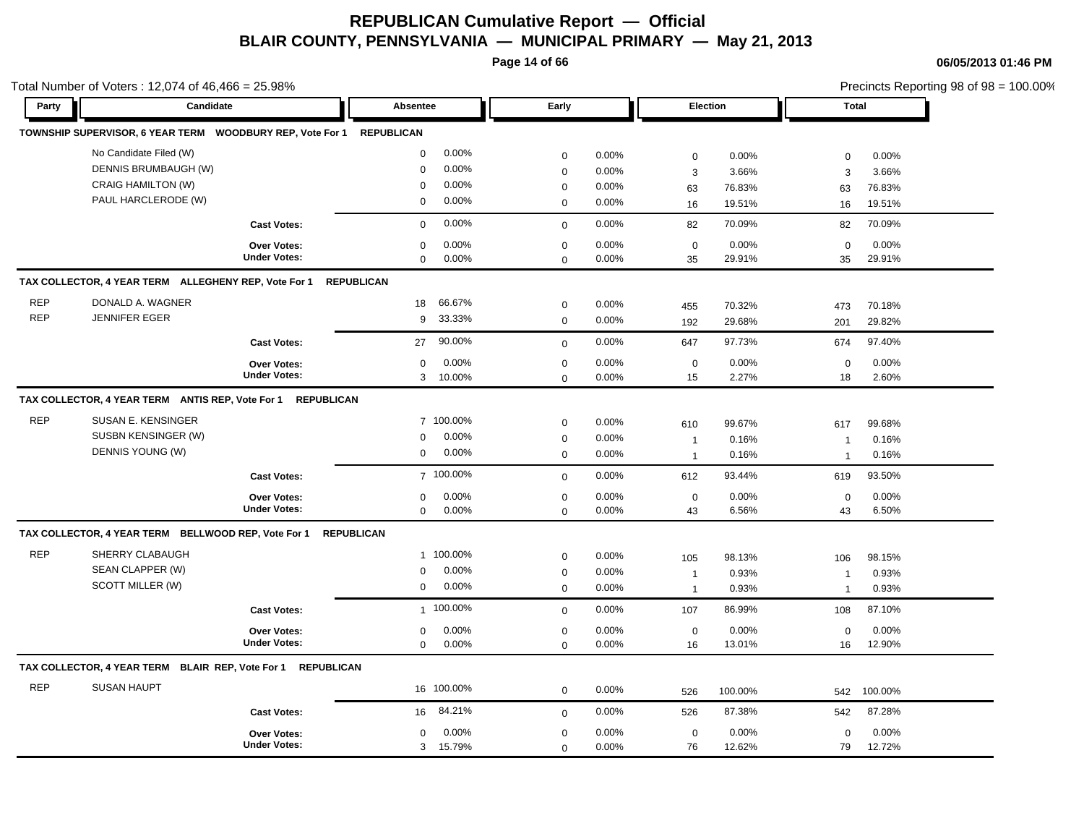**Page 14 of 66**

|            | Total Number of Voters: 12,074 of $46,466 = 25.98\%$          |                     |                   |                             |                                                |                         |                                     |                          |                                       |                          | Precincts Reporting 98 of 98 = 100.00% |
|------------|---------------------------------------------------------------|---------------------|-------------------|-----------------------------|------------------------------------------------|-------------------------|-------------------------------------|--------------------------|---------------------------------------|--------------------------|----------------------------------------|
| Party      | Candidate                                                     |                     | Absentee          |                             | Early                                          |                         | Election                            |                          | <b>Total</b>                          |                          |                                        |
|            |                                                               |                     |                   |                             |                                                |                         |                                     |                          |                                       |                          |                                        |
|            | No Candidate Filed (W)                                        |                     | $\mathbf 0$       | 0.00%                       | $\mathbf 0$                                    | 0.00%                   | $\mathbf 0$                         | 0.00%                    | $\mathbf 0$                           | 0.00%                    |                                        |
|            | DENNIS BRUMBAUGH (W)                                          |                     | 0                 | 0.00%                       | $\mathbf 0$                                    | 0.00%                   | 3                                   | 3.66%                    | 3                                     | 3.66%                    |                                        |
|            | <b>CRAIG HAMILTON (W)</b>                                     |                     | 0                 | 0.00%                       | $\boldsymbol{0}$                               | 0.00%                   | 63                                  | 76.83%                   | 63                                    | 76.83%                   |                                        |
|            | PAUL HARCLERODE (W)                                           |                     | $\mathbf 0$       | 0.00%                       | $\mathbf 0$                                    | 0.00%                   | 16                                  | 19.51%                   | 16                                    | 19.51%                   |                                        |
|            |                                                               | <b>Cast Votes:</b>  | $\mathbf 0$       | 0.00%                       | $\mathbf 0$                                    | 0.00%                   | 82                                  | 70.09%                   | 82                                    | 70.09%                   |                                        |
|            |                                                               | <b>Over Votes:</b>  | $\mathbf 0$       | 0.00%                       | $\mathbf 0$                                    | 0.00%                   | $\mathbf 0$                         | 0.00%                    | $\mathbf 0$                           | 0.00%                    |                                        |
|            |                                                               | <b>Under Votes:</b> | $\mathbf 0$       | 0.00%                       | $\mathbf 0$                                    | 0.00%                   | 35                                  | 29.91%                   | 35                                    | 29.91%                   |                                        |
|            | TAX COLLECTOR, 4 YEAR TERM ALLEGHENY REP, Vote For 1          |                     | <b>REPUBLICAN</b> |                             |                                                |                         |                                     |                          |                                       |                          |                                        |
| <b>REP</b> | DONALD A. WAGNER                                              |                     | 18                | 66.67%                      | $\mathbf 0$                                    | 0.00%                   | 455                                 | 70.32%                   | 473                                   | 70.18%                   |                                        |
| <b>REP</b> | <b>JENNIFER EGER</b>                                          |                     | 9                 | 33.33%                      | $\mathbf 0$                                    | 0.00%                   | 192                                 | 29.68%                   | 201                                   | 29.82%                   |                                        |
|            |                                                               | <b>Cast Votes:</b>  | 27                | 90.00%                      | $\mathbf 0$                                    | 0.00%                   | 647                                 | 97.73%                   | 674                                   | 97.40%                   |                                        |
|            |                                                               | <b>Over Votes:</b>  | 0                 | 0.00%                       | $\mathbf 0$                                    | 0.00%                   | $\mathbf 0$                         | 0.00%                    | $\mathbf 0$                           | 0.00%                    |                                        |
|            |                                                               | <b>Under Votes:</b> |                   | 3 10.00%                    | $\mathbf 0$                                    | 0.00%                   | 15                                  | 2.27%                    | 18                                    | 2.60%                    |                                        |
| <b>REP</b> | SUSAN E. KENSINGER<br>SUSBN KENSINGER (W)<br>DENNIS YOUNG (W) |                     | 0<br>0            | 7 100.00%<br>0.00%<br>0.00% | $\boldsymbol{0}$<br>$\mathbf 0$<br>$\mathbf 0$ | 0.00%<br>0.00%<br>0.00% | 610<br>$\mathbf{1}$<br>$\mathbf{1}$ | 99.67%<br>0.16%<br>0.16% | 617<br>$\mathbf{1}$<br>$\overline{1}$ | 99.68%<br>0.16%<br>0.16% |                                        |
|            |                                                               | <b>Cast Votes:</b>  |                   | 7 100.00%                   | $\mathbf 0$                                    | 0.00%                   | 612                                 | 93.44%                   | 619                                   | 93.50%                   |                                        |
|            |                                                               | Over Votes:         | 0                 | 0.00%                       | $\mathbf 0$                                    | 0.00%                   | $\mathsf 0$                         | 0.00%                    | $\mathbf 0$                           | 0.00%                    |                                        |
|            |                                                               | <b>Under Votes:</b> | 0                 | 0.00%                       | $\mathbf 0$                                    | 0.00%                   | 43                                  | 6.56%                    | 43                                    | 6.50%                    |                                        |
|            | TAX COLLECTOR, 4 YEAR TERM BELLWOOD REP, Vote For 1           |                     | <b>REPUBLICAN</b> |                             |                                                |                         |                                     |                          |                                       |                          |                                        |
| <b>REP</b> | SHERRY CLABAUGH                                               |                     |                   | 1 100.00%                   | $\mathbf 0$                                    | 0.00%                   | 105                                 | 98.13%                   | 106                                   | 98.15%                   |                                        |
|            | SEAN CLAPPER (W)                                              |                     | $\mathbf 0$       | $0.00\%$                    | $\mathbf 0$                                    | 0.00%                   | $\mathbf{1}$                        | 0.93%                    | $\overline{1}$                        | 0.93%                    |                                        |
|            | SCOTT MILLER (W)                                              |                     | 0                 | $0.00\%$                    | $\mathbf 0$                                    | 0.00%                   | $\mathbf{1}$                        | 0.93%                    | $\overline{1}$                        | 0.93%                    |                                        |
|            |                                                               | <b>Cast Votes:</b>  |                   | 1 100.00%                   | $\Omega$                                       | 0.00%                   | 107                                 | 86.99%                   | 108                                   | 87.10%                   |                                        |
|            |                                                               | <b>Over Votes:</b>  | 0                 | 0.00%                       | $\mathbf 0$                                    | 0.00%                   | $\mathbf 0$                         | 0.00%                    | $\mathbf 0$                           | 0.00%                    |                                        |
|            |                                                               | <b>Under Votes:</b> | $\Omega$          | 0.00%                       | $\mathbf 0$                                    | 0.00%                   | 16                                  | 13.01%                   | 16                                    | 12.90%                   |                                        |
|            | TAX COLLECTOR, 4 YEAR TERM BLAIR REP, Vote For 1              | <b>REPUBLICAN</b>   |                   |                             |                                                |                         |                                     |                          |                                       |                          |                                        |
| <b>REP</b> | <b>SUSAN HAUPT</b>                                            |                     |                   | 16 100.00%                  | $\mathbf 0$                                    | 0.00%                   | 526                                 | 100.00%                  | 542                                   | 100.00%                  |                                        |
|            |                                                               | <b>Cast Votes:</b>  | 16                | 84.21%                      | $\mathbf 0$                                    | 0.00%                   | 526                                 | 87.38%                   | 542                                   | 87.28%                   |                                        |
|            |                                                               | Over Votes:         | 0                 | 0.00%                       | $\mathbf 0$                                    | 0.00%                   | $\mathbf 0$                         | 0.00%                    | $\mathbf 0$                           | 0.00%                    |                                        |
|            |                                                               | <b>Under Votes:</b> | 3                 | 15.79%                      | $\mathbf 0$                                    | 0.00%                   | 76                                  | 12.62%                   | 79                                    | 12.72%                   |                                        |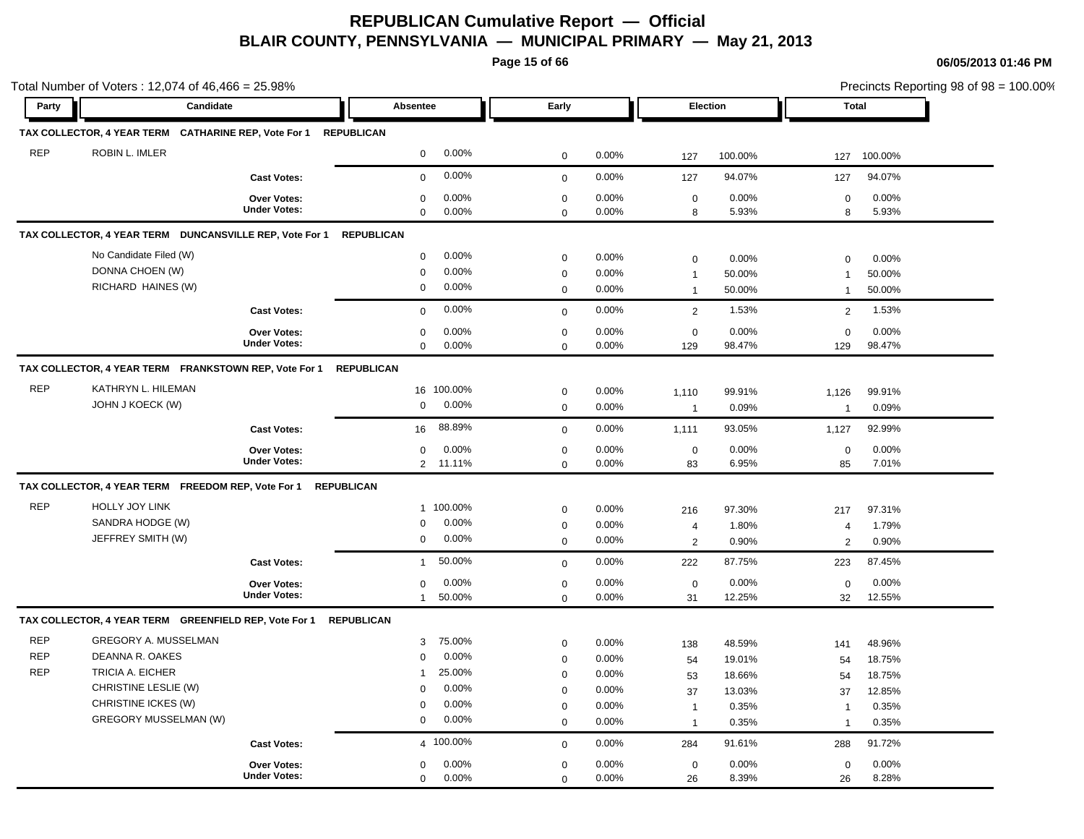**Page 15 of 66**

|            | Total Number of Voters: 12,074 of 46,466 = 25.98%       |                     |                          |             |       |                |         |                |         | Precincts Reporting 98 of 98 = 100.00% |
|------------|---------------------------------------------------------|---------------------|--------------------------|-------------|-------|----------------|---------|----------------|---------|----------------------------------------|
| Party      | Candidate                                               |                     | Absentee                 | Early       |       | Election       |         | <b>Total</b>   |         |                                        |
|            | TAX COLLECTOR, 4 YEAR TERM CATHARINE REP, Vote For 1    |                     | <b>REPUBLICAN</b>        |             |       |                |         |                |         |                                        |
| <b>REP</b> | ROBIN L. IMLER                                          |                     | 0.00%<br>$\mathbf 0$     | $\mathbf 0$ | 0.00% | 127            | 100.00% | 127            | 100.00% |                                        |
|            |                                                         | <b>Cast Votes:</b>  | 0.00%<br>$\mathbf 0$     | $\mathbf 0$ | 0.00% | 127            | 94.07%  | 127            | 94.07%  |                                        |
|            |                                                         | Over Votes:         | 0.00%<br>$\mathbf 0$     | $\mathbf 0$ | 0.00% | $\mathbf 0$    | 0.00%   | $\mathbf 0$    | 0.00%   |                                        |
|            |                                                         | <b>Under Votes:</b> | 0.00%<br>$\mathbf 0$     | $\mathbf 0$ | 0.00% | 8              | 5.93%   | 8              | 5.93%   |                                        |
|            | TAX COLLECTOR, 4 YEAR TERM DUNCANSVILLE REP, Vote For 1 |                     | <b>REPUBLICAN</b>        |             |       |                |         |                |         |                                        |
|            | No Candidate Filed (W)                                  |                     | 0.00%<br>$\mathbf 0$     | $\mathbf 0$ | 0.00% | $\mathbf 0$    | 0.00%   | $\mathbf 0$    | 0.00%   |                                        |
|            | DONNA CHOEN (W)                                         |                     | 0.00%<br>$\pmb{0}$       | $\mathbf 0$ | 0.00% | $\mathbf{1}$   | 50.00%  | $\overline{1}$ | 50.00%  |                                        |
|            | RICHARD HAINES (W)                                      |                     | 0.00%<br>$\mathbf 0$     | $\mathbf 0$ | 0.00% | $\mathbf{1}$   | 50.00%  | $\mathbf{1}$   | 50.00%  |                                        |
|            |                                                         | <b>Cast Votes:</b>  | 0.00%<br>$\mathbf 0$     | $\mathbf 0$ | 0.00% | 2              | 1.53%   | 2              | 1.53%   |                                        |
|            |                                                         | Over Votes:         | 0.00%<br>$\mathbf 0$     | $\mathbf 0$ | 0.00% | $\mathbf 0$    | 0.00%   | $\mathbf 0$    | 0.00%   |                                        |
|            |                                                         | <b>Under Votes:</b> | 0.00%<br>$\mathbf 0$     | $\mathbf 0$ | 0.00% | 129            | 98.47%  | 129            | 98.47%  |                                        |
|            | TAX COLLECTOR, 4 YEAR TERM FRANKSTOWN REP, Vote For 1   |                     | <b>REPUBLICAN</b>        |             |       |                |         |                |         |                                        |
| <b>REP</b> | KATHRYN L. HILEMAN                                      |                     | 16 100.00%               | $\mathbf 0$ | 0.00% | 1,110          | 99.91%  | 1,126          | 99.91%  |                                        |
|            | JOHN J KOECK (W)                                        |                     | $\mathbf 0$<br>0.00%     | $\mathbf 0$ | 0.00% | $\overline{1}$ | 0.09%   | $\overline{1}$ | 0.09%   |                                        |
|            |                                                         | <b>Cast Votes:</b>  | 88.89%<br>16             | $\mathbf 0$ | 0.00% | 1,111          | 93.05%  | 1,127          | 92.99%  |                                        |
|            |                                                         | Over Votes:         | 0.00%<br>$\mathbf 0$     | $\,0\,$     | 0.00% | $\mathbf 0$    | 0.00%   | $\mathbf 0$    | 0.00%   |                                        |
|            |                                                         | <b>Under Votes:</b> | $\overline{2}$<br>11.11% | $\mathbf 0$ | 0.00% | 83             | 6.95%   | 85             | 7.01%   |                                        |
|            | TAX COLLECTOR, 4 YEAR TERM FREEDOM REP, Vote For 1      | <b>REPUBLICAN</b>   |                          |             |       |                |         |                |         |                                        |
| <b>REP</b> | HOLLY JOY LINK                                          |                     | 1 100.00%                | $\mathbf 0$ | 0.00% | 216            | 97.30%  | 217            | 97.31%  |                                        |
|            | SANDRA HODGE (W)                                        |                     | 0.00%<br>$\mathbf 0$     | $\mathbf 0$ | 0.00% | $\overline{4}$ | 1.80%   | 4              | 1.79%   |                                        |
|            | JEFFREY SMITH (W)                                       |                     | 0.00%<br>$\mathbf 0$     | $\mathbf 0$ | 0.00% | $\overline{2}$ | 0.90%   | 2              | 0.90%   |                                        |
|            |                                                         | <b>Cast Votes:</b>  | 50.00%<br>$\mathbf{1}$   | $\mathbf 0$ | 0.00% | 222            | 87.75%  | 223            | 87.45%  |                                        |
|            |                                                         | Over Votes:         | 0.00%<br>$\mathbf 0$     | $\mathbf 0$ | 0.00% | $\mathbf 0$    | 0.00%   | $\pmb{0}$      | 0.00%   |                                        |
|            |                                                         | <b>Under Votes:</b> | 50.00%<br>$\mathbf{1}$   | $\mathbf 0$ | 0.00% | 31             | 12.25%  | 32             | 12.55%  |                                        |
|            | TAX COLLECTOR, 4 YEAR TERM GREENFIELD REP, Vote For 1   |                     | <b>REPUBLICAN</b>        |             |       |                |         |                |         |                                        |
| <b>REP</b> | GREGORY A. MUSSELMAN                                    |                     | 75.00%<br>3              | $\mathbf 0$ | 0.00% | 138            | 48.59%  | 141            | 48.96%  |                                        |
| <b>REP</b> | DEANNA R. OAKES                                         |                     | 0.00%<br>$\mathbf 0$     | $\mathbf 0$ | 0.00% | 54             | 19.01%  | 54             | 18.75%  |                                        |
| <b>REP</b> | TRICIA A. EICHER                                        |                     | 25.00%<br>$\mathbf{1}$   | $\mathbf 0$ | 0.00% | 53             | 18.66%  | 54             | 18.75%  |                                        |
|            | CHRISTINE LESLIE (W)                                    |                     | 0.00%<br>$\mathbf 0$     | $\mathbf 0$ | 0.00% | 37             | 13.03%  | 37             | 12.85%  |                                        |
|            | CHRISTINE ICKES (W)                                     |                     | 0.00%<br>$\mathbf 0$     | $\mathbf 0$ | 0.00% | $\overline{1}$ | 0.35%   | $\overline{1}$ | 0.35%   |                                        |
|            | GREGORY MUSSELMAN (W)                                   |                     | 0.00%<br>$\mathsf 0$     | $\mathbf 0$ | 0.00% | $\overline{1}$ | 0.35%   | $\mathbf{1}$   | 0.35%   |                                        |
|            |                                                         | <b>Cast Votes:</b>  | 4 100.00%                | $\mathbf 0$ | 0.00% | 284            | 91.61%  | 288            | 91.72%  |                                        |
|            |                                                         | Over Votes:         | 0.00%<br>$\mathbf 0$     | $\mathbf 0$ | 0.00% | $\mathbf 0$    | 0.00%   | $\mathbf 0$    | 0.00%   |                                        |
|            |                                                         | <b>Under Votes:</b> | 0.00%<br>$\mathbf 0$     | $\mathbf 0$ | 0.00% | 26             | 8.39%   | 26             | 8.28%   |                                        |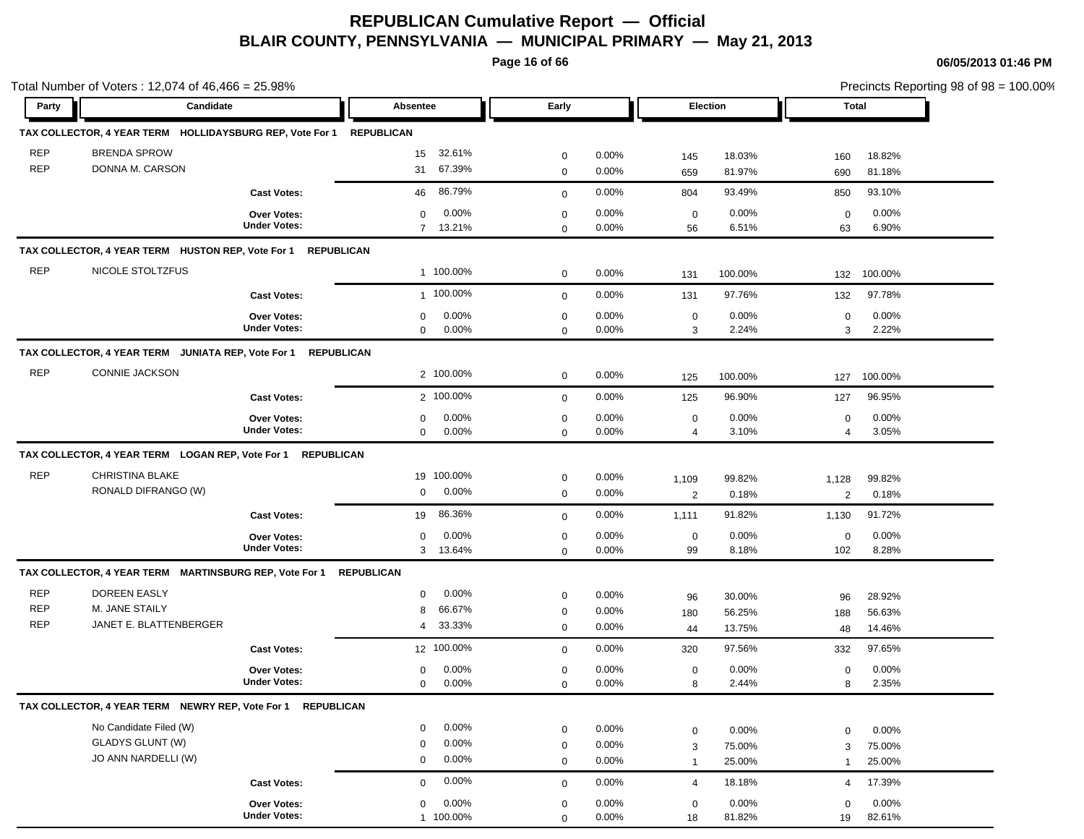**Page 16 of 66**

|            | Total Number of Voters: 12,074 of 46,466 = 25.98%             |                     |                          |             |          |                |         |                |         | Precincts Reporting 98 of 98 = 100.00% |
|------------|---------------------------------------------------------------|---------------------|--------------------------|-------------|----------|----------------|---------|----------------|---------|----------------------------------------|
| Party      | Candidate                                                     |                     | Absentee                 | Early       |          | Election       |         | Total          |         |                                        |
|            | TAX COLLECTOR, 4 YEAR TERM HOLLIDAYSBURG REP, Vote For 1      |                     | <b>REPUBLICAN</b>        |             |          |                |         |                |         |                                        |
| <b>REP</b> | <b>BRENDA SPROW</b>                                           |                     | 32.61%<br>15             | $\mathbf 0$ | 0.00%    | 145            | 18.03%  | 160            | 18.82%  |                                        |
| <b>REP</b> | DONNA M. CARSON                                               |                     | 67.39%<br>31             | $\mathbf 0$ | 0.00%    | 659            | 81.97%  | 690            | 81.18%  |                                        |
|            |                                                               | <b>Cast Votes:</b>  | 86.79%<br>46             | $\mathbf 0$ | 0.00%    | 804            | 93.49%  | 850            | 93.10%  |                                        |
|            |                                                               | <b>Over Votes:</b>  | 0.00%<br>$\mathbf 0$     | $\mathbf 0$ | 0.00%    | $\mathbf 0$    | 0.00%   | $\mathbf 0$    | 0.00%   |                                        |
|            |                                                               | <b>Under Votes:</b> | 7 13.21%                 | $\mathbf 0$ | 0.00%    | 56             | 6.51%   | 63             | 6.90%   |                                        |
|            | TAX COLLECTOR, 4 YEAR TERM HUSTON REP, Vote For 1 REPUBLICAN  |                     |                          |             |          |                |         |                |         |                                        |
| <b>REP</b> | NICOLE STOLTZFUS                                              |                     | 1 100.00%                | $\mathbf 0$ | 0.00%    | 131            | 100.00% | 132            | 100.00% |                                        |
|            |                                                               | <b>Cast Votes:</b>  | 1 100.00%                | $\mathbf 0$ | 0.00%    | 131            | 97.76%  | 132            | 97.78%  |                                        |
|            |                                                               | Over Votes:         | 0.00%<br>$\mathbf 0$     | $\mathsf 0$ | 0.00%    | $\mathbf 0$    | 0.00%   | $\mathbf 0$    | 0.00%   |                                        |
|            |                                                               | <b>Under Votes:</b> | 0.00%<br>$\mathbf 0$     | $\mathbf 0$ | 0.00%    | 3              | 2.24%   | 3              | 2.22%   |                                        |
|            | TAX COLLECTOR, 4 YEAR TERM JUNIATA REP, Vote For 1 REPUBLICAN |                     |                          |             |          |                |         |                |         |                                        |
| <b>REP</b> | CONNIE JACKSON                                                |                     | 2 100.00%                | $\mathbf 0$ | 0.00%    | 125            | 100.00% | 127            | 100.00% |                                        |
|            |                                                               | <b>Cast Votes:</b>  | 2 100.00%                | $\mathbf 0$ | 0.00%    | 125            | 96.90%  | 127            | 96.95%  |                                        |
|            |                                                               | Over Votes:         | 0.00%<br>$\mathbf 0$     | $\mathbf 0$ | $0.00\%$ | $\mathbf 0$    | 0.00%   | $\mathbf 0$    | 0.00%   |                                        |
|            |                                                               | <b>Under Votes:</b> | $\mathbf 0$<br>0.00%     | $\mathbf 0$ | $0.00\%$ | $\overline{4}$ | 3.10%   | $\overline{4}$ | 3.05%   |                                        |
|            | TAX COLLECTOR, 4 YEAR TERM LOGAN REP, Vote For 1 REPUBLICAN   |                     |                          |             |          |                |         |                |         |                                        |
| <b>REP</b> | CHRISTINA BLAKE                                               |                     | 19 100.00%               | $\mathbf 0$ | 0.00%    | 1,109          | 99.82%  | 1,128          | 99.82%  |                                        |
|            | RONALD DIFRANGO (W)                                           |                     | 0.00%<br>0               | $\mathbf 0$ | 0.00%    | $\overline{2}$ | 0.18%   | $\overline{2}$ | 0.18%   |                                        |
|            |                                                               | <b>Cast Votes:</b>  | 86.36%<br>19             | $\mathbf 0$ | 0.00%    | 1,111          | 91.82%  | 1,130          | 91.72%  |                                        |
|            |                                                               | Over Votes:         | 0.00%<br>0               | $\mathbf 0$ | 0.00%    | $\mathbf 0$    | 0.00%   | $\mathbf 0$    | 0.00%   |                                        |
|            |                                                               | <b>Under Votes:</b> | $\mathbf{3}$<br>13.64%   | $\mathbf 0$ | 0.00%    | 99             | 8.18%   | 102            | 8.28%   |                                        |
|            | TAX COLLECTOR, 4 YEAR TERM MARTINSBURG REP, Vote For 1        |                     | <b>REPUBLICAN</b>        |             |          |                |         |                |         |                                        |
| <b>REP</b> | DOREEN EASLY                                                  |                     | 0.00%<br>0               | $\mathbf 0$ | 0.00%    | 96             | 30.00%  | 96             | 28.92%  |                                        |
| <b>REP</b> | M. JANE STAILY                                                |                     | 66.67%<br>8              | $\mathbf 0$ | $0.00\%$ | 180            | 56.25%  | 188            | 56.63%  |                                        |
| <b>REP</b> | JANET E. BLATTENBERGER                                        |                     | 33.33%<br>$\overline{4}$ | $\mathbf 0$ | 0.00%    | 44             | 13.75%  | 48             | 14.46%  |                                        |
|            |                                                               | <b>Cast Votes:</b>  | 12 100.00%               | $\mathbf 0$ | 0.00%    | 320            | 97.56%  | 332            | 97.65%  |                                        |
|            |                                                               | Over Votes:         | 0.00%<br>0               | $\mathbf 0$ | 0.00%    | $\mathbf 0$    | 0.00%   | $\mathbf 0$    | 0.00%   |                                        |
|            |                                                               | <b>Under Votes:</b> | 0.00%<br>$\mathbf 0$     | $\mathbf 0$ | 0.00%    | 8              | 2.44%   | 8              | 2.35%   |                                        |
|            | TAX COLLECTOR, 4 YEAR TERM NEWRY REP, Vote For 1              | <b>REPUBLICAN</b>   |                          |             |          |                |         |                |         |                                        |
|            | No Candidate Filed (W)                                        |                     | 0.00%<br>$\mathbf 0$     | $\mathbf 0$ | 0.00%    | $\mathbf 0$    | 0.00%   | $\mathbf 0$    | 0.00%   |                                        |
|            | <b>GLADYS GLUNT (W)</b>                                       |                     | 0.00%<br>$\mathbf 0$     | $\mathbf 0$ | 0.00%    | 3              | 75.00%  | 3              | 75.00%  |                                        |
|            | JO ANN NARDELLI (W)                                           |                     | 0.00%<br>$\mathbf 0$     | $\mathbf 0$ | 0.00%    | $\overline{1}$ | 25.00%  | $\mathbf{1}$   | 25.00%  |                                        |
|            |                                                               | <b>Cast Votes:</b>  | 0.00%<br>$\mathbf 0$     | $\mathbf 0$ | 0.00%    | $\overline{4}$ | 18.18%  | 4              | 17.39%  |                                        |
|            |                                                               | Over Votes:         | 0.00%<br>$\mathbf 0$     | $\mathbf 0$ | 0.00%    | $\mathbf 0$    | 0.00%   | $\mathbf 0$    | 0.00%   |                                        |
|            |                                                               | <b>Under Votes:</b> | 1 100.00%                | $\Omega$    | $0.00\%$ | 18             | 81.82%  | 19             | 82.61%  |                                        |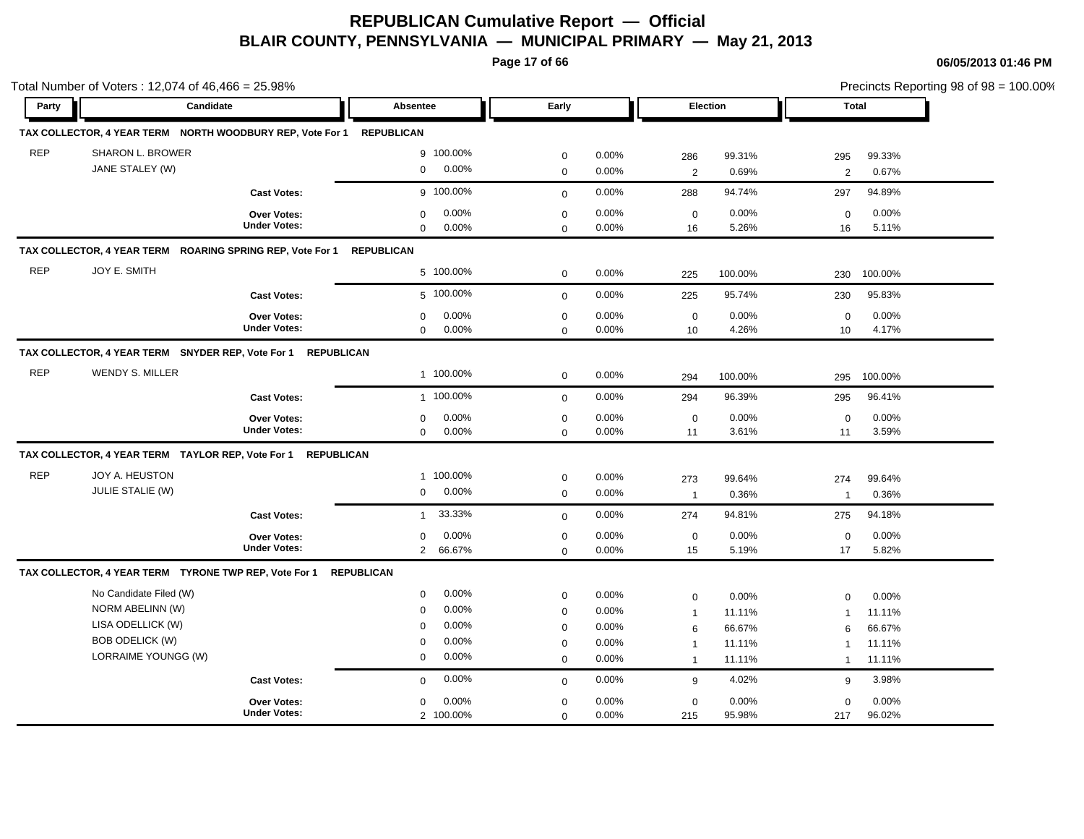**Page 17 of 66**

|            | Total Number of Voters: 12,074 of 46,466 = 25.98%            |                                           |                                                  |                            |                |                                  |                  |                                |                  | Precincts Reporting 98 of 98 = 100.00% |
|------------|--------------------------------------------------------------|-------------------------------------------|--------------------------------------------------|----------------------------|----------------|----------------------------------|------------------|--------------------------------|------------------|----------------------------------------|
| Party      | Candidate                                                    |                                           | <b>Absentee</b>                                  | Early                      |                |                                  | Election         |                                | Total            |                                        |
|            | TAX COLLECTOR, 4 YEAR TERM NORTH WOODBURY REP, Vote For 1    |                                           | <b>REPUBLICAN</b>                                |                            |                |                                  |                  |                                |                  |                                        |
| <b>REP</b> | SHARON L. BROWER<br>JANE STALEY (W)                          |                                           | 9 100.00%<br>0.00%<br>$\mathbf 0$                | $\mathbf 0$<br>$\mathbf 0$ | 0.00%<br>0.00% | 286<br>$\overline{2}$            | 99.31%<br>0.69%  | 295<br>2                       | 99.33%<br>0.67%  |                                        |
|            |                                                              | <b>Cast Votes:</b>                        | g 100.00%                                        | $\Omega$                   | 0.00%          | 288                              | 94.74%           | 297                            | 94.89%           |                                        |
|            |                                                              | Over Votes:<br><b>Under Votes:</b>        | 0.00%<br>$\mathbf 0$<br>$\mathbf 0$<br>0.00%     | $\mathbf 0$<br>$\mathbf 0$ | 0.00%<br>0.00% | $\mathbf 0$<br>16                | 0.00%<br>5.26%   | $\mathbf 0$<br>16              | 0.00%<br>5.11%   |                                        |
|            | TAX COLLECTOR, 4 YEAR TERM ROARING SPRING REP, Vote For 1    |                                           | <b>REPUBLICAN</b>                                |                            |                |                                  |                  |                                |                  |                                        |
| <b>REP</b> | JOY E. SMITH                                                 |                                           | 5 100.00%                                        | $\mathbf 0$                | 0.00%          | 225                              | 100.00%          | 230                            | 100.00%          |                                        |
|            |                                                              | <b>Cast Votes:</b>                        | 5 100.00%                                        | $\mathbf 0$                | 0.00%          | 225                              | 95.74%           | 230                            | 95.83%           |                                        |
|            |                                                              | <b>Over Votes:</b><br><b>Under Votes:</b> | 0.00%<br>$\mathbf 0$<br>$\mathbf{0}$<br>0.00%    | $\mathbf 0$<br>$\mathbf 0$ | 0.00%<br>0.00% | $\mathbf 0$<br>10                | 0.00%<br>4.26%   | $\mathbf 0$<br>10              | 0.00%<br>4.17%   |                                        |
|            | TAX COLLECTOR, 4 YEAR TERM SNYDER REP, Vote For 1 REPUBLICAN |                                           |                                                  |                            |                |                                  |                  |                                |                  |                                        |
| <b>REP</b> | <b>WENDY S. MILLER</b>                                       |                                           | 1 100.00%                                        | $\mathbf 0$                | 0.00%          | 294                              | 100.00%          | 295                            | 100.00%          |                                        |
|            |                                                              | <b>Cast Votes:</b>                        | 1 100.00%                                        | $\mathbf{0}$               | 0.00%          | 294                              | 96.39%           | 295                            | 96.41%           |                                        |
|            |                                                              | Over Votes:<br><b>Under Votes:</b>        | 0.00%<br>$\mathbf 0$<br>$\mathbf 0$<br>0.00%     | $\mathbf 0$<br>$\mathbf 0$ | 0.00%<br>0.00% | $\mathbf 0$<br>11                | 0.00%<br>3.61%   | $\mathbf 0$<br>11              | 0.00%<br>3.59%   |                                        |
|            | TAX COLLECTOR, 4 YEAR TERM TAYLOR REP, Vote For 1 REPUBLICAN |                                           |                                                  |                            |                |                                  |                  |                                |                  |                                        |
| <b>REP</b> | JOY A. HEUSTON<br><b>JULIE STALIE (W)</b>                    |                                           | 1 100.00%<br>0.00%<br>$\mathbf 0$                | $\mathbf 0$<br>$\mathbf 0$ | 0.00%<br>0.00% | 273<br>$\overline{1}$            | 99.64%<br>0.36%  | 274<br>$\overline{1}$          | 99.64%<br>0.36%  |                                        |
|            |                                                              | <b>Cast Votes:</b>                        | 33.33%<br>$\mathbf{1}$                           | $\mathbf{0}$               | 0.00%          | 274                              | 94.81%           | 275                            | 94.18%           |                                        |
|            |                                                              | Over Votes:<br><b>Under Votes:</b>        | 0.00%<br>$\mathbf 0$<br>$\overline{2}$<br>66.67% | $\mathbf 0$<br>$\mathbf 0$ | 0.00%<br>0.00% | $\mathbf 0$<br>15                | 0.00%<br>5.19%   | $\mathbf 0$<br>17              | 0.00%<br>5.82%   |                                        |
|            | TAX COLLECTOR, 4 YEAR TERM TYRONE TWP REP, Vote For 1        |                                           | <b>REPUBLICAN</b>                                |                            |                |                                  |                  |                                |                  |                                        |
|            | No Candidate Filed (W)<br>NORM ABELINN (W)                   |                                           | 0.00%<br>$\mathbf 0$<br>0.00%<br>$\mathbf 0$     | $\pmb{0}$                  | 0.00%          | $\mathbf 0$                      | 0.00%            | $\mathbf 0$                    | 0.00%            |                                        |
|            | LISA ODELLICK (W)<br><b>BOB ODELICK (W)</b>                  |                                           | 0.00%<br>$\Omega$<br>0.00%<br>$\mathbf 0$        | $\mathbf 0$<br>$\mathbf 0$ | 0.00%<br>0.00% | $\mathbf{1}$<br>6                | 11.11%<br>66.67% | $\mathbf{1}$<br>6              | 11.11%<br>66.67% |                                        |
|            | LORRAIME YOUNGG (W)                                          |                                           | 0.00%<br>$\mathbf 0$                             | $\mathbf 0$<br>$\mathbf 0$ | 0.00%<br>0.00% | $\overline{1}$<br>$\overline{1}$ | 11.11%<br>11.11% | $\overline{1}$<br>$\mathbf{1}$ | 11.11%<br>11.11% |                                        |
|            |                                                              | <b>Cast Votes:</b>                        | 0.00%<br>$\mathbf 0$                             | $\mathbf{0}$               | 0.00%          | 9                                | 4.02%            | 9                              | 3.98%            |                                        |
|            |                                                              | <b>Over Votes:</b><br><b>Under Votes:</b> | 0.00%<br>$\mathbf 0$<br>2 100.00%                | $\mathbf 0$<br>$\mathbf 0$ | 0.00%<br>0.00% | $\mathbf 0$<br>215               | 0.00%<br>95.98%  | $\Omega$<br>217                | 0.00%<br>96.02%  |                                        |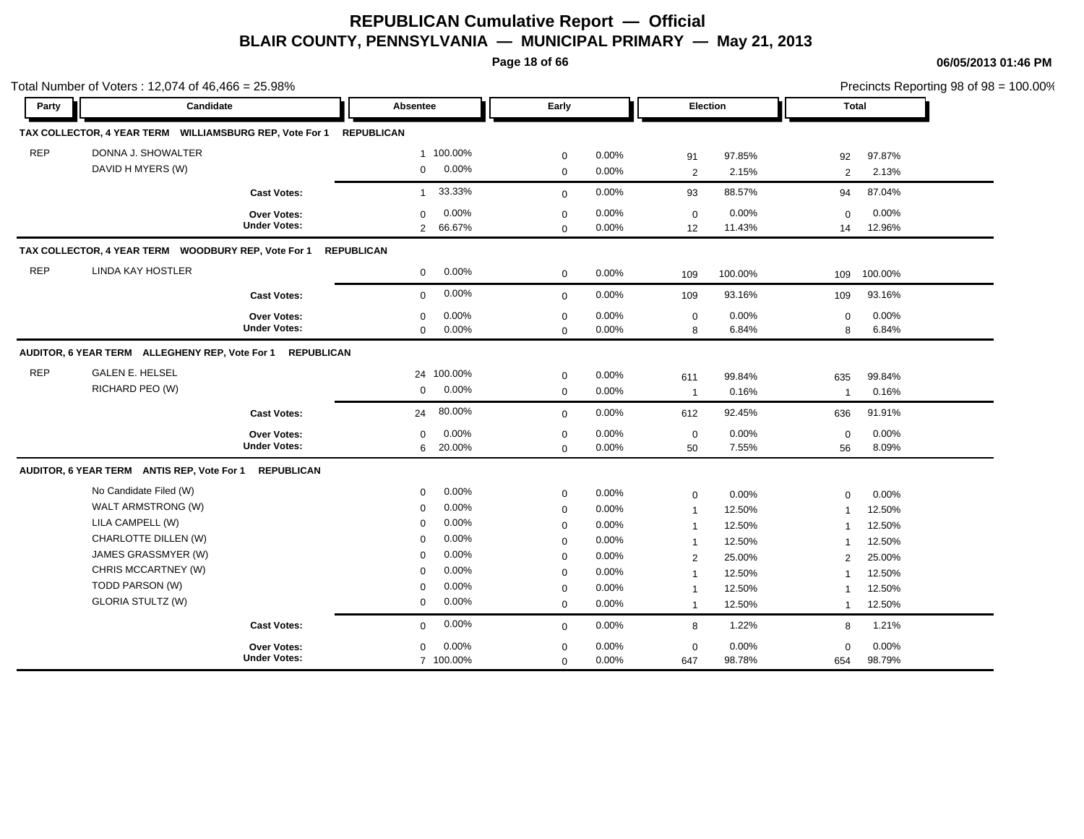**Page 18 of 66**

|            | Total Number of Voters: 12,074 of 46,466 = 25.98%         |                                    |                   |            |                            |          |                   |         |                   | Precincts Reporting 98 of 98 = 100.00% |
|------------|-----------------------------------------------------------|------------------------------------|-------------------|------------|----------------------------|----------|-------------------|---------|-------------------|----------------------------------------|
| Party      | Candidate                                                 |                                    | Absentee          |            | Early                      |          | <b>Election</b>   |         |                   | Total                                  |
|            | TAX COLLECTOR, 4 YEAR TERM WILLIAMSBURG REP, Vote For 1   |                                    | <b>REPUBLICAN</b> |            |                            |          |                   |         |                   |                                        |
| <b>REP</b> | DONNA J. SHOWALTER                                        |                                    |                   | 1 100.00%  | 0                          | 0.00%    | 91                | 97.85%  | 92                | 97.87%                                 |
|            | DAVID H MYERS (W)                                         |                                    | $\mathbf 0$       | 0.00%      | $\mathbf 0$                | $0.00\%$ | $\overline{2}$    | 2.15%   | 2                 | 2.13%                                  |
|            |                                                           | <b>Cast Votes:</b>                 | $\mathbf{1}$      | 33.33%     | $\mathbf 0$                | 0.00%    | 93                | 88.57%  | 94                | 87.04%                                 |
|            |                                                           |                                    | $\Omega$          | 0.00%      |                            | 0.00%    |                   | 0.00%   |                   | 0.00%                                  |
|            |                                                           | Over Votes:<br><b>Under Votes:</b> |                   | 2 66.67%   | $\mathbf 0$<br>$\mathbf 0$ | $0.00\%$ | $\mathbf 0$<br>12 | 11.43%  | $\mathbf 0$<br>14 | 12.96%                                 |
|            | TAX COLLECTOR, 4 YEAR TERM WOODBURY REP, Vote For 1       |                                    | <b>REPUBLICAN</b> |            |                            |          |                   |         |                   |                                        |
| <b>REP</b> | LINDA KAY HOSTLER                                         |                                    | $\mathbf 0$       | $0.00\%$   | $\mathbf 0$                | 0.00%    | 109               | 100.00% | 109               | 100.00%                                |
|            |                                                           | <b>Cast Votes:</b>                 | $\mathbf 0$       | 0.00%      | $\mathbf 0$                | 0.00%    | 109               | 93.16%  | 109               | 93.16%                                 |
|            |                                                           | Over Votes:                        | $\mathbf 0$       | 0.00%      | $\mathbf 0$                | 0.00%    | $\mathbf 0$       | 0.00%   | $\mathbf 0$       | 0.00%                                  |
|            |                                                           | <b>Under Votes:</b>                | $\mathbf{0}$      | $0.00\%$   | $\mathbf 0$                | 0.00%    | 8                 | 6.84%   | 8                 | 6.84%                                  |
|            | AUDITOR, 6 YEAR TERM ALLEGHENY REP, Vote For 1 REPUBLICAN |                                    |                   |            |                            |          |                   |         |                   |                                        |
| <b>REP</b> | <b>GALEN E. HELSEL</b>                                    |                                    |                   | 24 100.00% | $\mathbf 0$                | $0.00\%$ | 611               | 99.84%  | 635               | 99.84%                                 |
|            | RICHARD PEO (W)                                           |                                    | $\mathbf 0$       | $0.00\%$   | $\mathbf 0$                | 0.00%    | $\overline{1}$    | 0.16%   | $\overline{1}$    | 0.16%                                  |
|            |                                                           | <b>Cast Votes:</b>                 | 24                | 80.00%     | $\mathbf 0$                | 0.00%    | 612               | 92.45%  | 636               | 91.91%                                 |
|            |                                                           | Over Votes:                        | 0                 | 0.00%      | 0                          | 0.00%    | $\mathbf 0$       | 0.00%   | $\mathbf 0$       | 0.00%                                  |
|            |                                                           | <b>Under Votes:</b>                | 6                 | 20.00%     | $\mathbf 0$                | 0.00%    | 50                | 7.55%   | 56                | 8.09%                                  |
|            | AUDITOR, 6 YEAR TERM ANTIS REP, Vote For 1 REPUBLICAN     |                                    |                   |            |                            |          |                   |         |                   |                                        |
|            | No Candidate Filed (W)                                    |                                    | $\mathbf 0$       | 0.00%      | 0                          | 0.00%    | 0                 | 0.00%   | $\mathbf 0$       | 0.00%                                  |
|            | WALT ARMSTRONG (W)                                        |                                    | $\mathbf 0$       | 0.00%      | 0                          | 0.00%    | $\overline{1}$    | 12.50%  | $\mathbf 1$       | 12.50%                                 |
|            | LILA CAMPELL (W)                                          |                                    | $\mathbf 0$       | 0.00%      | 0                          | 0.00%    | $\overline{1}$    | 12.50%  | $\mathbf 1$       | 12.50%                                 |
|            | CHARLOTTE DILLEN (W)                                      |                                    | $\mathbf 0$       | 0.00%      | 0                          | 0.00%    | $\overline{1}$    | 12.50%  | $\mathbf 1$       | 12.50%                                 |
|            | JAMES GRASSMYER (W)                                       |                                    | $\mathbf 0$       | 0.00%      | 0                          | 0.00%    | 2                 | 25.00%  | 2                 | 25.00%                                 |
|            | CHRIS MCCARTNEY (W)                                       |                                    | $\mathbf 0$       | 0.00%      | $\mathbf 0$                | 0.00%    | $\overline{1}$    | 12.50%  | $\mathbf 1$       | 12.50%                                 |
|            | TODD PARSON (W)                                           |                                    | 0                 | $0.00\%$   | $\mathbf 0$                | 0.00%    | $\overline{1}$    | 12.50%  | -1                | 12.50%                                 |
|            | <b>GLORIA STULTZ (W)</b>                                  |                                    | $\mathbf 0$       | 0.00%      | $\Omega$                   | 0.00%    | $\overline{1}$    | 12.50%  | $\mathbf{1}$      | 12.50%                                 |
|            |                                                           | <b>Cast Votes:</b>                 | 0                 | 0.00%      | $\mathbf 0$                | $0.00\%$ | 8                 | 1.22%   | 8                 | 1.21%                                  |
|            |                                                           | <b>Over Votes:</b>                 | 0                 | 0.00%      | 0                          | 0.00%    | 0                 | 0.00%   | 0                 | 0.00%                                  |
|            |                                                           | <b>Under Votes:</b>                |                   | 7 100.00%  | $\mathbf 0$                | 0.00%    | 647               | 98.78%  | 654               | 98.79%                                 |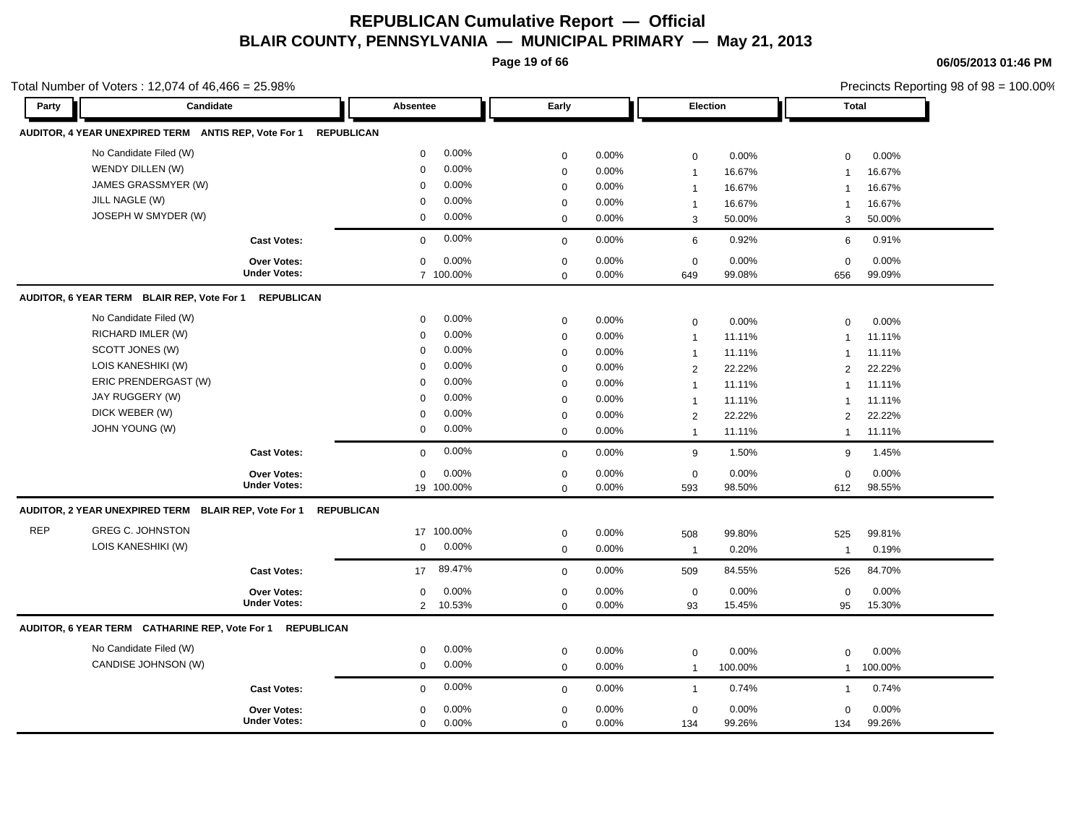**Page 19 of 66**

Total Number of Voters : 12,074 of 46,466 = 25.98%

**06/05/2013 01:46 PM**

Precincts Reporting 98 of 98 = 100.00%

| Party      | Candidate                                                 |                                           | Absentee          |                     | Early         | Election          |                         | <b>Total</b>    |                    |                 |
|------------|-----------------------------------------------------------|-------------------------------------------|-------------------|---------------------|---------------|-------------------|-------------------------|-----------------|--------------------|-----------------|
|            | AUDITOR, 4 YEAR UNEXPIRED TERM ANTIS REP, Vote For 1      |                                           | <b>REPUBLICAN</b> |                     |               |                   |                         |                 |                    |                 |
|            | No Candidate Filed (W)                                    |                                           | $\mathbf 0$       | $0.00\%$            | 0             | 0.00%             | 0                       | 0.00%           | $\mathbf 0$        | 0.00%           |
|            | WENDY DILLEN (W)                                          |                                           | $\mathbf 0$       | 0.00%               | $\mathbf 0$   | 0.00%             | $\overline{1}$          | 16.67%          | $\overline{1}$     | 16.67%          |
|            | JAMES GRASSMYER (W)                                       |                                           | $\mathbf 0$       | $0.00\%$            | 0             | 0.00%             | $\overline{1}$          | 16.67%          | $\mathbf{1}$       | 16.67%          |
|            | JILL NAGLE (W)                                            |                                           | $\mathbf 0$       | 0.00%               | $\mathbf 0$   | 0.00%             | $\overline{1}$          | 16.67%          |                    | 16.67%          |
|            | JOSEPH W SMYDER (W)                                       |                                           | $\mathbf 0$       | 0.00%               | $\mathbf 0$   | $0.00\%$          | 3                       | 50.00%          | 3                  | 50.00%          |
|            |                                                           | <b>Cast Votes:</b>                        | $\Omega$          | 0.00%               | $\mathbf 0$   | 0.00%             | $\,6\,$                 | 0.92%           | 6                  | 0.91%           |
|            |                                                           | Over Votes:                               | $\mathbf 0$       | 0.00%               | $\mathbf 0$   | 0.00%             | $\mathbf 0$             | 0.00%           | $\mathbf 0$        | 0.00%           |
|            |                                                           | <b>Under Votes:</b>                       |                   | 7 100.00%           | $\mathbf 0$   | 0.00%             | 649                     | 99.08%          | 656                | 99.09%          |
|            | AUDITOR, 6 YEAR TERM BLAIR REP, Vote For 1                | <b>REPUBLICAN</b>                         |                   |                     |               |                   |                         |                 |                    |                 |
|            | No Candidate Filed (W)                                    |                                           | $\mathbf 0$       | $0.00\%$            | $\mathbf 0$   | 0.00%             | $\mathbf 0$             | 0.00%           | $\mathbf 0$        | 0.00%           |
|            | RICHARD IMLER (W)                                         |                                           | $\mathbf 0$       | 0.00%               | $\mathbf 0$   | 0.00%             | $\overline{1}$          | 11.11%          | $\mathbf{1}$       | 11.11%          |
|            | SCOTT JONES (W)                                           |                                           | $\mathbf 0$       | 0.00%               | 0             | $0.00\%$          | $\overline{\mathbf{1}}$ | 11.11%          | $\mathbf{1}$       | 11.11%          |
|            | LOIS KANESHIKI (W)                                        |                                           | $\Omega$          | $0.00\%$            | $\mathbf 0$   | 0.00%             | $\overline{2}$          | 22.22%          | 2                  | 22.22%          |
|            | ERIC PRENDERGAST (W)                                      |                                           | $\mathbf 0$       | 0.00%               | $\mathbf 0$   | 0.00%             | $\overline{1}$          | 11.11%          | $\mathbf{1}$       | 11.11%          |
|            | JAY RUGGERY (W)                                           |                                           | $\mathbf 0$       | 0.00%               | $\mathbf 0$   | 0.00%             | $\overline{1}$          | 11.11%          | -1                 | 11.11%          |
|            | DICK WEBER (W)                                            |                                           | $\mathbf 0$       | 0.00%               | $\mathbf 0$   | $0.00\%$          | $\overline{2}$          | 22.22%          | 2                  | 22.22%          |
|            | JOHN YOUNG (W)                                            |                                           | 0                 | $0.00\%$            | $\mathbf 0$   | 0.00%             | $\overline{1}$          | 11.11%          | $\overline{1}$     | 11.11%          |
|            |                                                           | <b>Cast Votes:</b>                        | $\Omega$          | $0.00\%$            | $\mathbf 0$   | $0.00\%$          | 9                       | 1.50%           | 9                  | 1.45%           |
|            |                                                           |                                           |                   |                     |               |                   |                         |                 |                    |                 |
|            |                                                           | <b>Over Votes:</b><br><b>Under Votes:</b> | $\mathbf 0$       | 0.00%<br>19 100.00% | 0<br>$\Omega$ | $0.00\%$<br>0.00% | 0<br>593                | 0.00%<br>98.50% | $\mathbf 0$<br>612 | 0.00%<br>98.55% |
|            | AUDITOR, 2 YEAR UNEXPIRED TERM BLAIR REP, Vote For 1      |                                           | <b>REPUBLICAN</b> |                     |               |                   |                         |                 |                    |                 |
| <b>REP</b> | <b>GREG C. JOHNSTON</b>                                   |                                           |                   | 17 100.00%          | $\mathbf 0$   | 0.00%             |                         |                 |                    |                 |
|            | LOIS KANESHIKI (W)                                        |                                           | $\mathbf 0$       | $0.00\%$            | $\mathbf 0$   | $0.00\%$          | 508                     | 99.80%<br>0.20% | 525                | 99.81%          |
|            |                                                           |                                           |                   |                     |               |                   | $\overline{1}$          |                 | $\overline{1}$     | 0.19%           |
|            |                                                           | <b>Cast Votes:</b>                        | 17                | 89.47%              | $\mathbf 0$   | 0.00%             | 509                     | 84.55%          | 526                | 84.70%          |
|            |                                                           | <b>Over Votes:</b>                        | $\mathbf 0$       | 0.00%               | 0             | 0.00%             | 0                       | 0.00%           | $\mathbf 0$        | 0.00%           |
|            |                                                           | <b>Under Votes:</b>                       |                   | 2 10.53%            | $\mathbf 0$   | 0.00%             | 93                      | 15.45%          | 95                 | 15.30%          |
|            | AUDITOR, 6 YEAR TERM CATHARINE REP, Vote For 1 REPUBLICAN |                                           |                   |                     |               |                   |                         |                 |                    |                 |
|            | No Candidate Filed (W)                                    |                                           | $\mathbf 0$       | 0.00%               | $\mathbf 0$   | 0.00%             | 0                       | 0.00%           | $\mathbf 0$        | 0.00%           |
|            | CANDISE JOHNSON (W)                                       |                                           | $\mathbf 0$       | 0.00%               | $\mathbf 0$   | 0.00%             | $\overline{1}$          | 100.00%         | $\mathbf{1}$       | 100.00%         |
|            |                                                           | <b>Cast Votes:</b>                        | $\mathbf 0$       | 0.00%               | $\mathbf 0$   | 0.00%             | $\overline{1}$          | 0.74%           | $\mathbf{1}$       | 0.74%           |
|            |                                                           | <b>Over Votes:</b>                        | $\mathbf 0$       | 0.00%               | 0             | 0.00%             | 0                       | 0.00%           | $\mathbf 0$        | 0.00%           |
|            |                                                           | <b>Under Votes:</b>                       | $\mathbf 0$       | $0.00\%$            | $\mathbf 0$   | 0.00%             | 134                     | 99.26%          | 134                | 99.26%          |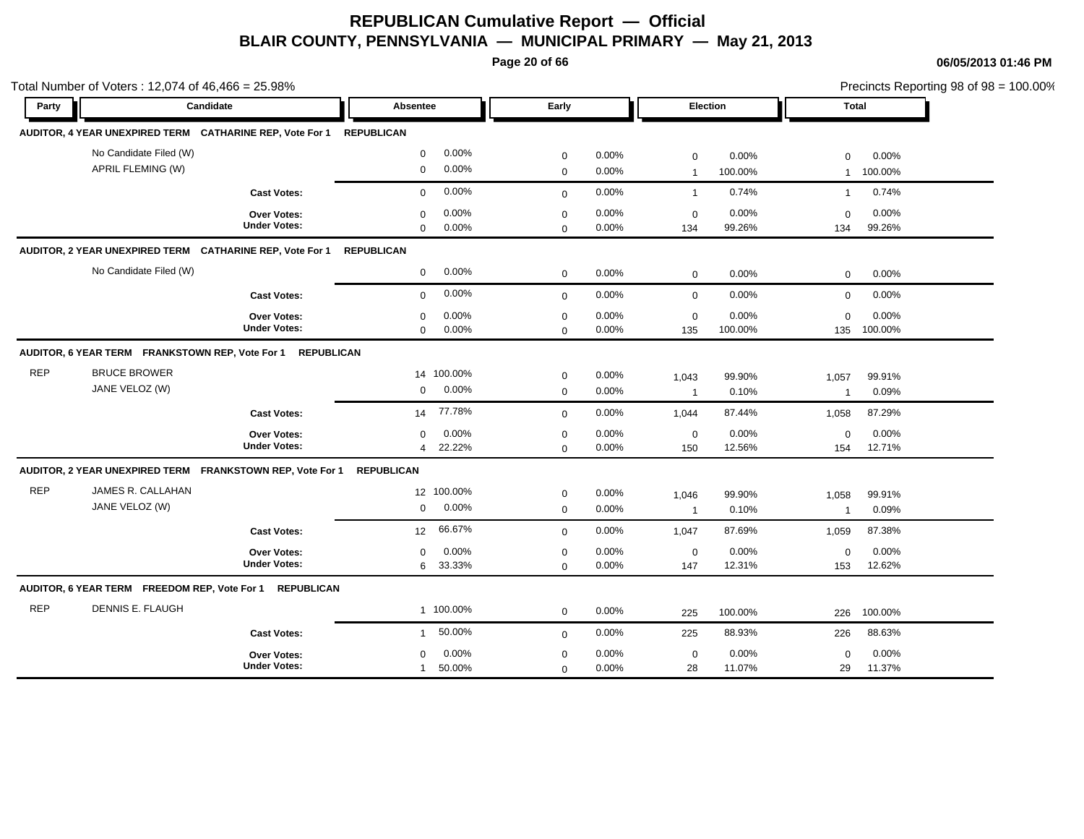**Page 20 of 66**

|            | Total Number of Voters: 12,074 of 46,466 = 25.98% |                                                                      |                               |                     |                            |                |                             |                  | Precincts Reporting 98 of 98 = 100.00% |                  |  |
|------------|---------------------------------------------------|----------------------------------------------------------------------|-------------------------------|---------------------|----------------------------|----------------|-----------------------------|------------------|----------------------------------------|------------------|--|
| Party      |                                                   | Candidate                                                            | Absentee                      |                     | Early                      |                | Election                    |                  | Total                                  |                  |  |
|            |                                                   | AUDITOR, 4 YEAR UNEXPIRED TERM CATHARINE REP, Vote For 1             | <b>REPUBLICAN</b>             |                     |                            |                |                             |                  |                                        |                  |  |
|            | No Candidate Filed (W)<br>APRIL FLEMING (W)       |                                                                      | $\mathbf 0$<br>$\mathbf 0$    | 0.00%<br>0.00%      | $\mathbf 0$<br>$\pmb{0}$   | 0.00%<br>0.00% | $\mathbf 0$<br>$\mathbf{1}$ | 0.00%<br>100.00% | $\mathbf 0$<br>$\mathbf{1}$            | 0.00%<br>100.00% |  |
|            |                                                   | <b>Cast Votes:</b>                                                   | $\mathbf 0$                   | 0.00%               | $\mathbf{0}$               | 0.00%          | $\mathbf{1}$                | 0.74%            | $\mathbf{1}$                           | 0.74%            |  |
|            |                                                   | Over Votes:<br><b>Under Votes:</b>                                   | $\Omega$<br>$\mathbf 0$       | 0.00%<br>0.00%      | $\mathbf 0$<br>$\Omega$    | 0.00%<br>0.00% | $\mathbf 0$<br>134          | 0.00%<br>99.26%  | $\Omega$<br>134                        | 0.00%<br>99.26%  |  |
|            |                                                   | AUDITOR, 2 YEAR UNEXPIRED TERM CATHARINE REP, Vote For 1             | <b>REPUBLICAN</b>             |                     |                            |                |                             |                  |                                        |                  |  |
|            | No Candidate Filed (W)                            |                                                                      | $\mathbf 0$                   | 0.00%               | $\mathbf 0$                | 0.00%          | $\mathbf 0$                 | 0.00%            | 0                                      | 0.00%            |  |
|            |                                                   | <b>Cast Votes:</b>                                                   | $\mathbf 0$                   | 0.00%               | $\mathbf 0$                | 0.00%          | $\mathbf 0$                 | 0.00%            | $\mathbf 0$                            | 0.00%            |  |
|            |                                                   | Over Votes:<br><b>Under Votes:</b>                                   | $\mathbf 0$<br>$\mathbf 0$    | 0.00%<br>0.00%      | $\mathbf 0$<br>$\mathbf 0$ | 0.00%<br>0.00% | $\mathbf 0$<br>135          | 0.00%<br>100.00% | $\mathbf 0$<br>135                     | 0.00%<br>100.00% |  |
|            |                                                   | AUDITOR, 6 YEAR TERM FRANKSTOWN REP, Vote For 1 REPUBLICAN           |                               |                     |                            |                |                             |                  |                                        |                  |  |
| <b>REP</b> | <b>BRUCE BROWER</b><br>JANE VELOZ (W)             |                                                                      | $\mathbf{0}$                  | 14 100.00%<br>0.00% | $\mathbf 0$<br>$\mathbf 0$ | 0.00%<br>0.00% | 1,043<br>$\overline{1}$     | 99.90%<br>0.10%  | 1,057<br>$\mathbf{1}$                  | 99.91%<br>0.09%  |  |
|            |                                                   | <b>Cast Votes:</b>                                                   | 14                            | 77.78%              | $\mathbf 0$                | 0.00%          | 1,044                       | 87.44%           | 1,058                                  | 87.29%           |  |
|            |                                                   | Over Votes:<br><b>Under Votes:</b>                                   | $\mathbf 0$<br>$\overline{4}$ | 0.00%<br>22.22%     | $\mathbf 0$<br>$\mathbf 0$ | 0.00%<br>0.00% | $\mathbf 0$<br>150          | 0.00%<br>12.56%  | $\mathbf 0$<br>154                     | 0.00%<br>12.71%  |  |
|            |                                                   | AUDITOR, 2 YEAR UNEXPIRED TERM FRANKSTOWN REP, Vote For 1 REPUBLICAN |                               |                     |                            |                |                             |                  |                                        |                  |  |
| <b>REP</b> | JAMES R. CALLAHAN<br>JANE VELOZ (W)               |                                                                      | $\mathbf 0$                   | 12 100.00%<br>0.00% | $\mathbf 0$<br>$\mathbf 0$ | 0.00%<br>0.00% | 1,046<br>$\overline{1}$     | 99.90%<br>0.10%  | 1,058<br>$\mathbf{1}$                  | 99.91%<br>0.09%  |  |
|            |                                                   | <b>Cast Votes:</b>                                                   | 12 <sup>12</sup>              | 66.67%              | $\mathbf 0$                | 0.00%          | 1,047                       | 87.69%           | 1,059                                  | 87.38%           |  |
|            |                                                   | Over Votes:<br><b>Under Votes:</b>                                   | $\mathbf 0$<br>6              | 0.00%<br>33.33%     | $\mathbf 0$<br>$\mathbf 0$ | 0.00%<br>0.00% | $\mathbf 0$<br>147          | 0.00%<br>12.31%  | $\mathbf 0$<br>153                     | 0.00%<br>12.62%  |  |
|            |                                                   | AUDITOR, 6 YEAR TERM FREEDOM REP, Vote For 1 REPUBLICAN              |                               |                     |                            |                |                             |                  |                                        |                  |  |
| <b>REP</b> | DENNIS E. FLAUGH                                  |                                                                      |                               | 1 100.00%           | $\mathbf 0$                | 0.00%          | 225                         | 100.00%          | 226                                    | 100.00%          |  |
|            |                                                   | <b>Cast Votes:</b>                                                   | $\mathbf{1}$                  | 50.00%              | $\mathbf 0$                | 0.00%          | 225                         | 88.93%           | 226                                    | 88.63%           |  |
|            |                                                   | <b>Over Votes:</b><br><b>Under Votes:</b>                            | $\mathbf 0$<br>$\mathbf{1}$   | 0.00%<br>50.00%     | $\mathbf 0$<br>$\mathbf 0$ | 0.00%<br>0.00% | $\mathbf 0$<br>28           | 0.00%<br>11.07%  | $\mathbf 0$<br>29                      | 0.00%<br>11.37%  |  |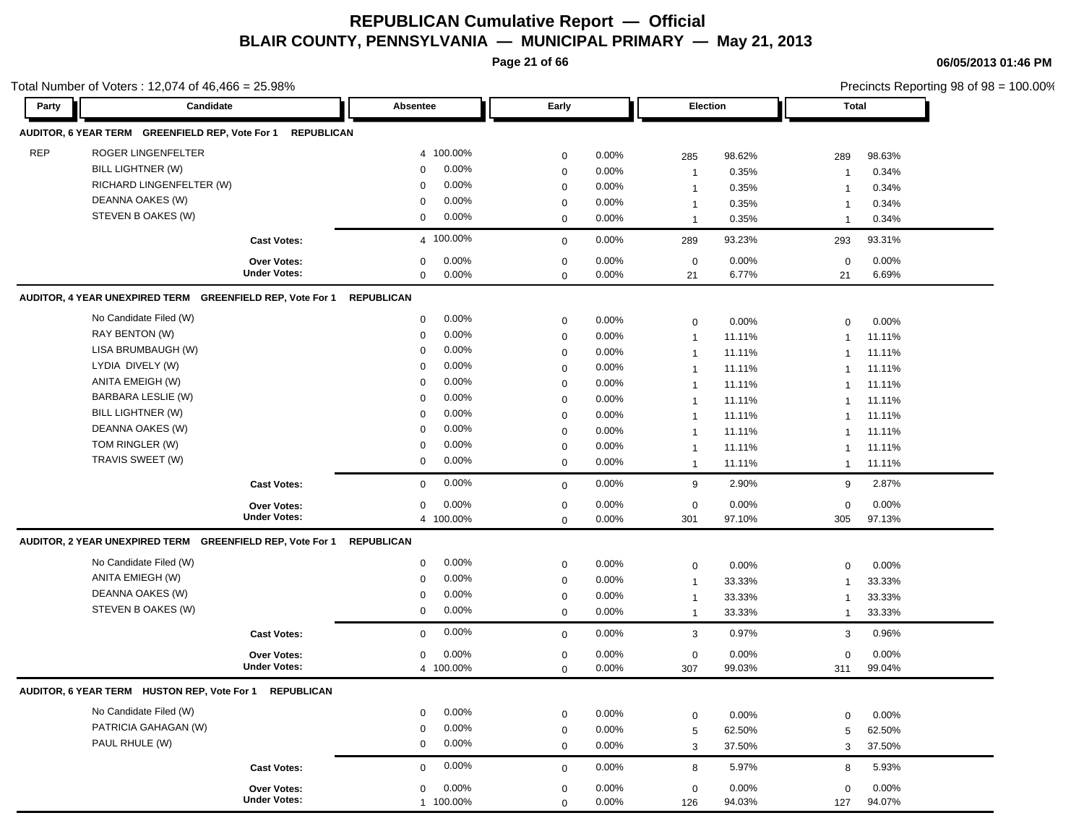**Page 21 of 66**

|            | Total Number of Voters: 12,074 of 46,466 = 25.98%          |                     |                      |             |          |                  |        |                | Precincts Reporting 98 of 98 = 100.00% |
|------------|------------------------------------------------------------|---------------------|----------------------|-------------|----------|------------------|--------|----------------|----------------------------------------|
| Party      | Candidate                                                  |                     | Absentee             | Early       |          | Election         |        | Total          |                                        |
|            | AUDITOR, 6 YEAR TERM GREENFIELD REP, Vote For 1 REPUBLICAN |                     |                      |             |          |                  |        |                |                                        |
| <b>REP</b> | ROGER LINGENFELTER                                         |                     | 4 100.00%            | $\mathbf 0$ | 0.00%    | 285              | 98.62% | 289            | 98.63%                                 |
|            | BILL LIGHTNER (W)                                          |                     | 0.00%<br>0           | $\mathbf 0$ | 0.00%    | $\mathbf{1}$     | 0.35%  | -1             | 0.34%                                  |
|            | RICHARD LINGENFELTER (W)                                   |                     | 0.00%<br>$\mathbf 0$ | $\mathbf 0$ | 0.00%    | $\mathbf{1}$     | 0.35%  | -1             | 0.34%                                  |
|            | DEANNA OAKES (W)                                           |                     | 0.00%<br>$\mathbf 0$ | $\mathbf 0$ | 0.00%    | $\mathbf{1}$     | 0.35%  | $\mathbf{1}$   | 0.34%                                  |
|            | STEVEN B OAKES (W)                                         |                     | 0.00%<br>0           | $\mathbf 0$ | 0.00%    | $\mathbf{1}$     | 0.35%  | $\overline{1}$ | 0.34%                                  |
|            |                                                            | <b>Cast Votes:</b>  | 4 100.00%            | $\mathbf 0$ | 0.00%    | 289              | 93.23% | 293            | 93.31%                                 |
|            |                                                            | Over Votes:         | 0.00%<br>0           | $\mathbf 0$ | 0.00%    | $\mathbf 0$      | 0.00%  | $\mathbf 0$    | 0.00%                                  |
|            |                                                            | <b>Under Votes:</b> | 0.00%<br>0           | $\mathbf 0$ | 0.00%    | 21               | 6.77%  | 21             | 6.69%                                  |
|            | AUDITOR, 4 YEAR UNEXPIRED TERM GREENFIELD REP, Vote For 1  |                     | REPUBLICAN           |             |          |                  |        |                |                                        |
|            | No Candidate Filed (W)                                     |                     | 0.00%<br>0           | $\mathbf 0$ | $0.00\%$ | $\mathbf 0$      | 0.00%  | $\mathbf 0$    | 0.00%                                  |
|            | RAY BENTON (W)                                             |                     | 0.00%<br>0           | $\mathbf 0$ | $0.00\%$ | $\mathbf{1}$     | 11.11% | $\mathbf 1$    | 11.11%                                 |
|            | LISA BRUMBAUGH (W)                                         |                     | 0.00%<br>$\mathbf 0$ | $\mathbf 0$ | 0.00%    | $\mathbf{1}$     | 11.11% | $\mathbf 1$    | 11.11%                                 |
|            | LYDIA DIVELY (W)                                           |                     | 0.00%<br>$\mathbf 0$ | $\mathbf 0$ | 0.00%    | $\mathbf{1}$     | 11.11% | $\mathbf 1$    | 11.11%                                 |
|            | ANITA EMEIGH (W)                                           |                     | 0.00%<br>$\mathbf 0$ | $\mathbf 0$ | 0.00%    | $\mathbf{1}$     | 11.11% | $\mathbf 1$    | 11.11%                                 |
|            | <b>BARBARA LESLIE (W)</b>                                  |                     | 0.00%<br>0           | $\mathbf 0$ | 0.00%    | $\mathbf{1}$     | 11.11% | $\mathbf 1$    | 11.11%                                 |
|            | BILL LIGHTNER (W)                                          |                     | 0.00%<br>0           | $\mathbf 0$ | 0.00%    | $\mathbf{1}$     | 11.11% | $\mathbf 1$    | 11.11%                                 |
|            | DEANNA OAKES (W)                                           |                     | 0.00%<br>0           | 0           | 0.00%    | $\mathbf{1}$     | 11.11% | $\mathbf 1$    | 11.11%                                 |
|            | TOM RINGLER (W)                                            |                     | 0.00%<br>0           | 0           | $0.00\%$ | $\mathbf{1}$     | 11.11% | -1             | 11.11%                                 |
|            | TRAVIS SWEET (W)                                           |                     | 0.00%<br>0           | $\mathbf 0$ | 0.00%    | $\mathbf{1}$     | 11.11% | $\mathbf 1$    | 11.11%                                 |
|            |                                                            | <b>Cast Votes:</b>  | 0.00%<br>0           | $\mathbf 0$ | 0.00%    | 9                | 2.90%  | 9              | 2.87%                                  |
|            |                                                            | <b>Over Votes:</b>  | 0.00%<br>0           | 0           | $0.00\%$ | 0                | 0.00%  | $\mathbf 0$    | 0.00%                                  |
|            |                                                            | <b>Under Votes:</b> | 4 100.00%            | $\mathbf 0$ | 0.00%    | 301              | 97.10% | 305            | 97.13%                                 |
|            | AUDITOR, 2 YEAR UNEXPIRED TERM GREENFIELD REP, Vote For 1  |                     | REPUBLICAN           |             |          |                  |        |                |                                        |
|            | No Candidate Filed (W)                                     |                     | $0.00\%$<br>0        | $\mathbf 0$ | 0.00%    | $\boldsymbol{0}$ | 0.00%  | $\mathbf 0$    | 0.00%                                  |
|            | ANITA EMIEGH (W)                                           |                     | 0.00%<br>0           | 0           | 0.00%    | $\mathbf{1}$     | 33.33% | $\mathbf 1$    | 33.33%                                 |
|            | DEANNA OAKES (W)                                           |                     | 0.00%<br>0           | $\mathbf 0$ | 0.00%    | $\mathbf{1}$     | 33.33% | $\mathbf 1$    | 33.33%                                 |
|            | STEVEN B OAKES (W)                                         |                     | 0.00%<br>0           | $\mathbf 0$ | $0.00\%$ | $\mathbf{1}$     | 33.33% | $\overline{1}$ | 33.33%                                 |
|            |                                                            | <b>Cast Votes:</b>  | 0.00%<br>$\mathbf 0$ | $\mathbf 0$ | 0.00%    | 3                | 0.97%  | 3              | 0.96%                                  |
|            |                                                            | Over Votes:         | 0.00%<br>0           | $\mathbf 0$ | $0.00\%$ | 0                | 0.00%  | $\mathbf 0$    | 0.00%                                  |
|            |                                                            | <b>Under Votes:</b> | 4 100.00%            | 0           | 0.00%    | 307              | 99.03% | 311            | 99.04%                                 |
|            | AUDITOR, 6 YEAR TERM HUSTON REP, Vote For 1 REPUBLICAN     |                     |                      |             |          |                  |        |                |                                        |
|            | No Candidate Filed (W)                                     |                     | 0.00%<br>$\mathbf 0$ | $\mathbf 0$ | 0.00%    | $\mathbf 0$      | 0.00%  | $\mathbf 0$    | 0.00%                                  |
|            | PATRICIA GAHAGAN (W)                                       |                     | 0.00%<br>$\mathbf 0$ | $\mathbf 0$ | 0.00%    | 5                | 62.50% | 5              | 62.50%                                 |
|            | PAUL RHULE (W)                                             |                     | $0.00\%$<br>0        | $\mathbf 0$ | 0.00%    | 3                | 37.50% | 3              | 37.50%                                 |
|            |                                                            | <b>Cast Votes:</b>  | 0.00%<br>0           | $\mathbf 0$ | 0.00%    | 8                | 5.97%  | 8              | 5.93%                                  |
|            |                                                            | <b>Over Votes:</b>  | 0.00%<br>0           | $\mathbf 0$ | $0.00\%$ | $\mathbf 0$      | 0.00%  | $\mathbf 0$    | 0.00%                                  |
|            |                                                            | <b>Under Votes:</b> | 1 100.00%            | $\mathbf 0$ | 0.00%    | 126              | 94.03% | 127            | 94.07%                                 |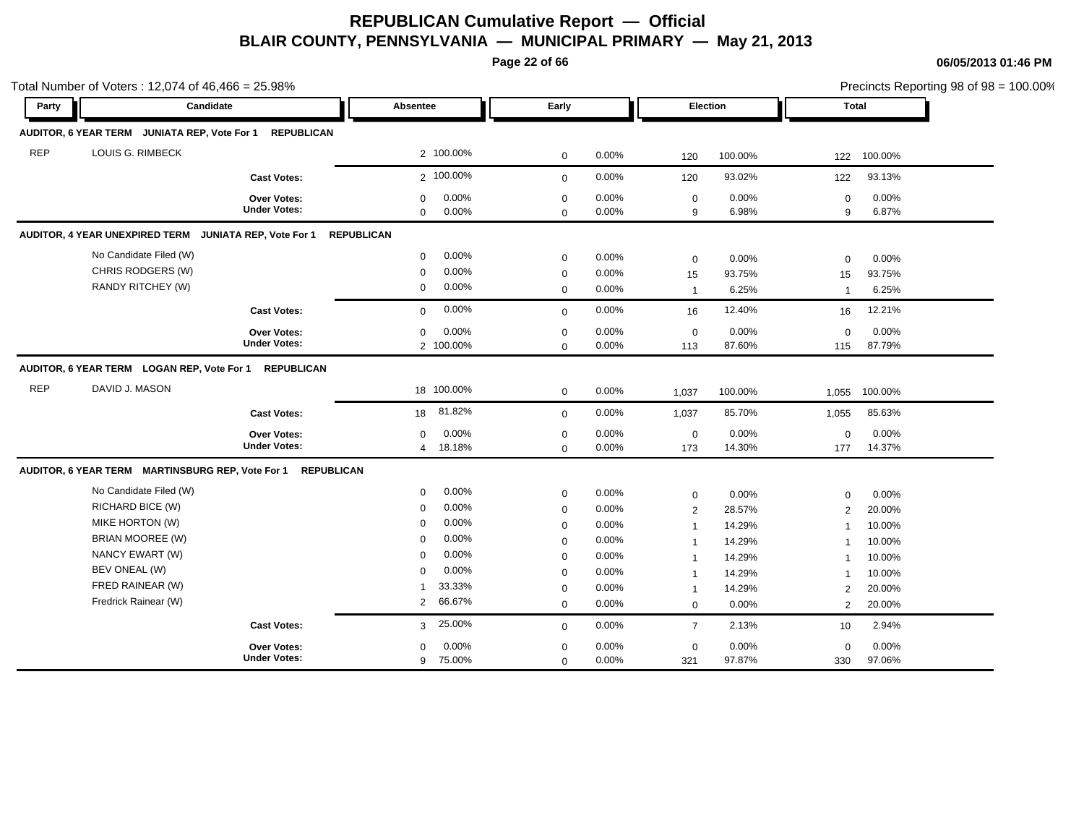**Page 22 of 66**

|            | Total Number of Voters: 12,074 of 46,466 = 25.98%           |                                    |                                |                    |                                 |                |                                |                  |                                  | Precincts Reporting 98 of 98 = 100.00% |
|------------|-------------------------------------------------------------|------------------------------------|--------------------------------|--------------------|---------------------------------|----------------|--------------------------------|------------------|----------------------------------|----------------------------------------|
| Party      | Candidate                                                   |                                    | Absentee                       |                    | Early                           |                | Election                       |                  |                                  | Total                                  |
|            | AUDITOR, 6 YEAR TERM JUNIATA REP, Vote For 1                | <b>REPUBLICAN</b>                  |                                |                    |                                 |                |                                |                  |                                  |                                        |
| <b>REP</b> | LOUIS G. RIMBECK                                            |                                    |                                | 2 100.00%          | $\mathbf 0$                     | 0.00%          | 120                            | 100.00%          | 122                              | 100.00%                                |
|            |                                                             | <b>Cast Votes:</b>                 |                                | 2 100.00%          | $\mathbf 0$                     | 0.00%          | 120                            | 93.02%           | 122                              | 93.13%                                 |
|            |                                                             | Over Votes:<br><b>Under Votes:</b> | $\mathbf 0$<br>$\mathbf 0$     | 0.00%<br>$0.00\%$  | $\mathbf 0$<br>$\Omega$         | 0.00%<br>0.00% | $\mathbf 0$<br>9               | 0.00%<br>6.98%   | $\mathbf 0$<br>9                 | 0.00%<br>6.87%                         |
|            | AUDITOR, 4 YEAR UNEXPIRED TERM JUNIATA REP, Vote For 1      |                                    | <b>REPUBLICAN</b>              |                    |                                 |                |                                |                  |                                  |                                        |
|            | No Candidate Filed (W)<br>CHRIS RODGERS (W)                 |                                    | $\mathbf 0$                    | 0.00%<br>$0.00\%$  | $\mathbf 0$                     | 0.00%          | $\mathbf 0$                    | 0.00%            | $\mathbf 0$                      | 0.00%                                  |
|            | RANDY RITCHEY (W)                                           |                                    | 0<br>$\mathbf 0$               | $0.00\%$           | $\mathbf 0$<br>$\mathbf 0$      | 0.00%<br>0.00% | 15<br>$\mathbf{1}$             | 93.75%<br>6.25%  | 15<br>$\mathbf 1$                | 93.75%<br>6.25%                        |
|            |                                                             | <b>Cast Votes:</b>                 | $\Omega$                       | 0.00%              | $\Omega$                        | 0.00%          | 16                             | 12.40%           | 16                               | 12.21%                                 |
|            |                                                             | Over Votes:<br><b>Under Votes:</b> | 0                              | 0.00%<br>2 100.00% | $\mathbf 0$<br>$\mathbf 0$      | 0.00%<br>0.00% | $\mathbf 0$<br>113             | 0.00%<br>87.60%  | $\mathbf 0$<br>115               | 0.00%<br>87.79%                        |
|            | AUDITOR, 6 YEAR TERM LOGAN REP, Vote For 1                  | <b>REPUBLICAN</b>                  |                                |                    |                                 |                |                                |                  |                                  |                                        |
| <b>REP</b> | DAVID J. MASON                                              |                                    |                                | 18 100.00%         | $\mathbf 0$                     | 0.00%          | 1,037                          | 100.00%          | 1,055                            | 100.00%                                |
|            |                                                             | <b>Cast Votes:</b>                 | 18                             | 81.82%             | $\mathbf 0$                     | 0.00%          | 1,037                          | 85.70%           | 1,055                            | 85.63%                                 |
|            |                                                             | Over Votes:<br><b>Under Votes:</b> | 0<br>4                         | 0.00%<br>18.18%    | $\boldsymbol{0}$<br>$\mathbf 0$ | 0.00%<br>0.00% | $\boldsymbol{0}$<br>173        | 0.00%<br>14.30%  | $\mathbf 0$<br>177               | 0.00%<br>14.37%                        |
|            | AUDITOR, 6 YEAR TERM MARTINSBURG REP, Vote For 1 REPUBLICAN |                                    |                                |                    |                                 |                |                                |                  |                                  |                                        |
|            | No Candidate Filed (W)<br>RICHARD BICE (W)                  |                                    | 0<br>$\mathbf 0$               | 0.00%<br>0.00%     | $\mathbf 0$                     | 0.00%          | 0                              | 0.00%            | $\mathbf 0$                      | 0.00%                                  |
|            | MIKE HORTON (W)                                             |                                    | $\mathbf 0$                    | 0.00%              | $\mathbf 0$<br>$\mathbf 0$      | 0.00%<br>0.00% | $\overline{2}$<br>$\mathbf{1}$ | 28.57%<br>14.29% | 2<br>$\mathbf 1$                 | 20.00%<br>10.00%                       |
|            | BRIAN MOOREE (W)                                            |                                    | $\mathbf 0$                    | 0.00%              | $\mathbf 0$                     | 0.00%          | $\mathbf{1}$                   | 14.29%           | -1                               | 10.00%                                 |
|            | NANCY EWART (W)                                             |                                    | $\Omega$                       | 0.00%              | $\mathbf 0$                     | 0.00%          | $\mathbf{1}$                   | 14.29%           | $\mathbf 1$                      | 10.00%                                 |
|            | BEV ONEAL (W)                                               |                                    | $\mathbf 0$                    | 0.00%              | $\mathbf 0$                     | 0.00%          | $\mathbf{1}$                   | 14.29%           | $\mathbf 1$                      | 10.00%                                 |
|            | FRED RAINEAR (W)<br>Fredrick Rainear (W)                    |                                    | $\mathbf{1}$<br>$\overline{2}$ | 33.33%<br>66.67%   | $\mathbf 0$<br>$\mathbf 0$      | 0.00%<br>0.00% | $\mathbf{1}$<br>$\mathbf 0$    | 14.29%<br>0.00%  | $\overline{2}$<br>$\overline{2}$ | 20.00%<br>20.00%                       |
|            |                                                             | <b>Cast Votes:</b>                 | 3                              | 25.00%             | $\mathbf 0$                     | 0.00%          | $\overline{7}$                 | 2.13%            | 10                               | 2.94%                                  |
|            |                                                             | Over Votes:<br><b>Under Votes:</b> | $\mathbf 0$<br>9               | 0.00%<br>75.00%    | $\mathbf 0$<br>$\mathbf 0$      | 0.00%<br>0.00% | $\boldsymbol{0}$<br>321        | 0.00%<br>97.87%  | $\mathbf 0$<br>330               | 0.00%<br>97.06%                        |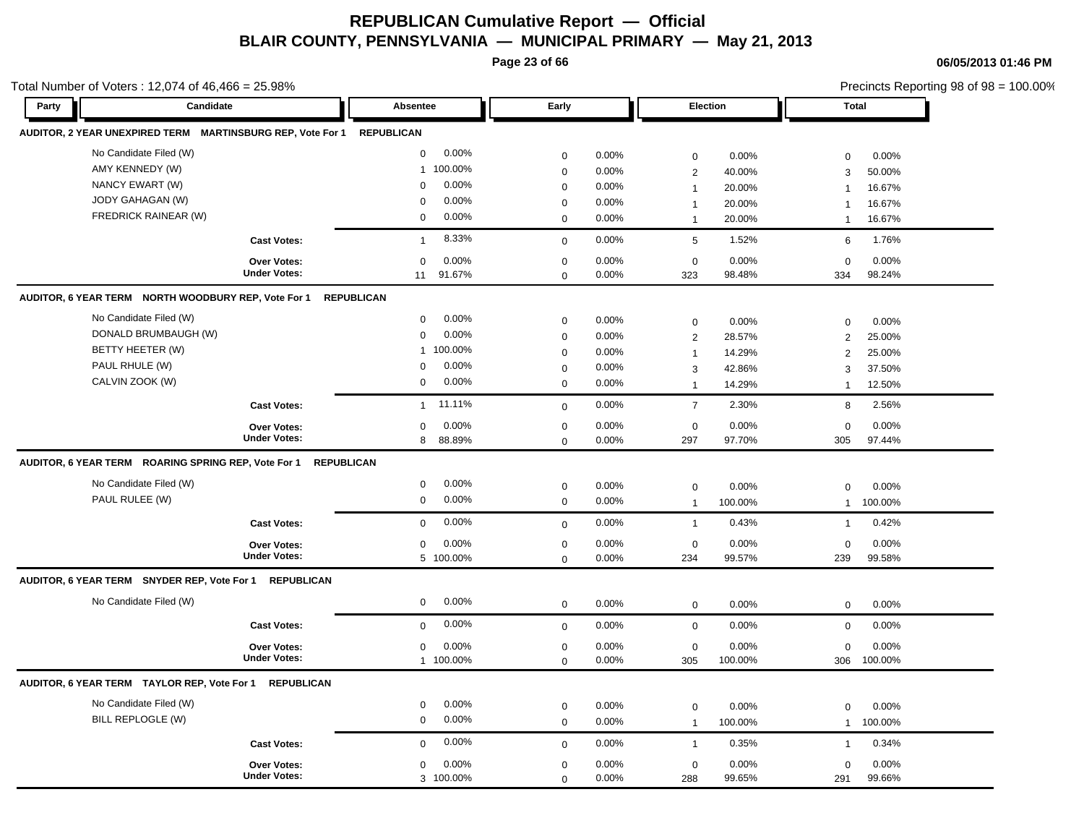**Page 23 of 66**

**Party Candidate Absentee Early Election Total**

**06/05/2013 01:46 PM**

Precincts Reporting 98 of 98 = 100.00%

291 99.66% 99.65%

288 0.00%

| Total Number of Voters : 12,074 of 46,466 = 25.98% |  |
|----------------------------------------------------|--|
|----------------------------------------------------|--|

| AUDITOR, 2 YEAR UNEXPIRED TERM MARTINSBURG REP, Vote For 1 REPUBLICAN |                     |                         |             |       |                         |          |                |         |
|-----------------------------------------------------------------------|---------------------|-------------------------|-------------|-------|-------------------------|----------|----------------|---------|
| No Candidate Filed (W)                                                |                     | 0.00%<br>$\mathbf 0$    | $\mathbf 0$ | 0.00% | $\mathbf 0$             | 0.00%    | $\mathbf 0$    | 0.00%   |
| AMY KENNEDY (W)                                                       |                     | 100.00%<br>$\mathbf{1}$ | $\mathbf 0$ | 0.00% | $\overline{\mathbf{c}}$ | 40.00%   | 3              | 50.00%  |
| NANCY EWART (W)                                                       |                     | 0.00%<br>$\Omega$       | $\mathbf 0$ | 0.00% | $\mathbf{1}$            | 20.00%   | $\overline{1}$ | 16.67%  |
| JODY GAHAGAN (W)                                                      |                     | 0.00%<br>0              | $\mathbf 0$ | 0.00% | $\mathbf{1}$            | 20.00%   | -1             | 16.67%  |
| FREDRICK RAINEAR (W)                                                  |                     | 0.00%<br>0              | $\mathbf 0$ | 0.00% | $\mathbf{1}$            | 20.00%   | $\overline{1}$ | 16.67%  |
|                                                                       | <b>Cast Votes:</b>  | 8.33%<br>$\overline{1}$ | $\mathbf 0$ | 0.00% | $5\phantom{.0}$         | 1.52%    | 6              | 1.76%   |
|                                                                       | <b>Over Votes:</b>  | 0.00%<br>$\mathbf 0$    | $\mathbf 0$ | 0.00% | $\mathbf 0$             | 0.00%    | $\mathbf 0$    | 0.00%   |
|                                                                       | <b>Under Votes:</b> | 91.67%<br>11            | $\mathbf 0$ | 0.00% | 323                     | 98.48%   | 334            | 98.24%  |
| AUDITOR, 6 YEAR TERM NORTH WOODBURY REP, Vote For 1                   | <b>REPUBLICAN</b>   |                         |             |       |                         |          |                |         |
| No Candidate Filed (W)                                                |                     | 0.00%<br>$\mathbf 0$    | $\mathbf 0$ | 0.00% | 0                       | 0.00%    | $\mathbf 0$    | 0.00%   |
| DONALD BRUMBAUGH (W)                                                  |                     | 0.00%<br>$\mathbf 0$    | $\mathbf 0$ | 0.00% | $\overline{2}$          | 28.57%   | $\overline{2}$ | 25.00%  |
| BETTY HEETER (W)                                                      |                     | 100.00%<br>1            | $\Omega$    | 0.00% | $\overline{1}$          | 14.29%   | 2              | 25.00%  |
| PAUL RHULE (W)                                                        |                     | 0.00%<br>$\Omega$       | $\mathbf 0$ | 0.00% | 3                       | 42.86%   | 3              | 37.50%  |
| CALVIN ZOOK (W)                                                       |                     | 0.00%<br>0              | $\mathbf 0$ | 0.00% | $\mathbf{1}$            | 14.29%   | $\overline{1}$ | 12.50%  |
|                                                                       | <b>Cast Votes:</b>  | 11.11%<br>$\mathbf{1}$  | $\mathbf 0$ | 0.00% | $\overline{7}$          | 2.30%    | 8              | 2.56%   |
|                                                                       | <b>Over Votes:</b>  | 0.00%<br>$\Omega$       | $\mathbf 0$ | 0.00% | $\mathbf 0$             | 0.00%    | $\mathbf 0$    | 0.00%   |
|                                                                       | <b>Under Votes:</b> | 88.89%<br>8             | $\mathbf 0$ | 0.00% | 297                     | 97.70%   | 305            | 97.44%  |
| AUDITOR, 6 YEAR TERM ROARING SPRING REP, Vote For 1                   | <b>REPUBLICAN</b>   |                         |             |       |                         |          |                |         |
| No Candidate Filed (W)                                                |                     | 0.00%<br>0              | $\mathbf 0$ | 0.00% | $\mathbf 0$             | 0.00%    | $\mathbf 0$    | 0.00%   |
| PAUL RULEE (W)                                                        |                     | 0.00%<br>$\mathbf 0$    | $\mathbf 0$ | 0.00% | $\mathbf{1}$            | 100.00%  | $\mathbf{1}$   | 100.00% |
|                                                                       | <b>Cast Votes:</b>  | 0.00%<br>$\mathbf 0$    | $\mathbf 0$ | 0.00% | $\mathbf{1}$            | 0.43%    | $\overline{1}$ | 0.42%   |
|                                                                       | <b>Over Votes:</b>  | 0.00%<br>0              | $\mathbf 0$ | 0.00% | $\mathbf 0$             | $0.00\%$ | $\pmb{0}$      | 0.00%   |
|                                                                       | <b>Under Votes:</b> | 5 100.00%               | $\mathbf 0$ | 0.00% | 234                     | 99.57%   | 239            | 99.58%  |
| AUDITOR, 6 YEAR TERM SNYDER REP, Vote For 1 REPUBLICAN                |                     |                         |             |       |                         |          |                |         |
| No Candidate Filed (W)                                                |                     | 0.00%<br>$\mathbf 0$    | $\mathbf 0$ | 0.00% | $\mathbf 0$             | 0.00%    | 0              | 0.00%   |
|                                                                       | <b>Cast Votes:</b>  | 0.00%<br>$\mathbf 0$    | $\mathbf 0$ | 0.00% | $\mathbf 0$             | 0.00%    | $\mathbf 0$    | 0.00%   |
|                                                                       | <b>Over Votes:</b>  | 0.00%<br>$\Omega$       | $\mathbf 0$ | 0.00% | $\mathbf 0$             | 0.00%    | $\mathbf 0$    | 0.00%   |
|                                                                       | <b>Under Votes:</b> | 1 100.00%               | $\mathbf 0$ | 0.00% | 305                     | 100.00%  | 306            | 100.00% |
| AUDITOR, 6 YEAR TERM TAYLOR REP, Vote For 1                           | <b>REPUBLICAN</b>   |                         |             |       |                         |          |                |         |
| No Candidate Filed (W)                                                |                     | 0.00%<br>0              | $\mathbf 0$ | 0.00% | 0                       | 0.00%    | $\mathbf 0$    | 0.00%   |
| BILL REPLOGLE (W)                                                     |                     | 0.00%<br>$\mathbf 0$    | $\mathbf 0$ | 0.00% | $\mathbf{1}$            | 100.00%  | $\mathbf{1}$   | 100.00% |
|                                                                       | <b>Cast Votes:</b>  | 0.00%<br>$\mathbf 0$    | $\mathbf 0$ | 0.00% | $\mathbf{1}$            | 0.35%    | $\overline{1}$ | 0.34%   |
|                                                                       | <b>Over Votes:</b>  | 0.00%<br>0              | $\mathbf 0$ | 0.00% | $\mathbf 0$             | 0.00%    | $\mathbf 0$    | 0.00%   |
|                                                                       | <b>Under Votes:</b> | $3, 100, 00\%$          | $\Omega$    | 0.00% | 288                     | 99 65%   | 201            | 99 66%  |

100.00% 3

0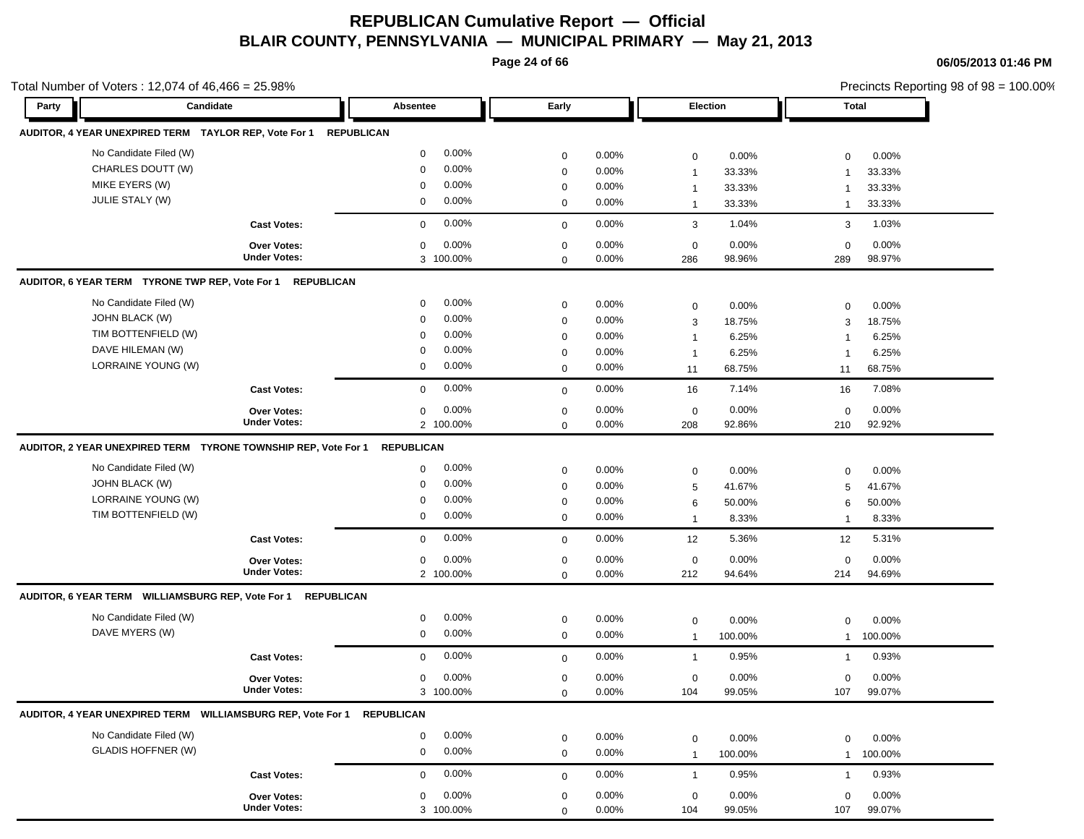**Page 24 of 66**

|                                                                | Total Number of Voters: $12,074$ of $46,466 = 25.98\%$ |                         |                  |          |                  |         | Precincts Reporting 98 of 98 = 100.00% |         |  |
|----------------------------------------------------------------|--------------------------------------------------------|-------------------------|------------------|----------|------------------|---------|----------------------------------------|---------|--|
| Candidate<br>Party                                             |                                                        | Absentee                | Early            |          | Election         |         | Total                                  |         |  |
| AUDITOR, 4 YEAR UNEXPIRED TERM TAYLOR REP, Vote For 1          |                                                        | <b>REPUBLICAN</b>       |                  |          |                  |         |                                        |         |  |
| No Candidate Filed (W)                                         |                                                        | $0.00\%$<br>$\mathbf 0$ | $\mathbf 0$      | 0.00%    | $\mathbf 0$      | 0.00%   | $\mathbf 0$                            | 0.00%   |  |
| CHARLES DOUTT (W)                                              |                                                        | 0.00%<br>$\mathbf 0$    | $\mathbf 0$      | 0.00%    | $\mathbf{1}$     | 33.33%  | -1                                     | 33.33%  |  |
| MIKE EYERS (W)                                                 |                                                        | 0.00%<br>$\mathbf 0$    | $\mathbf 0$      | 0.00%    | $\mathbf{1}$     | 33.33%  | $\mathbf 1$                            | 33.33%  |  |
| JULIE STALY (W)                                                |                                                        | $0.00\%$<br>0           | $\mathbf 0$      | 0.00%    | $\mathbf{1}$     | 33.33%  | $\overline{1}$                         | 33.33%  |  |
|                                                                | <b>Cast Votes:</b>                                     | 0.00%<br>$\mathbf 0$    | $\mathbf 0$      | 0.00%    | 3                | 1.04%   | 3                                      | 1.03%   |  |
|                                                                | <b>Over Votes:</b>                                     | 0.00%<br>0              | $\mathbf 0$      | 0.00%    | $\mathbf 0$      | 0.00%   | $\mathbf 0$                            | 0.00%   |  |
|                                                                | <b>Under Votes:</b>                                    | 3 100.00%               | $\mathbf 0$      | 0.00%    | 286              | 98.96%  | 289                                    | 98.97%  |  |
| AUDITOR, 6 YEAR TERM TYRONE TWP REP, Vote For 1                | <b>REPUBLICAN</b>                                      |                         |                  |          |                  |         |                                        |         |  |
| No Candidate Filed (W)                                         |                                                        | $0.00\%$<br>0           | $\mathbf 0$      | 0.00%    | 0                | 0.00%   | $\mathbf 0$                            | 0.00%   |  |
| <b>JOHN BLACK (W)</b>                                          |                                                        | 0.00%<br>$\mathbf 0$    | $\mathbf 0$      | $0.00\%$ | 3                | 18.75%  | 3                                      | 18.75%  |  |
| TIM BOTTENFIELD (W)                                            |                                                        | 0.00%<br>$\mathbf 0$    | 0                | $0.00\%$ | $\mathbf{1}$     | 6.25%   | -1                                     | 6.25%   |  |
| DAVE HILEMAN (W)                                               |                                                        | 0.00%<br>$\mathbf 0$    | $\mathbf 0$      | 0.00%    | $\mathbf{1}$     | 6.25%   | -1                                     | 6.25%   |  |
| LORRAINE YOUNG (W)                                             |                                                        | $0.00\%$<br>0           | $\mathbf 0$      | $0.00\%$ | 11               | 68.75%  | 11                                     | 68.75%  |  |
|                                                                | <b>Cast Votes:</b>                                     | 0.00%<br>$\mathbf 0$    | $\mathbf 0$      | 0.00%    | 16               | 7.14%   | 16                                     | 7.08%   |  |
|                                                                | <b>Over Votes:</b>                                     | 0.00%<br>0              | $\mathbf 0$      | 0.00%    | $\mathbf 0$      | 0.00%   | $\mathbf 0$                            | 0.00%   |  |
|                                                                | <b>Under Votes:</b>                                    | 2 100.00%               | $\mathbf 0$      | 0.00%    | 208              | 92.86%  | 210                                    | 92.92%  |  |
| AUDITOR, 2 YEAR UNEXPIRED TERM TYRONE TOWNSHIP REP, Vote For 1 |                                                        | <b>REPUBLICAN</b>       |                  |          |                  |         |                                        |         |  |
| No Candidate Filed (W)                                         |                                                        | 0.00%<br>0              | $\mathbf 0$      | 0.00%    | 0                | 0.00%   | $\mathbf 0$                            | 0.00%   |  |
| JOHN BLACK (W)                                                 |                                                        | $0.00\%$<br>0           | $\mathbf 0$      | 0.00%    | 5                | 41.67%  | 5                                      | 41.67%  |  |
| LORRAINE YOUNG (W)                                             |                                                        | 0.00%<br>0              | $\mathbf 0$      | 0.00%    | 6                | 50.00%  | 6                                      | 50.00%  |  |
| TIM BOTTENFIELD (W)                                            |                                                        | 0<br>0.00%              | $\mathbf 0$      | $0.00\%$ | $\mathbf{1}$     | 8.33%   | -1                                     | 8.33%   |  |
|                                                                | <b>Cast Votes:</b>                                     | 0.00%<br>0              | $\mathbf 0$      | 0.00%    | 12               | 5.36%   | 12                                     | 5.31%   |  |
|                                                                | <b>Over Votes:</b>                                     | $0.00\%$<br>0           | $\mathbf 0$      | 0.00%    | 0                | 0.00%   | $\mathbf 0$                            | 0.00%   |  |
|                                                                | <b>Under Votes:</b>                                    | 2 100.00%               | $\mathbf 0$      | $0.00\%$ | 212              | 94.64%  | 214                                    | 94.69%  |  |
| AUDITOR, 6 YEAR TERM WILLIAMSBURG REP, Vote For 1 REPUBLICAN   |                                                        |                         |                  |          |                  |         |                                        |         |  |
| No Candidate Filed (W)                                         |                                                        | $0.00\%$<br>0           |                  | 0.00%    |                  |         |                                        |         |  |
| DAVE MYERS (W)                                                 |                                                        | $0.00\%$<br>0           | 0<br>$\mathbf 0$ | 0.00%    | $\boldsymbol{0}$ | 0.00%   | $\mathbf 0$                            | 0.00%   |  |
|                                                                |                                                        |                         |                  |          | $\mathbf{1}$     | 100.00% | $\mathbf{1}$                           | 100.00% |  |
|                                                                | <b>Cast Votes:</b>                                     | 0.00%<br>$\mathbf{0}$   | $\mathbf 0$      | 0.00%    | $\mathbf{1}$     | 0.95%   | $\mathbf{1}$                           | 0.93%   |  |
|                                                                | <b>Over Votes:</b>                                     | $0.00\%$<br>0           | 0                | 0.00%    | 0                | 0.00%   | 0                                      | 0.00%   |  |
|                                                                | <b>Under Votes:</b>                                    | 3 100.00%               | 0                | $0.00\%$ | 104              | 99.05%  | 107                                    | 99.07%  |  |
| AUDITOR, 4 YEAR UNEXPIRED TERM    WILLIAMSBURG REP, Vote For 1 |                                                        | <b>REPUBLICAN</b>       |                  |          |                  |         |                                        |         |  |
| No Candidate Filed (W)                                         |                                                        | 0.00%<br>0              | $\mathbf 0$      | 0.00%    | $\boldsymbol{0}$ | 0.00%   | $\mathbf 0$                            | 0.00%   |  |
| <b>GLADIS HOFFNER (W)</b>                                      |                                                        | 0.00%<br>$\mathbf 0$    | $\mathbf 0$      | 0.00%    | $\mathbf{1}$     | 100.00% | $\mathbf{1}$                           | 100.00% |  |
|                                                                | <b>Cast Votes:</b>                                     | 0.00%<br>0              | 0                | $0.00\%$ | $\mathbf{1}$     | 0.95%   | $\mathbf 1$                            | 0.93%   |  |
|                                                                | Over Votes:                                            | 0.00%<br>0              | $\mathbf 0$      | 0.00%    | $\mathbf 0$      | 0.00%   | $\mathbf 0$                            | 0.00%   |  |
|                                                                | <b>Under Votes:</b>                                    | 3 100.00%               | $\mathbf 0$      | 0.00%    | 104              | 99.05%  | 107                                    | 99.07%  |  |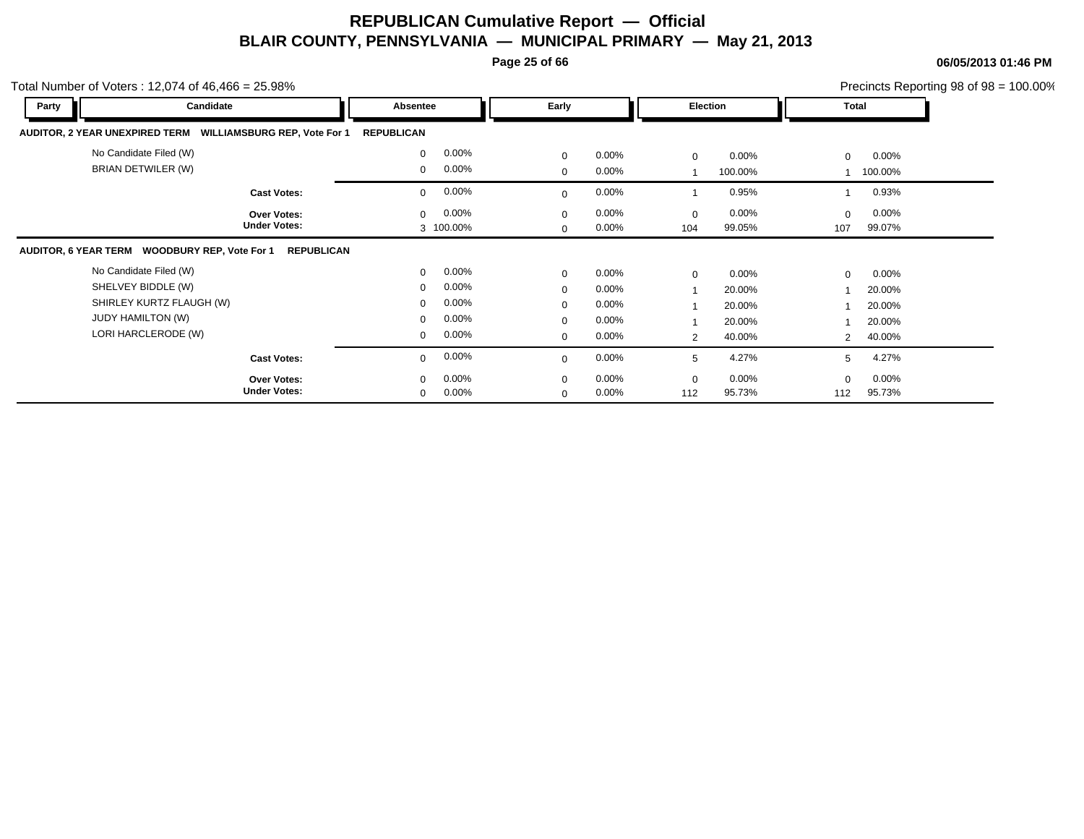**Page 25 of 66**

| Total Number of Voters: 12,074 of $46,466 = 25.98\%$         |                     |                         |                          |                         | Precincts Reporting 98 of 98 = 100.00% |  |
|--------------------------------------------------------------|---------------------|-------------------------|--------------------------|-------------------------|----------------------------------------|--|
| Party                                                        | Candidate           | Absentee                | Early                    | Election                | Total                                  |  |
| AUDITOR, 2 YEAR UNEXPIRED TERM  WILLIAMSBURG REP, Vote For 1 |                     | <b>REPUBLICAN</b>       |                          |                         |                                        |  |
| No Candidate Filed (W)                                       |                     | 0.00%<br>$\Omega$       | $\mathbf 0$<br>$0.00\%$  | $0.00\%$<br>$\mathbf 0$ | $0.00\%$<br>$\Omega$                   |  |
| BRIAN DETWILER (W)                                           |                     | $0.00\%$<br>$\Omega$    | $0.00\%$<br>$\mathbf{0}$ | 100.00%                 | 100.00%                                |  |
|                                                              | <b>Cast Votes:</b>  | 0.00%<br>$\Omega$       | 0.00%<br>$\Omega$        | 0.95%                   | 0.93%                                  |  |
|                                                              | <b>Over Votes:</b>  | 0.00%<br>$\Omega$       | 0.00%<br>$\Omega$        | $0.00\%$<br>$\mathbf 0$ | $0.00\%$<br>$\Omega$                   |  |
|                                                              | <b>Under Votes:</b> | 3 100.00%               | 0.00%<br>$\mathbf 0$     | 99.05%<br>104           | 99.07%<br>107                          |  |
| AUDITOR, 6 YEAR TERM WOODBURY REP, Vote For 1                | <b>REPUBLICAN</b>   |                         |                          |                         |                                        |  |
| No Candidate Filed (W)                                       |                     | 0.00%<br>$\Omega$       | 0.00%<br>$\mathbf 0$     | $0.00\%$<br>$\mathbf 0$ | $0.00\%$<br>$\mathbf 0$                |  |
| SHELVEY BIDDLE (W)                                           |                     | 0.00%<br>$\Omega$       | 0.00%<br>$\mathbf 0$     | 20.00%                  | 20.00%                                 |  |
| SHIRLEY KURTZ FLAUGH (W)                                     |                     | 0.00%<br>$\Omega$       | 0.00%<br>$\mathbf 0$     | 20.00%                  | 20.00%                                 |  |
| <b>JUDY HAMILTON (W)</b>                                     |                     | 0.00%<br>$\Omega$       | $0.00\%$<br>$\mathbf 0$  | 20.00%                  | 20.00%                                 |  |
| LORI HARCLERODE (W)                                          |                     | $0.00\%$<br>$\mathbf 0$ | $\mathbf{0}$<br>$0.00\%$ | 40.00%<br>2             | 40.00%<br>2                            |  |
|                                                              | <b>Cast Votes:</b>  | 0.00%<br>$\Omega$       | $0.00\%$<br>$\Omega$     | 4.27%<br>5              | 4.27%<br>5                             |  |
|                                                              | <b>Over Votes:</b>  | 0.00%<br>$\Omega$       | $0.00\%$<br>$\mathbf 0$  | $0.00\%$<br>0           | $0.00\%$<br>$\mathbf 0$                |  |
|                                                              | <b>Under Votes:</b> | 0.00%<br>$\mathbf 0$    | 0.00%<br>$\mathbf 0$     | 112<br>95.73%           | 95.73%<br>112                          |  |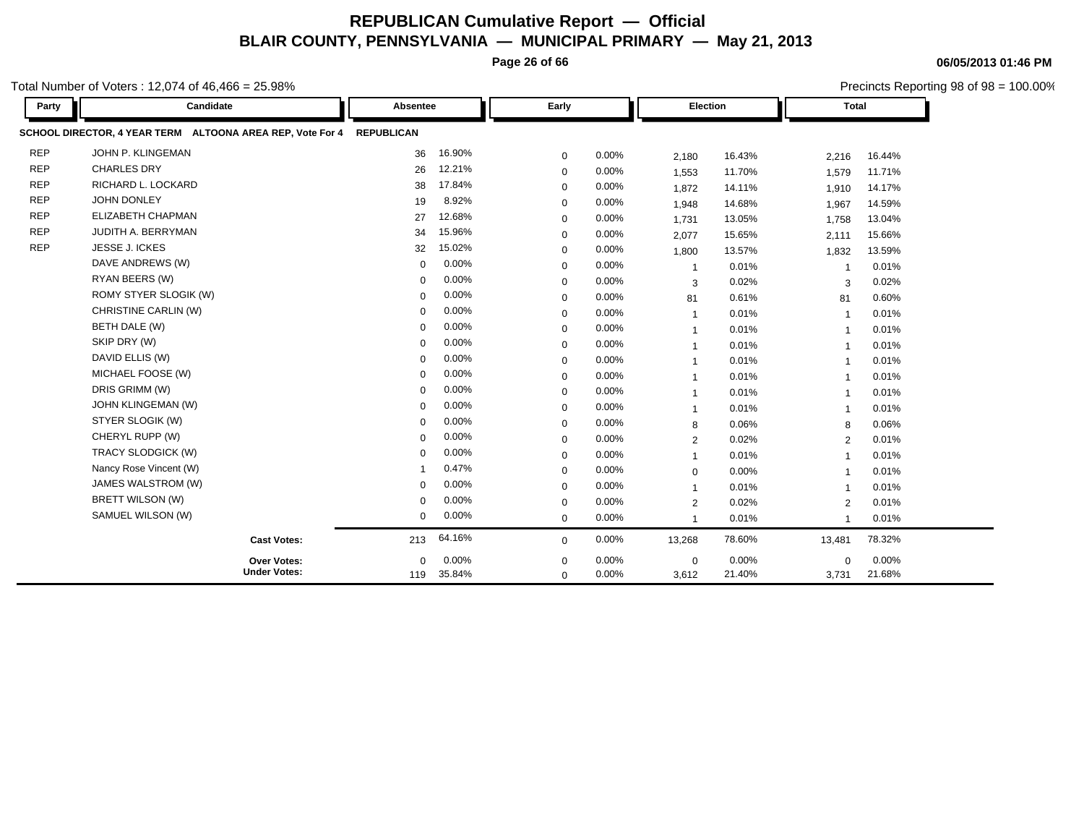**Page 26 of 66**

**06/05/2013 01:46 PM**

|            | otal Number of Voters : 12,074 of 46,466 = 25.98%                    |             |            |             |       |                |        |                         |        | Precincts Reporting 98 of 98 = 100.00% |
|------------|----------------------------------------------------------------------|-------------|------------|-------------|-------|----------------|--------|-------------------------|--------|----------------------------------------|
| Party      | Candidate                                                            | Absentee    |            | Early       |       | Election       |        | <b>Total</b>            |        |                                        |
|            | SCHOOL DIRECTOR, 4 YEAR TERM ALTOONA AREA REP, Vote For 4 REPUBLICAN |             |            |             |       |                |        |                         |        |                                        |
| <b>REP</b> | JOHN P. KLINGEMAN                                                    | 36          | 16.90%     | $\mathbf 0$ | 0.00% | 2,180          | 16.43% | 2,216                   | 16.44% |                                        |
| <b>REP</b> | <b>CHARLES DRY</b>                                                   | 26          | 12.21%     | 0           | 0.00% | 1,553          | 11.70% | 1,579                   | 11.71% |                                        |
| <b>REP</b> | RICHARD L. LOCKARD                                                   | 38          | 17.84%     | $\mathbf 0$ | 0.00% | 1,872          | 14.11% | 1,910                   | 14.17% |                                        |
| <b>REP</b> | JOHN DONLEY                                                          | 19          | 8.92%      | $\mathbf 0$ | 0.00% | 1,948          | 14.68% | 1,967                   | 14.59% |                                        |
| <b>REP</b> | ELIZABETH CHAPMAN                                                    | 27          | 12.68%     | $\Omega$    | 0.00% | 1,731          | 13.05% | 1,758                   | 13.04% |                                        |
| <b>REP</b> | JUDITH A. BERRYMAN                                                   | 34          | 15.96%     | $\mathbf 0$ | 0.00% | 2,077          | 15.65% | 2,111                   | 15.66% |                                        |
| <b>REP</b> | JESSE J. ICKES                                                       | 32          | 15.02%     | $\mathbf 0$ | 0.00% | 1,800          | 13.57% | 1,832                   | 13.59% |                                        |
|            | DAVE ANDREWS (W)                                                     | $\Omega$    | 0.00%      | $\mathbf 0$ | 0.00% | $\overline{1}$ | 0.01%  | -1                      | 0.01%  |                                        |
|            | RYAN BEERS (W)                                                       | $\Omega$    | 0.00%      | $\mathbf 0$ | 0.00% | 3              | 0.02%  | 3                       | 0.02%  |                                        |
|            | ROMY STYER SLOGIK (W)                                                | $\Omega$    | 0.00%      | 0           | 0.00% | 81             | 0.61%  | 81                      | 0.60%  |                                        |
|            | CHRISTINE CARLIN (W)                                                 | $\Omega$    | 0.00%      | 0           | 0.00% | $\mathbf{1}$   | 0.01%  | $\overline{\mathbf{1}}$ | 0.01%  |                                        |
|            | BETH DALE (W)                                                        | $\Omega$    | 0.00%      | $\mathbf 0$ | 0.00% | $\mathbf{1}$   | 0.01%  | $\mathbf 1$             | 0.01%  |                                        |
|            | SKIP DRY (W)                                                         | $\Omega$    | 0.00%      | $\mathbf 0$ | 0.00% | $\mathbf{1}$   | 0.01%  | $\overline{\mathbf{1}}$ | 0.01%  |                                        |
|            | DAVID ELLIS (W)                                                      | $\Omega$    | 0.00%      | $\Omega$    | 0.00% | $\overline{1}$ | 0.01%  | $\overline{1}$          | 0.01%  |                                        |
|            | MICHAEL FOOSE (W)                                                    | $\Omega$    | 0.00%      | $\Omega$    | 0.00% | -1             | 0.01%  | -1                      | 0.01%  |                                        |
|            | DRIS GRIMM (W)                                                       | $\mathbf 0$ | 0.00%      | 0           | 0.00% | $\mathbf{1}$   | 0.01%  | $\overline{1}$          | 0.01%  |                                        |
|            | <b>JOHN KLINGEMAN (W)</b>                                            | $\Omega$    | 0.00%      | $\mathbf 0$ | 0.00% | $\overline{1}$ | 0.01%  | $\overline{1}$          | 0.01%  |                                        |
|            | STYER SLOGIK (W)                                                     | $\Omega$    | 0.00%      | $\mathbf 0$ | 0.00% | 8              | 0.06%  | 8                       | 0.06%  |                                        |
|            | CHERYL RUPP (W)                                                      | $\mathbf 0$ | 0.00%      | $\mathbf 0$ | 0.00% | $\overline{2}$ | 0.02%  | 2                       | 0.01%  |                                        |
|            | TRACY SLODGICK (W)                                                   | $\Omega$    | 0.00%      | $\mathbf 0$ | 0.00% | $\overline{1}$ | 0.01%  | -1                      | 0.01%  |                                        |
|            | Nancy Rose Vincent (W)                                               |             | 0.47%      | $\mathbf 0$ | 0.00% | $\mathbf 0$    | 0.00%  |                         | 0.01%  |                                        |
|            | JAMES WALSTROM (W)                                                   | $\Omega$    | 0.00%      | $\mathbf 0$ | 0.00% | $\mathbf{1}$   | 0.01%  | -1                      | 0.01%  |                                        |
|            | BRETT WILSON (W)                                                     | $\Omega$    | 0.00%      | $\mathbf 0$ | 0.00% | $\overline{2}$ | 0.02%  | $\overline{2}$          | 0.01%  |                                        |
|            | SAMUEL WILSON (W)                                                    | 0           | 0.00%      | $\mathbf 0$ | 0.00% | $\mathbf{1}$   | 0.01%  | $\overline{\mathbf{1}}$ | 0.01%  |                                        |
|            | <b>Cast Votes:</b>                                                   | 213         | 64.16%     | $\mathbf 0$ | 0.00% | 13,268         | 78.60% | 13,481                  | 78.32% |                                        |
|            | Over Votes:                                                          | 0           | 0.00%      | 0           | 0.00% | $\mathbf 0$    | 0.00%  | 0                       | 0.00%  |                                        |
|            | <b>Under Votes:</b>                                                  |             | 119 35.84% | $\mathbf 0$ | 0.00% | 3,612          | 21.40% | 3,731                   | 21.68% |                                        |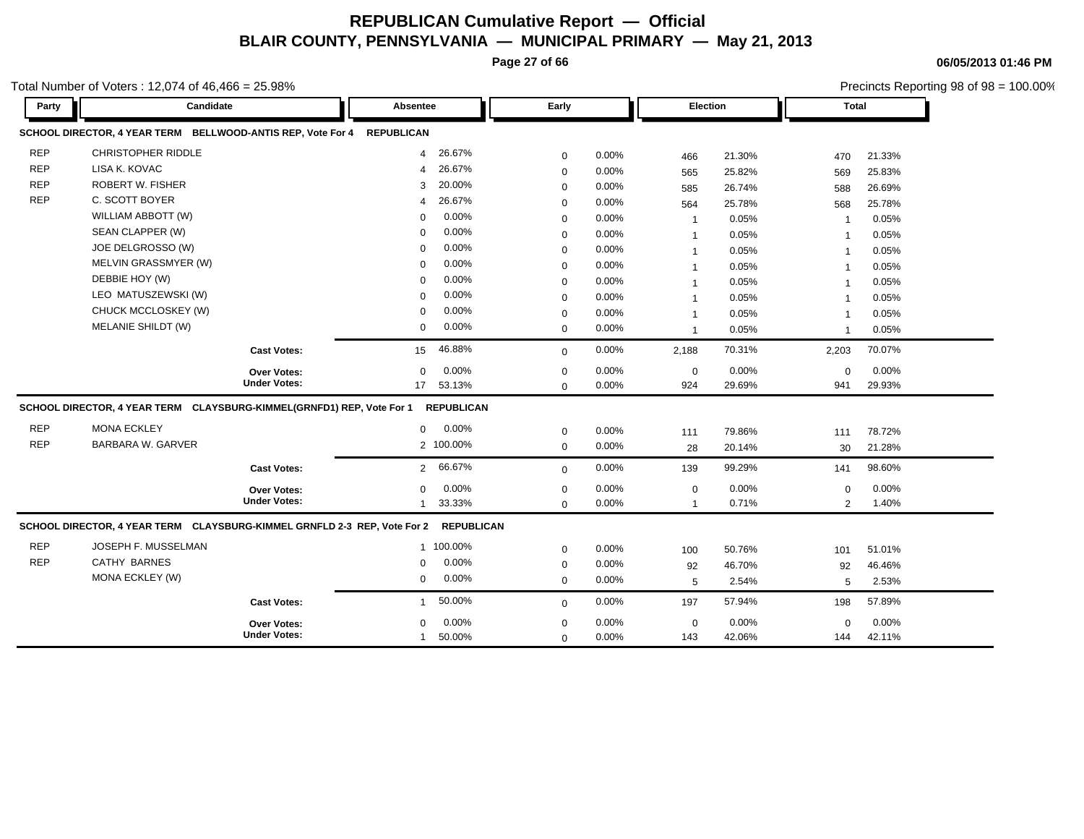**Page 27 of 66**

**06/05/2013 01:46 PM**

Precincts Reporting 98 of 98 = 100.00%

| Party      | Candidate                                                                |                     | Absentee                 | Early        |       | Election       |        | <b>Total</b>   |        |
|------------|--------------------------------------------------------------------------|---------------------|--------------------------|--------------|-------|----------------|--------|----------------|--------|
|            | SCHOOL DIRECTOR, 4 YEAR TERM BELLWOOD-ANTIS REP, Vote For 4 REPUBLICAN   |                     |                          |              |       |                |        |                |        |
| <b>REP</b> | <b>CHRISTOPHER RIDDLE</b>                                                |                     | 26.67%<br>4              | 0            | 0.00% | 466            | 21.30% | 470            | 21.33% |
| <b>REP</b> | LISA K. KOVAC                                                            |                     | 26.67%<br>4              | 0            | 0.00% | 565            | 25.82% | 569            | 25.83% |
| <b>REP</b> | <b>ROBERT W. FISHER</b>                                                  |                     | 20.00%<br>3              | $\mathbf 0$  | 0.00% | 585            | 26.74% | 588            | 26.69% |
| <b>REP</b> | C. SCOTT BOYER                                                           |                     | 26.67%<br>4              | $\mathbf 0$  | 0.00% | 564            | 25.78% | 568            | 25.78% |
|            | WILLIAM ABBOTT (W)                                                       |                     | 0.00%<br>$\Omega$        | 0            | 0.00% | $\overline{1}$ | 0.05%  | $\overline{1}$ | 0.05%  |
|            | SEAN CLAPPER (W)                                                         |                     | 0.00%<br>$\Omega$        | 0            | 0.00% | $\overline{1}$ | 0.05%  | $\overline{1}$ | 0.05%  |
|            | JOE DELGROSSO (W)                                                        |                     | 0.00%<br>$\Omega$        | $\mathbf 0$  | 0.00% | $\mathbf 1$    | 0.05%  | $\overline{1}$ | 0.05%  |
|            | MELVIN GRASSMYER (W)                                                     |                     | 0.00%<br>$\Omega$        | $\mathbf 0$  | 0.00% | $\overline{1}$ | 0.05%  | $\overline{1}$ | 0.05%  |
|            | DEBBIE HOY (W)                                                           |                     | 0.00%<br>$\Omega$        | $\mathbf 0$  | 0.00% | $\overline{1}$ | 0.05%  | $\overline{1}$ | 0.05%  |
|            | LEO MATUSZEWSKI (W)                                                      |                     | 0.00%<br>$\Omega$        | $\mathbf 0$  | 0.00% | $\mathbf 1$    | 0.05%  | $\overline{1}$ | 0.05%  |
|            | CHUCK MCCLOSKEY (W)                                                      |                     | 0.00%<br>$\Omega$        | $\mathbf 0$  | 0.00% | $\mathbf 1$    | 0.05%  | -1             | 0.05%  |
|            | MELANIE SHILDT (W)                                                       |                     | 0.00%<br>$\mathbf 0$     | $\mathbf 0$  | 0.00% | $\overline{1}$ | 0.05%  | $\overline{1}$ | 0.05%  |
|            |                                                                          | <b>Cast Votes:</b>  | 46.88%<br>15             | $\mathbf{0}$ | 0.00% | 2,188          | 70.31% | 2,203          | 70.07% |
|            |                                                                          | <b>Over Votes:</b>  | 0.00%<br>$\mathbf 0$     | 0            | 0.00% | $\mathbf 0$    | 0.00%  | $\mathbf 0$    | 0.00%  |
|            |                                                                          | <b>Under Votes:</b> | 17 53.13%                | $\mathbf 0$  | 0.00% | 924            | 29.69% | 941            | 29.93% |
|            | SCHOOL DIRECTOR, 4 YEAR TERM CLAYSBURG-KIMMEL(GRNFD1) REP, Vote For 1    |                     | <b>REPUBLICAN</b>        |              |       |                |        |                |        |
| <b>REP</b> | <b>MONA ECKLEY</b>                                                       |                     | 0.00%<br>$\mathbf{0}$    | $\mathbf 0$  | 0.00% | 111            | 79.86% | 111            | 78.72% |
| <b>REP</b> | <b>BARBARA W. GARVER</b>                                                 |                     | 2 100.00%                | $\mathbf 0$  | 0.00% | 28             | 20.14% | 30             | 21.28% |
|            |                                                                          | <b>Cast Votes:</b>  | 66.67%<br>$\overline{2}$ | $\mathbf 0$  | 0.00% | 139            | 99.29% | 141            | 98.60% |
|            |                                                                          | <b>Over Votes:</b>  | 0.00%<br>0               | 0            | 0.00% | $\mathbf 0$    | 0.00%  | $\mathbf 0$    | 0.00%  |
|            |                                                                          | <b>Under Votes:</b> | 33.33%                   | $\mathbf 0$  | 0.00% | $\mathbf{1}$   | 0.71%  | 2              | 1.40%  |
|            | SCHOOL DIRECTOR, 4 YEAR TERM CLAYSBURG-KIMMEL GRNFLD 2-3 REP, Vote For 2 |                     | <b>REPUBLICAN</b>        |              |       |                |        |                |        |
| <b>REP</b> | JOSEPH F. MUSSELMAN                                                      |                     | 1 100.00%                | $\mathbf 0$  | 0.00% | 100            | 50.76% | 101            | 51.01% |
| <b>REP</b> | <b>CATHY BARNES</b>                                                      |                     | 0.00%<br>$\Omega$        | $\mathbf 0$  | 0.00% | 92             | 46.70% | 92             | 46.46% |
|            | MONA ECKLEY (W)                                                          |                     | 0.00%<br>$\mathbf 0$     | $\mathbf 0$  | 0.00% | 5              | 2.54%  | 5              | 2.53%  |
|            |                                                                          | <b>Cast Votes:</b>  | 50.00%                   | $\mathbf{0}$ | 0.00% | 197            | 57.94% | 198            | 57.89% |
|            |                                                                          | Over Votes:         | 0.00%<br>$\Omega$        | 0            | 0.00% | $\mathbf 0$    | 0.00%  | $\mathbf 0$    | 0.00%  |
|            |                                                                          | <b>Under Votes:</b> | 50.00%                   | $\mathbf 0$  | 0.00% | 143            | 42.06% | 144            | 42.11% |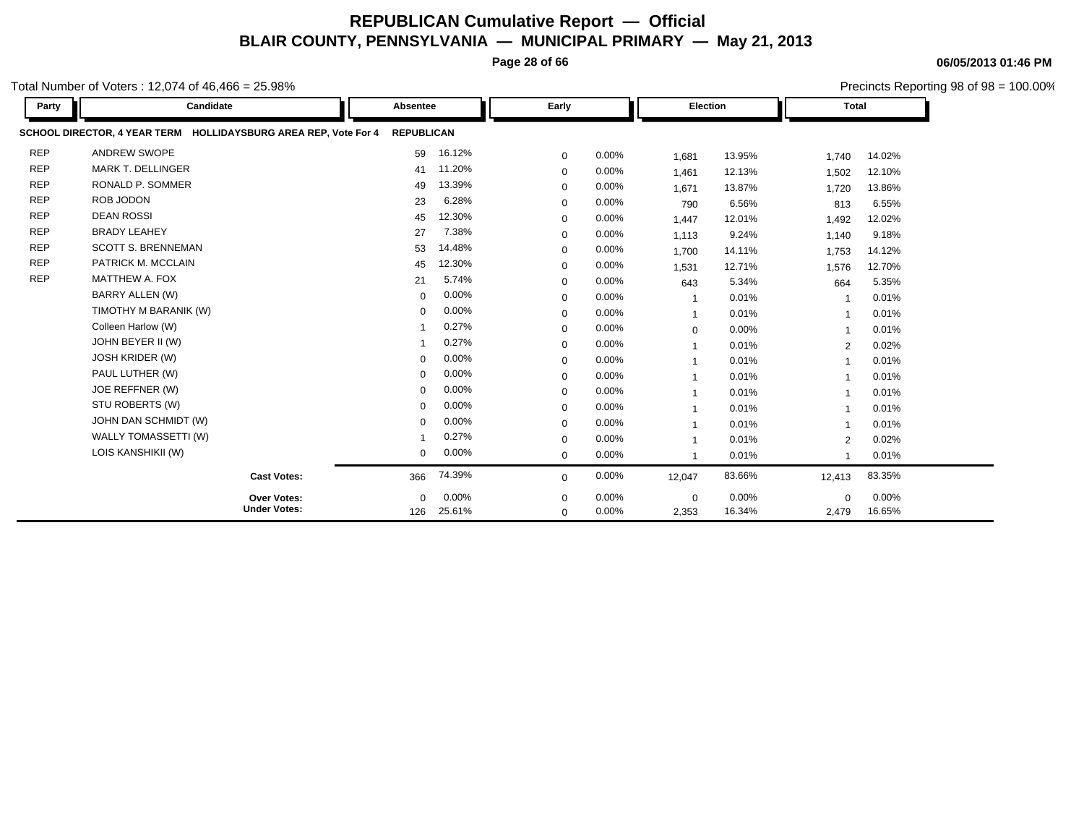**Page 28 of 66**

**06/05/2013 01:46 PM**

Precincts Reporting 98 of 98 = 100.00%

| Party      | Candidate                                                       | Absentee          |        | Early        |       | <b>Election</b>          |        | <b>Total</b> |        |  |
|------------|-----------------------------------------------------------------|-------------------|--------|--------------|-------|--------------------------|--------|--------------|--------|--|
|            | SCHOOL DIRECTOR, 4 YEAR TERM HOLLIDAYSBURG AREA REP, Vote For 4 | <b>REPUBLICAN</b> |        |              |       |                          |        |              |        |  |
| <b>REP</b> | <b>ANDREW SWOPE</b>                                             | 59                | 16.12% | $\mathbf 0$  | 0.00% | 1,681                    | 13.95% | 1,740        | 14.02% |  |
| <b>REP</b> | <b>MARK T. DELLINGER</b>                                        | 41                | 11.20% | $\mathbf 0$  | 0.00% | 1,461                    | 12.13% | 1,502        | 12.10% |  |
| <b>REP</b> | RONALD P. SOMMER                                                | 49                | 13.39% | $\mathbf 0$  | 0.00% | 1.671                    | 13.87% | 1,720        | 13.86% |  |
| <b>REP</b> | ROB JODON                                                       | 23                | 6.28%  | $\Omega$     | 0.00% | 790                      | 6.56%  | 813          | 6.55%  |  |
| <b>REP</b> | <b>DEAN ROSSI</b>                                               | 45                | 12.30% | $\mathbf 0$  | 0.00% | 1,447                    | 12.01% | 1,492        | 12.02% |  |
| <b>REP</b> | <b>BRADY LEAHEY</b>                                             | 27                | 7.38%  | $\mathbf 0$  | 0.00% | 1,113                    | 9.24%  | 1,140        | 9.18%  |  |
| <b>REP</b> | <b>SCOTT S. BRENNEMAN</b>                                       | 53                | 14.48% | $\mathbf 0$  | 0.00% | 1,700                    | 14.11% | 1,753        | 14.12% |  |
| <b>REP</b> | PATRICK M. MCCLAIN                                              | 45                | 12.30% | $\Omega$     | 0.00% | 1.531                    | 12.71% | 1,576        | 12.70% |  |
| <b>REP</b> | MATTHEW A. FOX                                                  | 21                | 5.74%  | $\mathbf 0$  | 0.00% | 643                      | 5.34%  | 664          | 5.35%  |  |
|            | <b>BARRY ALLEN (W)</b>                                          | $\mathbf 0$       | 0.00%  | $\Omega$     | 0.00% | $\overline{1}$           | 0.01%  |              | 0.01%  |  |
|            | TIMOTHY M BARANIK (W)                                           | $\Omega$          | 0.00%  | $\mathbf 0$  | 0.00% | $\overline{\mathbf{1}}$  | 0.01%  |              | 0.01%  |  |
|            | Colleen Harlow (W)                                              |                   | 0.27%  | $\mathbf 0$  | 0.00% | $\mathbf 0$              | 0.00%  |              | 0.01%  |  |
|            | JOHN BEYER II (W)                                               |                   | 0.27%  | $\mathbf 0$  | 0.00% | -1                       | 0.01%  | 2            | 0.02%  |  |
|            | <b>JOSH KRIDER (W)</b>                                          | $\Omega$          | 0.00%  | $\Omega$     | 0.00% | $\overline{1}$           | 0.01%  |              | 0.01%  |  |
|            | PAUL LUTHER (W)                                                 | $\Omega$          | 0.00%  | $\mathbf 0$  | 0.00% | $\overline{1}$           | 0.01%  |              | 0.01%  |  |
|            | JOE REFFNER (W)                                                 | $\Omega$          | 0.00%  | $\mathbf 0$  | 0.00% |                          | 0.01%  |              | 0.01%  |  |
|            | STU ROBERTS (W)                                                 | $\Omega$          | 0.00%  | $\mathbf 0$  | 0.00% | -1                       | 0.01%  |              | 0.01%  |  |
|            | JOHN DAN SCHMIDT (W)                                            | $\Omega$          | 0.00%  | $\mathbf 0$  | 0.00% | $\overline{1}$           | 0.01%  |              | 0.01%  |  |
|            | WALLY TOMASSETTI (W)                                            |                   | 0.27%  | $\mathbf 0$  | 0.00% | -1                       | 0.01%  | 2            | 0.02%  |  |
|            | LOIS KANSHIKII (W)                                              | $\mathbf 0$       | 0.00%  | $\mathbf{0}$ | 0.00% | $\overline{\phantom{a}}$ | 0.01%  |              | 0.01%  |  |
|            | <b>Cast Votes:</b>                                              | 366               | 74.39% | $\Omega$     | 0.00% | 12,047                   | 83.66% | 12,413       | 83.35% |  |
|            | Over Votes:                                                     | $\mathbf{0}$      | 0.00%  | 0            | 0.00% | $\mathbf 0$              | 0.00%  | $\mathbf 0$  | 0.00%  |  |
|            | <b>Under Votes:</b>                                             | 126               | 25.61% | $\mathbf 0$  | 0.00% | 2,353                    | 16.34% | 2,479        | 16.65% |  |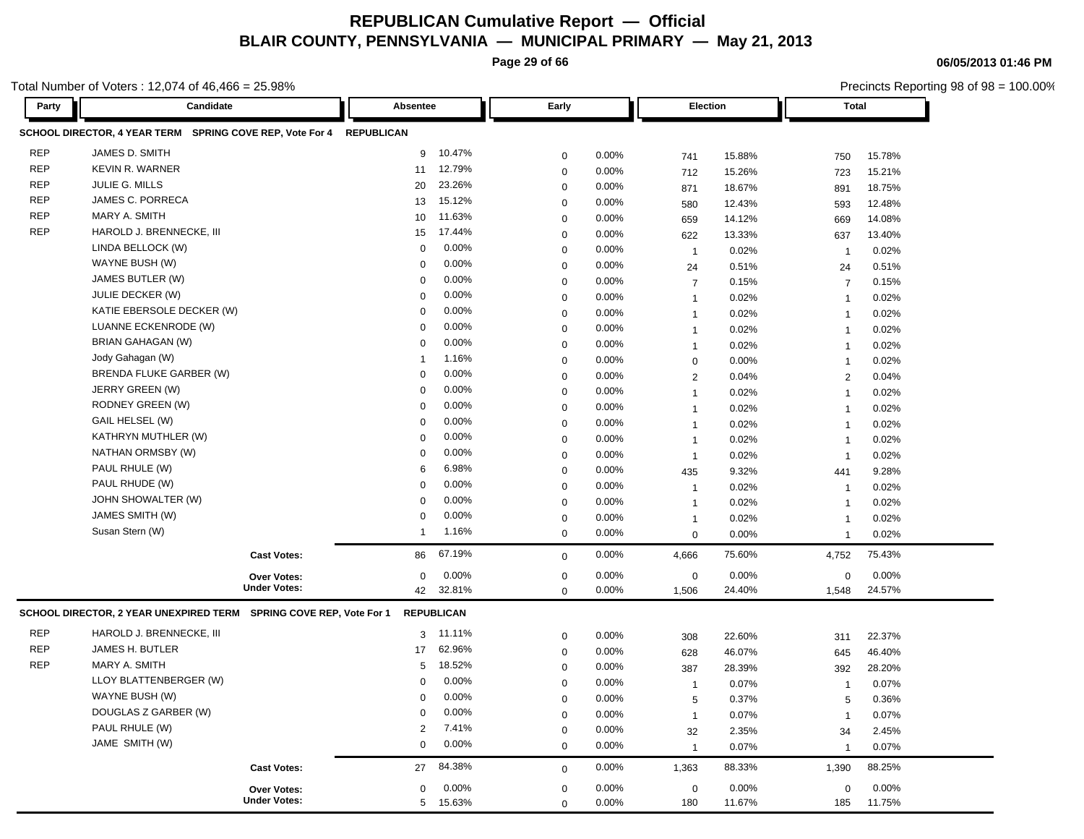**Page 29 of 66**

**06/05/2013 01:46 PM**

|            | Total Number of Voters: 12,074 of 46,466 = 25.98%                  |                   |          |             |          |                |        | Precincts Reporting 98 of 98 = 100.00% |        |  |
|------------|--------------------------------------------------------------------|-------------------|----------|-------------|----------|----------------|--------|----------------------------------------|--------|--|
| Party      | Candidate                                                          | Absentee          |          | Early       |          | Election       |        | <b>Total</b>                           |        |  |
|            | SCHOOL DIRECTOR, 4 YEAR TERM SPRING COVE REP, Vote For 4           | <b>REPUBLICAN</b> |          |             |          |                |        |                                        |        |  |
| <b>REP</b> | JAMES D. SMITH                                                     | 9                 | 10.47%   | 0           | 0.00%    | 741            | 15.88% | 750                                    | 15.78% |  |
| <b>REP</b> | <b>KEVIN R. WARNER</b>                                             | 11                | 12.79%   | 0           | 0.00%    | 712            | 15.26% | 723                                    | 15.21% |  |
| <b>REP</b> | JULIE G. MILLS                                                     | 20                | 23.26%   | 0           | 0.00%    | 871            | 18.67% | 891                                    | 18.75% |  |
| <b>REP</b> | JAMES C. PORRECA                                                   | 13                | 15.12%   | 0           | 0.00%    | 580            | 12.43% | 593                                    | 12.48% |  |
| <b>REP</b> | MARY A. SMITH                                                      | 10                | 11.63%   | 0           | 0.00%    | 659            | 14.12% | 669                                    | 14.08% |  |
| <b>REP</b> | HAROLD J. BRENNECKE, III                                           | 15                | 17.44%   | 0           | 0.00%    | 622            | 13.33% | 637                                    | 13.40% |  |
|            | LINDA BELLOCK (W)                                                  | $\mathbf 0$       | 0.00%    | $\mathbf 0$ | 0.00%    | $\mathbf{1}$   | 0.02%  | -1                                     | 0.02%  |  |
|            | WAYNE BUSH (W)                                                     | 0                 | 0.00%    | $\mathbf 0$ | 0.00%    | 24             | 0.51%  | 24                                     | 0.51%  |  |
|            | JAMES BUTLER (W)                                                   | 0                 | 0.00%    | 0           | 0.00%    | $\overline{7}$ | 0.15%  | $\overline{7}$                         | 0.15%  |  |
|            | JULIE DECKER (W)                                                   | 0                 | 0.00%    | 0           | 0.00%    | $\mathbf{1}$   | 0.02%  | $\overline{1}$                         | 0.02%  |  |
|            | KATIE EBERSOLE DECKER (W)                                          | 0                 | 0.00%    | 0           | 0.00%    | $\mathbf 1$    | 0.02%  | $\overline{\mathbf{1}}$                | 0.02%  |  |
|            | LUANNE ECKENRODE (W)                                               | 0                 | 0.00%    | 0           | 0.00%    | $\mathbf{1}$   | 0.02%  | $\overline{1}$                         | 0.02%  |  |
|            | BRIAN GAHAGAN (W)                                                  | 0                 | 0.00%    | 0           | 0.00%    | $\mathbf{1}$   | 0.02%  | $\overline{1}$                         | 0.02%  |  |
|            | Jody Gahagan (W)                                                   |                   | 1.16%    | 0           | 0.00%    | $\mathbf 0$    | 0.00%  | $\overline{1}$                         | 0.02%  |  |
|            | <b>BRENDA FLUKE GARBER (W)</b>                                     | 0                 | 0.00%    | 0           | 0.00%    | $\overline{2}$ | 0.04%  | $\overline{2}$                         | 0.04%  |  |
|            | JERRY GREEN (W)                                                    | 0                 | 0.00%    | 0           | 0.00%    | $\mathbf 1$    | 0.02%  | $\overline{1}$                         | 0.02%  |  |
|            | RODNEY GREEN (W)                                                   | 0                 | 0.00%    | 0           | 0.00%    | $\mathbf 1$    | 0.02%  | -1                                     | 0.02%  |  |
|            | GAIL HELSEL (W)                                                    | 0                 | 0.00%    | 0           | 0.00%    | $\mathbf 1$    | 0.02%  | -1                                     | 0.02%  |  |
|            | KATHRYN MUTHLER (W)                                                | 0                 | 0.00%    | 0           | 0.00%    | $\mathbf 1$    | 0.02%  | -1                                     | 0.02%  |  |
|            | NATHAN ORMSBY (W)                                                  | 0                 | 0.00%    | 0           | 0.00%    | $\mathbf{1}$   | 0.02%  | -1                                     | 0.02%  |  |
|            | PAUL RHULE (W)                                                     | 6                 | 6.98%    | 0           | 0.00%    | 435            | 9.32%  | 441                                    | 9.28%  |  |
|            | PAUL RHUDE (W)                                                     | 0                 | 0.00%    | 0           | 0.00%    | $\mathbf{1}$   | 0.02%  | -1                                     | 0.02%  |  |
|            | JOHN SHOWALTER (W)                                                 | 0                 | 0.00%    | 0           | 0.00%    | $\mathbf 1$    | 0.02%  | $\overline{\mathbf{1}}$                | 0.02%  |  |
|            | JAMES SMITH (W)                                                    | 0                 | 0.00%    | 0           | 0.00%    | $\mathbf{1}$   | 0.02%  | $\overline{1}$                         | 0.02%  |  |
|            | Susan Stern (W)                                                    | -1                | 1.16%    | $\mathbf 0$ | 0.00%    | $\mathbf 0$    | 0.00%  | $\overline{1}$                         | 0.02%  |  |
|            | <b>Cast Votes:</b>                                                 | 86                | 67.19%   | 0           | 0.00%    | 4,666          | 75.60% | 4,752                                  | 75.43% |  |
|            | <b>Over Votes:</b>                                                 | $\mathbf 0$       | 0.00%    | 0           | 0.00%    | $\mathbf 0$    | 0.00%  | 0                                      | 0.00%  |  |
|            | <b>Under Votes:</b>                                                | 42                | 32.81%   | 0           | 0.00%    | 1,506          | 24.40% | 1,548                                  | 24.57% |  |
|            | SCHOOL DIRECTOR, 2 YEAR UNEXPIRED TERM SPRING COVE REP, Vote For 1 | <b>REPUBLICAN</b> |          |             |          |                |        |                                        |        |  |
| <b>REP</b> | HAROLD J. BRENNECKE, III                                           |                   | 3 11.11% | 0           | $0.00\%$ | 308            | 22.60% | 311                                    | 22.37% |  |
| <b>REP</b> | JAMES H. BUTLER                                                    | 17                | 62.96%   | 0           | 0.00%    | 628            | 46.07% | 645                                    | 46.40% |  |
| <b>REP</b> | MARY A. SMITH                                                      | 5                 | 18.52%   | 0           | 0.00%    | 387            | 28.39% | 392                                    | 28.20% |  |
|            | LLOY BLATTENBERGER (W)                                             | $\Omega$          | $0.00\%$ | 0           | 0.00%    | $\mathbf 1$    | 0.07%  | $\overline{1}$                         | 0.07%  |  |
|            | WAYNE BUSH (W)                                                     | 0                 | $0.00\%$ | 0           | 0.00%    | 5              | 0.37%  | 5                                      | 0.36%  |  |
|            | DOUGLAS Z GARBER (W)                                               | 0                 | 0.00%    | $\mathbf 0$ | 0.00%    | $\mathbf{1}$   | 0.07%  | $\overline{\mathbf{1}}$                | 0.07%  |  |
|            | PAUL RHULE (W)                                                     | 2                 | 7.41%    | 0           | 0.00%    | 32             | 2.35%  | 34                                     | 2.45%  |  |
|            | JAME SMITH (W)                                                     | 0                 | 0.00%    | 0           | 0.00%    | $\overline{1}$ | 0.07%  | $\overline{1}$                         | 0.07%  |  |
|            | <b>Cast Votes:</b>                                                 | 27                | 84.38%   | $\mathbf 0$ | 0.00%    | 1,363          | 88.33% | 1,390                                  | 88.25% |  |
|            | Over Votes:                                                        | 0                 | 0.00%    | 0           | 0.00%    | $\mathbf 0$    | 0.00%  | 0                                      | 0.00%  |  |
|            | <b>Under Votes:</b>                                                |                   | 5 15.63% | 0           | 0.00%    | 180            | 11.67% | 185                                    | 11.75% |  |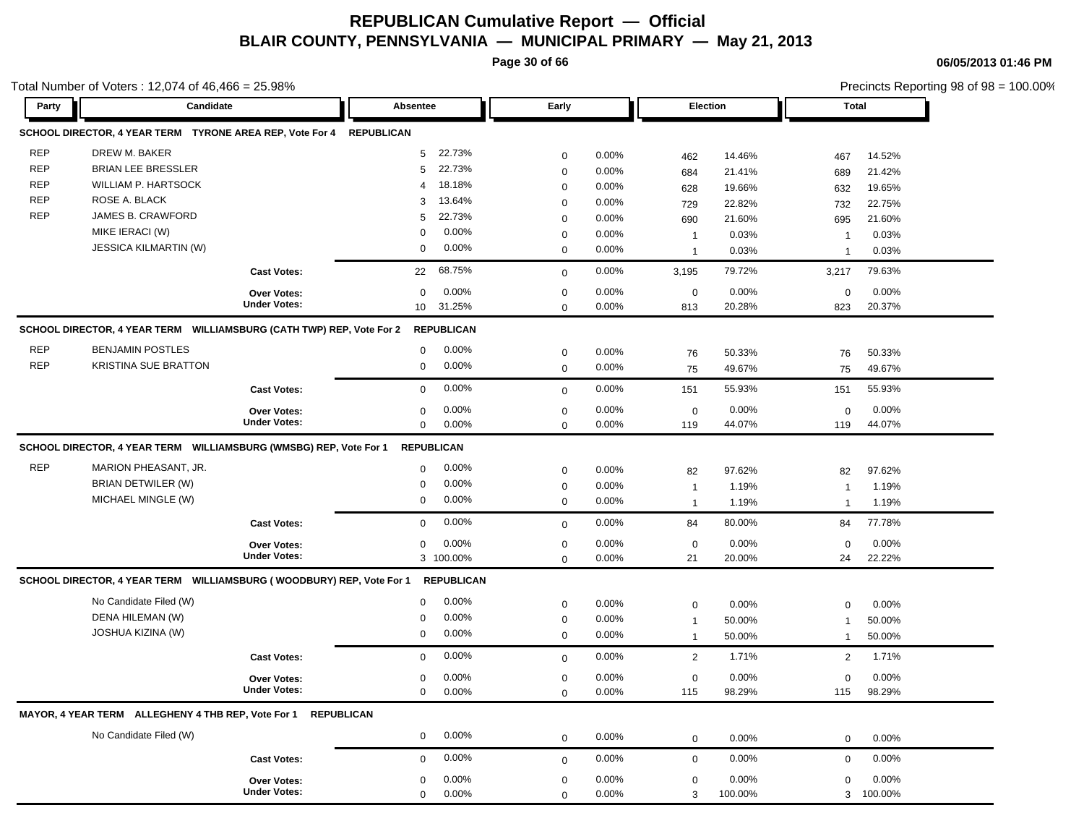**Page 30 of 66**

**06/05/2013 01:46 PM**

|            | Total Number of Voters: 12,074 of 46,466 = 25.98%                       |                                           |                          |                  |       |                             |                 |                              | Precincts Reporting 98 of 98 = 100.00% |  |
|------------|-------------------------------------------------------------------------|-------------------------------------------|--------------------------|------------------|-------|-----------------------------|-----------------|------------------------------|----------------------------------------|--|
| Party      | Candidate                                                               |                                           | Absentee                 | Early            |       | <b>Election</b>             |                 | <b>Total</b>                 |                                        |  |
|            | SCHOOL DIRECTOR, 4 YEAR TERM TYRONE AREA REP, Vote For 4                |                                           | <b>REPUBLICAN</b>        |                  |       |                             |                 |                              |                                        |  |
| REP        | DREW M. BAKER                                                           |                                           | 22.73%<br>5 <sup>5</sup> | $\mathbf 0$      | 0.00% | 462                         | 14.46%          | 467                          | 14.52%                                 |  |
| <b>REP</b> | <b>BRIAN LEE BRESSLER</b>                                               |                                           | 22.73%<br>5              | $\mathbf 0$      | 0.00% | 684                         | 21.41%          | 689                          | 21.42%                                 |  |
| <b>REP</b> | WILLIAM P. HARTSOCK                                                     |                                           | 18.18%<br>4              | $\mathbf 0$      | 0.00% | 628                         | 19.66%          | 632                          | 19.65%                                 |  |
| <b>REP</b> | ROSE A. BLACK                                                           |                                           | 13.64%<br>3              | $\mathbf 0$      | 0.00% | 729                         | 22.82%          | 732                          | 22.75%                                 |  |
| <b>REP</b> | JAMES B. CRAWFORD                                                       |                                           | 22.73%<br>5              | $\mathbf 0$      | 0.00% | 690                         | 21.60%          | 695                          | 21.60%                                 |  |
|            | MIKE IERACI (W)                                                         |                                           | 0.00%<br>0               | 0                | 0.00% | $\mathbf 1$                 | 0.03%           | -1                           | 0.03%                                  |  |
|            | JESSICA KILMARTIN (W)                                                   |                                           | 0.00%<br>0               | $\mathbf 0$      | 0.00% | $\mathbf 1$                 | 0.03%           | $\mathbf{1}$                 | 0.03%                                  |  |
|            |                                                                         | <b>Cast Votes:</b>                        | 68.75%<br>22             | $\mathbf 0$      | 0.00% | 3,195                       | 79.72%          | 3,217                        | 79.63%                                 |  |
|            |                                                                         | Over Votes:                               | 0.00%<br>0               | 0                | 0.00% | $\mathbf 0$                 | 0.00%           | 0                            | 0.00%                                  |  |
|            |                                                                         | <b>Under Votes:</b>                       | 10 31.25%                | $\mathbf 0$      | 0.00% | 813                         | 20.28%          | 823                          | 20.37%                                 |  |
|            | SCHOOL DIRECTOR, 4 YEAR TERM WILLIAMSBURG (CATH TWP) REP, Vote For 2    |                                           | <b>REPUBLICAN</b>        |                  |       |                             |                 |                              |                                        |  |
| REP        | <b>BENJAMIN POSTLES</b>                                                 |                                           | 0.00%<br>0               | 0                | 0.00% | 76                          | 50.33%          | 76                           | 50.33%                                 |  |
| <b>REP</b> | <b>KRISTINA SUE BRATTON</b>                                             |                                           | 0.00%<br>0               | $\mathbf 0$      | 0.00% | 75                          | 49.67%          | 75                           | 49.67%                                 |  |
|            |                                                                         | <b>Cast Votes:</b>                        | 0.00%<br>0               | $\mathbf 0$      | 0.00% | 151                         | 55.93%          | 151                          | 55.93%                                 |  |
|            |                                                                         | Over Votes:                               | 0.00%<br>0               | $\mathbf 0$      | 0.00% | $\mathbf 0$                 | 0.00%           | $\mathbf 0$                  | 0.00%                                  |  |
|            |                                                                         | <b>Under Votes:</b>                       | 0.00%<br>0               | $\mathbf 0$      | 0.00% | 119                         | 44.07%          | 119                          | 44.07%                                 |  |
|            | SCHOOL DIRECTOR, 4 YEAR TERM    WILLIAMSBURG (WMSBG) REP, Vote For 1    |                                           | <b>REPUBLICAN</b>        |                  |       |                             |                 |                              |                                        |  |
| REP        | MARION PHEASANT, JR.                                                    |                                           | 0.00%<br>0               | 0                | 0.00% | 82                          | 97.62%          | 82                           | 97.62%                                 |  |
|            | BRIAN DETWILER (W)                                                      |                                           | 0.00%<br>0               | $\mathbf 0$      | 0.00% | $\mathbf 1$                 | 1.19%           | $\mathbf{1}$                 | 1.19%                                  |  |
|            | MICHAEL MINGLE (W)                                                      |                                           | 0.00%<br>0               | $\mathbf 0$      | 0.00% | $\mathbf{1}$                | 1.19%           | $\mathbf{1}$                 | 1.19%                                  |  |
|            |                                                                         | <b>Cast Votes:</b>                        | 0.00%<br>0               | $\mathbf 0$      | 0.00% | 84                          | 80.00%          | 84                           | 77.78%                                 |  |
|            |                                                                         |                                           | 0.00%                    |                  | 0.00% |                             | 0.00%           |                              | 0.00%                                  |  |
|            |                                                                         | <b>Over Votes:</b><br><b>Under Votes:</b> | 0<br>3 100.00%           | 0<br>$\mathbf 0$ | 0.00% | $\mathbf 0$<br>21           | 20.00%          | $\mathbf 0$<br>24            | 22.22%                                 |  |
|            | SCHOOL DIRECTOR, 4 YEAR TERM    WILLIAMSBURG (WOODBURY) REP, Vote For 1 |                                           | <b>REPUBLICAN</b>        |                  |       |                             |                 |                              |                                        |  |
|            | No Candidate Filed (W)                                                  |                                           | 0.00%<br>0               |                  | 0.00% |                             |                 |                              |                                        |  |
|            | DENA HILEMAN (W)                                                        |                                           | 0.00%<br>0               | 0<br>0           | 0.00% | $\mathbf 0$                 | 0.00%<br>50.00% | $\mathbf 0$                  | 0.00%<br>50.00%                        |  |
|            | JOSHUA KIZINA (W)                                                       |                                           | 0.00%<br>0               | $\mathbf 0$      | 0.00% | $\mathbf 1$<br>$\mathbf{1}$ | 50.00%          | $\mathbf{1}$<br>$\mathbf{1}$ | 50.00%                                 |  |
|            |                                                                         | <b>Cast Votes:</b>                        | 0.00%<br>0               |                  | 0.00% |                             | 1.71%           | $\overline{2}$               | 1.71%                                  |  |
|            |                                                                         |                                           |                          | $\mathbf 0$      |       | $\overline{2}$              |                 |                              |                                        |  |
|            |                                                                         | <b>Over Votes:</b><br><b>Under Votes:</b> | 0.00%<br>0               | 0                | 0.00% | 0                           | 0.00%           | 0                            | 0.00%                                  |  |
|            |                                                                         |                                           | $0.00\%$<br>0            |                  | 0.00% | 115                         | 98.29%          | 115                          | 98.29%                                 |  |
|            | MAYOR, 4 YEAR TERM ALLEGHENY 4 THB REP, Vote For 1 REPUBLICAN           |                                           |                          |                  |       |                             |                 |                              |                                        |  |
|            | No Candidate Filed (W)                                                  |                                           | $0.00\%$<br>$\mathbf{0}$ | 0                | 0.00% | $\mathbf 0$                 | 0.00%           | 0                            | $0.00\%$                               |  |
|            |                                                                         | <b>Cast Votes:</b>                        | 0.00%<br>0               | $\mathbf 0$      | 0.00% | 0                           | 0.00%           | 0                            | 0.00%                                  |  |
|            |                                                                         | Over Votes:                               | 0.00%<br>0               | 0                | 0.00% | $\mathbf 0$                 | 0.00%           | 0                            | 0.00%                                  |  |
|            |                                                                         | <b>Under Votes:</b>                       | 0<br>0.00%               | $\mathbf 0$      | 0.00% | 3                           | 100.00%         | 3                            | 100.00%                                |  |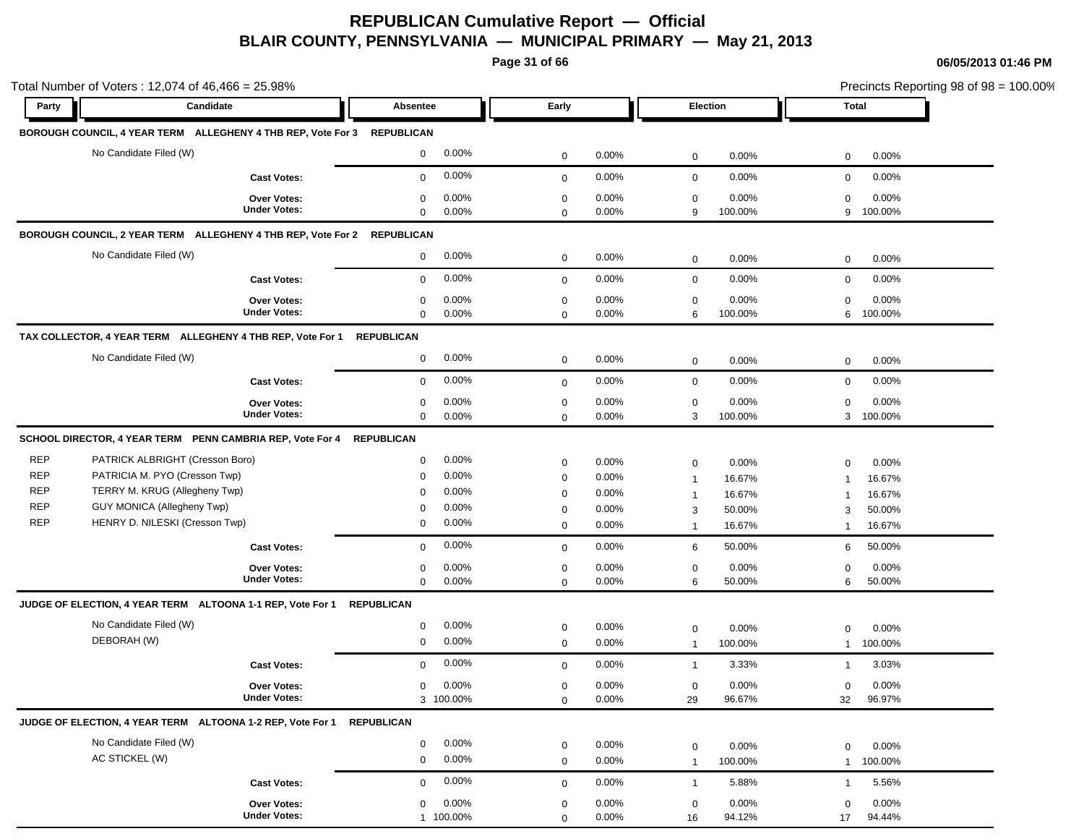**Page 31 of 66**

|            | Total Number of Voters: 12,074 of 46,466 = 25.98%                       |                     |                   |           |             |          |                  |          |              | Precincts Reporting 98 of 98 = 100.00% |
|------------|-------------------------------------------------------------------------|---------------------|-------------------|-----------|-------------|----------|------------------|----------|--------------|----------------------------------------|
| Party      | Candidate                                                               |                     | Absentee          |           | Early       |          | Election         |          | Total        |                                        |
|            | BOROUGH COUNCIL, 4 YEAR TERM ALLEGHENY 4 THB REP, Vote For 3 REPUBLICAN |                     |                   |           |             |          |                  |          |              |                                        |
|            | No Candidate Filed (W)                                                  |                     | $\mathbf 0$       | 0.00%     | $\mathbf 0$ | 0.00%    | $\mathbf 0$      | 0.00%    | $\mathbf 0$  | 0.00%                                  |
|            |                                                                         | <b>Cast Votes:</b>  | 0                 | $0.00\%$  | $\mathbf 0$ | 0.00%    | $\mathbf 0$      | 0.00%    | $\mathbf 0$  | 0.00%                                  |
|            |                                                                         | <b>Over Votes:</b>  | 0                 | $0.00\%$  | $\mathbf 0$ | 0.00%    | $\boldsymbol{0}$ | 0.00%    | $\mathbf 0$  | 0.00%                                  |
|            |                                                                         | <b>Under Votes:</b> | 0                 | 0.00%     | $\mathbf 0$ | 0.00%    | 9                | 100.00%  | 9            | 100.00%                                |
|            | BOROUGH COUNCIL, 2 YEAR TERM ALLEGHENY 4 THB REP, Vote For 2 REPUBLICAN |                     |                   |           |             |          |                  |          |              |                                        |
|            | No Candidate Filed (W)                                                  |                     | 0                 | 0.00%     | $\mathbf 0$ | 0.00%    | 0                | 0.00%    | $\mathbf 0$  | 0.00%                                  |
|            |                                                                         | <b>Cast Votes:</b>  | $\mathbf 0$       | 0.00%     | $\mathbf 0$ | 0.00%    | $\mathbf 0$      | 0.00%    | $\mathbf 0$  | 0.00%                                  |
|            |                                                                         | <b>Over Votes:</b>  | 0                 | 0.00%     | $\mathbf 0$ | 0.00%    | 0                | 0.00%    | $\mathbf 0$  | 0.00%                                  |
|            |                                                                         | <b>Under Votes:</b> | 0                 | $0.00\%$  | $\mathbf 0$ | 0.00%    | 6                | 100.00%  | 6            | 100.00%                                |
|            | TAX COLLECTOR, 4 YEAR TERM ALLEGHENY 4 THB REP, Vote For 1              |                     | <b>REPUBLICAN</b> |           |             |          |                  |          |              |                                        |
|            | No Candidate Filed (W)                                                  |                     | 0                 | 0.00%     | $\mathbf 0$ | 0.00%    | $\mathbf 0$      | 0.00%    | $\mathbf 0$  | 0.00%                                  |
|            |                                                                         | <b>Cast Votes:</b>  | $\mathbf 0$       | 0.00%     | $\mathbf 0$ | 0.00%    | $\mathbf 0$      | 0.00%    | $\mathbf 0$  | 0.00%                                  |
|            |                                                                         | <b>Over Votes:</b>  | 0                 | $0.00\%$  | $\mathbf 0$ | 0.00%    | $\mathbf 0$      | 0.00%    | $\mathbf 0$  | 0.00%                                  |
|            |                                                                         | <b>Under Votes:</b> | $\mathbf 0$       | $0.00\%$  | $\mathbf 0$ | 0.00%    | 3                | 100.00%  | 3            | 100.00%                                |
|            | SCHOOL DIRECTOR, 4 YEAR TERM PENN CAMBRIA REP, Vote For 4               |                     | <b>REPUBLICAN</b> |           |             |          |                  |          |              |                                        |
| <b>REP</b> | PATRICK ALBRIGHT (Cresson Boro)                                         |                     | 0                 | $0.00\%$  | $\mathbf 0$ | 0.00%    | $\mathbf 0$      | 0.00%    | $\mathbf 0$  | 0.00%                                  |
| <b>REP</b> | PATRICIA M. PYO (Cresson Twp)                                           |                     | 0                 | $0.00\%$  | $\mathbf 0$ | 0.00%    | $\mathbf{1}$     | 16.67%   | -1           | 16.67%                                 |
| <b>REP</b> | TERRY M. KRUG (Allegheny Twp)                                           |                     | $\mathbf 0$       | 0.00%     | $\mathbf 0$ | 0.00%    | $\mathbf{1}$     | 16.67%   | -1           | 16.67%                                 |
| <b>REP</b> | GUY MONICA (Allegheny Twp)                                              |                     | $\mathbf 0$       | 0.00%     | $\mathbf 0$ | $0.00\%$ | 3                | 50.00%   | 3            | 50.00%                                 |
| <b>REP</b> | HENRY D. NILESKI (Cresson Twp)                                          |                     | 0                 | 0.00%     | $\mathbf 0$ | 0.00%    | $\mathbf{1}$     | 16.67%   | -1           | 16.67%                                 |
|            |                                                                         | <b>Cast Votes:</b>  | $\mathbf 0$       | 0.00%     | $\mathbf 0$ | 0.00%    | 6                | 50.00%   | 6            | 50.00%                                 |
|            |                                                                         | <b>Over Votes:</b>  | 0                 | $0.00\%$  | $\mathbf 0$ | 0.00%    | $\mathbf 0$      | 0.00%    | $\mathbf 0$  | 0.00%                                  |
|            |                                                                         | <b>Under Votes:</b> | $\mathbf 0$       | 0.00%     | $\mathbf 0$ | $0.00\%$ | 6                | 50.00%   | 6            | 50.00%                                 |
|            | JUDGE OF ELECTION, 4 YEAR TERM ALTOONA 1-1 REP, Vote For 1              |                     | <b>REPUBLICAN</b> |           |             |          |                  |          |              |                                        |
|            | No Candidate Filed (W)                                                  |                     | 0                 | $0.00\%$  | $\mathbf 0$ | $0.00\%$ | $\mathbf 0$      | 0.00%    | $\mathbf 0$  | 0.00%                                  |
|            | DEBORAH (W)                                                             |                     | 0                 | 0.00%     | $\mathbf 0$ | $0.00\%$ | $\mathbf{1}$     | 100.00%  | $\mathbf{1}$ | 100.00%                                |
|            |                                                                         | <b>Cast Votes:</b>  | 0                 | 0.00%     | $\mathbf 0$ | 0.00%    | $\mathbf{1}$     | 3.33%    | $\mathbf 1$  | 3.03%                                  |
|            |                                                                         | <b>Over Votes:</b>  | 0                 | $0.00\%$  | 0           | 0.00%    | $\mathbf 0$      | 0.00%    | 0            | 0.00%                                  |
|            |                                                                         | <b>Under Votes:</b> |                   | 3 100.00% | $\mathbf 0$ | 0.00%    | 29               | 96.67%   | 32           | 96.97%                                 |
|            | JUDGE OF ELECTION, 4 YEAR TERM ALTOONA 1-2 REP, Vote For 1              |                     | <b>REPUBLICAN</b> |           |             |          |                  |          |              |                                        |
|            | No Candidate Filed (W)                                                  |                     | 0                 | 0.00%     | $\mathbf 0$ | 0.00%    | $\mathbf 0$      | 0.00%    | $\mathbf 0$  | 0.00%                                  |
|            | AC STICKEL (W)                                                          |                     | 0                 | 0.00%     | $\mathbf 0$ | 0.00%    | $\mathbf{1}$     | 100.00%  | $\mathbf{1}$ | 100.00%                                |
|            |                                                                         | <b>Cast Votes:</b>  | $\mathbf 0$       | 0.00%     | $\mathbf 0$ | $0.00\%$ | $\mathbf{1}$     | 5.88%    | $\mathbf{1}$ | 5.56%                                  |
|            |                                                                         | Over Votes:         | 0                 | $0.00\%$  | $\mathbf 0$ | 0.00%    | $\mathbf 0$      | $0.00\%$ | $\mathbf 0$  | 0.00%                                  |
|            |                                                                         | <b>Under Votes:</b> |                   | 1 100.00% | $\Omega$    | 0.00%    | 16               | 94.12%   | 17           | 94.44%                                 |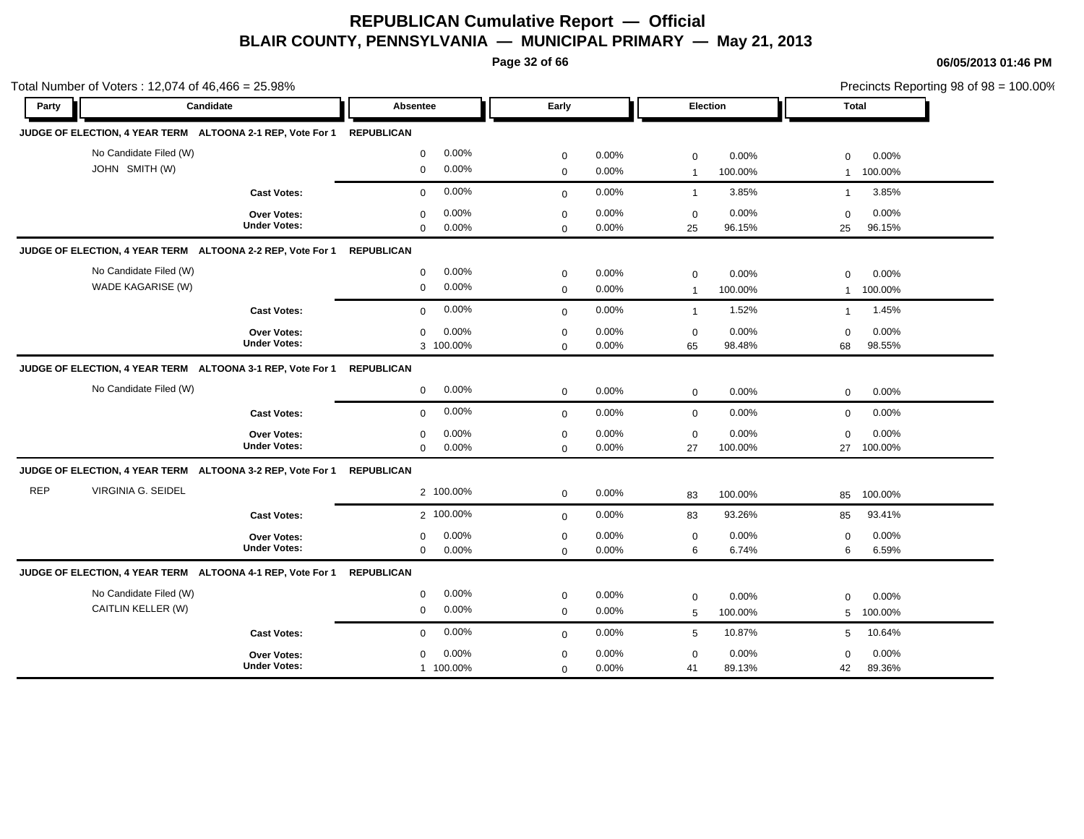**Page 32 of 66**

|            | Total Number of Voters: 12,074 of 46,466 = 25.98%                     |                     |                       |             |          |                 |         |              | Precincts Reporting 98 of 98 = 100.00% |
|------------|-----------------------------------------------------------------------|---------------------|-----------------------|-------------|----------|-----------------|---------|--------------|----------------------------------------|
| Party      | Candidate                                                             |                     | Absentee              | Early       |          | Election        |         | Total        |                                        |
|            | JUDGE OF ELECTION, 4 YEAR TERM ALTOONA 2-1 REP, Vote For 1 REPUBLICAN |                     |                       |             |          |                 |         |              |                                        |
|            | No Candidate Filed (W)                                                |                     | 0.00%<br>$\mathbf 0$  | $\mathbf 0$ | 0.00%    | $\mathbf 0$     | 0.00%   | $\mathbf 0$  | 0.00%                                  |
|            | JOHN SMITH (W)                                                        |                     | 0.00%<br>$\mathbf 0$  | $\mathbf 0$ | 0.00%    | $\overline{1}$  | 100.00% | $\mathbf{1}$ | 100.00%                                |
|            |                                                                       | <b>Cast Votes:</b>  | 0.00%<br>$\mathbf{0}$ | $\mathbf 0$ | 0.00%    | $\overline{1}$  | 3.85%   | $\mathbf{1}$ | 3.85%                                  |
|            |                                                                       | Over Votes:         | 0.00%<br>$\mathbf 0$  | $\mathbf 0$ | 0.00%    | $\mathbf 0$     | 0.00%   | $\mathbf 0$  | 0.00%                                  |
|            |                                                                       | <b>Under Votes:</b> | 0.00%<br>$\mathbf 0$  | $\Omega$    | $0.00\%$ | 25              | 96.15%  | 25           | 96.15%                                 |
|            | JUDGE OF ELECTION, 4 YEAR TERM ALTOONA 2-2 REP, Vote For 1            |                     | <b>REPUBLICAN</b>     |             |          |                 |         |              |                                        |
|            | No Candidate Filed (W)                                                |                     | 0.00%<br>$\mathbf 0$  | $\mathbf 0$ | 0.00%    | $\mathbf 0$     | 0.00%   | 0            | 0.00%                                  |
|            | WADE KAGARISE (W)                                                     |                     | 0.00%<br>$\mathbf 0$  | $\mathbf 0$ | 0.00%    | $\overline{1}$  | 100.00% | $\mathbf{1}$ | 100.00%                                |
|            |                                                                       | <b>Cast Votes:</b>  | 0.00%<br>$\mathbf 0$  | $\mathbf 0$ | 0.00%    | $\mathbf{1}$    | 1.52%   | $\mathbf{1}$ | 1.45%                                  |
|            |                                                                       | Over Votes:         | 0.00%<br>$\mathbf 0$  | $\mathbf 0$ | 0.00%    | $\mathbf 0$     | 0.00%   | 0            | 0.00%                                  |
|            |                                                                       | <b>Under Votes:</b> | 3 100.00%             | $\mathbf 0$ | 0.00%    | 65              | 98.48%  | 68           | 98.55%                                 |
|            | JUDGE OF ELECTION, 4 YEAR TERM ALTOONA 3-1 REP, Vote For 1 REPUBLICAN |                     |                       |             |          |                 |         |              |                                        |
|            | No Candidate Filed (W)                                                |                     | 0.00%<br>$\mathbf 0$  | $\mathbf 0$ | 0.00%    | $\mathbf 0$     | 0.00%   | $\mathbf 0$  | 0.00%                                  |
|            |                                                                       | <b>Cast Votes:</b>  | 0.00%<br>$\mathbf 0$  | $\mathbf 0$ | 0.00%    | $\mathbf 0$     | 0.00%   | $\mathbf 0$  | 0.00%                                  |
|            |                                                                       | Over Votes:         | 0.00%<br>$\mathbf 0$  | $\mathbf 0$ | 0.00%    | $\mathbf 0$     | 0.00%   | 0            | 0.00%                                  |
|            |                                                                       | <b>Under Votes:</b> | 0.00%<br>$\mathbf 0$  | $\mathbf 0$ | 0.00%    | 27              | 100.00% | 27           | 100.00%                                |
|            | JUDGE OF ELECTION, 4 YEAR TERM ALTOONA 3-2 REP, Vote For 1            |                     | <b>REPUBLICAN</b>     |             |          |                 |         |              |                                        |
| <b>REP</b> | VIRGINIA G. SEIDEL                                                    |                     | 2 100.00%             | $\mathbf 0$ | 0.00%    | 83              | 100.00% | 85           | 100.00%                                |
|            |                                                                       | <b>Cast Votes:</b>  | 2 100.00%             | $\mathbf 0$ | 0.00%    | 83              | 93.26%  | 85           | 93.41%                                 |
|            |                                                                       | Over Votes:         | 0.00%<br>$\mathbf 0$  | $\mathbf 0$ | 0.00%    | $\mathsf 0$     | 0.00%   | 0            | 0.00%                                  |
|            |                                                                       | <b>Under Votes:</b> | 0.00%<br>$\mathbf 0$  | $\mathbf 0$ | 0.00%    | 6               | 6.74%   | 6            | 6.59%                                  |
|            | JUDGE OF ELECTION, 4 YEAR TERM ALTOONA 4-1 REP, Vote For 1            |                     | <b>REPUBLICAN</b>     |             |          |                 |         |              |                                        |
|            | No Candidate Filed (W)                                                |                     | 0.00%<br>$\mathbf 0$  | $\mathbf 0$ | 0.00%    | $\mathbf 0$     | 0.00%   | 0            | 0.00%                                  |
|            | CAITLIN KELLER (W)                                                    |                     | 0.00%<br>$\mathbf 0$  | $\mathbf 0$ | 0.00%    | 5               | 100.00% | 5            | 100.00%                                |
|            |                                                                       | <b>Cast Votes:</b>  | 0.00%<br>$\mathbf 0$  | $\mathbf 0$ | 0.00%    | $5\phantom{.0}$ | 10.87%  | 5            | 10.64%                                 |
|            |                                                                       | <b>Over Votes:</b>  | 0.00%<br>$\mathbf 0$  | $\mathbf 0$ | 0.00%    | $\mathbf 0$     | 0.00%   | $\mathbf 0$  | 0.00%                                  |
|            |                                                                       | <b>Under Votes:</b> | 1 100.00%             | $\mathbf 0$ | 0.00%    | 41              | 89.13%  | 42           | 89.36%                                 |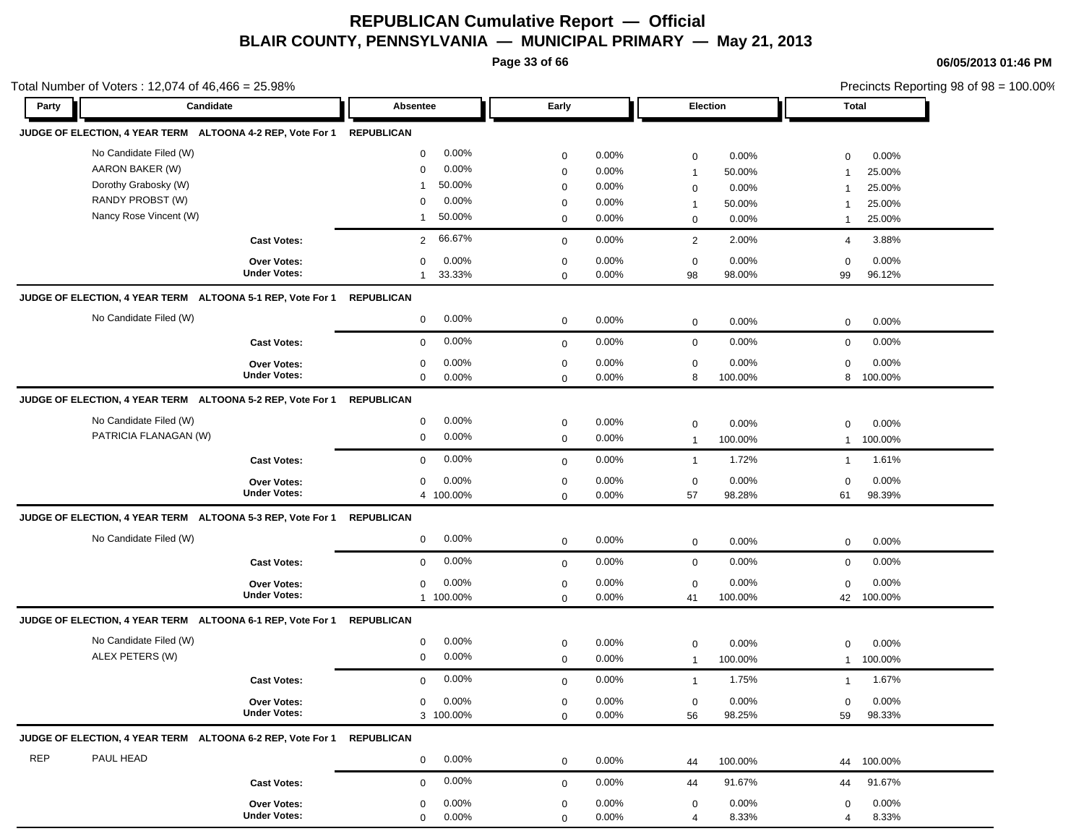**Page 33 of 66**

**06/05/2013 01:46 PM**

| Total Number of Voters: 12,074 of 46,466 = 25.98%          |                     |                          |                         |                           | Precincts Reporting 98 of 98 = 100.00% |
|------------------------------------------------------------|---------------------|--------------------------|-------------------------|---------------------------|----------------------------------------|
| Party<br>Candidate                                         |                     | Absentee                 | Early                   | <b>Election</b>           | <b>Total</b>                           |
| JUDGE OF ELECTION, 4 YEAR TERM ALTOONA 4-2 REP, Vote For 1 |                     | <b>REPUBLICAN</b>        |                         |                           |                                        |
| No Candidate Filed (W)                                     |                     | 0.00%<br>$\mathbf 0$     | 0.00%<br>$\mathbf 0$    | 0.00%<br>$\mathbf 0$      | 0.00%<br>$\mathbf 0$                   |
| AARON BAKER (W)                                            |                     | 0.00%<br>0               | 0.00%<br>$\mathbf 0$    | 50.00%<br>$\mathbf{1}$    | 25.00%<br>$\mathbf{1}$                 |
| Dorothy Grabosky (W)                                       |                     | 50.00%<br>-1             | 0.00%<br>$\mathbf 0$    | 0.00%<br>$\mathbf 0$      | 25.00%<br>-1                           |
| RANDY PROBST (W)                                           |                     | 0.00%<br>$\Omega$        | 0.00%<br>$\mathbf 0$    | 50.00%<br>$\mathbf{1}$    | 25.00%<br>$\mathbf{1}$                 |
| Nancy Rose Vincent (W)                                     |                     | 50.00%<br>$\mathbf 1$    | 0.00%<br>$\mathbf 0$    | 0.00%<br>0                | 25.00%<br>$\overline{1}$               |
|                                                            | <b>Cast Votes:</b>  | 66.67%<br>$\overline{2}$ | 0.00%<br>$\mathbf 0$    | 2.00%<br>$\overline{2}$   | 3.88%<br>4                             |
|                                                            | <b>Over Votes:</b>  | 0.00%<br>0               | 0.00%<br>$\mathbf 0$    | 0.00%<br>$\mathbf 0$      | 0.00%<br>0                             |
|                                                            | <b>Under Votes:</b> | 33.33%                   | 0.00%<br>$\mathbf 0$    | 98.00%<br>98              | 96.12%<br>99                           |
| JUDGE OF ELECTION, 4 YEAR TERM ALTOONA 5-1 REP, Vote For 1 |                     | <b>REPUBLICAN</b>        |                         |                           |                                        |
| No Candidate Filed (W)                                     |                     | $0.00\%$<br>$\mathbf 0$  | 0.00%<br>$\mathbf 0$    | 0.00%<br>$\mathbf 0$      | $0.00\%$<br>$\mathbf 0$                |
|                                                            | <b>Cast Votes:</b>  | 0.00%<br>$\mathbf 0$     | 0.00%<br>$\mathbf 0$    | 0.00%<br>$\mathbf 0$      | 0.00%<br>$\mathbf 0$                   |
|                                                            | Over Votes:         | 0.00%<br>$\mathbf 0$     | 0.00%<br>$\mathbf 0$    | 0.00%<br>$\mathbf 0$      | 0.00%<br>$\mathbf 0$                   |
|                                                            | <b>Under Votes:</b> | 0.00%<br>$\mathbf 0$     | 0.00%<br>$\mathbf 0$    | 8<br>100.00%              | 100.00%<br>8                           |
| JUDGE OF ELECTION, 4 YEAR TERM ALTOONA 5-2 REP, Vote For 1 |                     | <b>REPUBLICAN</b>        |                         |                           |                                        |
| No Candidate Filed (W)                                     |                     | 0.00%<br>$\mathbf 0$     | 0.00%<br>$\mathbf 0$    | 0.00%<br>$\mathbf 0$      | 0.00%<br>$\mathbf 0$                   |
| PATRICIA FLANAGAN (W)                                      |                     | 0.00%<br>$\mathbf 0$     | $\mathbf 0$<br>0.00%    | 100.00%<br>$\mathbf{1}$   | 100.00%<br>$\mathbf{1}$                |
|                                                            | <b>Cast Votes:</b>  | 0.00%<br>$\mathbf 0$     | 0.00%<br>$\mathbf 0$    | 1.72%<br>$\mathbf{1}$     | 1.61%<br>$\overline{1}$                |
|                                                            | Over Votes:         | 0.00%<br>$\mathbf 0$     | 0.00%<br>$\mathbf 0$    | 0.00%<br>0                | 0.00%<br>0                             |
|                                                            | <b>Under Votes:</b> | 4 100.00%                | 0.00%<br>$\mathbf 0$    | 57<br>98.28%              | 98.39%<br>61                           |
| JUDGE OF ELECTION, 4 YEAR TERM ALTOONA 5-3 REP, Vote For 1 |                     | <b>REPUBLICAN</b>        |                         |                           |                                        |
| No Candidate Filed (W)                                     |                     | 0.00%<br>$\mathbf 0$     | 0.00%<br>$\mathbf 0$    | $\mathbf 0$<br>0.00%      | 0.00%<br>$\mathbf 0$                   |
|                                                            | <b>Cast Votes:</b>  | 0.00%<br>$\mathbf 0$     | 0.00%<br>$\mathbf 0$    | $\mathbf 0$<br>0.00%      | 0.00%<br>$\mathbf 0$                   |
|                                                            | <b>Over Votes:</b>  | 0.00%<br>$\mathbf 0$     | 0.00%<br>$\mathbf 0$    | 0.00%<br>$\mathbf 0$      | 0.00%<br>$\mathbf 0$                   |
|                                                            | <b>Under Votes:</b> | 1 100.00%                | 0.00%<br>$\mathbf 0$    | 100.00%<br>41             | 42 100.00%                             |
| JUDGE OF ELECTION, 4 YEAR TERM ALTOONA 6-1 REP, Vote For 1 |                     | <b>REPUBLICAN</b>        |                         |                           |                                        |
| No Candidate Filed (W)                                     |                     | 0.00%<br>$\mathbf 0$     | 0.00%<br>$\mathbf 0$    | 0.00%<br>$\mathbf 0$      | $\mathbf 0$<br>$0.00\%$                |
| ALEX PETERS (W)                                            |                     | 0.00%<br>$\mathbf 0$     | $0.00\%$<br>$\mathbf 0$ | 100.00%<br>$\overline{1}$ | 100.00%<br>$\overline{1}$              |
|                                                            | <b>Cast Votes:</b>  | 0.00%<br>$\mathbf 0$     | 0.00%<br>$\mathbf 0$    | 1.75%<br>$\overline{1}$   | 1.67%<br>$\overline{1}$                |
|                                                            | Over Votes:         | $0.00\%$<br>$\mathbf 0$  | 0.00%<br>$\pmb{0}$      | 0.00%<br>$\mathbf 0$      | 0.00%<br>$\mathbf 0$                   |
|                                                            | <b>Under Votes:</b> | 3 100.00%                | 0.00%<br>$\mathbf 0$    | 98.25%<br>56              | 98.33%<br>59                           |
| JUDGE OF ELECTION, 4 YEAR TERM ALTOONA 6-2 REP, Vote For 1 |                     | <b>REPUBLICAN</b>        |                         |                           |                                        |
| <b>REP</b><br>PAUL HEAD                                    |                     | $0.00\%$<br>$\mathbf{0}$ | 0.00%<br>$\mathbf 0$    | 100.00%<br>44             | 44 100.00%                             |
|                                                            | <b>Cast Votes:</b>  | 0.00%<br>$\mathbf 0$     | 0.00%<br>$\mathbf 0$    | 91.67%<br>44              | 91.67%<br>44                           |
|                                                            | Over Votes:         | 0.00%<br>0               | 0.00%<br>0              | 0.00%<br>0                | 0.00%<br>0                             |
|                                                            | <b>Under Votes:</b> | $\mathbf 0$<br>0.00%     | 0.00%<br>$\mathbf 0$    | 8.33%<br>$\overline{4}$   | 8.33%<br>4                             |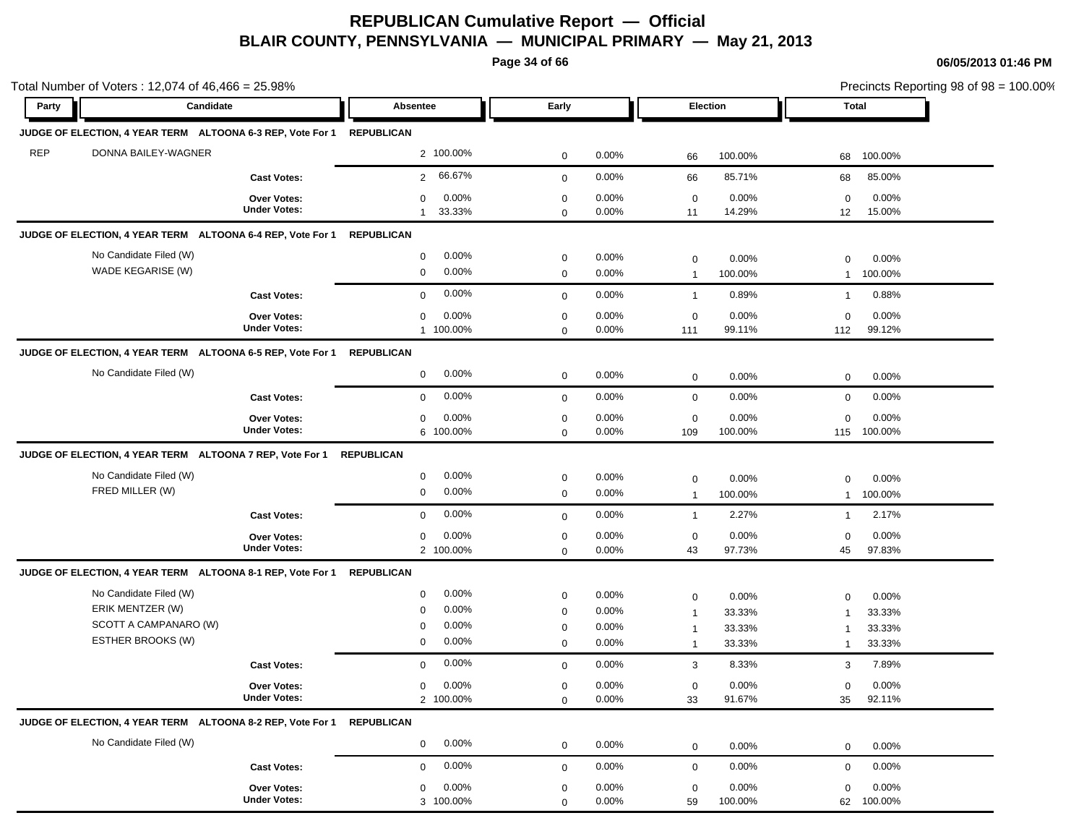**Page 34 of 66**

| Total Number of Voters: 12,074 of 46,466 = 25.98%                     |                                           |                          |             |          |                             |                 |                            | Precincts Reporting 98 of 98 = 100.00% |
|-----------------------------------------------------------------------|-------------------------------------------|--------------------------|-------------|----------|-----------------------------|-----------------|----------------------------|----------------------------------------|
| Party                                                                 | Candidate                                 | Absentee                 | Early       |          | Election                    |                 |                            | Total                                  |
| JUDGE OF ELECTION, 4 YEAR TERM ALTOONA 6-3 REP, Vote For 1 REPUBLICAN |                                           |                          |             |          |                             |                 |                            |                                        |
| <b>REP</b><br>DONNA BAILEY-WAGNER                                     |                                           | 2 100.00%                | $\mathbf 0$ | 0.00%    | 66                          | 100.00%         | 68                         | 100.00%                                |
|                                                                       | <b>Cast Votes:</b>                        | 66.67%<br>$\overline{2}$ | $\mathbf 0$ | 0.00%    | 66                          | 85.71%          | 68                         | 85.00%                                 |
|                                                                       | <b>Over Votes:</b><br><b>Under Votes:</b> | 0.00%<br>$\mathbf 0$     | $\mathbf 0$ | 0.00%    | $\mathbf 0$                 | 0.00%           | $\mathbf 0$                | 0.00%                                  |
|                                                                       |                                           | 33.33%<br>$\mathbf{1}$   | $\mathbf 0$ | 0.00%    | 11                          | 14.29%          | 12                         | 15.00%                                 |
| JUDGE OF ELECTION, 4 YEAR TERM ALTOONA 6-4 REP, Vote For 1            |                                           | <b>REPUBLICAN</b>        |             |          |                             |                 |                            |                                        |
| No Candidate Filed (W)                                                |                                           | $0.00\%$<br>0            | $\mathbf 0$ | 0.00%    | $\mathbf 0$                 | 0.00%           | $\mathbf 0$                | 0.00%                                  |
| WADE KEGARISE (W)                                                     |                                           | 0.00%<br>$\mathbf 0$     | $\mathbf 0$ | 0.00%    | $\mathbf{1}$                | 100.00%         | $\mathbf{1}$               | 100.00%                                |
|                                                                       | <b>Cast Votes:</b>                        | 0.00%<br>$\mathbf 0$     | $\mathbf 0$ | 0.00%    | $\mathbf{1}$                | 0.89%           | $\overline{1}$             | 0.88%                                  |
|                                                                       | <b>Over Votes:</b>                        | 0.00%<br>$\mathbf 0$     | $\mathbf 0$ | 0.00%    | $\mathbf 0$                 | 0.00%           | $\mathbf 0$                | 0.00%                                  |
|                                                                       | <b>Under Votes:</b>                       | 1 100.00%                | $\mathbf 0$ | 0.00%    | 111                         | 99.11%          | 112                        | 99.12%                                 |
| JUDGE OF ELECTION, 4 YEAR TERM ALTOONA 6-5 REP, Vote For 1            |                                           | REPUBLICAN               |             |          |                             |                 |                            |                                        |
| No Candidate Filed (W)                                                |                                           | 0.00%<br>$\mathbf 0$     | $\mathbf 0$ | 0.00%    | $\mathbf 0$                 | 0.00%           | $\mathbf 0$                | 0.00%                                  |
|                                                                       | <b>Cast Votes:</b>                        | 0.00%<br>$\mathbf 0$     | $\mathbf 0$ | 0.00%    | $\mathbf 0$                 | 0.00%           | $\mathbf 0$                | 0.00%                                  |
|                                                                       | <b>Over Votes:</b>                        | 0.00%<br>$\mathbf 0$     | $\mathbf 0$ | 0.00%    | $\mathbf 0$                 | 0.00%           | $\mathbf 0$                | 0.00%                                  |
|                                                                       | <b>Under Votes:</b>                       | 6 100.00%                | $\mathbf 0$ | 0.00%    | 109                         | 100.00%         |                            | 115 100.00%                            |
| JUDGE OF ELECTION, 4 YEAR TERM ALTOONA 7 REP, Vote For 1              |                                           | <b>REPUBLICAN</b>        |             |          |                             |                 |                            |                                        |
| No Candidate Filed (W)                                                |                                           | 0.00%<br>0               | $\mathbf 0$ | 0.00%    | $\mathbf 0$                 | 0.00%           | $\mathbf 0$                | 0.00%                                  |
| FRED MILLER (W)                                                       |                                           | 0.00%<br>0               | 0           | 0.00%    | $\mathbf{1}$                | 100.00%         | $\mathbf{1}$               | 100.00%                                |
|                                                                       | <b>Cast Votes:</b>                        | 0.00%<br>$\mathbf 0$     | $\mathbf 0$ | 0.00%    | $\overline{1}$              | 2.27%           | $\mathbf{1}$               | 2.17%                                  |
|                                                                       | <b>Over Votes:</b>                        | 0.00%<br>0               | $\mathbf 0$ | 0.00%    | $\mathbf 0$                 | 0.00%           | $\mathbf 0$                | 0.00%                                  |
|                                                                       | <b>Under Votes:</b>                       | 2 100.00%                | $\mathbf 0$ | 0.00%    | 43                          | 97.73%          | 45                         | 97.83%                                 |
| JUDGE OF ELECTION, 4 YEAR TERM ALTOONA 8-1 REP, Vote For 1 REPUBLICAN |                                           |                          |             |          |                             |                 |                            |                                        |
|                                                                       |                                           |                          |             |          |                             |                 |                            |                                        |
| No Candidate Filed (W)                                                |                                           | 0.00%<br>0               | $\mathbf 0$ | 0.00%    |                             |                 |                            |                                        |
| ERIK MENTZER (W)                                                      |                                           | 0.00%<br>$\mathbf 0$     | $\mathbf 0$ | 0.00%    | $\mathbf 0$<br>$\mathbf{1}$ | 0.00%<br>33.33% | $\mathbf 0$<br>$\mathbf 1$ | 0.00%<br>33.33%                        |
| SCOTT A CAMPANARO (W)                                                 |                                           | 0.00%<br>0               | $\mathbf 0$ | $0.00\%$ | $\mathbf{1}$                | 33.33%          | $\mathbf 1$                | 33.33%                                 |
| ESTHER BROOKS (W)                                                     |                                           | 0.00%<br>0               | $\mathbf 0$ | 0.00%    | $\mathbf{1}$                | 33.33%          | $\mathbf{1}$               | 33.33%                                 |
|                                                                       | <b>Cast Votes:</b>                        | 0.00%<br>$\mathbf 0$     | $\mathbf 0$ | 0.00%    | 3                           | 8.33%           | 3                          | 7.89%                                  |
|                                                                       | Over Votes:                               | $0.00\%$<br>$\mathbf{0}$ | $\Omega$    | 0.00%    | 0                           | 0.00%           | 0                          | 0.00%                                  |
|                                                                       | <b>Under Votes:</b>                       | 2 100.00%                | $\mathbf 0$ | 0.00%    | 33                          | 91.67%          | 35                         | 92.11%                                 |
|                                                                       |                                           |                          |             |          |                             |                 |                            |                                        |
| No Candidate Filed (W)                                                |                                           | 0.00%<br>$\mathbf 0$     | $\mathbf 0$ | 0.00%    | $\mathbf 0$                 | 0.00%           | $\mathbf 0$                | 0.00%                                  |
|                                                                       | <b>Cast Votes:</b>                        | 0.00%<br>0               | $\mathbf 0$ | $0.00\%$ | $\mathbf 0$                 | 0.00%           | $\mathbf 0$                | 0.00%                                  |
| JUDGE OF ELECTION, 4 YEAR TERM ALTOONA 8-2 REP, Vote For 1 REPUBLICAN | Over Votes:<br><b>Under Votes:</b>        | $0.00\%$<br>0            | 0           | 0.00%    | 0                           | 0.00%           | 0                          | 0.00%                                  |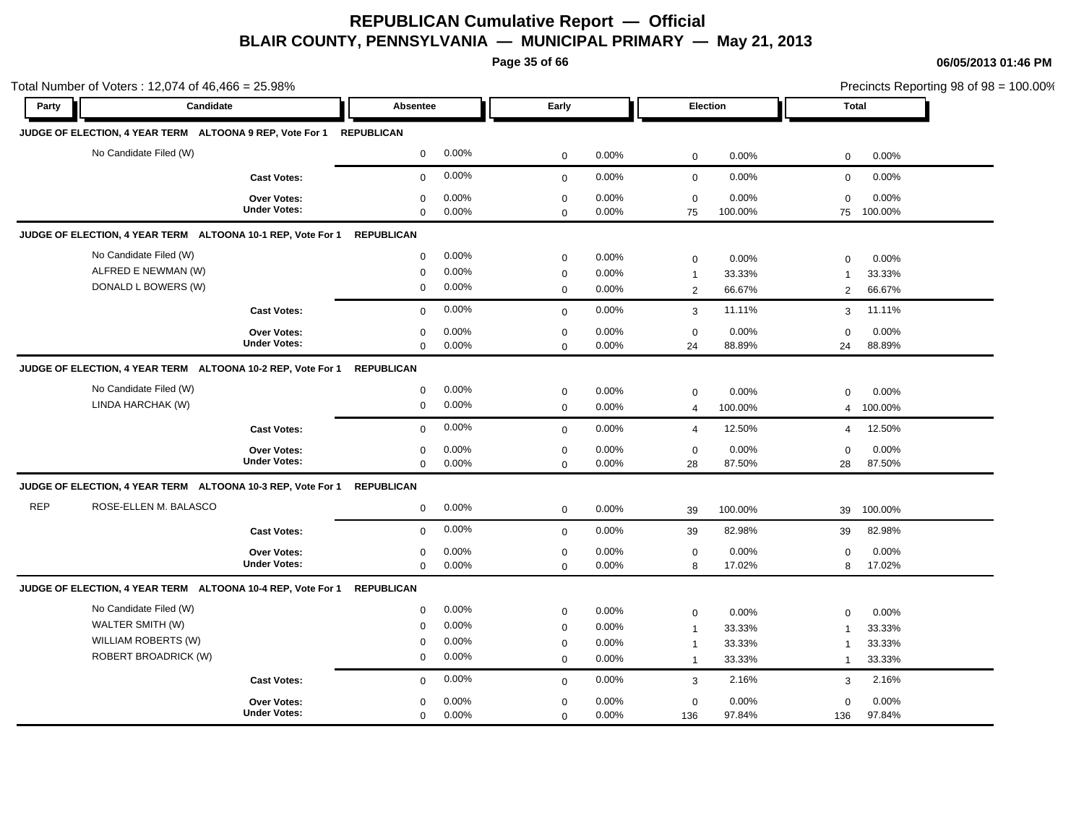**Page 35 of 66**

|            | Total Number of Voters: 12,074 of 46,466 = 25.98%           |                                    |                            |                |                            |                |                     |                  |                     | Precincts Reporting 98 of 98 = 100.00% |
|------------|-------------------------------------------------------------|------------------------------------|----------------------------|----------------|----------------------------|----------------|---------------------|------------------|---------------------|----------------------------------------|
| Party      | Candidate                                                   |                                    | <b>Absentee</b>            |                | Early                      |                | Election            |                  | Total               |                                        |
|            | JUDGE OF ELECTION, 4 YEAR TERM ALTOONA 9 REP, Vote For 1    |                                    | <b>REPUBLICAN</b>          |                |                            |                |                     |                  |                     |                                        |
|            | No Candidate Filed (W)                                      |                                    | $\mathbf{0}$               | 0.00%          | $\mathbf{0}$               | 0.00%          | $\mathbf 0$         | 0.00%            | 0                   | 0.00%                                  |
|            |                                                             | <b>Cast Votes:</b>                 | $\mathbf 0$                | 0.00%          | $\mathbf{0}$               | 0.00%          | $\mathbf 0$         | 0.00%            | $\mathbf 0$         | 0.00%                                  |
|            |                                                             | Over Votes:<br><b>Under Votes:</b> | $\mathbf 0$<br>$\mathbf 0$ | 0.00%<br>0.00% | $\mathbf 0$                | 0.00%<br>0.00% | $\mathbf 0$<br>75   | 0.00%<br>100.00% | $\mathbf 0$<br>75   | 0.00%<br>100.00%                       |
|            | JUDGE OF ELECTION, 4 YEAR TERM ALTOONA 10-1 REP, Vote For 1 |                                    | <b>REPUBLICAN</b>          |                | $\mathbf 0$                |                |                     |                  |                     |                                        |
|            | No Candidate Filed (W)                                      |                                    | $\mathbf 0$                | 0.00%          |                            |                |                     |                  |                     |                                        |
|            | ALFRED E NEWMAN (W)                                         |                                    | $\mathbf 0$                | 0.00%          | $\mathbf 0$                | 0.00%<br>0.00% | $\mathbf 0$         | 0.00%            | 0                   | 0.00%                                  |
|            | DONALD L BOWERS (W)                                         |                                    | $\mathbf 0$                | 0.00%          | $\mathbf 0$<br>$\mathbf 0$ | 0.00%          | $\overline{1}$<br>2 | 33.33%<br>66.67% | $\overline{1}$<br>2 | 33.33%<br>66.67%                       |
|            |                                                             | <b>Cast Votes:</b>                 | $\Omega$                   | 0.00%          | $\mathbf{0}$               | 0.00%          | 3                   | 11.11%           | 3                   | 11.11%                                 |
|            |                                                             |                                    | $\mathbf 0$                | 0.00%          | $\mathbf 0$                | 0.00%          | $\mathbf 0$         | 0.00%            | $\Omega$            | 0.00%                                  |
|            |                                                             | Over Votes:<br><b>Under Votes:</b> | $\mathbf 0$                | 0.00%          | $\mathbf 0$                | 0.00%          | 24                  | 88.89%           | 24                  | 88.89%                                 |
|            | JUDGE OF ELECTION, 4 YEAR TERM ALTOONA 10-2 REP, Vote For 1 |                                    | <b>REPUBLICAN</b>          |                |                            |                |                     |                  |                     |                                        |
|            | No Candidate Filed (W)                                      |                                    | $\mathbf 0$                | 0.00%          | $\mathbf 0$                | 0.00%          | $\mathbf 0$         | 0.00%            | $\Omega$            | 0.00%                                  |
|            | LINDA HARCHAK (W)                                           |                                    | 0                          | 0.00%          | $\mathbf 0$                | 0.00%          | $\overline{4}$      | 100.00%          | $\overline{4}$      | 100.00%                                |
|            |                                                             | <b>Cast Votes:</b>                 | $\mathbf 0$                | 0.00%          | $\mathbf{0}$               | 0.00%          | $\overline{4}$      | 12.50%           | $\overline{4}$      | 12.50%                                 |
|            |                                                             | <b>Over Votes:</b>                 | $\mathbf 0$                | 0.00%          | $\mathbf 0$                | 0.00%          | $\mathbf 0$         | 0.00%            | 0                   | 0.00%                                  |
|            |                                                             | <b>Under Votes:</b>                | $\mathbf 0$                | 0.00%          | $\Omega$                   | 0.00%          | 28                  | 87.50%           | 28                  | 87.50%                                 |
|            | JUDGE OF ELECTION, 4 YEAR TERM ALTOONA 10-3 REP, Vote For 1 |                                    | <b>REPUBLICAN</b>          |                |                            |                |                     |                  |                     |                                        |
| <b>REP</b> | ROSE-ELLEN M. BALASCO                                       |                                    | $\mathbf 0$                | 0.00%          | $\mathbf 0$                | 0.00%          | 39                  | 100.00%          | 39                  | 100.00%                                |
|            |                                                             | <b>Cast Votes:</b>                 | $\mathbf 0$                | 0.00%          | $\mathbf 0$                | 0.00%          | 39                  | 82.98%           | 39                  | 82.98%                                 |
|            |                                                             | Over Votes:                        | $\mathbf 0$                | 0.00%          | $\mathbf 0$                | 0.00%          | $\mathbf 0$         | 0.00%            | $\mathbf 0$         | 0.00%                                  |
|            |                                                             | <b>Under Votes:</b>                | $\mathbf 0$                | 0.00%          | $\mathbf 0$                | 0.00%          | 8                   | 17.02%           | 8                   | 17.02%                                 |
|            | JUDGE OF ELECTION, 4 YEAR TERM ALTOONA 10-4 REP, Vote For 1 |                                    | <b>REPUBLICAN</b>          |                |                            |                |                     |                  |                     |                                        |
|            | No Candidate Filed (W)                                      |                                    | $\mathbf 0$                | 0.00%          | $\mathbf 0$                | 0.00%          | $\mathbf 0$         | 0.00%            | 0                   | 0.00%                                  |
|            | WALTER SMITH (W)                                            |                                    | $\Omega$                   | 0.00%          | $\mathbf 0$                | 0.00%          | $\overline{1}$      | 33.33%           | $\overline{1}$      | 33.33%                                 |
|            | WILLIAM ROBERTS (W)                                         |                                    | $\mathbf 0$                | 0.00%          | $\pmb{0}$                  | 0.00%          | $\overline{1}$      | 33.33%           | $\overline{1}$      | 33.33%                                 |
|            | <b>ROBERT BROADRICK (W)</b>                                 |                                    | $\mathbf 0$                | 0.00%          | $\mathbf 0$                | 0.00%          | $\mathbf{1}$        | 33.33%           | $\mathbf{1}$        | 33.33%                                 |
|            |                                                             | <b>Cast Votes:</b>                 | $\mathbf 0$                | 0.00%          | $\mathbf 0$                | 0.00%          | $\mathbf{3}$        | 2.16%            | 3                   | 2.16%                                  |
|            |                                                             | Over Votes:                        | $\mathbf 0$                | 0.00%          | $\mathbf 0$                | 0.00%          | $\mathbf 0$         | 0.00%            | $\mathbf 0$         | 0.00%                                  |
|            |                                                             | <b>Under Votes:</b>                | $\mathbf 0$                | 0.00%          | $\mathbf 0$                | 0.00%          | 136                 | 97.84%           | 136                 | 97.84%                                 |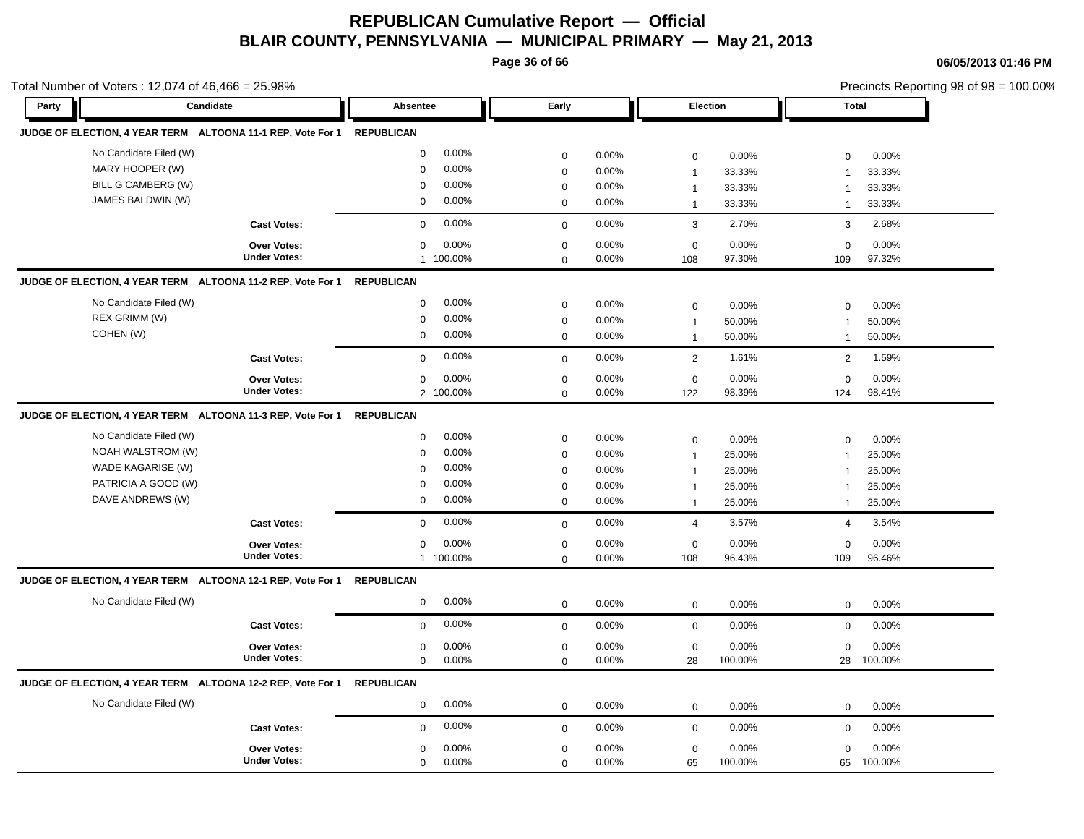**Page 36 of 66**

| Total Number of Voters: 12,074 of 46,466 = 25.98%                      |                     |                         |                         |                         | Precincts Reporting 98 of 98 = 100.00% |  |
|------------------------------------------------------------------------|---------------------|-------------------------|-------------------------|-------------------------|----------------------------------------|--|
| Party                                                                  | Candidate           | Absentee                | Early                   | Election                | <b>Total</b>                           |  |
| JUDGE OF ELECTION, 4 YEAR TERM ALTOONA 11-1 REP, Vote For 1 REPUBLICAN |                     |                         |                         |                         |                                        |  |
| No Candidate Filed (W)                                                 |                     | 0.00%<br>0              | 0.00%<br>$\mathbf 0$    | 0.00%<br>$\mathbf 0$    | 0.00%<br>$\mathbf 0$                   |  |
| MARY HOOPER (W)                                                        |                     | 0.00%<br>$\mathbf 0$    | 0.00%<br>$\mathbf 0$    | 33.33%<br>$\mathbf{1}$  | 33.33%<br>$\overline{1}$               |  |
| BILL G CAMBERG (W)                                                     |                     | 0.00%<br>0              | 0.00%<br>$\mathbf 0$    | 33.33%<br>$\mathbf{1}$  | 33.33%<br>$\mathbf 1$                  |  |
| JAMES BALDWIN (W)                                                      |                     | $0.00\%$<br>$\mathbf 0$ | 0.00%<br>$\mathbf 0$    | 33.33%<br>$\mathbf{1}$  | 33.33%<br>$\overline{1}$               |  |
|                                                                        | <b>Cast Votes:</b>  | 0.00%<br>$\mathbf 0$    | 0.00%<br>$\mathbf 0$    | 3<br>2.70%              | 3<br>2.68%                             |  |
|                                                                        | Over Votes:         | 0.00%<br>0              | $\mathbf 0$<br>$0.00\%$ | 0<br>0.00%              | 0.00%<br>0                             |  |
|                                                                        | <b>Under Votes:</b> | 1 100.00%               | 0.00%<br>$\mathbf 0$    | 97.30%<br>108           | 97.32%<br>109                          |  |
| JUDGE OF ELECTION, 4 YEAR TERM ALTOONA 11-2 REP, Vote For 1            |                     | <b>REPUBLICAN</b>       |                         |                         |                                        |  |
| No Candidate Filed (W)                                                 |                     | $0.00\%$<br>0           | 0.00%<br>$\mathbf 0$    | 0.00%<br>0              | 0.00%<br>$\mathbf 0$                   |  |
| REX GRIMM (W)                                                          |                     | 0.00%<br>$\mathbf 0$    | 0.00%<br>$\mathbf 0$    | 50.00%<br>$\mathbf{1}$  | 50.00%<br>$\overline{1}$               |  |
| COHEN (W)                                                              |                     | $0.00\%$<br>$\mathbf 0$ | $\mathbf 0$<br>0.00%    | 50.00%<br>$\mathbf{1}$  | 50.00%<br>$\overline{1}$               |  |
|                                                                        | <b>Cast Votes:</b>  | 0.00%<br>$\mathbf 0$    | 0.00%<br>$\mathbf 0$    | $\overline{2}$<br>1.61% | $\overline{2}$<br>1.59%                |  |
|                                                                        | Over Votes:         | 0<br>0.00%              | $\mathbf 0$<br>0.00%    | $\mathbf 0$<br>0.00%    | $\mathbf 0$<br>0.00%                   |  |
|                                                                        | <b>Under Votes:</b> | 2 100.00%               | 0.00%<br>$\Omega$       | 122<br>98.39%           | 98.41%<br>124                          |  |
| JUDGE OF ELECTION, 4 YEAR TERM ALTOONA 11-3 REP, Vote For 1            |                     | <b>REPUBLICAN</b>       |                         |                         |                                        |  |
| No Candidate Filed (W)                                                 |                     | 0.00%<br>$\mathbf 0$    | 0.00%<br>$\mathbf 0$    | 0.00%<br>$\mathbf 0$    | 0.00%<br>$\mathbf 0$                   |  |
| NOAH WALSTROM (W)                                                      |                     | 0.00%<br>$\mathbf 0$    | $\mathbf 0$<br>$0.00\%$ | 25.00%<br>$\mathbf{1}$  | 25.00%<br>$\overline{1}$               |  |
| WADE KAGARISE (W)                                                      |                     | 0.00%<br>0              | 0.00%<br>$\mathbf 0$    | 25.00%<br>$\mathbf{1}$  | 25.00%<br>$\overline{1}$               |  |
| PATRICIA A GOOD (W)                                                    |                     | 0.00%<br>$\Omega$       | 0.00%<br>$\mathbf 0$    | 25.00%<br>$\mathbf{1}$  | 25.00%<br>$\mathbf{1}$                 |  |
| DAVE ANDREWS (W)                                                       |                     | $0.00\%$<br>0           | $\mathbf 0$<br>0.00%    | 25.00%<br>$\mathbf{1}$  | 25.00%<br>$\mathbf 1$                  |  |
|                                                                        | <b>Cast Votes:</b>  | 0.00%<br>$\mathbf 0$    | 0.00%<br>$\mathbf 0$    | 3.57%<br>$\overline{4}$ | 3.54%<br>$\overline{4}$                |  |
|                                                                        | Over Votes:         | 0.00%<br>0              | $\mathbf 0$<br>0.00%    | $\mathbf 0$<br>0.00%    | 0.00%<br>$\mathbf 0$                   |  |
|                                                                        | <b>Under Votes:</b> | 1 100.00%               | 0.00%<br>$\Omega$       | 96.43%<br>108           | 96.46%<br>109                          |  |
| JUDGE OF ELECTION, 4 YEAR TERM ALTOONA 12-1 REP, Vote For 1            |                     | <b>REPUBLICAN</b>       |                         |                         |                                        |  |
| No Candidate Filed (W)                                                 |                     | 0.00%<br>0              | 0.00%<br>$\mathbf 0$    | $\mathbf 0$<br>0.00%    | $\mathbf 0$<br>0.00%                   |  |
|                                                                        | <b>Cast Votes:</b>  | 0.00%<br>$\Omega$       | 0.00%<br>$\mathbf 0$    | $\mathbf 0$<br>0.00%    | 0.00%<br>$\mathbf 0$                   |  |
|                                                                        | <b>Over Votes:</b>  | 0.00%<br>$\mathbf 0$    | 0.00%<br>$\mathbf 0$    | 0.00%<br>$\mathbf 0$    | 0.00%<br>$\mathbf 0$                   |  |
|                                                                        | <b>Under Votes:</b> | 0.00%<br>0              | 0.00%<br>$\mathbf 0$    | 100.00%<br>28           | 28<br>100.00%                          |  |
| JUDGE OF ELECTION, 4 YEAR TERM ALTOONA 12-2 REP, Vote For 1            |                     | <b>REPUBLICAN</b>       |                         |                         |                                        |  |
| No Candidate Filed (W)                                                 |                     | $0.00\%$<br>$\mathbf 0$ | 0.00%<br>$\mathbf 0$    | $\mathbf 0$<br>0.00%    | 0.00%<br>$\mathbf 0$                   |  |
|                                                                        | <b>Cast Votes:</b>  | $0.00\%$<br>$\mathbf 0$ | 0.00%<br>$\mathbf 0$    | $\mathbf 0$<br>0.00%    | $\mathbf 0$<br>0.00%                   |  |
|                                                                        | <b>Over Votes:</b>  | 0.00%<br>0              | 0.00%<br>$\mathbf 0$    | $\mathbf 0$<br>0.00%    | 0.00%<br>$\mathbf 0$                   |  |
|                                                                        | <b>Under Votes:</b> | 0.00%<br>0              | 0.00%<br>$\mathbf 0$    | 100.00%<br>65           | 100.00%<br>65                          |  |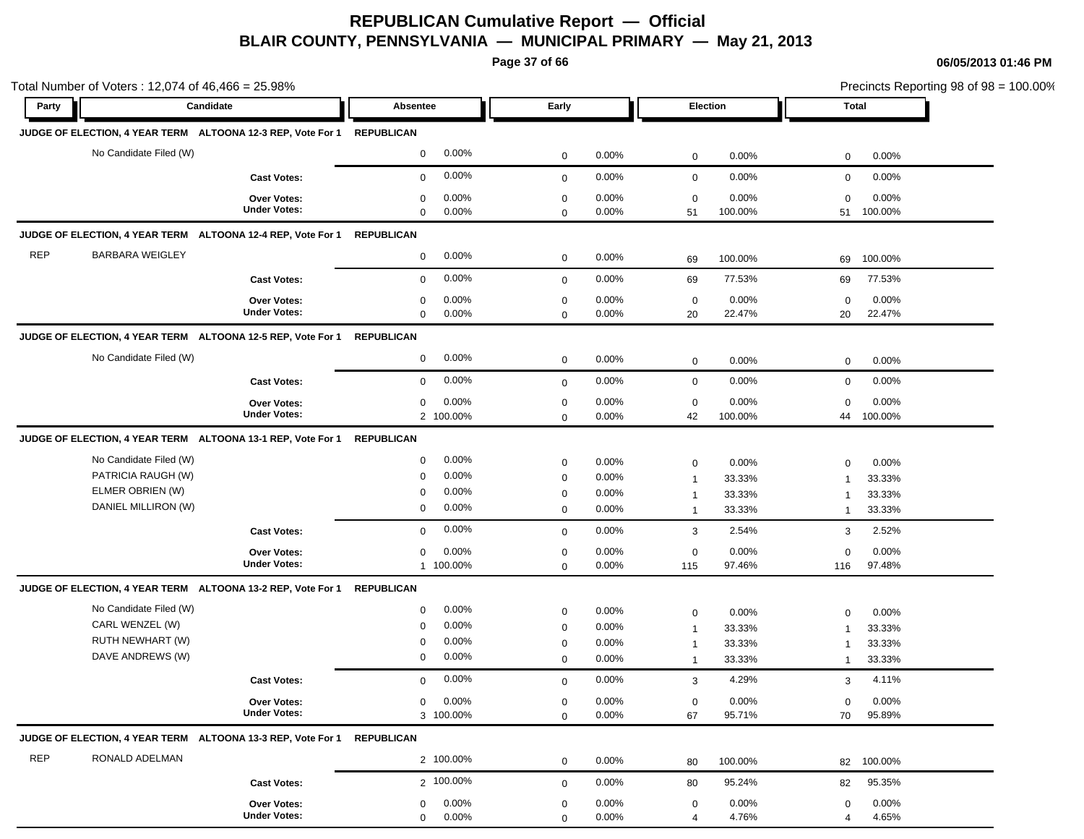**Page 37 of 66**

|            | Total Number of Voters: 12,074 of 46,466 = 25.98%                      |                     |                          |             |          |                |         |                | Precincts Reporting 98 of $98 = 100.00\%$ |
|------------|------------------------------------------------------------------------|---------------------|--------------------------|-------------|----------|----------------|---------|----------------|-------------------------------------------|
| Party      | Candidate                                                              |                     | Absentee                 | Early       |          | Election       |         |                | Total                                     |
|            | JUDGE OF ELECTION, 4 YEAR TERM ALTOONA 12-3 REP, Vote For 1 REPUBLICAN |                     |                          |             |          |                |         |                |                                           |
|            | No Candidate Filed (W)                                                 |                     | 0.00%<br>$\mathbf 0$     | $\mathbf 0$ | 0.00%    | 0              | 0.00%   | $\mathbf 0$    | 0.00%                                     |
|            |                                                                        | <b>Cast Votes:</b>  | 0.00%<br>$\mathbf 0$     | $\mathbf 0$ | 0.00%    | $\mathbf 0$    | 0.00%   | $\mathbf 0$    | 0.00%                                     |
|            |                                                                        | <b>Over Votes:</b>  | 0.00%<br>0               | 0           | 0.00%    | $\mathbf 0$    | 0.00%   | $\mathbf 0$    | 0.00%                                     |
|            |                                                                        | <b>Under Votes:</b> | $\mathbf 0$<br>0.00%     | $\mathbf 0$ | 0.00%    | 51             | 100.00% | 51             | 100.00%                                   |
|            | JUDGE OF ELECTION, 4 YEAR TERM ALTOONA 12-4 REP, Vote For 1            |                     | <b>REPUBLICAN</b>        |             |          |                |         |                |                                           |
| <b>REP</b> | <b>BARBARA WEIGLEY</b>                                                 |                     | 0.00%<br>0               | $\mathbf 0$ | 0.00%    | 69             | 100.00% | 69             | 100.00%                                   |
|            |                                                                        | <b>Cast Votes:</b>  | 0.00%<br>$\mathbf{0}$    | $\mathbf 0$ | 0.00%    | 69             | 77.53%  | 69             | 77.53%                                    |
|            |                                                                        | Over Votes:         | 0.00%<br>0               | $\mathbf 0$ | 0.00%    | $\mathbf 0$    | 0.00%   | $\mathbf 0$    | 0.00%                                     |
|            |                                                                        | <b>Under Votes:</b> | 0<br>$0.00\%$            | $\mathbf 0$ | 0.00%    | 20             | 22.47%  | 20             | 22.47%                                    |
|            | JUDGE OF ELECTION, 4 YEAR TERM ALTOONA 12-5 REP, Vote For 1 REPUBLICAN |                     |                          |             |          |                |         |                |                                           |
|            | No Candidate Filed (W)                                                 |                     | 0.00%<br>0               | $\mathbf 0$ | 0.00%    | $\mathbf 0$    | 0.00%   | $\mathbf 0$    | 0.00%                                     |
|            |                                                                        | <b>Cast Votes:</b>  | 0.00%<br>0               | $\mathbf 0$ | 0.00%    | $\mathbf 0$    | 0.00%   | $\mathbf 0$    | 0.00%                                     |
|            |                                                                        | <b>Over Votes:</b>  | $0.00\%$<br>0            | $\mathbf 0$ | 0.00%    | $\mathbf 0$    | 0.00%   | $\mathbf 0$    | 0.00%                                     |
|            |                                                                        | <b>Under Votes:</b> | 2 100.00%                | $\mathbf 0$ | 0.00%    | 42             | 100.00% |                | 44 100.00%                                |
|            | JUDGE OF ELECTION, 4 YEAR TERM ALTOONA 13-1 REP, Vote For 1            |                     | <b>REPUBLICAN</b>        |             |          |                |         |                |                                           |
|            | No Candidate Filed (W)                                                 |                     | 0.00%<br>0               | $\mathbf 0$ | 0.00%    | $\mathbf 0$    | 0.00%   | $\mathbf 0$    | 0.00%                                     |
|            | PATRICIA RAUGH (W)                                                     |                     | 0.00%<br>0               | 0           | 0.00%    | $\mathbf{1}$   | 33.33%  | $\overline{1}$ | 33.33%                                    |
|            | ELMER OBRIEN (W)                                                       |                     | 0.00%<br>0               | 0           | 0.00%    | $\mathbf{1}$   | 33.33%  | $\mathbf 1$    | 33.33%                                    |
|            | DANIEL MILLIRON (W)                                                    |                     | $0.00\%$<br>0            | $\mathbf 0$ | 0.00%    | $\mathbf{1}$   | 33.33%  | $\mathbf{1}$   | 33.33%                                    |
|            |                                                                        | <b>Cast Votes:</b>  | 0.00%<br>$\mathbf{0}$    | $\mathbf 0$ | 0.00%    | 3              | 2.54%   | 3              | 2.52%                                     |
|            |                                                                        | Over Votes:         | 0.00%<br>0               | 0           | 0.00%    | 0              | 0.00%   | 0              | 0.00%                                     |
|            |                                                                        | <b>Under Votes:</b> | 1 100.00%                | $\mathbf 0$ | 0.00%    | 115            | 97.46%  | 116            | 97.48%                                    |
|            | JUDGE OF ELECTION, 4 YEAR TERM ALTOONA 13-2 REP, Vote For 1            |                     | <b>REPUBLICAN</b>        |             |          |                |         |                |                                           |
|            | No Candidate Filed (W)                                                 |                     | $0.00\%$<br>0            | $\mathbf 0$ | 0.00%    | $\mathbf 0$    | 0.00%   | $\mathbf 0$    | 0.00%                                     |
|            | CARL WENZEL (W)                                                        |                     | 0.00%<br>0               | $\mathbf 0$ | 0.00%    | $\mathbf{1}$   | 33.33%  | $\overline{1}$ | 33.33%                                    |
|            | RUTH NEWHART (W)                                                       |                     | 0.00%<br>0               | 0           | 0.00%    | $\overline{1}$ | 33.33%  | $\mathbf 1$    | 33.33%                                    |
|            | DAVE ANDREWS (W)                                                       |                     | 0.00%<br>0               | 0           | 0.00%    | $\overline{1}$ | 33.33%  | $\mathbf{1}$   | 33.33%                                    |
|            |                                                                        | <b>Cast Votes:</b>  | $0.00\%$<br>$\mathbf{0}$ | $\mathbf 0$ | 0.00%    | 3              | 4.29%   | 3              | 4.11%                                     |
|            |                                                                        | Over Votes:         | 0.00%<br>0               | $\mathbf 0$ | $0.00\%$ | $\mathbf 0$    | 0.00%   | $\mathbf 0$    | 0.00%                                     |
|            |                                                                        | <b>Under Votes:</b> | 3 100.00%                | $\mathbf 0$ | 0.00%    | 67             | 95.71%  | 70             | 95.89%                                    |
|            | JUDGE OF ELECTION, 4 YEAR TERM ALTOONA 13-3 REP, Vote For 1 REPUBLICAN |                     |                          |             |          |                |         |                |                                           |
| REP        | RONALD ADELMAN                                                         |                     | 2 100.00%                | $\mathbf 0$ | 0.00%    | 80             | 100.00% | 82             | 100.00%                                   |
|            |                                                                        | <b>Cast Votes:</b>  | 2 100.00%                | $\mathbf 0$ | $0.00\%$ | 80             | 95.24%  | 82             | 95.35%                                    |
|            |                                                                        | <b>Over Votes:</b>  | $0.00\%$<br>0            | $\mathbf 0$ | $0.00\%$ | $\mathbf 0$    | 0.00%   | $\mathbf 0$    | 0.00%                                     |
|            |                                                                        | <b>Under Votes:</b> | 0.00%<br>$\mathbf 0$     | $\mathbf 0$ | 0.00%    | 4              | 4.76%   | 4              | 4.65%                                     |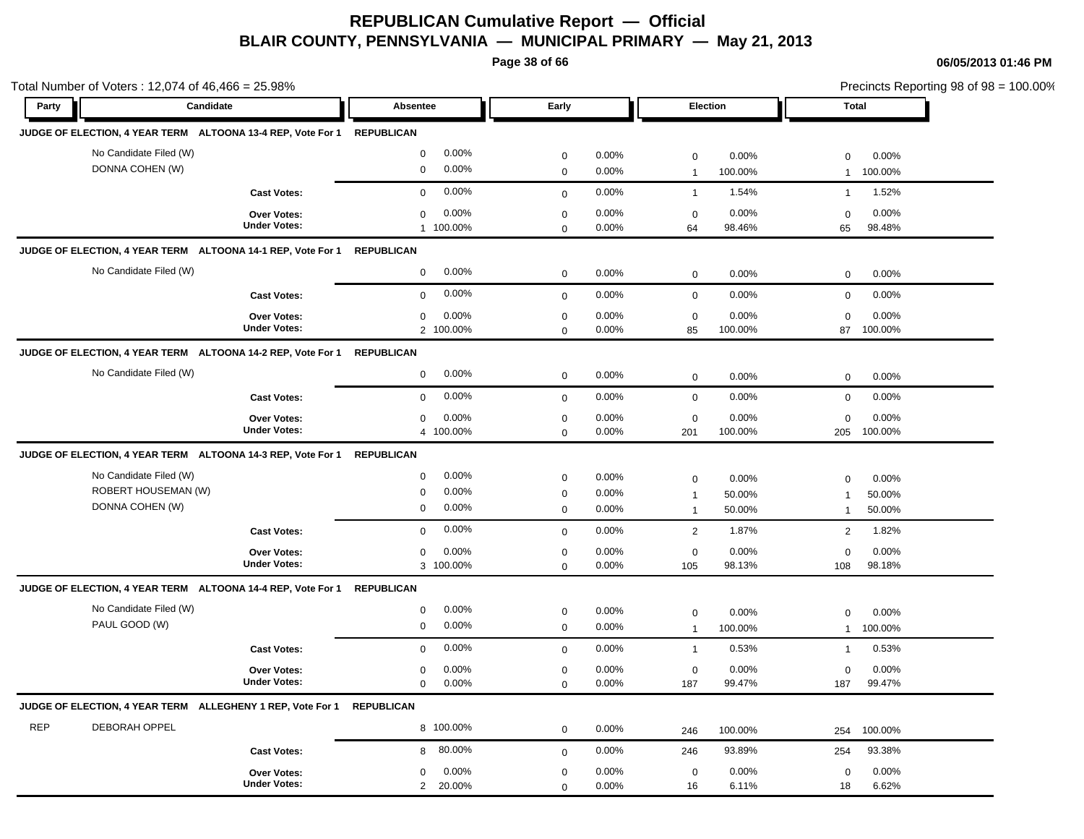**Page 38 of 66**

|            | Total Number of Voters: 12,074 of 46,466 = 25.98%                      |                                           |                                                                    |                                           |                         |                                               |                           |                                          |                           | Precincts Reporting 98 of 98 = 100.00% |
|------------|------------------------------------------------------------------------|-------------------------------------------|--------------------------------------------------------------------|-------------------------------------------|-------------------------|-----------------------------------------------|---------------------------|------------------------------------------|---------------------------|----------------------------------------|
| Party      | Candidate                                                              |                                           | Absentee                                                           | Early                                     |                         | Election                                      |                           | <b>Total</b>                             |                           |                                        |
|            | JUDGE OF ELECTION, 4 YEAR TERM ALTOONA 13-4 REP, Vote For 1 REPUBLICAN |                                           |                                                                    |                                           |                         |                                               |                           |                                          |                           |                                        |
|            | No Candidate Filed (W)<br>DONNA COHEN (W)                              |                                           | 0.00%<br>$\mathbf 0$<br>0.00%<br>$\mathbf 0$                       | $\mathbf 0$<br>$\mathbf 0$                | 0.00%<br>0.00%          | $\mathbf 0$<br>$\mathbf{1}$                   | 0.00%<br>100.00%          | $\mathbf 0$<br>-1                        | 0.00%<br>100.00%          |                                        |
|            |                                                                        | <b>Cast Votes:</b>                        | 0.00%<br>$\mathbf 0$                                               | $\mathbf{0}$                              | 0.00%                   | $\overline{1}$                                | 1.54%                     | $\mathbf{1}$                             | 1.52%                     |                                        |
|            |                                                                        | <b>Over Votes:</b><br><b>Under Votes:</b> | 0.00%<br>$\mathbf 0$<br>1 100.00%                                  | $\mathbf 0$<br>$\mathbf 0$                | 0.00%<br>0.00%          | $\mathbf 0$<br>64                             | 0.00%<br>98.46%           | $\mathbf 0$<br>65                        | 0.00%<br>98.48%           |                                        |
|            | JUDGE OF ELECTION, 4 YEAR TERM ALTOONA 14-1 REP, Vote For 1            |                                           | <b>REPUBLICAN</b>                                                  |                                           |                         |                                               |                           |                                          |                           |                                        |
|            | No Candidate Filed (W)                                                 |                                           | 0.00%<br>$\mathbf 0$                                               | $\mathbf 0$                               | 0.00%                   | $\mathbf 0$                                   | 0.00%                     | $\mathbf 0$                              | 0.00%                     |                                        |
|            |                                                                        | <b>Cast Votes:</b>                        | 0.00%<br>$\mathbf 0$                                               | $\mathbf{0}$                              | 0.00%                   | $\mathbf 0$                                   | 0.00%                     | $\mathbf 0$                              | 0.00%                     |                                        |
|            |                                                                        | <b>Over Votes:</b><br><b>Under Votes:</b> | 0.00%<br>$\mathbf 0$<br>2 100.00%                                  | $\mathbf 0$<br>$\mathbf 0$                | 0.00%<br>0.00%          | $\mathbf 0$<br>85                             | 0.00%<br>100.00%          | $\mathbf 0$<br>87                        | 0.00%<br>100.00%          |                                        |
|            | JUDGE OF ELECTION, 4 YEAR TERM ALTOONA 14-2 REP, Vote For 1 REPUBLICAN |                                           |                                                                    |                                           |                         |                                               |                           |                                          |                           |                                        |
|            | No Candidate Filed (W)                                                 |                                           | 0.00%<br>$\mathbf 0$                                               | $\mathbf 0$                               | 0.00%                   | $\mathbf 0$                                   | 0.00%                     | $\mathbf 0$                              | 0.00%                     |                                        |
|            |                                                                        | <b>Cast Votes:</b>                        | 0.00%<br>$\Omega$                                                  | $\mathbf 0$                               | 0.00%                   | $\mathsf{O}\xspace$                           | 0.00%                     | $\mathbf 0$                              | 0.00%                     |                                        |
|            |                                                                        | <b>Over Votes:</b><br><b>Under Votes:</b> | 0.00%<br>$\mathbf 0$<br>4 100.00%                                  | $\mathbf 0$<br>$\mathbf 0$                | 0.00%<br>0.00%          | $\mathbf 0$<br>201                            | 0.00%<br>100.00%          | $\mathbf 0$<br>205                       | 0.00%<br>100.00%          |                                        |
|            | JUDGE OF ELECTION, 4 YEAR TERM ALTOONA 14-3 REP, Vote For 1            |                                           | <b>REPUBLICAN</b>                                                  |                                           |                         |                                               |                           |                                          |                           |                                        |
|            | No Candidate Filed (W)<br>ROBERT HOUSEMAN (W)<br>DONNA COHEN (W)       |                                           | 0.00%<br>$\mathbf 0$<br>0.00%<br>$\pmb{0}$<br>0.00%<br>$\mathbf 0$ | $\mathbf 0$<br>$\mathbf 0$<br>$\mathbf 0$ | 0.00%<br>0.00%<br>0.00% | $\mathbf 0$<br>$\overline{1}$<br>$\mathbf{1}$ | 0.00%<br>50.00%<br>50.00% | $\Omega$<br>$\mathbf{1}$<br>$\mathbf{1}$ | 0.00%<br>50.00%<br>50.00% |                                        |
|            |                                                                        | <b>Cast Votes:</b>                        | 0.00%<br>$\mathbf{0}$                                              | $\mathbf 0$                               | 0.00%                   | 2                                             | 1.87%                     | $\mathbf{2}$                             | 1.82%                     |                                        |
|            |                                                                        | <b>Over Votes:</b><br><b>Under Votes:</b> | 0.00%<br>$\mathbf 0$<br>3 100.00%                                  | $\mathbf 0$<br>$\mathbf 0$                | 0.00%<br>0.00%          | $\mathbf 0$<br>105                            | 0.00%<br>98.13%           | $\mathbf 0$<br>108                       | 0.00%<br>98.18%           |                                        |
|            | JUDGE OF ELECTION, 4 YEAR TERM ALTOONA 14-4 REP, Vote For 1            |                                           | <b>REPUBLICAN</b>                                                  |                                           |                         |                                               |                           |                                          |                           |                                        |
|            | No Candidate Filed (W)<br>PAUL GOOD (W)                                |                                           | 0.00%<br>$\mathbf 0$<br>$\mathbf 0$<br>0.00%                       | $\mathbf 0$<br>$\mathbf 0$                | 0.00%<br>0.00%          | $\mathbf 0$<br>$\mathbf{1}$                   | 0.00%<br>100.00%          | $\mathbf 0$<br>$\mathbf{1}$              | 0.00%<br>100.00%          |                                        |
|            |                                                                        | <b>Cast Votes:</b>                        | 0.00%<br>$\mathbf 0$                                               | $\mathbf 0$                               | 0.00%                   | $\mathbf{1}$                                  | 0.53%                     | $\mathbf{1}$                             | 0.53%                     |                                        |
|            |                                                                        | <b>Over Votes:</b><br><b>Under Votes:</b> | 0.00%<br>$\mathbf 0$<br>$\mathbf{0}$<br>0.00%                      | $\mathbf 0$<br>$\mathbf 0$                | 0.00%<br>0.00%          | $\mathbf 0$<br>187                            | 0.00%<br>99.47%           | $\mathbf 0$<br>187                       | 0.00%<br>99.47%           |                                        |
|            | JUDGE OF ELECTION, 4 YEAR TERM ALLEGHENY 1 REP, Vote For 1             |                                           | <b>REPUBLICAN</b>                                                  |                                           |                         |                                               |                           |                                          |                           |                                        |
| <b>REP</b> | <b>DEBORAH OPPEL</b>                                                   |                                           | 8 100.00%                                                          | $\mathbf 0$                               | 0.00%                   | 246                                           | 100.00%                   | 254                                      | 100.00%                   |                                        |
|            |                                                                        | <b>Cast Votes:</b>                        | 80.00%<br>8                                                        | $\mathbf 0$                               | 0.00%                   | 246                                           | 93.89%                    | 254                                      | 93.38%                    |                                        |
|            |                                                                        | <b>Over Votes:</b><br><b>Under Votes:</b> | 0.00%<br>$\mathbf 0$<br>2<br>20.00%                                | $\mathbf 0$<br>$\mathbf 0$                | 0.00%<br>0.00%          | $\mathbf 0$<br>16                             | 0.00%<br>6.11%            | $\mathbf 0$<br>18                        | 0.00%<br>6.62%            |                                        |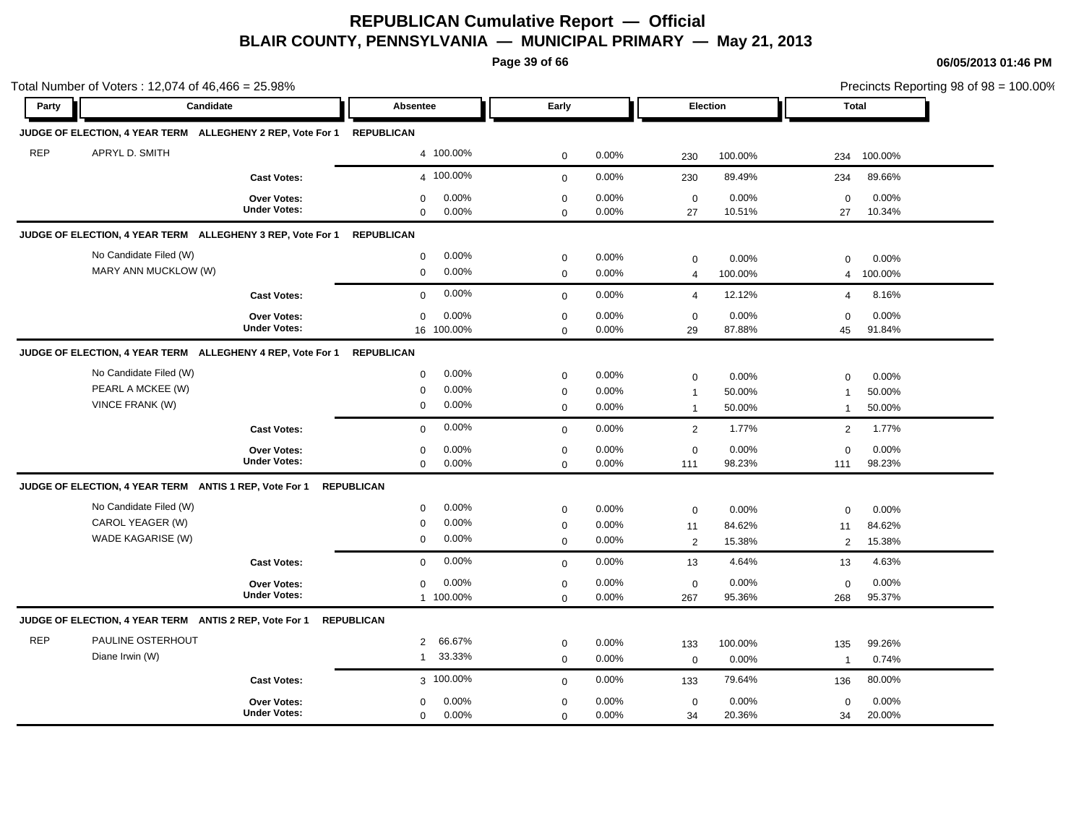**Page 39 of 66**

|            | Total Number of Voters: 12,074 of 46,466 = 25.98%                     |                                    |                            |                |                            |                |                   |                 |                   |                 | Precincts Reporting 98 of 98 = 100.00% |
|------------|-----------------------------------------------------------------------|------------------------------------|----------------------------|----------------|----------------------------|----------------|-------------------|-----------------|-------------------|-----------------|----------------------------------------|
| Party      | Candidate                                                             |                                    | Absentee                   |                | Early                      |                |                   | Election        |                   | Total           |                                        |
|            | JUDGE OF ELECTION, 4 YEAR TERM ALLEGHENY 2 REP, Vote For 1 REPUBLICAN |                                    |                            |                |                            |                |                   |                 |                   |                 |                                        |
| <b>REP</b> | APRYL D. SMITH                                                        |                                    |                            | 4 100.00%      | $\mathbf 0$                | 0.00%          | 230               | 100.00%         | 234               | 100.00%         |                                        |
|            |                                                                       | <b>Cast Votes:</b>                 |                            | 4 100.00%      | $\mathbf{0}$               | 0.00%          | 230               | 89.49%          | 234               | 89.66%          |                                        |
|            |                                                                       | Over Votes:<br><b>Under Votes:</b> | $\mathbf 0$<br>$\mathbf 0$ | 0.00%<br>0.00% | $\mathbf 0$<br>$\mathbf 0$ | 0.00%<br>0.00% | $\mathbf 0$<br>27 | 0.00%<br>10.51% | $\mathbf 0$<br>27 | 0.00%<br>10.34% |                                        |
|            | JUDGE OF ELECTION, 4 YEAR TERM ALLEGHENY 3 REP, Vote For 1            |                                    | <b>REPUBLICAN</b>          |                |                            |                |                   |                 |                   |                 |                                        |
|            | No Candidate Filed (W)                                                |                                    | $\mathbf 0$                | 0.00%          | $\mathbf 0$                | 0.00%          | $\mathbf 0$       | 0.00%           | $\mathbf 0$       | 0.00%           |                                        |
|            | MARY ANN MUCKLOW (W)                                                  |                                    | $\mathbf 0$                | 0.00%          | $\mathbf{0}$               | 0.00%          | $\overline{4}$    | 100.00%         | 4                 | 100.00%         |                                        |
|            |                                                                       | <b>Cast Votes:</b>                 | $\mathbf 0$                | 0.00%          | $\mathbf 0$                | 0.00%          | $\overline{4}$    | 12.12%          | $\overline{4}$    | 8.16%           |                                        |
|            |                                                                       | Over Votes:                        | $\mathbf 0$                | 0.00%          | $\mathbf 0$                | 0.00%          | $\mathbf 0$       | 0.00%           | $\Omega$          | 0.00%           |                                        |
|            |                                                                       | <b>Under Votes:</b>                |                            | 16 100.00%     | $\mathbf 0$                | 0.00%          | 29                | 87.88%          | 45                | 91.84%          |                                        |
|            | JUDGE OF ELECTION, 4 YEAR TERM ALLEGHENY 4 REP, Vote For 1            |                                    | <b>REPUBLICAN</b>          |                |                            |                |                   |                 |                   |                 |                                        |
|            | No Candidate Filed (W)                                                |                                    | $\mathbf 0$                | 0.00%          | $\mathbf 0$                | 0.00%          | $\mathbf 0$       | 0.00%           | $\mathbf 0$       | 0.00%           |                                        |
|            | PEARL A MCKEE (W)                                                     |                                    | $\mathbf 0$                | 0.00%          | $\mathbf 0$                | 0.00%          | $\mathbf{1}$      | 50.00%          | $\mathbf{1}$      | 50.00%          |                                        |
|            | <b>VINCE FRANK (W)</b>                                                |                                    | $\mathbf 0$                | 0.00%          | $\mathbf 0$                | 0.00%          | $\mathbf{1}$      | 50.00%          | $\mathbf{1}$      | 50.00%          |                                        |
|            |                                                                       | <b>Cast Votes:</b>                 | $\mathbf 0$                | 0.00%          | $\mathbf 0$                | 0.00%          | $\overline{2}$    | 1.77%           | 2                 | 1.77%           |                                        |
|            |                                                                       | Over Votes:                        | $\mathbf 0$                | 0.00%          | $\mathbf 0$                | 0.00%          | $\mathbf 0$       | 0.00%           | $\Omega$          | 0.00%           |                                        |
|            |                                                                       | <b>Under Votes:</b>                | $\mathbf 0$                | 0.00%          | $\mathbf 0$                | 0.00%          | 111               | 98.23%          | 111               | 98.23%          |                                        |
|            | JUDGE OF ELECTION, 4 YEAR TERM ANTIS 1 REP, Vote For 1                |                                    | <b>REPUBLICAN</b>          |                |                            |                |                   |                 |                   |                 |                                        |
|            | No Candidate Filed (W)                                                |                                    | $\mathbf 0$                | 0.00%          | $\mathbf 0$                | 0.00%          | $\mathbf 0$       | 0.00%           | $\mathbf 0$       | 0.00%           |                                        |
|            | CAROL YEAGER (W)                                                      |                                    | 0                          | 0.00%          | $\mathbf 0$                | 0.00%          | 11                | 84.62%          | 11                | 84.62%          |                                        |
|            | WADE KAGARISE (W)                                                     |                                    | $\mathbf 0$                | 0.00%          | $\mathbf 0$                | 0.00%          | $\overline{2}$    | 15.38%          | 2                 | 15.38%          |                                        |
|            |                                                                       | <b>Cast Votes:</b>                 | $\mathbf 0$                | 0.00%          | $\mathbf 0$                | 0.00%          | 13                | 4.64%           | 13                | 4.63%           |                                        |
|            |                                                                       | <b>Over Votes:</b>                 | $\mathbf 0$                | 0.00%          | $\mathbf 0$                | 0.00%          | $\mathbf 0$       | 0.00%           | $\mathbf 0$       | 0.00%           |                                        |
|            |                                                                       | <b>Under Votes:</b>                |                            | 1 100.00%      | $\mathbf 0$                | 0.00%          | 267               | 95.36%          | 268               | 95.37%          |                                        |
|            | JUDGE OF ELECTION, 4 YEAR TERM ANTIS 2 REP, Vote For 1                |                                    | <b>REPUBLICAN</b>          |                |                            |                |                   |                 |                   |                 |                                        |
| <b>REP</b> | <b>PAULINE OSTERHOUT</b>                                              |                                    | $\overline{2}$             | 66.67%         | $\mathbf 0$                | 0.00%          | 133               | 100.00%         | 135               | 99.26%          |                                        |
|            | Diane Irwin (W)                                                       |                                    | $\mathbf{1}$               | 33.33%         | $\mathbf 0$                | 0.00%          | $\mathbf 0$       | 0.00%           | $\overline{1}$    | 0.74%           |                                        |
|            |                                                                       | <b>Cast Votes:</b>                 |                            | 3 100.00%      | $\mathbf 0$                | 0.00%          | 133               | 79.64%          | 136               | 80.00%          |                                        |
|            |                                                                       | <b>Over Votes:</b>                 | $\mathbf 0$                | 0.00%          | $\mathbf 0$                | 0.00%          | $\mathbf 0$       | 0.00%           | $\mathbf 0$       | 0.00%           |                                        |
|            |                                                                       | <b>Under Votes:</b>                | $\mathbf 0$                | 0.00%          | $\mathbf 0$                | 0.00%          | 34                | 20.36%          | 34                | 20.00%          |                                        |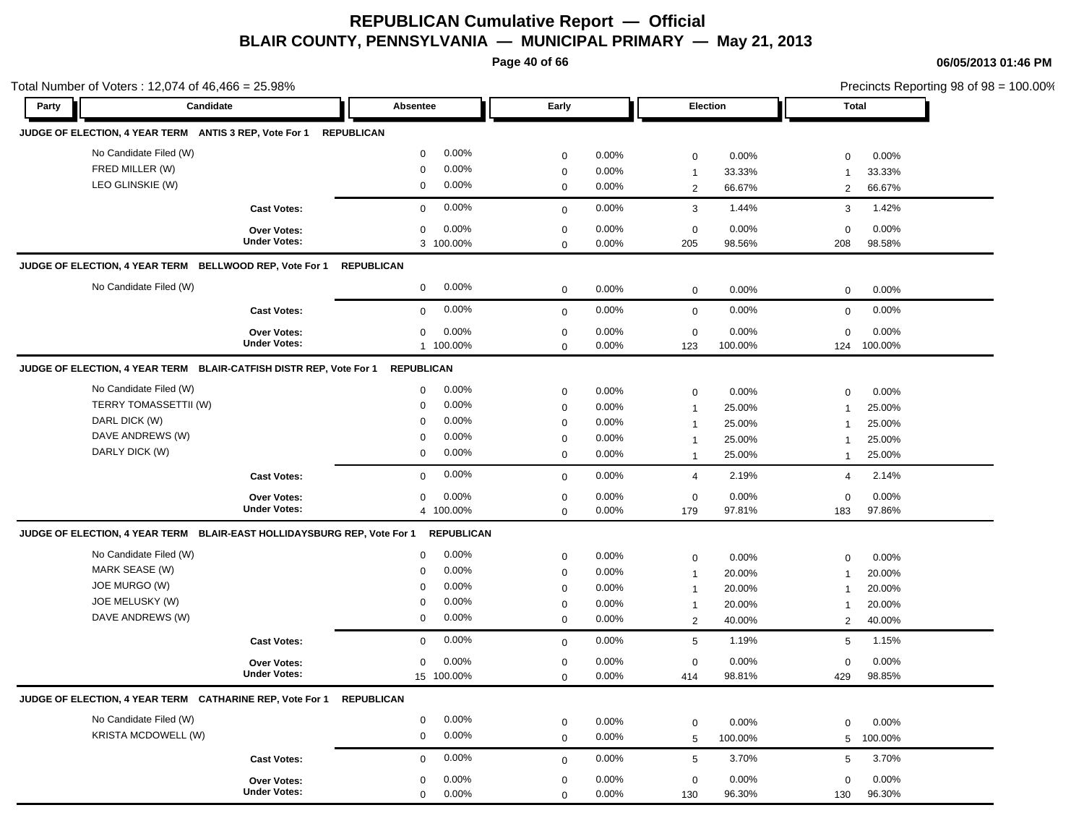**Page 40 of 66**

| Total Number of Voters: 12,074 of 46,466 = 25.98%                       | Candidate           | Absentee             | Early        |       |                 | Election |              | Precincts Reporting 98 of 98 = 100.00% |  |
|-------------------------------------------------------------------------|---------------------|----------------------|--------------|-------|-----------------|----------|--------------|----------------------------------------|--|
| Party                                                                   |                     |                      |              |       |                 |          | Total        |                                        |  |
| JUDGE OF ELECTION, 4 YEAR TERM ANTIS 3 REP, Vote For 1                  |                     | <b>REPUBLICAN</b>    |              |       |                 |          |              |                                        |  |
| No Candidate Filed (W)                                                  |                     | 0.00%<br>$\mathbf 0$ | $\mathbf 0$  | 0.00% | $\mathbf 0$     | 0.00%    | $\mathbf 0$  | 0.00%                                  |  |
| FRED MILLER (W)                                                         |                     | 0.00%<br>$\mathbf 0$ | $\mathbf 0$  | 0.00% | $\mathbf{1}$    | 33.33%   | -1           | 33.33%                                 |  |
| LEO GLINSKIE (W)                                                        |                     | 0.00%<br>0           | $\mathbf 0$  | 0.00% | $\overline{2}$  | 66.67%   | 2            | 66.67%                                 |  |
|                                                                         | <b>Cast Votes:</b>  | 0.00%<br>$\mathbf 0$ | $\mathbf 0$  | 0.00% | 3               | 1.44%    | 3            | 1.42%                                  |  |
|                                                                         | <b>Over Votes:</b>  | 0.00%<br>$\mathbf 0$ | $\mathbf 0$  | 0.00% | $\mathbf 0$     | 0.00%    | $\mathbf 0$  | 0.00%                                  |  |
|                                                                         | <b>Under Votes:</b> | 3 100.00%            | $\mathbf 0$  | 0.00% | 205             | 98.56%   | 208          | 98.58%                                 |  |
| JUDGE OF ELECTION, 4 YEAR TERM BELLWOOD REP, Vote For 1                 |                     | <b>REPUBLICAN</b>    |              |       |                 |          |              |                                        |  |
| No Candidate Filed (W)                                                  |                     | 0.00%<br>$\mathbf 0$ | $\mathbf 0$  | 0.00% | $\mathbf 0$     | 0.00%    | 0            | 0.00%                                  |  |
|                                                                         | <b>Cast Votes:</b>  | 0.00%<br>$\mathbf 0$ | $\mathbf 0$  | 0.00% | $\mathbf 0$     | 0.00%    | $\mathbf 0$  | 0.00%                                  |  |
|                                                                         | <b>Over Votes:</b>  | 0.00%<br>$\mathbf 0$ | $\mathbf 0$  | 0.00% | $\mathbf 0$     | 0.00%    | $\Omega$     | 0.00%                                  |  |
|                                                                         | <b>Under Votes:</b> | 1 100.00%            | $\mathbf 0$  | 0.00% | 123             | 100.00%  | 124          | 100.00%                                |  |
| JUDGE OF ELECTION, 4 YEAR TERM BLAIR-CATFISH DISTR REP, Vote For 1      |                     | <b>REPUBLICAN</b>    |              |       |                 |          |              |                                        |  |
| No Candidate Filed (W)                                                  |                     | 0.00%<br>$\mathbf 0$ | $\mathbf 0$  | 0.00% | $\mathbf 0$     | 0.00%    | 0            | 0.00%                                  |  |
| <b>TERRY TOMASSETTII (W)</b>                                            |                     | 0.00%<br>$\mathbf 0$ | $\mathbf 0$  | 0.00% | $\overline{1}$  | 25.00%   | 1            | 25.00%                                 |  |
| DARL DICK (W)                                                           |                     | 0.00%<br>0           | $\mathbf 0$  | 0.00% | 1               | 25.00%   | 1            | 25.00%                                 |  |
| DAVE ANDREWS (W)                                                        |                     | 0.00%<br>0           | $\mathbf 0$  | 0.00% | 1               | 25.00%   | -1           | 25.00%                                 |  |
| DARLY DICK (W)                                                          |                     | 0.00%<br>$\mathbf 0$ | $\mathbf 0$  | 0.00% | $\overline{1}$  | 25.00%   | $\mathbf{1}$ | 25.00%                                 |  |
|                                                                         | <b>Cast Votes:</b>  | 0.00%<br>$\mathbf 0$ | $\mathbf 0$  | 0.00% | $\overline{4}$  | 2.19%    | 4            | 2.14%                                  |  |
|                                                                         | Over Votes:         | 0.00%<br>0           | $\mathbf 0$  | 0.00% | $\mathbf 0$     | 0.00%    | $\mathbf 0$  | 0.00%                                  |  |
|                                                                         | <b>Under Votes:</b> | 4 100.00%            | $\mathbf 0$  | 0.00% | 179             | 97.81%   | 183          | 97.86%                                 |  |
| JUDGE OF ELECTION, 4 YEAR TERM BLAIR-EAST HOLLIDAYSBURG REP, Vote For 1 |                     | <b>REPUBLICAN</b>    |              |       |                 |          |              |                                        |  |
| No Candidate Filed (W)                                                  |                     | 0.00%<br>$\mathbf 0$ | $\mathbf 0$  | 0.00% | $\mathbf 0$     | 0.00%    | 0            | 0.00%                                  |  |
| MARK SEASE (W)                                                          |                     | 0.00%<br>$\mathbf 0$ | $\mathbf 0$  | 0.00% | -1              | 20.00%   | 1            | 20.00%                                 |  |
| JOE MURGO (W)                                                           |                     | 0.00%<br>0           | $\mathbf 0$  | 0.00% | $\mathbf{1}$    | 20.00%   |              | 20.00%                                 |  |
| JOE MELUSKY (W)                                                         |                     | 0.00%<br>$\mathbf 0$ | $\mathbf 0$  | 0.00% | $\mathbf{1}$    | 20.00%   | -1           | 20.00%                                 |  |
| DAVE ANDREWS (W)                                                        |                     | 0.00%<br>$\mathbf 0$ | $\mathbf 0$  | 0.00% | 2               | 40.00%   | 2            | 40.00%                                 |  |
|                                                                         | <b>Cast Votes:</b>  | 0.00%<br>$\mathbf 0$ | $\mathbf{0}$ | 0.00% | $5\phantom{.0}$ | 1.19%    | 5            | 1.15%                                  |  |
|                                                                         | <b>Over Votes:</b>  | 0.00%<br>$\mathbf 0$ | $\mathbf 0$  | 0.00% | $\mathbf 0$     | 0.00%    | $\mathbf 0$  | 0.00%                                  |  |
|                                                                         | <b>Under Votes:</b> | 15 100.00%           | $\mathbf 0$  | 0.00% | 414             | 98.81%   | 429          | 98.85%                                 |  |
| JUDGE OF ELECTION, 4 YEAR TERM CATHARINE REP, Vote For 1 REPUBLICAN     |                     |                      |              |       |                 |          |              |                                        |  |
| No Candidate Filed (W)                                                  |                     | 0.00%<br>$\mathbf 0$ | $\mathbf 0$  | 0.00% | $\mathbf 0$     | 0.00%    | $\mathbf 0$  | 0.00%                                  |  |
| <b>KRISTA MCDOWELL (W)</b>                                              |                     | 0.00%<br>$\mathbf 0$ | $\mathbf 0$  | 0.00% | 5               | 100.00%  | 5            | 100.00%                                |  |
|                                                                         | <b>Cast Votes:</b>  | 0.00%<br>$\mathbf 0$ | $\mathbf 0$  | 0.00% | $5\phantom{.0}$ | 3.70%    | 5            | 3.70%                                  |  |
|                                                                         | Over Votes:         | 0.00%<br>$\mathbf 0$ | $\mathbf 0$  | 0.00% | $\mathbf 0$     | 0.00%    | $\mathbf 0$  | 0.00%                                  |  |
|                                                                         | <b>Under Votes:</b> | $\mathbf 0$<br>0.00% | $\mathbf 0$  | 0.00% | 130             | 96.30%   | 130          | 96.30%                                 |  |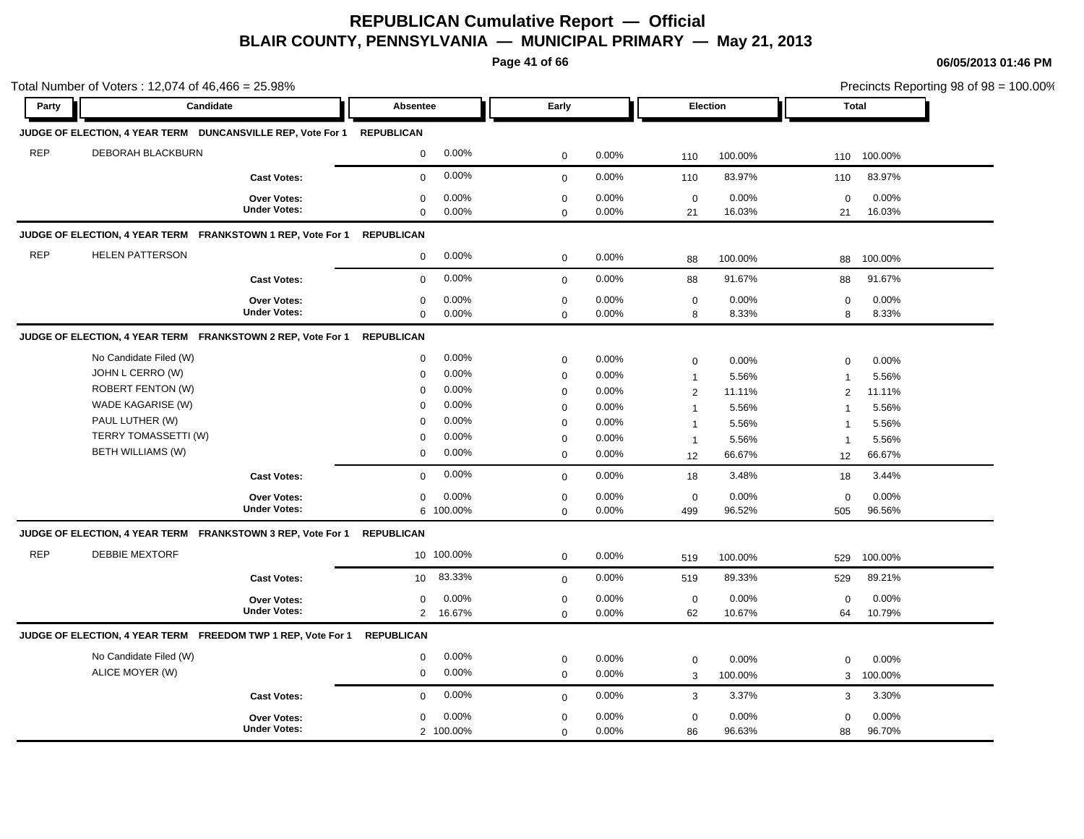**Page 41 of 66**

| Party      | Candidate                                                              |                     | <b>Absentee</b>   |           | Early        |       |                | Election |                | Total   |  |
|------------|------------------------------------------------------------------------|---------------------|-------------------|-----------|--------------|-------|----------------|----------|----------------|---------|--|
|            |                                                                        |                     |                   |           |              |       |                |          |                |         |  |
|            | JUDGE OF ELECTION, 4 YEAR TERM DUNCANSVILLE REP, Vote For 1 REPUBLICAN |                     |                   |           |              |       |                |          |                |         |  |
| <b>REP</b> | DEBORAH BLACKBURN                                                      |                     | $\mathbf 0$       | 0.00%     | $\mathbf 0$  | 0.00% | 110            | 100.00%  | 110            | 100.00% |  |
|            |                                                                        | <b>Cast Votes:</b>  | $\mathbf 0$       | 0.00%     | $\mathbf{0}$ | 0.00% | 110            | 83.97%   | 110            | 83.97%  |  |
|            |                                                                        | <b>Over Votes:</b>  | 0                 | 0.00%     | $\mathbf 0$  | 0.00% | $\mathbf 0$    | 0.00%    | $\mathbf 0$    | 0.00%   |  |
|            |                                                                        | <b>Under Votes:</b> | $\mathbf 0$       | 0.00%     | $\mathbf 0$  | 0.00% | 21             | 16.03%   | 21             | 16.03%  |  |
|            | JUDGE OF ELECTION, 4 YEAR TERM FRANKSTOWN 1 REP, Vote For 1            |                     | <b>REPUBLICAN</b> |           |              |       |                |          |                |         |  |
| <b>REP</b> | <b>HELEN PATTERSON</b>                                                 |                     | 0                 | 0.00%     | $\mathbf 0$  | 0.00% | 88             | 100.00%  | 88             | 100.00% |  |
|            |                                                                        | <b>Cast Votes:</b>  | $\mathbf 0$       | 0.00%     | $\mathbf{0}$ | 0.00% | 88             | 91.67%   | 88             | 91.67%  |  |
|            |                                                                        | Over Votes:         | 0                 | 0.00%     | $\mathbf 0$  | 0.00% | $\mathbf 0$    | 0.00%    | $\mathbf 0$    | 0.00%   |  |
|            |                                                                        | <b>Under Votes:</b> | $\mathbf 0$       | 0.00%     | $\mathbf 0$  | 0.00% | 8              | 8.33%    | 8              | 8.33%   |  |
|            | JUDGE OF ELECTION, 4 YEAR TERM FRANKSTOWN 2 REP, Vote For 1            |                     | <b>REPUBLICAN</b> |           |              |       |                |          |                |         |  |
|            | No Candidate Filed (W)                                                 |                     | $\mathbf 0$       | 0.00%     | $\mathbf 0$  | 0.00% | $\mathbf 0$    | 0.00%    | 0              | 0.00%   |  |
|            | JOHN L CERRO (W)                                                       |                     | $\mathbf 0$       | 0.00%     | $\pmb{0}$    | 0.00% | $\mathbf{1}$   | 5.56%    | $\overline{1}$ | 5.56%   |  |
|            | <b>ROBERT FENTON (W)</b>                                               |                     | $\mathbf 0$       | 0.00%     | $\mathbf 0$  | 0.00% | 2              | 11.11%   | 2              | 11.11%  |  |
|            | WADE KAGARISE (W)                                                      |                     | $\Omega$          | 0.00%     | $\mathbf 0$  | 0.00% | $\overline{1}$ | 5.56%    | $\overline{1}$ | 5.56%   |  |
|            | PAUL LUTHER (W)                                                        |                     | $\mathbf 0$       | 0.00%     | $\mathsf 0$  | 0.00% | $\mathbf 1$    | 5.56%    | $\overline{1}$ | 5.56%   |  |
|            | TERRY TOMASSETTI (W)                                                   |                     | $\mathbf 0$       | 0.00%     | $\mathbf 0$  | 0.00% | $\overline{1}$ | 5.56%    | $\mathbf{1}$   | 5.56%   |  |
|            | <b>BETH WILLIAMS (W)</b>                                               |                     | $\mathbf 0$       | 0.00%     | $\mathbf 0$  | 0.00% | 12             | 66.67%   | 12             | 66.67%  |  |
|            |                                                                        | <b>Cast Votes:</b>  | $\mathbf 0$       | 0.00%     | $\mathbf 0$  | 0.00% | 18             | 3.48%    | 18             | 3.44%   |  |
|            |                                                                        | Over Votes:         | $\mathbf 0$       | 0.00%     | $\mathbf 0$  | 0.00% | $\mathbf 0$    | 0.00%    | $\mathbf 0$    | 0.00%   |  |
|            |                                                                        | <b>Under Votes:</b> |                   | 6 100.00% | $\mathbf 0$  | 0.00% | 499            | 96.52%   | 505            | 96.56%  |  |
|            | JUDGE OF ELECTION, 4 YEAR TERM FRANKSTOWN 3 REP, Vote For 1            |                     | REPUBLICAN        |           |              |       |                |          |                |         |  |
| <b>REP</b> | <b>DEBBIE MEXTORF</b>                                                  |                     | 10 100.00%        |           | $\mathsf 0$  | 0.00% | 519            | 100.00%  | 529            | 100.00% |  |
|            |                                                                        | <b>Cast Votes:</b>  | 10 <sup>°</sup>   | 83.33%    | $\mathbf 0$  | 0.00% | 519            | 89.33%   | 529            | 89.21%  |  |
|            |                                                                        | <b>Over Votes:</b>  | $\mathbf 0$       | 0.00%     | $\mathbf 0$  | 0.00% | $\mathbf 0$    | 0.00%    | $\mathbf 0$    | 0.00%   |  |
|            |                                                                        | <b>Under Votes:</b> | $\overline{2}$    | 16.67%    | $\Omega$     | 0.00% | 62             | 10.67%   | 64             | 10.79%  |  |
|            | JUDGE OF ELECTION, 4 YEAR TERM FREEDOM TWP 1 REP, Vote For 1           |                     | <b>REPUBLICAN</b> |           |              |       |                |          |                |         |  |
|            | No Candidate Filed (W)                                                 |                     | $\mathbf 0$       | 0.00%     | $\pmb{0}$    | 0.00% | $\mathbf 0$    | 0.00%    | 0              | 0.00%   |  |
|            | ALICE MOYER (W)                                                        |                     | $\mathbf 0$       | 0.00%     | $\mathbf 0$  | 0.00% | $\mathbf{3}$   | 100.00%  | 3              | 100.00% |  |
|            |                                                                        | <b>Cast Votes:</b>  | $\Omega$          | 0.00%     | $\mathbf 0$  | 0.00% | 3              | 3.37%    | 3              | 3.30%   |  |
|            |                                                                        | <b>Over Votes:</b>  | $\Omega$          | 0.00%     | $\mathbf 0$  | 0.00% | $\mathbf 0$    | 0.00%    | $\mathbf 0$    | 0.00%   |  |
|            |                                                                        | <b>Under Votes:</b> |                   | 2 100.00% | $\mathbf 0$  | 0.00% | 86             | 96.63%   | 88             | 96.70%  |  |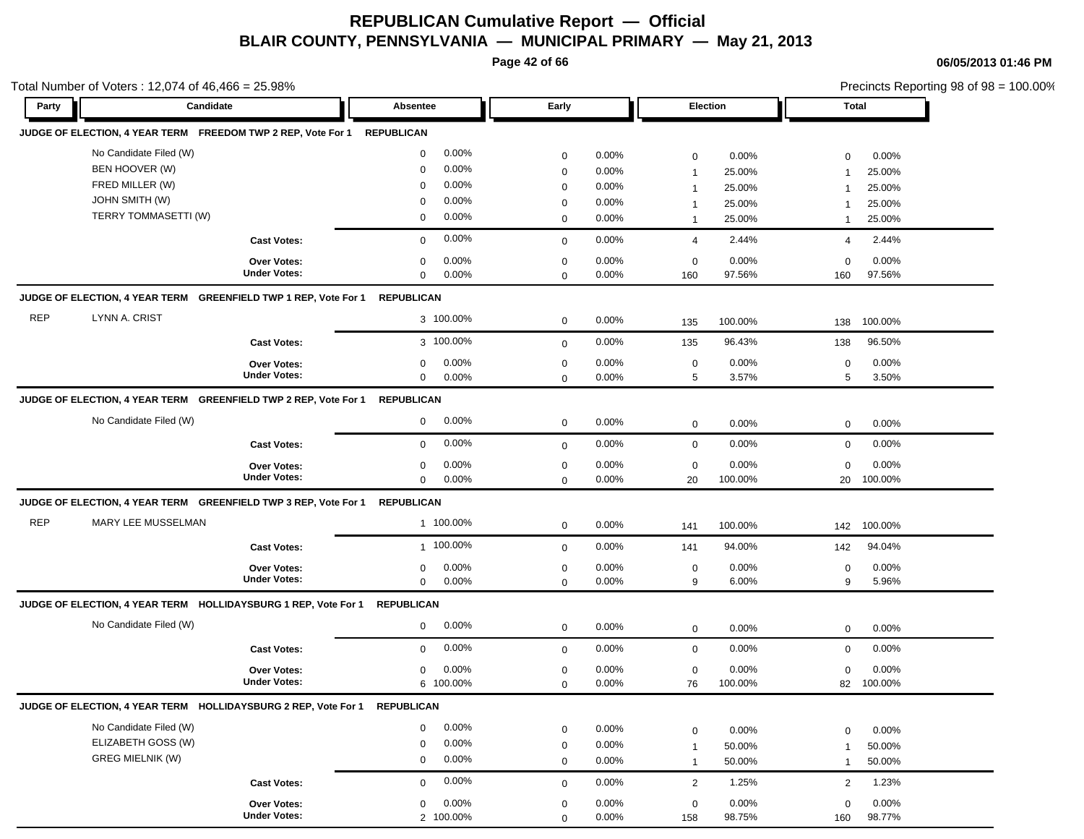**Page 42 of 66**

**06/05/2013 01:46 PM**

|            | Total Number of Voters: 12,074 of 46,466 = 25.98%                          |                                    |                       |             |       |                |         |                | Precincts Reporting 98 of 98 = 100.00% |
|------------|----------------------------------------------------------------------------|------------------------------------|-----------------------|-------------|-------|----------------|---------|----------------|----------------------------------------|
| Party      | Candidate                                                                  |                                    | Absentee              | Early       |       | Election       |         | Total          |                                        |
|            | JUDGE OF ELECTION, 4 YEAR TERM FREEDOM TWP 2 REP, Vote For 1               |                                    | <b>REPUBLICAN</b>     |             |       |                |         |                |                                        |
|            | No Candidate Filed (W)                                                     |                                    | 0.00%<br>0            | $\mathbf 0$ | 0.00% | $\mathbf 0$    | 0.00%   | $\mathbf 0$    | 0.00%                                  |
|            | BEN HOOVER (W)                                                             |                                    | 0.00%<br>0            | $\mathbf 0$ | 0.00% | $\mathbf{1}$   | 25.00%  | $\mathbf 1$    | 25.00%                                 |
|            | FRED MILLER (W)                                                            |                                    | 0.00%<br>0            | 0           | 0.00% | $\overline{1}$ | 25.00%  |                | 25.00%                                 |
|            | <b>JOHN SMITH (W)</b>                                                      |                                    | 0.00%<br>$\mathbf 0$  | 0           | 0.00% | $\overline{1}$ | 25.00%  |                | 25.00%                                 |
|            | TERRY TOMMASETTI (W)                                                       |                                    | 0.00%<br>0            | 0           | 0.00% | $\mathbf{1}$   | 25.00%  | $\mathbf 1$    | 25.00%                                 |
|            |                                                                            | <b>Cast Votes:</b>                 | 0.00%<br>$\mathbf 0$  | $\mathbf 0$ | 0.00% | 4              | 2.44%   | $\overline{4}$ | 2.44%                                  |
|            |                                                                            | Over Votes:                        | 0.00%<br>0            | $\mathbf 0$ | 0.00% | $\mathbf 0$    | 0.00%   | $\mathbf 0$    | 0.00%                                  |
|            |                                                                            | <b>Under Votes:</b>                | 0.00%<br>0            | $\mathbf 0$ | 0.00% | 160            | 97.56%  | 160            | 97.56%                                 |
|            | JUDGE OF ELECTION, 4 YEAR TERM GREENFIELD TWP 1 REP, Vote For 1 REPUBLICAN |                                    |                       |             |       |                |         |                |                                        |
| <b>REP</b> | LYNN A. CRIST                                                              |                                    | 3 100.00%             | $\mathbf 0$ | 0.00% | 135            | 100.00% | 138            | 100.00%                                |
|            |                                                                            | <b>Cast Votes:</b>                 | 3 100.00%             | $\mathbf 0$ | 0.00% | 135            | 96.43%  | 138            | 96.50%                                 |
|            |                                                                            | <b>Over Votes:</b>                 | 0.00%<br>0            | $\mathbf 0$ | 0.00% | $\mathbf 0$    | 0.00%   | $\mathbf 0$    | 0.00%                                  |
|            |                                                                            | <b>Under Votes:</b>                | 0.00%<br>$\mathbf{0}$ | $\mathbf 0$ | 0.00% | 5              | 3.57%   | 5              | 3.50%                                  |
|            | JUDGE OF ELECTION, 4 YEAR TERM GREENFIELD TWP 2 REP, Vote For 1 REPUBLICAN |                                    |                       |             |       |                |         |                |                                        |
|            | No Candidate Filed (W)                                                     |                                    | 0.00%<br>0            | $\mathbf 0$ | 0.00% | $\mathbf 0$    | 0.00%   | $\mathbf 0$    | 0.00%                                  |
|            |                                                                            | <b>Cast Votes:</b>                 | 0.00%<br>0            | $\mathbf 0$ | 0.00% | $\mathbf 0$    | 0.00%   | $\mathbf 0$    | 0.00%                                  |
|            |                                                                            | <b>Over Votes:</b>                 | 0.00%<br>0            | 0           | 0.00% | $\mathbf 0$    | 0.00%   | $\mathbf 0$    | 0.00%                                  |
|            |                                                                            | <b>Under Votes:</b>                | 0.00%<br>0            | $\mathbf 0$ | 0.00% | 20             | 100.00% | 20             | 100.00%                                |
|            | JUDGE OF ELECTION, 4 YEAR TERM GREENFIELD TWP 3 REP, Vote For 1            |                                    | <b>REPUBLICAN</b>     |             |       |                |         |                |                                        |
| <b>REP</b> | MARY LEE MUSSELMAN                                                         |                                    | 1 100.00%             | $\mathbf 0$ | 0.00% | 141            | 100.00% | 142            | 100.00%                                |
|            |                                                                            | <b>Cast Votes:</b>                 | 1 100.00%             | $\mathbf 0$ | 0.00% | 141            | 94.00%  | 142            | 94.04%                                 |
|            |                                                                            | Over Votes:                        | 0.00%<br>$\Omega$     | $\mathbf 0$ | 0.00% | $\mathbf 0$    | 0.00%   | $\mathbf 0$    | 0.00%                                  |
|            |                                                                            | <b>Under Votes:</b>                | 0.00%<br>0            | $\mathbf 0$ | 0.00% | 9              | 6.00%   | 9              | 5.96%                                  |
|            | JUDGE OF ELECTION, 4 YEAR TERM HOLLIDAYSBURG 1 REP, Vote For 1 REPUBLICAN  |                                    |                       |             |       |                |         |                |                                        |
|            | No Candidate Filed (W)                                                     |                                    | 0.00%<br>$\mathbf 0$  | $\mathbf 0$ | 0.00% | $\mathbf 0$    | 0.00%   | $\mathbf 0$    | 0.00%                                  |
|            |                                                                            | <b>Cast Votes:</b>                 | 0.00%<br>$\mathbf 0$  | $\mathbf 0$ | 0.00% | $\mathbf 0$    | 0.00%   | $\mathbf 0$    | 0.00%                                  |
|            |                                                                            | Over Votes:                        | 0.00%<br>$\mathbf 0$  | $\mathbf 0$ | 0.00% | $\mathbf 0$    | 0.00%   | $\mathbf 0$    | 0.00%                                  |
|            |                                                                            | <b>Under Votes:</b>                | 6 100.00%             | $\mathbf 0$ | 0.00% | 76             | 100.00% | 82             | 100.00%                                |
|            | JUDGE OF ELECTION, 4 YEAR TERM HOLLIDAYSBURG 2 REP, Vote For 1             |                                    | <b>REPUBLICAN</b>     |             |       |                |         |                |                                        |
|            | No Candidate Filed (W)                                                     |                                    | 0.00%<br>0            | $\mathbf 0$ | 0.00% | $\mathbf 0$    | 0.00%   | $\mathbf 0$    | 0.00%                                  |
|            | ELIZABETH GOSS (W)                                                         |                                    | 0.00%<br>0            | $\mathbf 0$ | 0.00% | $\mathbf{1}$   | 50.00%  | $\mathbf 1$    | 50.00%                                 |
|            | <b>GREG MIELNIK (W)</b>                                                    |                                    | 0.00%<br>0            | $\mathbf 0$ | 0.00% | $\mathbf{1}$   | 50.00%  | $\mathbf{1}$   | 50.00%                                 |
|            |                                                                            | <b>Cast Votes:</b>                 | 0.00%<br>0            | $\mathbf 0$ | 0.00% | $\overline{2}$ | 1.25%   | 2              | 1.23%                                  |
|            |                                                                            |                                    |                       |             |       |                |         |                |                                        |
|            |                                                                            | Over Votes:<br><b>Under Votes:</b> | 0.00%<br>0            | $\mathbf 0$ | 0.00% | $\mathsf 0$    | 0.00%   | $\mathbf 0$    | 0.00%                                  |
|            |                                                                            |                                    | 2 100.00%             | $\Omega$    | 0.00% | 158            | 98.75%  | 160            | 98.77%                                 |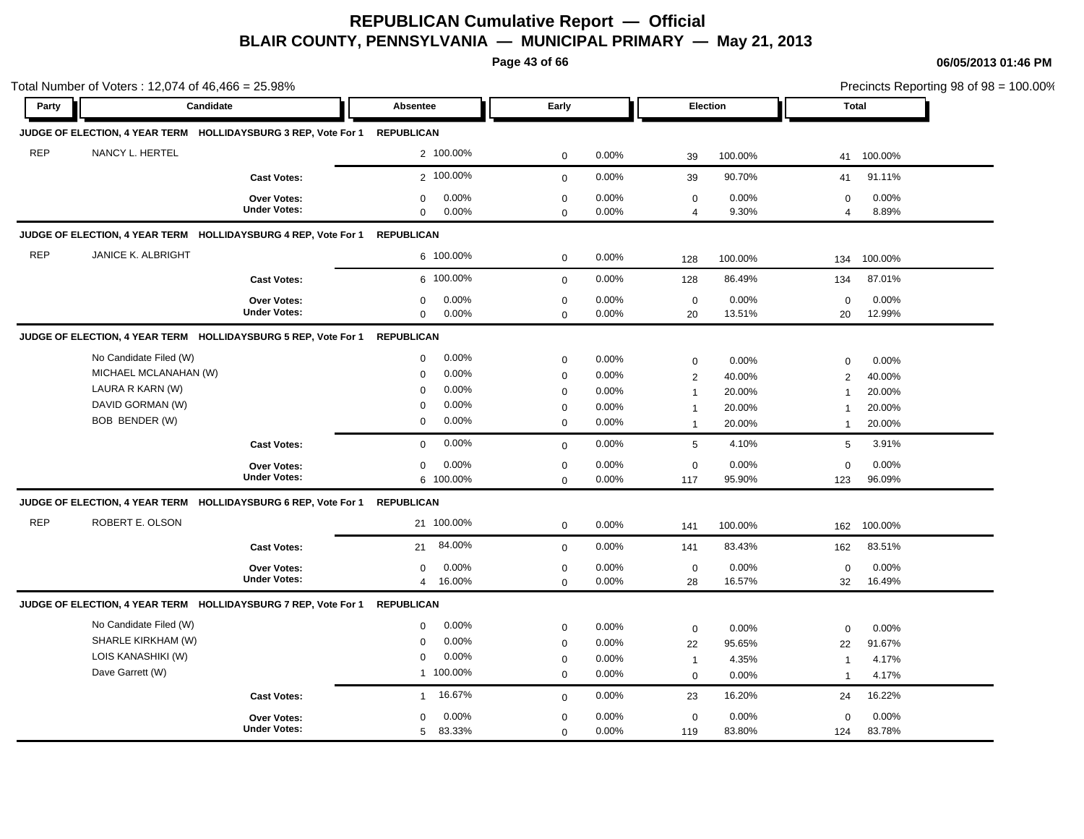**Page 43 of 66**

| Party      | Candidate                 |                                                                | <b>Absentee</b>          | Early        |       |                | <b>Election</b> |                | <b>Total</b> |
|------------|---------------------------|----------------------------------------------------------------|--------------------------|--------------|-------|----------------|-----------------|----------------|--------------|
|            |                           |                                                                |                          |              |       |                |                 |                |              |
|            |                           | JUDGE OF ELECTION, 4 YEAR TERM HOLLIDAYSBURG 3 REP, Vote For 1 | <b>REPUBLICAN</b>        |              |       |                |                 |                |              |
| <b>REP</b> | NANCY L. HERTEL           |                                                                | 2 100.00%                | $\mathbf 0$  | 0.00% | 39             | 100.00%         | 41             | 100.00%      |
|            |                           | <b>Cast Votes:</b>                                             | 2 100.00%                | $\mathbf{0}$ | 0.00% | 39             | 90.70%          | 41             | 91.11%       |
|            |                           | <b>Over Votes:</b>                                             | $\mathbf 0$<br>0.00%     | $\mathbf 0$  | 0.00% | $\mathbf 0$    | 0.00%           | 0              | $0.00\%$     |
|            |                           | <b>Under Votes:</b>                                            | $\mathbf 0$<br>0.00%     | $\Omega$     | 0.00% | $\overline{4}$ | 9.30%           | $\overline{4}$ | 8.89%        |
|            |                           | JUDGE OF ELECTION, 4 YEAR TERM HOLLIDAYSBURG 4 REP, Vote For 1 | <b>REPUBLICAN</b>        |              |       |                |                 |                |              |
| <b>REP</b> | <b>JANICE K. ALBRIGHT</b> |                                                                | 6 100.00%                | $\mathbf 0$  | 0.00% | 128            | 100.00%         | 134            | 100.00%      |
|            |                           | <b>Cast Votes:</b>                                             | 6 100.00%                | $\mathbf 0$  | 0.00% | 128            | 86.49%          | 134            | 87.01%       |
|            |                           | Over Votes:                                                    | 0.00%<br>$\mathbf 0$     | $\mathbf 0$  | 0.00% | $\mathbf 0$    | 0.00%           | $\mathbf 0$    | 0.00%        |
|            |                           | <b>Under Votes:</b>                                            | $\mathbf 0$<br>0.00%     | $\mathbf 0$  | 0.00% | 20             | 13.51%          | 20             | 12.99%       |
|            |                           | JUDGE OF ELECTION, 4 YEAR TERM HOLLIDAYSBURG 5 REP, Vote For 1 | <b>REPUBLICAN</b>        |              |       |                |                 |                |              |
|            | No Candidate Filed (W)    |                                                                | 0.00%<br>$\mathbf 0$     | $\mathbf 0$  | 0.00% | $\mathbf 0$    | 0.00%           | 0              | 0.00%        |
|            | MICHAEL MCLANAHAN (W)     |                                                                | 0.00%<br>$\mathbf 0$     | $\mathbf 0$  | 0.00% | 2              | 40.00%          | 2              | 40.00%       |
|            | LAURA R KARN (W)          |                                                                | 0.00%<br>$\mathbf 0$     | $\mathbf 0$  | 0.00% | $\overline{1}$ | 20.00%          | $\overline{1}$ | 20.00%       |
|            | DAVID GORMAN (W)          |                                                                | 0.00%<br>$\Omega$        | $\mathbf 0$  | 0.00% | $\mathbf{1}$   | 20.00%          | 1              | 20.00%       |
|            | BOB BENDER (W)            |                                                                | $\mathbf 0$<br>0.00%     | $\mathbf 0$  | 0.00% | $\overline{1}$ | 20.00%          | $\mathbf{1}$   | 20.00%       |
|            |                           | <b>Cast Votes:</b>                                             | 0.00%<br>$\Omega$        | $\mathbf{0}$ | 0.00% | 5              | 4.10%           | 5              | 3.91%        |
|            |                           | Over Votes:                                                    | 0.00%<br>$\mathbf 0$     | $\mathbf 0$  | 0.00% | $\mathbf 0$    | 0.00%           | $\mathbf 0$    | 0.00%        |
|            |                           | <b>Under Votes:</b>                                            | 6 100.00%                | $\mathbf 0$  | 0.00% | 117            | 95.90%          | 123            | 96.09%       |
|            |                           | JUDGE OF ELECTION, 4 YEAR TERM HOLLIDAYSBURG 6 REP, Vote For 1 | <b>REPUBLICAN</b>        |              |       |                |                 |                |              |
| <b>REP</b> | ROBERT E. OLSON           |                                                                | 21 100.00%               | $\mathbf 0$  | 0.00% | 141            | 100.00%         | 162            | 100.00%      |
|            |                           | <b>Cast Votes:</b>                                             | 84.00%<br>21             | $\mathbf 0$  | 0.00% | 141            | 83.43%          | 162            | 83.51%       |
|            |                           | Over Votes:                                                    | 0.00%<br>$\mathbf 0$     | $\mathbf 0$  | 0.00% | $\mathbf 0$    | 0.00%           | $\mathbf 0$    | 0.00%        |
|            |                           | <b>Under Votes:</b>                                            | 16.00%<br>$\overline{4}$ | $\mathbf 0$  | 0.00% | 28             | 16.57%          | 32             | 16.49%       |
|            |                           | JUDGE OF ELECTION, 4 YEAR TERM HOLLIDAYSBURG 7 REP, Vote For 1 | <b>REPUBLICAN</b>        |              |       |                |                 |                |              |
|            | No Candidate Filed (W)    |                                                                | 0.00%<br>$\mathbf 0$     | $\mathbf 0$  | 0.00% | $\mathbf 0$    | 0.00%           | $\mathbf 0$    | 0.00%        |
|            | SHARLE KIRKHAM (W)        |                                                                | 0.00%<br>$\mathbf 0$     | $\mathbf 0$  | 0.00% | 22             | 95.65%          | 22             | 91.67%       |
|            | LOIS KANASHIKI (W)        |                                                                | 0.00%<br>$\mathbf 0$     | $\mathbf 0$  | 0.00% | $\overline{1}$ | 4.35%           | $\overline{1}$ | 4.17%        |
|            | Dave Garrett (W)          |                                                                | 1 100.00%                | $\mathbf 0$  | 0.00% | $\mathbf 0$    | 0.00%           | 1              | 4.17%        |
|            |                           | <b>Cast Votes:</b>                                             | 16.67%<br>$\mathbf{1}$   | $\mathbf 0$  | 0.00% | 23             | 16.20%          | 24             | 16.22%       |
|            |                           | Over Votes:                                                    | 0.00%<br>$\mathbf 0$     | $\mathbf 0$  | 0.00% | $\mathbf 0$    | 0.00%           | $\mathbf 0$    | 0.00%        |
|            |                           | <b>Under Votes:</b>                                            | 83.33%<br>5              | $\mathbf 0$  | 0.00% | 119            | 83.80%          | 124            | 83.78%       |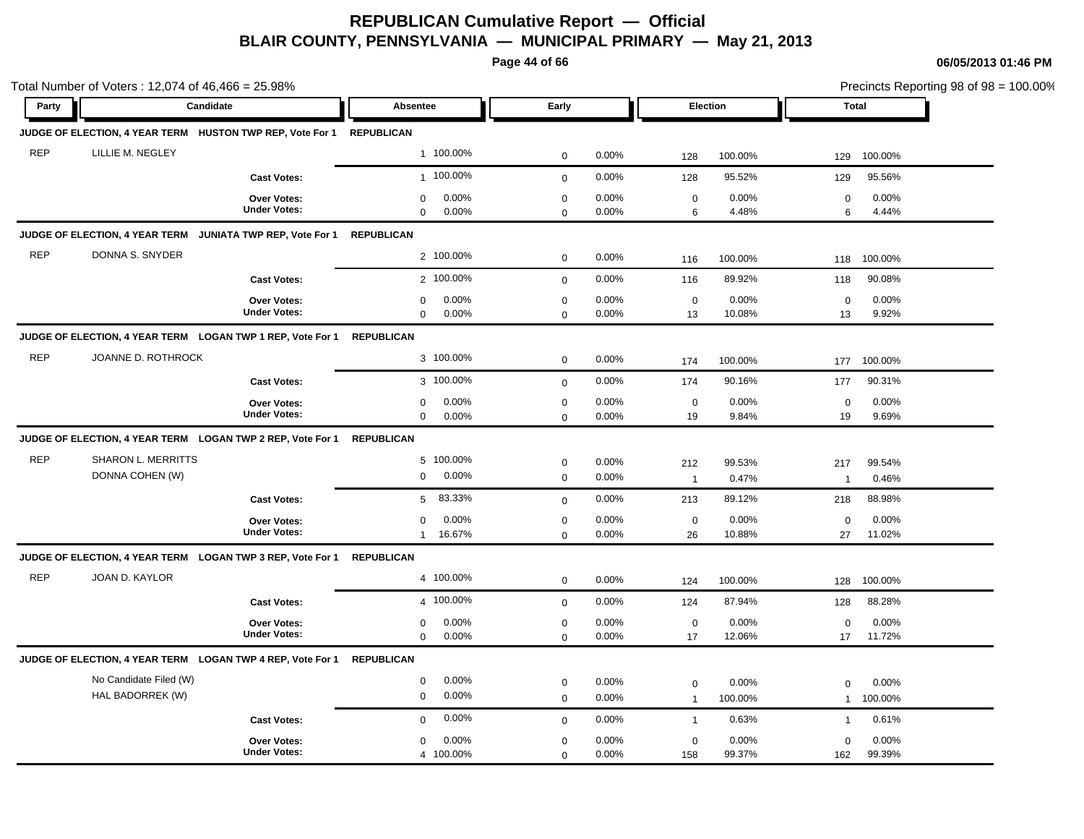**Page 44 of 66**

| Party      | Candidate                                                             |                     | <b>Absentee</b>      | Early        |       |                | <b>Election</b> | <b>Total</b>   | Precincts Reporting 98 of 98 = 100.00% |
|------------|-----------------------------------------------------------------------|---------------------|----------------------|--------------|-------|----------------|-----------------|----------------|----------------------------------------|
|            |                                                                       |                     |                      |              |       |                |                 |                |                                        |
|            | JUDGE OF ELECTION, 4 YEAR TERM HUSTON TWP REP, Vote For 1 REPUBLICAN  |                     |                      |              |       |                |                 |                |                                        |
| <b>REP</b> | LILLIE M. NEGLEY                                                      |                     | 1 100.00%            | $\mathbf 0$  | 0.00% | 128            | 100.00%         | 129            | 100.00%                                |
|            |                                                                       | <b>Cast Votes:</b>  | 1 100.00%            | $\mathbf{0}$ | 0.00% | 128            | 95.52%          | 129            | 95.56%                                 |
|            |                                                                       | Over Votes:         | 0.00%<br>0           | $\mathbf 0$  | 0.00% | $\mathbf 0$    | 0.00%           | $\mathbf 0$    | 0.00%                                  |
|            |                                                                       | <b>Under Votes:</b> | $\mathbf 0$<br>0.00% | $\mathbf 0$  | 0.00% | 6              | 4.48%           | 6              | 4.44%                                  |
|            | JUDGE OF ELECTION, 4 YEAR TERM JUNIATA TWP REP, Vote For 1            |                     | <b>REPUBLICAN</b>    |              |       |                |                 |                |                                        |
| <b>REP</b> | DONNA S. SNYDER                                                       |                     | 2 100.00%            | $\mathbf 0$  | 0.00% | 116            | 100.00%         | 118            | 100.00%                                |
|            |                                                                       | <b>Cast Votes:</b>  | 2 100.00%            | $\mathbf 0$  | 0.00% | 116            | 89.92%          | 118            | 90.08%                                 |
|            |                                                                       | <b>Over Votes:</b>  | 0.00%<br>$\mathbf 0$ | $\pmb{0}$    | 0.00% | $\mathbf 0$    | 0.00%           | $\mathbf 0$    | 0.00%                                  |
|            |                                                                       | <b>Under Votes:</b> | $\mathbf 0$<br>0.00% | $\mathbf 0$  | 0.00% | 13             | 10.08%          | 13             | 9.92%                                  |
|            | JUDGE OF ELECTION, 4 YEAR TERM LOGAN TWP 1 REP, Vote For 1 REPUBLICAN |                     |                      |              |       |                |                 |                |                                        |
| <b>REP</b> | JOANNE D. ROTHROCK                                                    |                     | 3 100.00%            | $\pmb{0}$    | 0.00% | 174            | 100.00%         | 177            | 100.00%                                |
|            |                                                                       | <b>Cast Votes:</b>  | 3 100.00%            | $\mathbf 0$  | 0.00% | 174            | 90.16%          | 177            | 90.31%                                 |
|            |                                                                       | Over Votes:         | 0.00%<br>$\mathbf 0$ | $\mathbf 0$  | 0.00% | $\mathbf 0$    | 0.00%           | $\mathbf 0$    | 0.00%                                  |
|            |                                                                       | <b>Under Votes:</b> | $\mathbf 0$<br>0.00% | $\Omega$     | 0.00% | 19             | 9.84%           | 19             | 9.69%                                  |
|            | JUDGE OF ELECTION, 4 YEAR TERM LOGAN TWP 2 REP, Vote For 1            |                     | <b>REPUBLICAN</b>    |              |       |                |                 |                |                                        |
| <b>REP</b> | SHARON L. MERRITTS                                                    |                     | 5 100.00%            | $\mathbf 0$  | 0.00% | 212            | 99.53%          | 217            | 99.54%                                 |
|            | DONNA COHEN (W)                                                       |                     | 0.00%<br>$\mathbf 0$ | $\mathbf 0$  | 0.00% | $\overline{1}$ | 0.47%           | $\overline{1}$ | 0.46%                                  |
|            |                                                                       | <b>Cast Votes:</b>  | 83.33%<br>5          | $\mathbf 0$  | 0.00% | 213            | 89.12%          | 218            | 88.98%                                 |
|            |                                                                       | <b>Over Votes:</b>  | 0.00%<br>$\mathbf 0$ | $\mathbf 0$  | 0.00% | $\mathbf 0$    | 0.00%           | $\mathbf 0$    | 0.00%                                  |
|            |                                                                       | <b>Under Votes:</b> | 16.67%<br>1          | $\mathbf 0$  | 0.00% | 26             | 10.88%          | 27             | 11.02%                                 |
|            | JUDGE OF ELECTION, 4 YEAR TERM LOGAN TWP 3 REP, Vote For 1 REPUBLICAN |                     |                      |              |       |                |                 |                |                                        |
| <b>REP</b> | <b>JOAN D. KAYLOR</b>                                                 |                     | 4 100.00%            | $\mathbf 0$  | 0.00% | 124            | 100.00%         | 128            | 100.00%                                |
|            |                                                                       | <b>Cast Votes:</b>  | 4 100.00%            | $\mathbf 0$  | 0.00% | 124            | 87.94%          | 128            | 88.28%                                 |
|            |                                                                       | Over Votes:         | 0.00%<br>$\mathbf 0$ | $\mathbf 0$  | 0.00% | $\mathbf 0$    | 0.00%           | $\Omega$       | 0.00%                                  |
|            |                                                                       | <b>Under Votes:</b> | $\mathbf 0$<br>0.00% | $\mathbf 0$  | 0.00% | 17             | 12.06%          | 17             | 11.72%                                 |
|            | JUDGE OF ELECTION, 4 YEAR TERM LOGAN TWP 4 REP, Vote For 1            |                     | REPUBLICAN           |              |       |                |                 |                |                                        |
|            | No Candidate Filed (W)                                                |                     | 0.00%<br>0           | $\mathbf 0$  | 0.00% | $\mathbf 0$    | 0.00%           | $\Omega$       | 0.00%                                  |
|            | HAL BADORREK (W)                                                      |                     | 0.00%<br>$\mathbf 0$ | $\mathbf 0$  | 0.00% | $\overline{1}$ | 100.00%         | $\mathbf{1}$   | 100.00%                                |
|            |                                                                       | <b>Cast Votes:</b>  | 0.00%<br>$\mathbf 0$ | $\mathbf 0$  | 0.00% | $\mathbf{1}$   | 0.63%           | $\mathbf{1}$   | 0.61%                                  |
|            |                                                                       | <b>Over Votes:</b>  | 0.00%<br>0           | $\mathbf 0$  | 0.00% | $\mathbf 0$    | 0.00%           | 0              | 0.00%                                  |
|            |                                                                       | <b>Under Votes:</b> | 4 100.00%            | $\mathbf 0$  | 0.00% | 158            | 99.37%          | 162            | 99.39%                                 |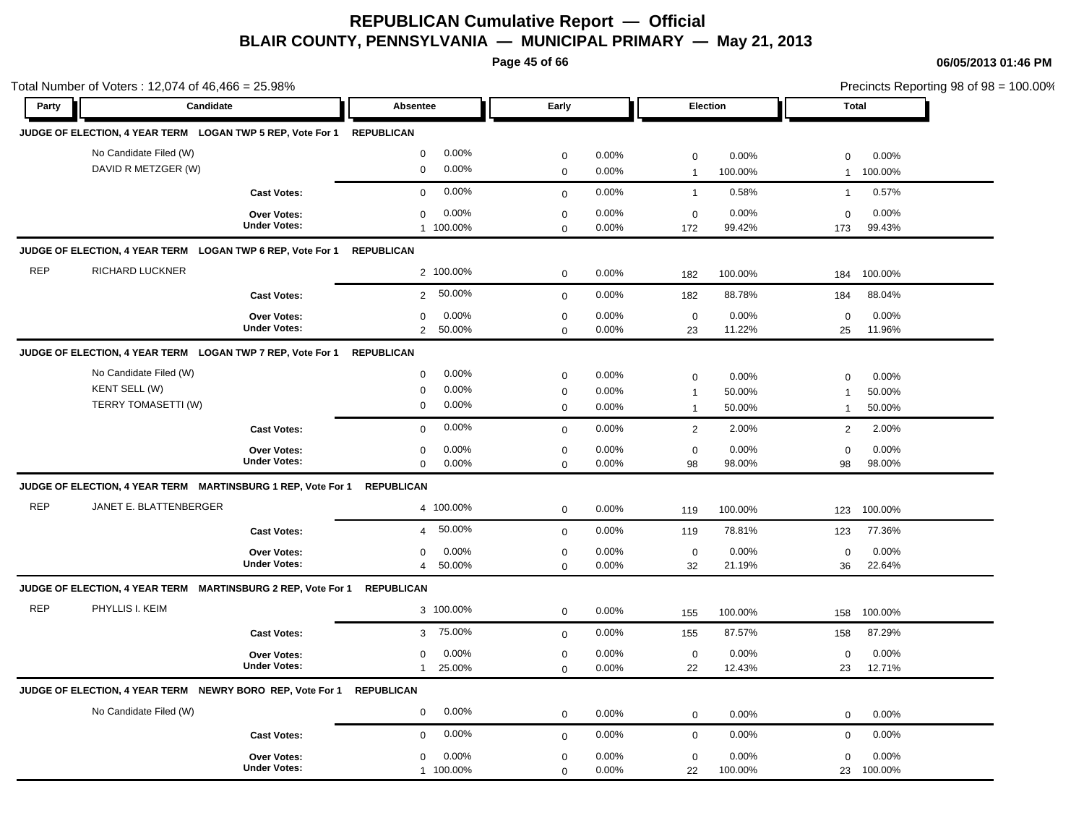**Page 45 of 66**

|            | Total Number of Voters: 12,074 of 46,466 = 25.98%                     |                                           |                                                                      |                                           |                            |                                                                   |                                                        | Precincts Reporting 98 of 98 = 100.00% |
|------------|-----------------------------------------------------------------------|-------------------------------------------|----------------------------------------------------------------------|-------------------------------------------|----------------------------|-------------------------------------------------------------------|--------------------------------------------------------|----------------------------------------|
| Party      | Candidate                                                             |                                           | Absentee                                                             | Early                                     |                            | Election                                                          |                                                        | <b>Total</b>                           |
|            | JUDGE OF ELECTION, 4 YEAR TERM LOGAN TWP 5 REP, Vote For 1 REPUBLICAN |                                           |                                                                      |                                           |                            |                                                                   |                                                        |                                        |
|            | No Candidate Filed (W)<br>DAVID R METZGER (W)                         |                                           | 0.00%<br>0<br>0.00%<br>$\mathbf 0$                                   | $\mathbf 0$<br>$\mathbf 0$                | 0.00%<br>0.00%             | $\mathbf 0$<br>100.00%<br>$\overline{1}$                          | 0.00%<br>$\mathbf 0$<br>$\mathbf{1}$                   | 0.00%<br>100.00%                       |
|            |                                                                       | <b>Cast Votes:</b>                        | 0.00%<br>$\mathbf 0$                                                 | $\mathbf 0$                               | 0.00%                      | $\mathbf{1}$                                                      | 0.58%<br>$\mathbf{1}$                                  | 0.57%                                  |
|            |                                                                       | Over Votes:<br><b>Under Votes:</b>        | 0.00%<br>$\mathbf 0$<br>1 100.00%                                    | $\mathbf 0$<br>$\mathbf 0$                | 0.00%<br>0.00%             | $\mathbf 0$<br>99.42%<br>172                                      | 0.00%<br>$\mathbf 0$<br>173                            | 0.00%<br>99.43%                        |
|            | JUDGE OF ELECTION, 4 YEAR TERM LOGAN TWP 6 REP, Vote For 1            |                                           | <b>REPUBLICAN</b>                                                    |                                           |                            |                                                                   |                                                        |                                        |
| <b>REP</b> | <b>RICHARD LUCKNER</b>                                                |                                           | 2 100.00%                                                            | $\mathbf 0$                               | 0.00%                      | 100.00%<br>182                                                    | 184                                                    | 100.00%                                |
|            |                                                                       | <b>Cast Votes:</b>                        | 50.00%<br>$\overline{2}$                                             | $\mathbf{0}$                              | 0.00%                      | 88.78%<br>182                                                     | 184                                                    | 88.04%                                 |
|            |                                                                       | Over Votes:<br><b>Under Votes:</b>        | 0.00%<br>$\mathbf 0$<br>50.00%<br>$\overline{2}$                     | $\mathbf 0$<br>$\mathsf 0$                | 0.00%<br>0.00%             | $\mathbf 0$<br>11.22%<br>23                                       | 0.00%<br>$\mathbf 0$<br>25                             | 0.00%<br>11.96%                        |
|            | JUDGE OF ELECTION, 4 YEAR TERM LOGAN TWP 7 REP, Vote For 1            |                                           | <b>REPUBLICAN</b>                                                    |                                           |                            |                                                                   |                                                        |                                        |
|            | No Candidate Filed (W)<br>KENT SELL (W)<br>TERRY TOMASETTI (W)        |                                           | 0.00%<br>$\mathbf 0$<br>0.00%<br>$\mathbf 0$<br>0.00%<br>$\mathbf 0$ | $\mathbf 0$<br>$\mathbf 0$<br>$\mathbf 0$ | 0.00%<br>0.00%<br>$0.00\%$ | $\mathsf 0$<br>50.00%<br>$\overline{1}$<br>50.00%<br>$\mathbf{1}$ | 0.00%<br>$\mathbf 0$<br>$\overline{1}$<br>$\mathbf{1}$ | 0.00%<br>50.00%<br>50.00%              |
|            |                                                                       | <b>Cast Votes:</b>                        | 0.00%<br>$\mathbf 0$                                                 | $\mathbf 0$                               | 0.00%                      | $\overline{2}$                                                    | 2.00%<br>2                                             | 2.00%                                  |
|            |                                                                       | Over Votes:<br><b>Under Votes:</b>        | 0.00%<br>$\mathbf 0$<br>$\mathbf 0$<br>0.00%                         | $\mathbf 0$<br>$\mathbf 0$                | 0.00%<br>0.00%             | $\mathbf 0$<br>98<br>98.00%                                       | 0.00%<br>$\mathbf 0$<br>98                             | 0.00%<br>98.00%                        |
|            | JUDGE OF ELECTION, 4 YEAR TERM MARTINSBURG 1 REP, Vote For 1          |                                           | <b>REPUBLICAN</b>                                                    |                                           |                            |                                                                   |                                                        |                                        |
| <b>REP</b> | JANET E. BLATTENBERGER                                                |                                           | 4 100.00%                                                            | $\pmb{0}$                                 | 0.00%                      | 119<br>100.00%                                                    | 123                                                    | 100.00%                                |
|            |                                                                       | <b>Cast Votes:</b>                        | 50.00%<br>$\overline{4}$                                             | $\mathbf 0$                               | 0.00%                      | 78.81%<br>119                                                     | 123                                                    | 77.36%                                 |
|            |                                                                       | Over Votes:<br><b>Under Votes:</b>        | 0.00%<br>$\mathbf 0$<br>50.00%<br>$\overline{4}$                     | $\mathbf 0$<br>$\mathbf 0$                | 0.00%<br>0.00%             | $\mathbf 0$<br>32<br>21.19%                                       | 0.00%<br>$\mathbf 0$<br>36                             | 0.00%<br>22.64%                        |
|            | JUDGE OF ELECTION, 4 YEAR TERM MARTINSBURG 2 REP, Vote For 1          |                                           | <b>REPUBLICAN</b>                                                    |                                           |                            |                                                                   |                                                        |                                        |
| <b>REP</b> | PHYLLIS I. KEIM                                                       |                                           | 3 100.00%                                                            | $\mathbf 0$                               | 0.00%                      | 100.00%<br>155                                                    | 158                                                    | 100.00%                                |
|            |                                                                       | <b>Cast Votes:</b>                        | 75.00%<br>3 <sup>1</sup>                                             | $\mathbf{0}$                              | 0.00%                      | 87.57%<br>155                                                     | 158                                                    | 87.29%                                 |
|            |                                                                       | <b>Over Votes:</b><br><b>Under Votes:</b> | 0.00%<br>$\mathbf 0$<br>25.00%<br>$\mathbf{1}$                       | $\mathbf 0$<br>$\Omega$                   | 0.00%<br>0.00%             | $\mathbf 0$<br>22<br>12.43%                                       | 0.00%<br>$\mathbf 0$<br>23                             | 0.00%<br>12.71%                        |
|            | JUDGE OF ELECTION, 4 YEAR TERM NEWRY BORO REP, Vote For 1             |                                           | <b>REPUBLICAN</b>                                                    |                                           |                            |                                                                   |                                                        |                                        |
|            | No Candidate Filed (W)                                                |                                           | 0.00%<br>$\mathbf 0$                                                 | $\mathbf 0$                               | 0.00%                      | $\mathbf{0}$                                                      | 0.00%<br>$\mathbf 0$                                   | 0.00%                                  |
|            |                                                                       | <b>Cast Votes:</b>                        | 0.00%<br>$\mathbf 0$                                                 | $\mathbf 0$                               | 0.00%                      | $\mathbf 0$                                                       | 0.00%<br>$\mathbf 0$                                   | 0.00%                                  |
|            |                                                                       | Over Votes:<br><b>Under Votes:</b>        | 0.00%<br>$\mathbf 0$<br>1 100.00%                                    | $\mathbf 0$<br>$\mathbf 0$                | 0.00%<br>0.00%             | $\mathbf 0$<br>100.00%<br>22                                      | 0.00%<br>$\mathbf 0$<br>23                             | 0.00%<br>100.00%                       |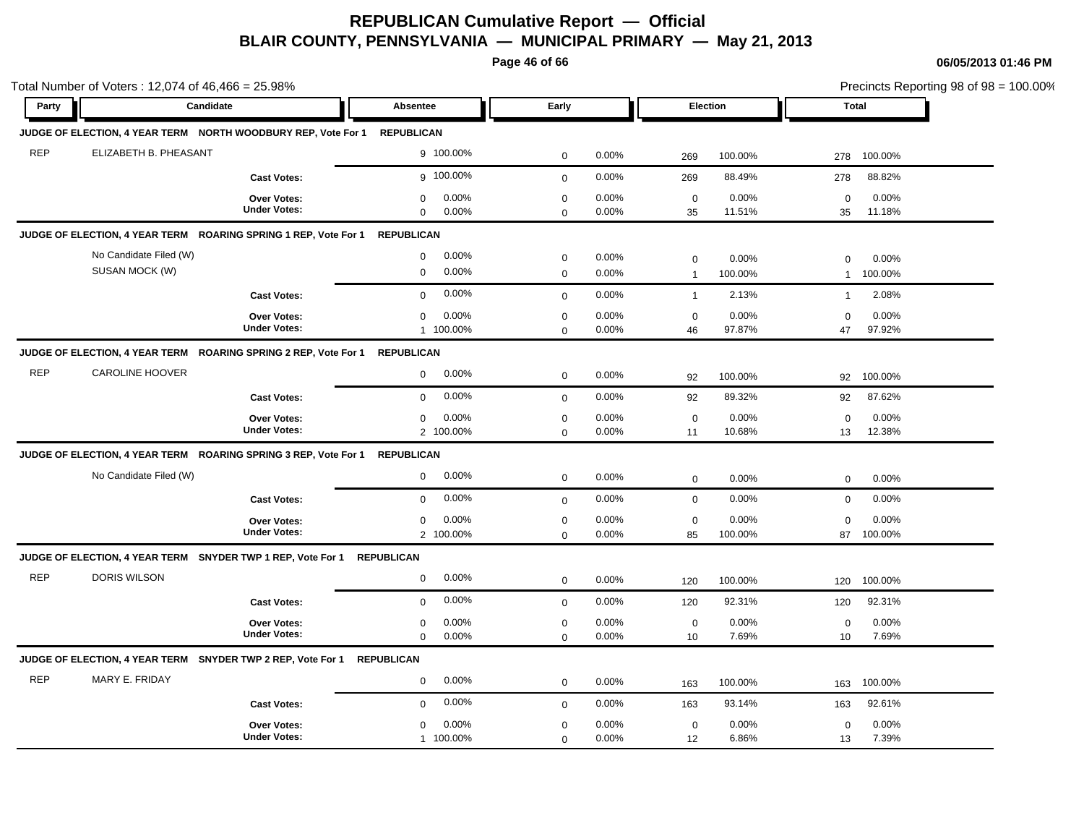**Page 46 of 66**

|            | Total Number of Voters: 12,074 of 46,466 = 25.98%                          |                     |                      |              |          |                  |          |              | Precincts Reporting 98 of 98 = 100.00% |
|------------|----------------------------------------------------------------------------|---------------------|----------------------|--------------|----------|------------------|----------|--------------|----------------------------------------|
| Party      | Candidate                                                                  |                     | Absentee             | Early        |          |                  | Election | <b>Total</b> |                                        |
|            | JUDGE OF ELECTION, 4 YEAR TERM NORTH WOODBURY REP, Vote For 1 REPUBLICAN   |                     |                      |              |          |                  |          |              |                                        |
| <b>REP</b> | ELIZABETH B. PHEASANT                                                      |                     | 9 100.00%            | $\mathbf 0$  | 0.00%    | 269              | 100.00%  | 278          | 100.00%                                |
|            |                                                                            | <b>Cast Votes:</b>  | 9 100.00%            | $\mathbf 0$  | 0.00%    | 269              | 88.49%   | 278          | 88.82%                                 |
|            |                                                                            | Over Votes:         | 0.00%<br>0           | $\mathbf 0$  | 0.00%    | $\mathbf 0$      | 0.00%    | $\mathbf 0$  | 0.00%                                  |
|            |                                                                            | <b>Under Votes:</b> | $\mathbf 0$<br>0.00% | $\mathbf 0$  | 0.00%    | 35               | 11.51%   | 35           | 11.18%                                 |
|            | JUDGE OF ELECTION, 4 YEAR TERM ROARING SPRING 1 REP, Vote For 1 REPUBLICAN |                     |                      |              |          |                  |          |              |                                        |
|            | No Candidate Filed (W)                                                     |                     | 0.00%<br>$\mathbf 0$ | $\mathbf 0$  | 0.00%    | $\mathbf 0$      | 0.00%    | $\mathbf 0$  | 0.00%                                  |
|            | SUSAN MOCK (W)                                                             |                     | 0.00%<br>$\mathbf 0$ | $\mathbf 0$  | 0.00%    | $\overline{1}$   | 100.00%  | $\mathbf{1}$ | 100.00%                                |
|            |                                                                            | <b>Cast Votes:</b>  | 0.00%<br>$\mathbf 0$ | $\mathbf{0}$ | 0.00%    | $\overline{1}$   | 2.13%    | $\mathbf{1}$ | 2.08%                                  |
|            |                                                                            | <b>Over Votes:</b>  | 0.00%<br>$\mathbf 0$ | $\mathbf 0$  | 0.00%    | $\mathbf 0$      | 0.00%    | $\Omega$     | 0.00%                                  |
|            |                                                                            | <b>Under Votes:</b> | 1 100.00%            | $\mathbf 0$  | 0.00%    | 46               | 97.87%   | 47           | 97.92%                                 |
|            | JUDGE OF ELECTION, 4 YEAR TERM ROARING SPRING 2 REP, Vote For 1 REPUBLICAN |                     |                      |              |          |                  |          |              |                                        |
| <b>REP</b> | <b>CAROLINE HOOVER</b>                                                     |                     | 0.00%<br>$\mathbf 0$ | $\mathbf 0$  | 0.00%    | 92               | 100.00%  | 92           | 100.00%                                |
|            |                                                                            | <b>Cast Votes:</b>  | 0.00%<br>$\mathbf 0$ | $\mathbf 0$  | 0.00%    | 92               | 89.32%   | 92           | 87.62%                                 |
|            |                                                                            | Over Votes:         | 0.00%<br>$\mathbf 0$ | $\mathbf 0$  | 0.00%    | $\mathbf 0$      | 0.00%    | $\mathbf 0$  | 0.00%                                  |
|            |                                                                            | <b>Under Votes:</b> | 2 100.00%            | $\mathbf 0$  | 0.00%    | 11               | 10.68%   | 13           | 12.38%                                 |
|            | JUDGE OF ELECTION, 4 YEAR TERM ROARING SPRING 3 REP, Vote For 1 REPUBLICAN |                     |                      |              |          |                  |          |              |                                        |
|            | No Candidate Filed (W)                                                     |                     | 0.00%<br>0           | $\mathbf 0$  | 0.00%    | $\mathbf 0$      | 0.00%    | $\mathbf 0$  | 0.00%                                  |
|            |                                                                            | <b>Cast Votes:</b>  | 0.00%<br>$\mathbf 0$ | $\mathbf 0$  | 0.00%    | $\mathbf 0$      | 0.00%    | $\mathbf 0$  | 0.00%                                  |
|            |                                                                            | <b>Over Votes:</b>  | 0.00%<br>$\mathbf 0$ | $\mathbf 0$  | 0.00%    | $\mathbf 0$      | 0.00%    | $\Omega$     | 0.00%                                  |
|            |                                                                            | <b>Under Votes:</b> | 2 100.00%            | $\mathbf 0$  | 0.00%    | 85               | 100.00%  |              | 87 100.00%                             |
|            | JUDGE OF ELECTION, 4 YEAR TERM SNYDER TWP 1 REP, Vote For 1                |                     | <b>REPUBLICAN</b>    |              |          |                  |          |              |                                        |
| <b>REP</b> | DORIS WILSON                                                               |                     | 0.00%<br>$\mathbf 0$ | $\mathbf 0$  | $0.00\%$ | 120              | 100.00%  | 120          | 100.00%                                |
|            |                                                                            | <b>Cast Votes:</b>  | 0.00%<br>$\Omega$    | $\mathbf 0$  | 0.00%    | 120              | 92.31%   | 120          | 92.31%                                 |
|            |                                                                            | Over Votes:         | 0.00%<br>$\mathbf 0$ | $\mathbf 0$  | 0.00%    | $\mathbf 0$      | 0.00%    | 0            | $0.00\%$                               |
|            |                                                                            | <b>Under Votes:</b> | 0.00%<br>$\Omega$    | $\mathbf 0$  | 0.00%    | 10 <sup>10</sup> | 7.69%    | 10           | 7.69%                                  |
|            | JUDGE OF ELECTION, 4 YEAR TERM SNYDER TWP 2 REP, Vote For 1                |                     | <b>REPUBLICAN</b>    |              |          |                  |          |              |                                        |
| <b>REP</b> | MARY E. FRIDAY                                                             |                     | 0.00%<br>$\mathbf 0$ | $\mathbf 0$  | 0.00%    | 163              | 100.00%  | 163          | 100.00%                                |
|            |                                                                            | <b>Cast Votes:</b>  | 0.00%<br>$\mathbf 0$ | $\mathbf 0$  | 0.00%    | 163              | 93.14%   | 163          | 92.61%                                 |
|            |                                                                            | <b>Over Votes:</b>  | 0.00%<br>0           | $\mathbf 0$  | 0.00%    | $\mathbf 0$      | 0.00%    | $\mathbf 0$  | 0.00%                                  |
|            |                                                                            | <b>Under Votes:</b> | 1 100.00%            | $\Omega$     | 0.00%    | 12               | 6.86%    | 13           | 7.39%                                  |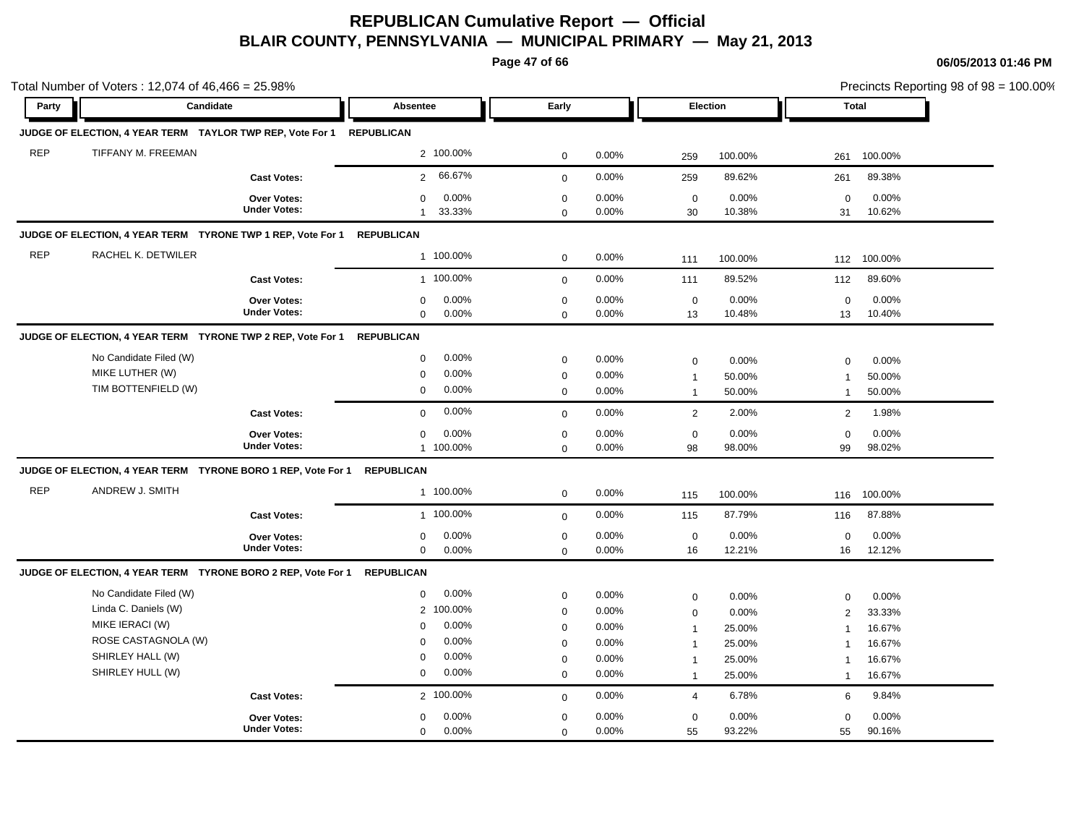**Page 47 of 66**

**06/05/2013 01:46 PM**

|            | Total Number of Voters: 12,074 of 46,466 = 25.98%                    |                                    |                                                |                            |                |                   | Precincts Reporting 98 of 98 = 100.00% |                   |                 |
|------------|----------------------------------------------------------------------|------------------------------------|------------------------------------------------|----------------------------|----------------|-------------------|----------------------------------------|-------------------|-----------------|
| Party      | Candidate                                                            |                                    | Absentee                                       | Early                      |                | Election          |                                        | Total             |                 |
|            | JUDGE OF ELECTION, 4 YEAR TERM TAYLOR TWP REP, Vote For 1 REPUBLICAN |                                    |                                                |                            |                |                   |                                        |                   |                 |
| <b>REP</b> | TIFFANY M. FREEMAN                                                   |                                    | 2 100.00%                                      | $\mathbf 0$                | 0.00%          | 259               | 100.00%                                | 261               | 100.00%         |
|            |                                                                      | <b>Cast Votes:</b>                 | 66.67%<br>$\overline{2}$                       | $\mathbf{0}$               | 0.00%          | 259               | 89.62%                                 | 261               | 89.38%          |
|            |                                                                      | Over Votes:<br><b>Under Votes:</b> | 0.00%<br>$\mathbf 0$<br>33.33%<br>$\mathbf{1}$ | $\mathbf 0$<br>$\mathbf 0$ | 0.00%<br>0.00% | $\mathbf 0$<br>30 | 0.00%<br>10.38%                        | $\mathbf 0$<br>31 | 0.00%<br>10.62% |
|            | JUDGE OF ELECTION, 4 YEAR TERM TYRONE TWP 1 REP, Vote For 1          |                                    | <b>REPUBLICAN</b>                              |                            |                |                   |                                        |                   |                 |
| <b>REP</b> | RACHEL K. DETWILER                                                   |                                    | 1 100.00%                                      | $\mathbf 0$                | 0.00%          | 111               | 100.00%                                | 112               | 100.00%         |
|            |                                                                      | <b>Cast Votes:</b>                 | 1 100.00%                                      | $\mathbf{0}$               | 0.00%          | 111               | 89.52%                                 | 112               | 89.60%          |
|            |                                                                      | <b>Over Votes:</b>                 | 0.00%<br>$\mathbf 0$                           | $\mathbf 0$                | 0.00%          | $\mathbf 0$       | 0.00%                                  | $\mathbf 0$       | 0.00%           |
|            |                                                                      | <b>Under Votes:</b>                | $\mathbf 0$<br>0.00%                           | $\mathbf 0$                | 0.00%          | 13                | 10.48%                                 | 13                | 10.40%          |
|            | JUDGE OF ELECTION, 4 YEAR TERM TYRONE TWP 2 REP, Vote For 1          |                                    | <b>REPUBLICAN</b>                              |                            |                |                   |                                        |                   |                 |
|            | No Candidate Filed (W)                                               |                                    | 0.00%<br>$\mathbf 0$                           | $\mathbf 0$                | 0.00%          | $\mathbf 0$       | 0.00%                                  | $\mathbf 0$       | 0.00%           |
|            | MIKE LUTHER (W)                                                      |                                    | $\mathbf 0$<br>0.00%                           | $\mathbf 0$                | 0.00%          | $\overline{1}$    | 50.00%                                 | $\overline{1}$    | 50.00%          |
|            | TIM BOTTENFIELD (W)                                                  |                                    | 0.00%<br>$\mathbf 0$                           | $\mathbf 0$                | $0.00\%$       | $\overline{1}$    | 50.00%                                 | $\mathbf{1}$      | 50.00%          |
|            |                                                                      | <b>Cast Votes:</b>                 | 0.00%<br>$\mathbf 0$                           | $\mathbf{0}$               | 0.00%          | 2                 | 2.00%                                  | $\overline{2}$    | 1.98%           |
|            |                                                                      | <b>Over Votes:</b>                 | 0.00%<br>$\mathbf 0$                           | $\mathbf 0$                | 0.00%          | $\mathbf 0$       | 0.00%                                  | $\mathbf 0$       | 0.00%           |
|            |                                                                      | <b>Under Votes:</b>                | 1 100.00%                                      | $\mathbf 0$                | 0.00%          | 98                | 98.00%                                 | 99                | 98.02%          |
|            | JUDGE OF ELECTION, 4 YEAR TERM TYRONE BORO 1 REP, Vote For 1         |                                    | <b>REPUBLICAN</b>                              |                            |                |                   |                                        |                   |                 |
| <b>REP</b> | ANDREW J. SMITH                                                      |                                    | 1 100.00%                                      | $\mathbf 0$                | 0.00%          | 115               | 100.00%                                | 116               | 100.00%         |
|            |                                                                      | <b>Cast Votes:</b>                 | 1 100.00%                                      | $\mathbf 0$                | 0.00%          | 115               | 87.79%                                 | 116               | 87.88%          |
|            |                                                                      | Over Votes:                        | 0.00%<br>$\mathbf 0$                           | $\mathbf 0$                | 0.00%          | $\mathbf 0$       | 0.00%                                  | $\Omega$          | 0.00%           |
|            |                                                                      | <b>Under Votes:</b>                | $\mathbf 0$<br>0.00%                           | $\mathbf 0$                | 0.00%          | 16                | 12.21%                                 | 16                | 12.12%          |
|            | JUDGE OF ELECTION, 4 YEAR TERM TYRONE BORO 2 REP, Vote For 1         |                                    | <b>REPUBLICAN</b>                              |                            |                |                   |                                        |                   |                 |
|            | No Candidate Filed (W)                                               |                                    | 0.00%<br>$\mathbf 0$                           | $\mathbf 0$                | 0.00%          | $\mathbf 0$       | 0.00%                                  | 0                 | 0.00%           |
|            | Linda C. Daniels (W)                                                 |                                    | 2 100.00%                                      | $\mathbf 0$                | $0.00\%$       | $\mathbf 0$       | 0.00%                                  | 2                 | 33.33%          |
|            | MIKE IERACI (W)                                                      |                                    | 0.00%<br>$\mathbf 0$                           | $\pmb{0}$                  | 0.00%          | $\mathbf{1}$      | 25.00%                                 | $\overline{1}$    | 16.67%          |
|            | ROSE CASTAGNOLA (W)                                                  |                                    | 0.00%<br>$\Omega$                              | $\mathbf 0$                | 0.00%          | -1                | 25.00%                                 | $\mathbf{1}$      | 16.67%          |
|            | SHIRLEY HALL (W)                                                     |                                    | 0.00%<br>$\Omega$                              | $\mathbf 0$                | 0.00%          | $\mathbf{1}$      | 25.00%                                 | $\overline{1}$    | 16.67%          |
|            | SHIRLEY HULL (W)                                                     |                                    | $\mathbf 0$<br>0.00%                           | $\mathbf 0$                | 0.00%          | $\overline{1}$    | 25.00%                                 | $\mathbf{1}$      | 16.67%          |
|            |                                                                      | <b>Cast Votes:</b>                 | 2 100.00%                                      | $\mathbf{0}$               | 0.00%          | $\overline{4}$    | 6.78%                                  | 6                 | 9.84%           |
|            |                                                                      | Over Votes:                        | 0.00%<br>$\mathbf 0$                           | $\mathbf 0$                | 0.00%          | $\mathbf 0$       | 0.00%                                  | $\mathbf 0$       | 0.00%           |
|            |                                                                      | <b>Under Votes:</b>                | 0.00%<br>$\mathbf 0$                           | $\mathbf 0$                | 0.00%          | 55                | 93.22%                                 | 55                | 90.16%          |

 $\text{ting } 98 \text{ of } 98 = 100.00\%$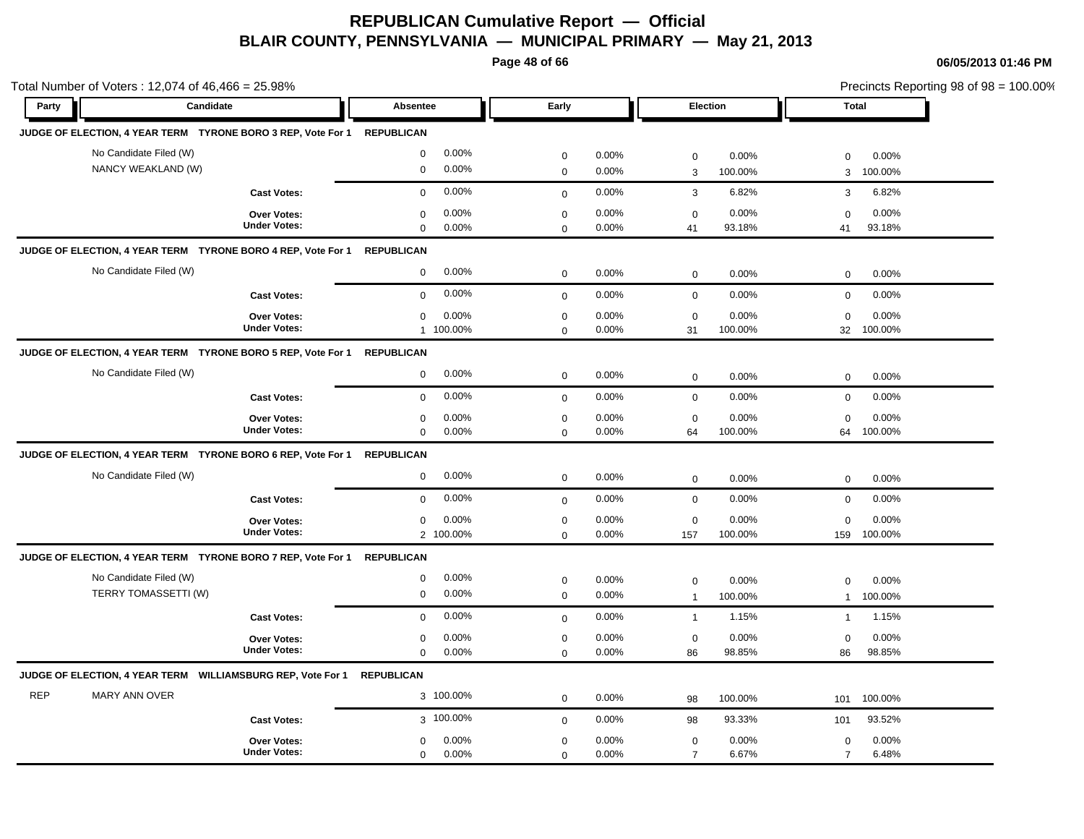**Page 48 of 66**

|            | Total Number of Voters: 12,074 of 46,466 = 25.98%            |                                           |                                              |                            |                |                               |                  |                               | Precincts Reporting 98 of 98 = 100.00% |  |  |
|------------|--------------------------------------------------------------|-------------------------------------------|----------------------------------------------|----------------------------|----------------|-------------------------------|------------------|-------------------------------|----------------------------------------|--|--|
| Party      | Candidate                                                    |                                           | <b>Absentee</b>                              | Early                      |                | Election                      |                  | <b>Total</b>                  |                                        |  |  |
|            | JUDGE OF ELECTION, 4 YEAR TERM TYRONE BORO 3 REP, Vote For 1 |                                           | <b>REPUBLICAN</b>                            |                            |                |                               |                  |                               |                                        |  |  |
|            | No Candidate Filed (W)                                       |                                           | 0.00%<br>$\mathbf 0$                         | $\mathbf 0$                | 0.00%          | $\mathsf 0$                   | 0.00%            | $\mathbf 0$                   | 0.00%                                  |  |  |
|            | NANCY WEAKLAND (W)                                           |                                           | 0.00%<br>$\mathbf 0$                         | $\mathbf 0$                | 0.00%          | $\ensuremath{\mathsf{3}}$     | 100.00%          | 3                             | 100.00%                                |  |  |
|            |                                                              | <b>Cast Votes:</b>                        | 0.00%<br>$\mathbf 0$                         | $\mathbf 0$                | 0.00%          | $\mathbf{3}$                  | 6.82%            | 3                             | 6.82%                                  |  |  |
|            |                                                              | <b>Over Votes:</b><br><b>Under Votes:</b> | 0.00%<br>$\mathbf 0$<br>$\mathbf 0$<br>0.00% | $\mathbf 0$<br>$\mathbf 0$ | 0.00%<br>0.00% | $\mathbf 0$<br>41             | 0.00%<br>93.18%  | $\mathbf 0$<br>41             | 0.00%<br>93.18%                        |  |  |
|            | JUDGE OF ELECTION, 4 YEAR TERM TYRONE BORO 4 REP, Vote For 1 |                                           | <b>REPUBLICAN</b>                            |                            |                |                               |                  |                               |                                        |  |  |
|            | No Candidate Filed (W)                                       |                                           | 0.00%<br>$\mathbf 0$                         | $\pmb{0}$                  | 0.00%          | $\mathbf 0$                   | 0.00%            | $\mathbf 0$                   | 0.00%                                  |  |  |
|            |                                                              | <b>Cast Votes:</b>                        | 0.00%<br>$\mathbf 0$                         | $\mathbf 0$                | 0.00%          | $\mathbf 0$                   | 0.00%            | $\mathbf 0$                   | 0.00%                                  |  |  |
|            |                                                              | Over Votes:<br><b>Under Votes:</b>        | 0.00%<br>$\mathbf 0$<br>1 100.00%            | $\mathbf 0$<br>$\mathbf 0$ | 0.00%<br>0.00% | $\mathbf 0$<br>31             | 0.00%<br>100.00% | $\mathbf 0$<br>32             | 0.00%<br>100.00%                       |  |  |
|            | JUDGE OF ELECTION, 4 YEAR TERM TYRONE BORO 5 REP, Vote For 1 |                                           | <b>REPUBLICAN</b>                            |                            |                |                               |                  |                               |                                        |  |  |
|            | No Candidate Filed (W)                                       |                                           | 0.00%<br>$\mathbf 0$                         | $\mathbf 0$                | 0.00%          | $\mathbf 0$                   | 0.00%            | $\mathbf 0$                   | 0.00%                                  |  |  |
|            |                                                              | <b>Cast Votes:</b>                        | 0.00%<br>$\mathbf 0$                         | $\mathsf 0$                | 0.00%          | $\mathbf 0$                   | 0.00%            | $\mathbf 0$                   | 0.00%                                  |  |  |
|            |                                                              | Over Votes:<br><b>Under Votes:</b>        | 0.00%<br>$\mathbf 0$<br>0.00%<br>$\mathbf 0$ | $\pmb{0}$<br>$\mathbf 0$   | 0.00%<br>0.00% | $\mathbf 0$<br>64             | 0.00%<br>100.00% | $\mathbf 0$<br>64             | 0.00%<br>100.00%                       |  |  |
|            | JUDGE OF ELECTION, 4 YEAR TERM TYRONE BORO 6 REP, Vote For 1 |                                           | <b>REPUBLICAN</b>                            |                            |                |                               |                  |                               |                                        |  |  |
|            | No Candidate Filed (W)                                       |                                           | 0.00%<br>$\mathbf 0$                         | $\mathbf 0$                | 0.00%          | $\mathbf 0$                   | 0.00%            | $\mathbf 0$                   | 0.00%                                  |  |  |
|            |                                                              | <b>Cast Votes:</b>                        | 0.00%<br>$\mathbf 0$                         | $\mathbf 0$                | 0.00%          | $\mathbf 0$                   | 0.00%            | 0                             | 0.00%                                  |  |  |
|            |                                                              | Over Votes:<br><b>Under Votes:</b>        | 0.00%<br>$\mathbf 0$<br>2 100.00%            | $\pmb{0}$<br>$\mathbf 0$   | 0.00%<br>0.00% | $\mathbf 0$<br>157            | 0.00%<br>100.00% | $\mathbf 0$<br>159            | 0.00%<br>100.00%                       |  |  |
|            | JUDGE OF ELECTION, 4 YEAR TERM TYRONE BORO 7 REP, Vote For 1 |                                           | <b>REPUBLICAN</b>                            |                            |                |                               |                  |                               |                                        |  |  |
|            | No Candidate Filed (W)<br>TERRY TOMASSETTI (W)               |                                           | 0.00%<br>$\mathbf 0$<br>$\mathbf 0$<br>0.00% | $\pmb{0}$<br>$\mathsf 0$   | 0.00%<br>0.00% | $\mathbf 0$<br>$\overline{1}$ | 0.00%<br>100.00% | $\mathbf 0$<br>$\mathbf{1}$   | 0.00%<br>100.00%                       |  |  |
|            |                                                              | <b>Cast Votes:</b>                        | 0.00%<br>$\mathbf 0$                         | $\mathbf 0$                | 0.00%          | $\mathbf{1}$                  | 1.15%            | $\mathbf{1}$                  | 1.15%                                  |  |  |
|            |                                                              | Over Votes:<br><b>Under Votes:</b>        | 0.00%<br>0<br>0.00%<br>$\mathbf 0$           | $\mathbf 0$<br>$\mathbf 0$ | 0.00%<br>0.00% | $\mathbf 0$<br>86             | 0.00%<br>98.85%  | $\mathbf 0$<br>86             | 0.00%<br>98.85%                        |  |  |
|            | JUDGE OF ELECTION, 4 YEAR TERM WILLIAMSBURG REP, Vote For 1  |                                           | <b>REPUBLICAN</b>                            |                            |                |                               |                  |                               |                                        |  |  |
| <b>REP</b> | MARY ANN OVER                                                |                                           | 3 100.00%                                    | $\mathbf 0$                | 0.00%          | 98                            | 100.00%          | 101                           | 100.00%                                |  |  |
|            |                                                              | <b>Cast Votes:</b>                        | 3 100.00%                                    | $\mathbf 0$                | 0.00%          | 98                            | 93.33%           | 101                           | 93.52%                                 |  |  |
|            |                                                              | <b>Over Votes:</b><br><b>Under Votes:</b> | 0.00%<br>$\mathbf 0$<br>0.00%<br>$\mathbf 0$ | $\mathbf 0$<br>$\mathbf 0$ | 0.00%<br>0.00% | $\mathbf 0$<br>$\overline{7}$ | 0.00%<br>6.67%   | $\mathbf 0$<br>$\overline{7}$ | 0.00%<br>6.48%                         |  |  |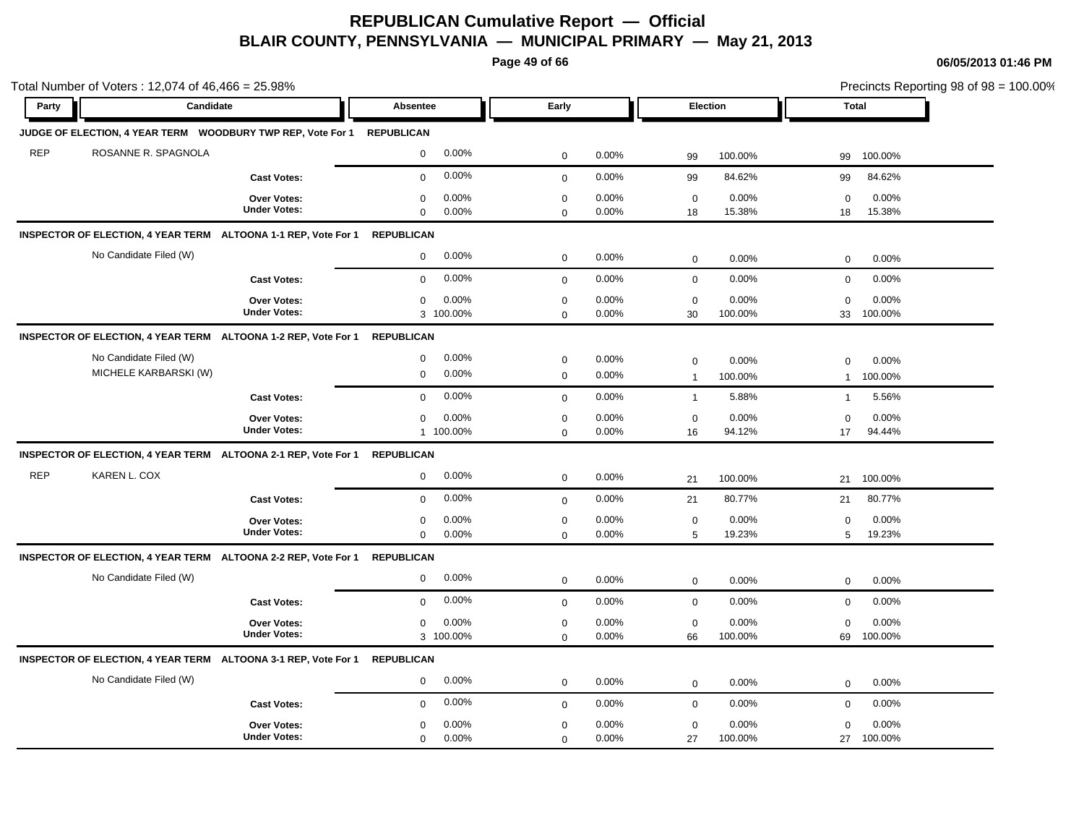**Page 49 of 66**

|            | Total Number of Voters: 12,074 of 46,466 = 25.98%                        |                                           |                                              |                            |                |                               | Precincts Reporting 98 of 98 = 100.00% |                             |                  |
|------------|--------------------------------------------------------------------------|-------------------------------------------|----------------------------------------------|----------------------------|----------------|-------------------------------|----------------------------------------|-----------------------------|------------------|
| Party      | Candidate                                                                |                                           | <b>Absentee</b>                              | Early                      |                | Election                      |                                        | <b>Total</b>                |                  |
|            | JUDGE OF ELECTION, 4 YEAR TERM  WOODBURY TWP REP, Vote For 1  REPUBLICAN |                                           |                                              |                            |                |                               |                                        |                             |                  |
| <b>REP</b> | ROSANNE R. SPAGNOLA                                                      |                                           | 0.00%<br>$\mathbf 0$                         | $\mathbf 0$                | 0.00%          | 99                            | 100.00%                                | 99                          | 100.00%          |
|            |                                                                          | <b>Cast Votes:</b>                        | 0.00%<br>$\mathbf 0$                         | $\mathbf 0$                | 0.00%          | 99                            | 84.62%                                 | 99                          | 84.62%           |
|            |                                                                          | Over Votes:<br><b>Under Votes:</b>        | 0.00%<br>$\mathbf 0$<br>0.00%<br>$\mathbf 0$ | $\pmb{0}$<br>$\mathbf 0$   | 0.00%<br>0.00% | $\mathbf 0$<br>18             | 0.00%<br>15.38%                        | $\mathbf 0$<br>18           | 0.00%<br>15.38%  |
|            | INSPECTOR OF ELECTION, 4 YEAR TERM ALTOONA 1-1 REP, Vote For 1           |                                           | <b>REPUBLICAN</b>                            |                            |                |                               |                                        |                             |                  |
|            | No Candidate Filed (W)                                                   |                                           | 0.00%<br>$\mathbf 0$                         | $\pmb{0}$                  | 0.00%          | $\mathbf 0$                   | 0.00%                                  | $\mathbf 0$                 | 0.00%            |
|            |                                                                          | <b>Cast Votes:</b>                        | 0.00%<br>$\mathbf 0$                         | $\mathbf 0$                | 0.00%          | $\mathbf 0$                   | 0.00%                                  | $\mathbf 0$                 | 0.00%            |
|            |                                                                          | <b>Over Votes:</b><br><b>Under Votes:</b> | 0.00%<br>0<br>3 100.00%                      | $\mathbf 0$<br>$\mathbf 0$ | 0.00%<br>0.00% | $\mathbf 0$<br>30             | 0.00%<br>100.00%                       | $\mathbf 0$<br>33           | 0.00%<br>100.00% |
|            | INSPECTOR OF ELECTION, 4 YEAR TERM ALTOONA 1-2 REP, Vote For 1           |                                           | <b>REPUBLICAN</b>                            |                            |                |                               |                                        |                             |                  |
|            | No Candidate Filed (W)<br>MICHELE KARBARSKI (W)                          |                                           | 0.00%<br>$\mathbf 0$<br>0.00%<br>$\mathbf 0$ | $\mathbf 0$<br>$\mathbf 0$ | 0.00%<br>0.00% | $\mathbf 0$<br>$\overline{1}$ | 0.00%<br>100.00%                       | $\mathbf 0$<br>$\mathbf{1}$ | 0.00%<br>100.00% |
|            |                                                                          | <b>Cast Votes:</b>                        | 0.00%<br>$\Omega$                            | $\mathbf 0$                | 0.00%          | $\mathbf{1}$                  | 5.88%                                  | $\mathbf{1}$                | 5.56%            |
|            |                                                                          | Over Votes:<br><b>Under Votes:</b>        | 0.00%<br>0<br>1 100.00%                      | $\mathbf 0$<br>$\mathbf 0$ | 0.00%<br>0.00% | $\mathbf 0$<br>16             | 0.00%<br>94.12%                        | $\mathbf 0$<br>17           | 0.00%<br>94.44%  |
|            | INSPECTOR OF ELECTION, 4 YEAR TERM ALTOONA 2-1 REP, Vote For 1           |                                           | <b>REPUBLICAN</b>                            |                            |                |                               |                                        |                             |                  |
| <b>REP</b> | KAREN L. COX                                                             |                                           | 0.00%<br>0                                   | $\mathbf 0$                | 0.00%          | 21                            | 100.00%                                | 21                          | 100.00%          |
|            |                                                                          | <b>Cast Votes:</b>                        | 0.00%<br>$\mathbf 0$                         | $\mathbf 0$                | 0.00%          | 21                            | 80.77%                                 | 21                          | 80.77%           |
|            |                                                                          | <b>Over Votes:</b><br><b>Under Votes:</b> | 0.00%<br>$\mathbf 0$<br>$\mathbf 0$<br>0.00% | $\mathbf 0$<br>$\mathbf 0$ | 0.00%<br>0.00% | $\mathbf 0$<br>5              | 0.00%<br>19.23%                        | $\mathbf 0$<br>5            | 0.00%<br>19.23%  |
|            | INSPECTOR OF ELECTION, 4 YEAR TERM ALTOONA 2-2 REP, Vote For 1           |                                           | <b>REPUBLICAN</b>                            |                            |                |                               |                                        |                             |                  |
|            | No Candidate Filed (W)                                                   |                                           | 0.00%<br>0                                   | $\mathbf 0$                | 0.00%          | $\mathbf 0$                   | 0.00%                                  | $\mathbf 0$                 | 0.00%            |
|            |                                                                          | <b>Cast Votes:</b>                        | 0.00%<br>$\mathbf 0$                         | $\mathbf 0$                | 0.00%          | $\mathbf 0$                   | 0.00%                                  | $\mathbf 0$                 | 0.00%            |
|            |                                                                          | Over Votes:<br><b>Under Votes:</b>        | 0.00%<br>$\mathbf 0$<br>3 100.00%            | $\mathbf 0$<br>$\mathbf 0$ | 0.00%<br>0.00% | $\mathbf 0$<br>66             | 0.00%<br>100.00%                       | $\mathbf 0$<br>69           | 0.00%<br>100.00% |
|            | INSPECTOR OF ELECTION, 4 YEAR TERM ALTOONA 3-1 REP, Vote For 1           |                                           | <b>REPUBLICAN</b>                            |                            |                |                               |                                        |                             |                  |
|            | No Candidate Filed (W)                                                   |                                           | 0.00%<br>$\mathbf 0$                         | $\mathbf 0$                | 0.00%          | $\mathbf 0$                   | 0.00%                                  | 0                           | 0.00%            |
|            |                                                                          | <b>Cast Votes:</b>                        | 0.00%<br>$\mathbf 0$                         | $\mathbf 0$                | 0.00%          | $\mathbf 0$                   | 0.00%                                  | $\mathbf 0$                 | 0.00%            |
|            |                                                                          | <b>Over Votes:</b><br><b>Under Votes:</b> | 0.00%<br>$\mathbf 0$<br>0.00%<br>$\mathbf 0$ | $\mathbf 0$<br>$\mathbf 0$ | 0.00%<br>0.00% | $\mathbf 0$<br>27             | 0.00%<br>100.00%                       | $\mathbf 0$<br>27           | 0.00%<br>100.00% |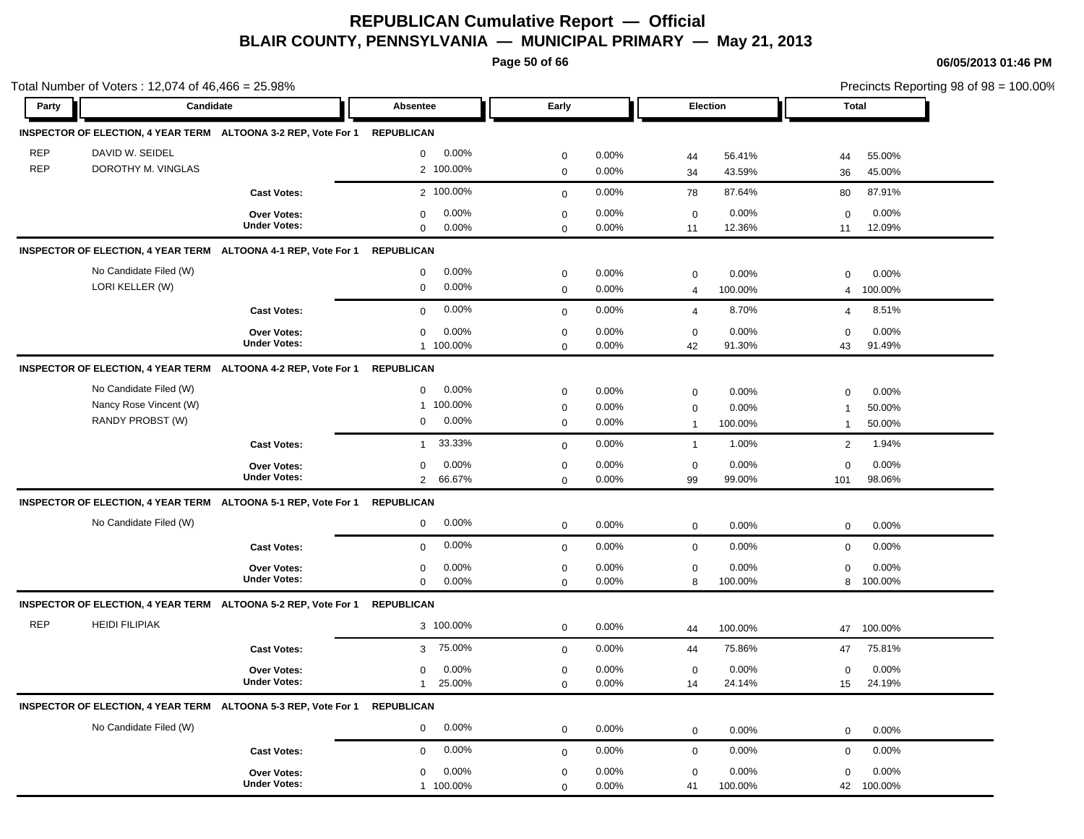**Page 50 of 66**

|            | Total Number of Voters: 12,074 of 46,466 = 25.98% |                                                                           |                           |             |          |                |         | Precincts Reporting 98 of 98 = 100.00% |              |
|------------|---------------------------------------------------|---------------------------------------------------------------------------|---------------------------|-------------|----------|----------------|---------|----------------------------------------|--------------|
| Party      | Candidate                                         |                                                                           | Absentee                  | Early       |          | Election       |         |                                        | <b>Total</b> |
|            |                                                   | INSPECTOR OF ELECTION, 4 YEAR TERM ALTOONA 3-2 REP, Vote For 1 REPUBLICAN |                           |             |          |                |         |                                        |              |
| <b>REP</b> | DAVID W. SEIDEL                                   |                                                                           | 0.00%<br>$\mathbf{0}$     | $\mathbf 0$ | 0.00%    | 44             | 56.41%  | 44                                     | 55.00%       |
| <b>REP</b> | DOROTHY M. VINGLAS                                |                                                                           | 2 100.00%                 | $\mathbf 0$ | 0.00%    | 34             | 43.59%  | 36                                     | 45.00%       |
|            |                                                   | <b>Cast Votes:</b>                                                        | 2 100.00%                 | $\mathbf 0$ | 0.00%    | 78             | 87.64%  | 80                                     | 87.91%       |
|            |                                                   | Over Votes:                                                               | 0.00%<br>$\pmb{0}$        | $\mathbf 0$ | 0.00%    | $\pmb{0}$      | 0.00%   | 0                                      | 0.00%        |
|            |                                                   | <b>Under Votes:</b>                                                       | $\mathbf 0$<br>0.00%      | $\mathbf 0$ | 0.00%    | 11             | 12.36%  | 11                                     | 12.09%       |
|            |                                                   | INSPECTOR OF ELECTION, 4 YEAR TERM ALTOONA 4-1 REP, Vote For 1            | <b>REPUBLICAN</b>         |             |          |                |         |                                        |              |
|            | No Candidate Filed (W)                            |                                                                           | 0.00%<br>$\mathbf 0$      | $\mathbf 0$ | 0.00%    | $\mathbf 0$    | 0.00%   | $\mathbf 0$                            | 0.00%        |
|            | LORI KELLER (W)                                   |                                                                           | $\mathbf 0$<br>0.00%      | $\mathbf 0$ | $0.00\%$ | $\overline{4}$ | 100.00% | $\overline{4}$                         | 100.00%      |
|            |                                                   | <b>Cast Votes:</b>                                                        | 0.00%<br>$\mathbf 0$      | $\mathbf 0$ | 0.00%    | $\overline{4}$ | 8.70%   | $\overline{4}$                         | 8.51%        |
|            |                                                   | Over Votes:                                                               | $\mathbf 0$<br>0.00%      | $\mathbf 0$ | 0.00%    | $\mathbf 0$    | 0.00%   | $\mathbf 0$                            | 0.00%        |
|            |                                                   | <b>Under Votes:</b>                                                       | 1 100.00%                 | $\mathbf 0$ | 0.00%    | 42             | 91.30%  | 43                                     | 91.49%       |
|            |                                                   | INSPECTOR OF ELECTION, 4 YEAR TERM ALTOONA 4-2 REP, Vote For 1            | <b>REPUBLICAN</b>         |             |          |                |         |                                        |              |
|            | No Candidate Filed (W)                            |                                                                           | 0.00%<br>$\mathbf 0$      | $\mathbf 0$ | 0.00%    | 0              | 0.00%   | $\mathbf 0$                            | 0.00%        |
|            | Nancy Rose Vincent (W)                            |                                                                           | 100.00%<br>$\mathbf{1}$   | $\mathbf 0$ | 0.00%    | 0              | 0.00%   | $\mathbf{1}$                           | 50.00%       |
|            | RANDY PROBST (W)                                  |                                                                           | 0.00%<br>$\mathbf 0$      | $\mathbf 0$ | 0.00%    | $\mathbf{1}$   | 100.00% | $\mathbf{1}$                           | 50.00%       |
|            |                                                   | <b>Cast Votes:</b>                                                        | 33.33%<br>$\mathbf{1}$    | $\mathbf 0$ | 0.00%    | $\overline{1}$ | 1.00%   | $\sqrt{2}$                             | 1.94%        |
|            |                                                   | Over Votes:                                                               | 0.00%<br>$\boldsymbol{0}$ | $\pmb{0}$   | 0.00%    | $\pmb{0}$      | 0.00%   | $\mathbf 0$                            | 0.00%        |
|            |                                                   | <b>Under Votes:</b>                                                       | $\overline{2}$<br>66.67%  | $\mathbf 0$ | 0.00%    | 99             | 99.00%  | 101                                    | 98.06%       |
|            |                                                   | INSPECTOR OF ELECTION, 4 YEAR TERM ALTOONA 5-1 REP, Vote For 1            | <b>REPUBLICAN</b>         |             |          |                |         |                                        |              |
|            | No Candidate Filed (W)                            |                                                                           | 0.00%<br>$\mathbf 0$      | $\mathbf 0$ | 0.00%    | $\mathbf 0$    | 0.00%   | $\mathbf 0$                            | 0.00%        |
|            |                                                   | <b>Cast Votes:</b>                                                        | 0.00%<br>$\mathbf 0$      | $\mathbf 0$ | 0.00%    | $\pmb{0}$      | 0.00%   | $\mathbf 0$                            | 0.00%        |
|            |                                                   | Over Votes:                                                               | 0.00%<br>$\mathbf 0$      | $\mathbf 0$ | 0.00%    | 0              | 0.00%   | $\mathbf 0$                            | 0.00%        |
|            |                                                   | <b>Under Votes:</b>                                                       | 0.00%<br>$\mathbf 0$      | 0           | 0.00%    | 8              | 100.00% | 8                                      | 100.00%      |
|            |                                                   | INSPECTOR OF ELECTION, 4 YEAR TERM ALTOONA 5-2 REP, Vote For 1            | <b>REPUBLICAN</b>         |             |          |                |         |                                        |              |
| <b>REP</b> | <b>HEIDI FILIPIAK</b>                             |                                                                           | 3 100.00%                 | $\mathbf 0$ | 0.00%    | 44             | 100.00% | 47                                     | 100.00%      |
|            |                                                   | <b>Cast Votes:</b>                                                        | 75.00%<br>3               | $\mathbf 0$ | 0.00%    | 44             | 75.86%  | 47                                     | 75.81%       |
|            |                                                   | Over Votes:                                                               | 0.00%<br>$\mathbf 0$      | $\mathbf 0$ | 0.00%    | $\mathbf 0$    | 0.00%   | 0                                      | 0.00%        |
|            |                                                   | <b>Under Votes:</b>                                                       | 25.00%<br>$\mathbf{1}$    | $\Omega$    | 0.00%    | 14             | 24.14%  | 15                                     | 24.19%       |
|            |                                                   | INSPECTOR OF ELECTION, 4 YEAR TERM ALTOONA 5-3 REP, Vote For 1            | <b>REPUBLICAN</b>         |             |          |                |         |                                        |              |
|            | No Candidate Filed (W)                            |                                                                           | 0.00%<br>$\mathbf 0$      | $\mathbf 0$ | 0.00%    | $\mathbf 0$    | 0.00%   | $\mathbf 0$                            | 0.00%        |
|            |                                                   | <b>Cast Votes:</b>                                                        | 0.00%<br>$\mathbf 0$      | $\mathbf 0$ | 0.00%    | $\mathbf 0$    | 0.00%   | $\mathbf 0$                            | 0.00%        |
|            |                                                   | Over Votes:                                                               | 0.00%<br>$\mathbf 0$      | 0           | 0.00%    | 0              | 0.00%   | $\mathbf 0$                            | 0.00%        |
|            |                                                   | <b>Under Votes:</b>                                                       | 1 100.00%                 | $\mathbf 0$ | $0.00\%$ | 41             | 100.00% | 42                                     | 100.00%      |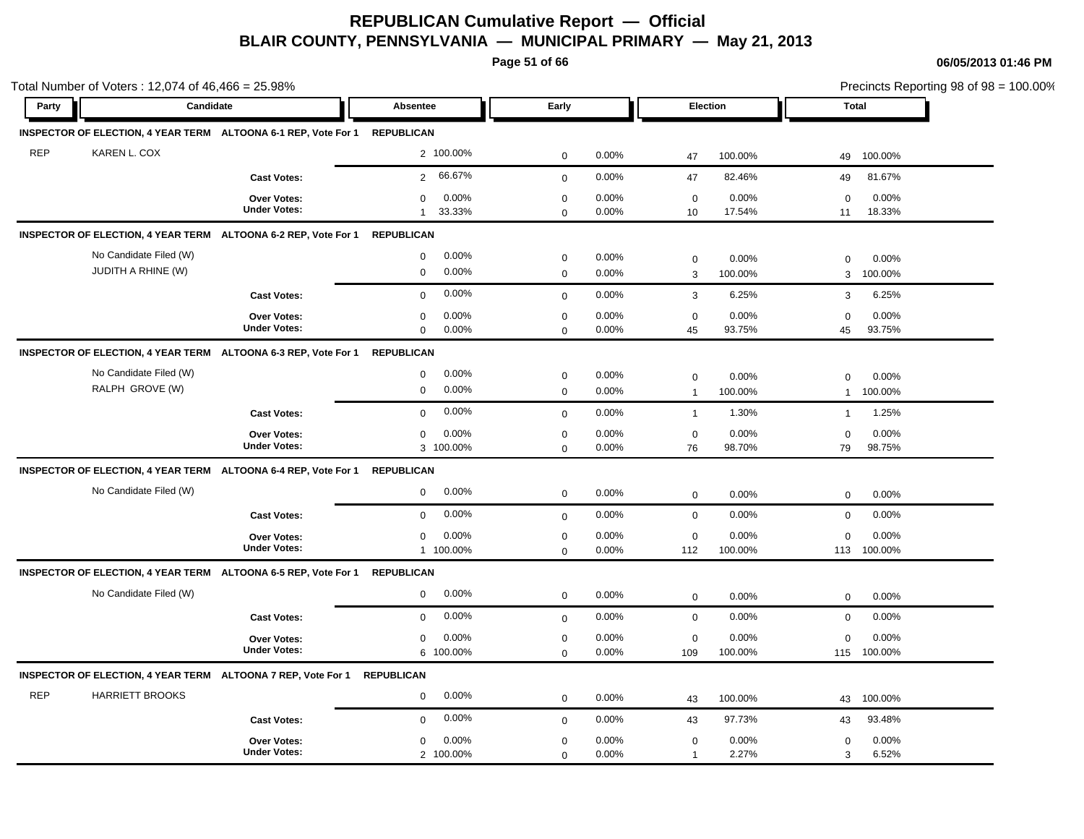**Page 51 of 66**

|            | Total Number of Voters: 12,074 of 46,466 = 25.98%            |                                                                |                          |              |       |                   |         |                   | Precincts Reporting 98 of 98 = 100.00% |
|------------|--------------------------------------------------------------|----------------------------------------------------------------|--------------------------|--------------|-------|-------------------|---------|-------------------|----------------------------------------|
| Party      | Candidate                                                    |                                                                | <b>Absentee</b>          | Early        |       | <b>Election</b>   |         | <b>Total</b>      |                                        |
|            |                                                              | INSPECTOR OF ELECTION, 4 YEAR TERM ALTOONA 6-1 REP, Vote For 1 | <b>REPUBLICAN</b>        |              |       |                   |         |                   |                                        |
| <b>REP</b> | KAREN L. COX                                                 |                                                                | 2 100.00%                | $\mathbf 0$  | 0.00% | 47                | 100.00% | 49                | 100.00%                                |
|            |                                                              | <b>Cast Votes:</b>                                             | 66.67%<br>$\overline{2}$ | $\mathbf{0}$ | 0.00% | 47                | 82.46%  | 49                | 81.67%                                 |
|            |                                                              | Over Votes:<br><b>Under Votes:</b>                             | 0.00%<br>0               | $\mathbf 0$  | 0.00% | $\mathbf 0$       | 0.00%   | $\mathbf 0$       | 0.00%                                  |
|            |                                                              |                                                                | 33.33%<br>$\mathbf{1}$   | $\mathbf 0$  | 0.00% | 10                | 17.54%  | 11                | 18.33%                                 |
|            |                                                              | INSPECTOR OF ELECTION, 4 YEAR TERM ALTOONA 6-2 REP, Vote For 1 | <b>REPUBLICAN</b>        |              |       |                   |         |                   |                                        |
|            | No Candidate Filed (W)                                       |                                                                | 0.00%<br>$\mathbf 0$     | $\mathbf 0$  | 0.00% | $\mathbf 0$       | 0.00%   | $\mathbf 0$       | 0.00%                                  |
|            | JUDITH A RHINE (W)                                           |                                                                | 0.00%<br>$\mathbf 0$     | $\mathbf 0$  | 0.00% | 3                 | 100.00% | 3                 | 100.00%                                |
|            |                                                              | <b>Cast Votes:</b>                                             | 0.00%<br>$\mathbf 0$     | $\mathbf 0$  | 0.00% | 3                 | 6.25%   | 3                 | 6.25%                                  |
|            |                                                              | Over Votes:                                                    | 0.00%<br>$\mathbf 0$     | $\pmb{0}$    | 0.00% | $\mathbf 0$       | 0.00%   | $\mathbf 0$       | 0.00%                                  |
|            |                                                              | <b>Under Votes:</b>                                            | $\mathbf 0$<br>0.00%     | $\mathbf 0$  | 0.00% | 45                | 93.75%  | 45                | 93.75%                                 |
|            |                                                              | INSPECTOR OF ELECTION, 4 YEAR TERM ALTOONA 6-3 REP, Vote For 1 | <b>REPUBLICAN</b>        |              |       |                   |         |                   |                                        |
|            | No Candidate Filed (W)                                       |                                                                | 0.00%<br>$\mathbf 0$     | $\mathbf 0$  | 0.00% | $\mathbf 0$       | 0.00%   | $\mathbf 0$       | 0.00%                                  |
|            | RALPH GROVE (W)                                              |                                                                | 0.00%<br>$\mathbf 0$     | $\mathbf 0$  | 0.00% | $\overline{1}$    | 100.00% | $\mathbf{1}$      | 100.00%                                |
|            |                                                              | <b>Cast Votes:</b>                                             | 0.00%<br>$\mathbf 0$     | $\mathbf 0$  | 0.00% | $\mathbf{1}$      | 1.30%   | $\mathbf{1}$      | 1.25%                                  |
|            |                                                              |                                                                | 0.00%                    | $\mathbf 0$  | 0.00% |                   | 0.00%   |                   | 0.00%                                  |
|            |                                                              | Over Votes:<br><b>Under Votes:</b>                             | $\mathbf 0$<br>3 100.00% | $\mathbf 0$  | 0.00% | $\mathbf 0$<br>76 | 98.70%  | $\mathbf 0$<br>79 | 98.75%                                 |
|            |                                                              | INSPECTOR OF ELECTION, 4 YEAR TERM ALTOONA 6-4 REP, Vote For 1 | <b>REPUBLICAN</b>        |              |       |                   |         |                   |                                        |
|            | No Candidate Filed (W)                                       |                                                                | 0.00%<br>$\mathbf 0$     | $\mathbf 0$  | 0.00% |                   |         |                   |                                        |
|            |                                                              |                                                                |                          |              |       | $\mathbf 0$       | 0.00%   | $\mathbf 0$       | 0.00%                                  |
|            |                                                              | <b>Cast Votes:</b>                                             | 0.00%<br>$\mathbf 0$     | $\mathbf 0$  | 0.00% | $\mathbf 0$       | 0.00%   | $\mathbf 0$       | 0.00%                                  |
|            |                                                              | Over Votes:                                                    | 0.00%<br>$\mathbf 0$     | $\mathbf 0$  | 0.00% | $\mathbf 0$       | 0.00%   | $\mathbf 0$       | 0.00%                                  |
|            |                                                              | <b>Under Votes:</b>                                            | 1 100.00%                | $\mathbf 0$  | 0.00% | 112               | 100.00% | 113               | 100.00%                                |
|            |                                                              | INSPECTOR OF ELECTION, 4 YEAR TERM ALTOONA 6-5 REP, Vote For 1 | <b>REPUBLICAN</b>        |              |       |                   |         |                   |                                        |
|            | No Candidate Filed (W)                                       |                                                                | 0.00%<br>$\mathbf 0$     | $\mathbf 0$  | 0.00% | $\mathbf 0$       | 0.00%   | $\mathbf 0$       | 0.00%                                  |
|            |                                                              | <b>Cast Votes:</b>                                             | 0.00%<br>$\mathbf 0$     | $\mathbf{0}$ | 0.00% | $\mathbf 0$       | 0.00%   | $\mathbf 0$       | 0.00%                                  |
|            |                                                              | Over Votes:                                                    | 0.00%<br>$\mathbf 0$     | $\pmb{0}$    | 0.00% | $\mathbf 0$       | 0.00%   | $\mathbf 0$       | 0.00%                                  |
|            |                                                              | <b>Under Votes:</b>                                            | 6 100.00%                | $\mathbf 0$  | 0.00% | 109               | 100.00% | 115               | 100.00%                                |
|            | INSPECTOR OF ELECTION, 4 YEAR TERM ALTOONA 7 REP, Vote For 1 |                                                                | <b>REPUBLICAN</b>        |              |       |                   |         |                   |                                        |
| <b>REP</b> | <b>HARRIETT BROOKS</b>                                       |                                                                | 0.00%<br>$\mathbf 0$     | $\mathbf 0$  | 0.00% | 43                | 100.00% | 43                | 100.00%                                |
|            |                                                              | <b>Cast Votes:</b>                                             | 0.00%<br>$\mathbf 0$     | $\mathbf 0$  | 0.00% | 43                | 97.73%  | 43                | 93.48%                                 |
|            |                                                              | <b>Over Votes:</b>                                             | 0.00%<br>0               | $\mathbf 0$  | 0.00% | $\mathbf 0$       | 0.00%   | 0                 | 0.00%                                  |
|            |                                                              | <b>Under Votes:</b>                                            | 2 100.00%                | $\mathbf 0$  | 0.00% | $\overline{1}$    | 2.27%   | 3                 | 6.52%                                  |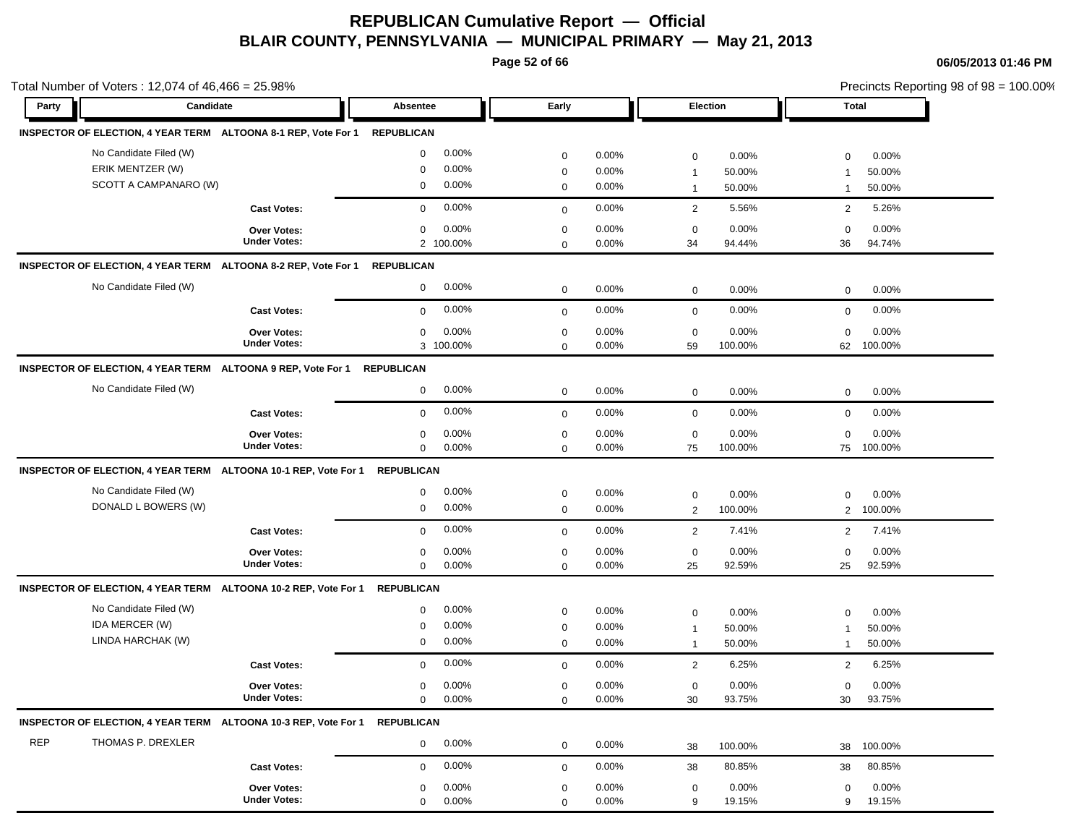**Page 52 of 66**

|       | Total Number of Voters: 12,074 of 46,466 = 25.98% |                                                                            |                          |              |          |                |         |                | Precincts Reporting 98 of 98 = 100.00% |
|-------|---------------------------------------------------|----------------------------------------------------------------------------|--------------------------|--------------|----------|----------------|---------|----------------|----------------------------------------|
| Party | Candidate                                         |                                                                            | Absentee                 | Early        |          | Election       |         | Total          |                                        |
|       |                                                   | INSPECTOR OF ELECTION, 4 YEAR TERM ALTOONA 8-1 REP, Vote For 1 REPUBLICAN  |                          |              |          |                |         |                |                                        |
|       | No Candidate Filed (W)                            |                                                                            | 0.00%<br>$\mathbf 0$     | 0            | 0.00%    | $\mathbf 0$    | 0.00%   | 0              | 0.00%                                  |
|       | ERIK MENTZER (W)                                  |                                                                            | 0.00%<br>0               | $\mathbf 0$  | 0.00%    | $\mathbf{1}$   | 50.00%  | -1             | 50.00%                                 |
|       | SCOTT A CAMPANARO (W)                             |                                                                            | 0.00%<br>$\mathbf 0$     | $\mathbf 0$  | 0.00%    | $\overline{1}$ | 50.00%  | $\mathbf{1}$   | 50.00%                                 |
|       |                                                   | <b>Cast Votes:</b>                                                         | 0.00%<br>$\mathbf 0$     | $\mathbf 0$  | 0.00%    | $\overline{2}$ | 5.56%   | 2              | 5.26%                                  |
|       |                                                   | <b>Over Votes:</b>                                                         | 0.00%<br>$\mathbf 0$     | $\mathbf 0$  | 0.00%    | $\mathbf 0$    | 0.00%   | 0              | 0.00%                                  |
|       |                                                   | <b>Under Votes:</b>                                                        | 2 100.00%                | $\mathbf 0$  | 0.00%    | 34             | 94.44%  | 36             | 94.74%                                 |
|       |                                                   | INSPECTOR OF ELECTION, 4 YEAR TERM ALTOONA 8-2 REP, Vote For 1             | <b>REPUBLICAN</b>        |              |          |                |         |                |                                        |
|       | No Candidate Filed (W)                            |                                                                            | 0.00%<br>$\mathbf 0$     | $\mathbf 0$  | 0.00%    | $\mathbf 0$    | 0.00%   | $\mathbf 0$    | 0.00%                                  |
|       |                                                   | <b>Cast Votes:</b>                                                         | 0.00%<br>$\mathbf 0$     | $\mathbf 0$  | 0.00%    | $\mathbf 0$    | 0.00%   | $\mathbf 0$    | 0.00%                                  |
|       |                                                   | Over Votes:                                                                | 0.00%<br>0               | $\mathbf 0$  | 0.00%    | $\mathbf 0$    | 0.00%   | $\mathbf 0$    | 0.00%                                  |
|       |                                                   | <b>Under Votes:</b>                                                        | 3 100.00%                | $\mathbf 0$  | 0.00%    | 59             | 100.00% | 62             | 100.00%                                |
|       |                                                   | INSPECTOR OF ELECTION, 4 YEAR TERM ALTOONA 9 REP, Vote For 1               | <b>REPUBLICAN</b>        |              |          |                |         |                |                                        |
|       | No Candidate Filed (W)                            |                                                                            | 0.00%<br>0               | $\mathbf 0$  | 0.00%    | $\mathbf 0$    | 0.00%   | $\mathbf 0$    | 0.00%                                  |
|       |                                                   | <b>Cast Votes:</b>                                                         | 0.00%<br>$\mathbf 0$     | $\mathbf 0$  | 0.00%    | $\mathbf 0$    | 0.00%   | $\mathbf 0$    | 0.00%                                  |
|       |                                                   | Over Votes:                                                                | 0.00%<br>0               | $\mathbf 0$  | 0.00%    | 0              | 0.00%   | $\mathbf 0$    | 0.00%                                  |
|       |                                                   | <b>Under Votes:</b>                                                        | $\mathbf 0$<br>0.00%     | $\mathbf 0$  | $0.00\%$ | 75             | 100.00% | 75             | 100.00%                                |
|       |                                                   | INSPECTOR OF ELECTION, 4 YEAR TERM ALTOONA 10-1 REP, Vote For 1            | <b>REPUBLICAN</b>        |              |          |                |         |                |                                        |
|       | No Candidate Filed (W)                            |                                                                            | 0.00%<br>0               | $\mathbf 0$  | 0.00%    | $\mathbf 0$    | 0.00%   | $\mathbf 0$    | 0.00%                                  |
|       | DONALD L BOWERS (W)                               |                                                                            | 0.00%<br>$\mathbf 0$     | $\mathbf 0$  | 0.00%    | $\overline{2}$ | 100.00% | $\overline{2}$ | 100.00%                                |
|       |                                                   | <b>Cast Votes:</b>                                                         | 0.00%<br>$\mathbf 0$     | $\mathbf{0}$ | 0.00%    | $\overline{2}$ | 7.41%   | 2              | 7.41%                                  |
|       |                                                   | <b>Over Votes:</b>                                                         | 0.00%<br>0               | $\mathbf 0$  | 0.00%    | $\mathbf 0$    | 0.00%   | $\mathbf 0$    | 0.00%                                  |
|       |                                                   | <b>Under Votes:</b>                                                        | $\mathbf 0$<br>0.00%     | $\mathbf 0$  | 0.00%    | 25             | 92.59%  | 25             | 92.59%                                 |
|       |                                                   | INSPECTOR OF ELECTION, 4 YEAR TERM ALTOONA 10-2 REP, Vote For 1 REPUBLICAN |                          |              |          |                |         |                |                                        |
|       | No Candidate Filed (W)                            |                                                                            | 0.00%<br>$\mathbf 0$     | $\mathbf 0$  | 0.00%    | $\mathbf 0$    | 0.00%   | $\mathbf 0$    | 0.00%                                  |
|       | IDA MERCER (W)                                    |                                                                            | 0.00%<br>$\mathbf 0$     | $\mathbf 0$  | 0.00%    | $\mathbf{1}$   | 50.00%  | -1             | 50.00%                                 |
|       | LINDA HARCHAK (W)                                 |                                                                            | 0.00%<br>$\mathbf 0$     | $\mathbf 0$  | $0.00\%$ | $\overline{1}$ | 50.00%  | 1              | 50.00%                                 |
|       |                                                   | <b>Cast Votes:</b>                                                         | 0.00%<br>$\mathbf 0$     | $\mathbf 0$  | 0.00%    | $\overline{2}$ | 6.25%   | 2              | 6.25%                                  |
|       |                                                   | Over Votes:                                                                | 0.00%<br>$\mathbf 0$     | $\mathbf{0}$ | 0.00%    | 0              | 0.00%   | 0              | 0.00%                                  |
|       |                                                   | <b>Under Votes:</b>                                                        | $0.00\%$<br>$\mathbf{0}$ | $\mathbf 0$  | 0.00%    | 30             | 93.75%  | 30             | 93.75%                                 |
|       |                                                   | INSPECTOR OF ELECTION, 4 YEAR TERM ALTOONA 10-3 REP, Vote For 1 REPUBLICAN |                          |              |          |                |         |                |                                        |
| REP   | THOMAS P. DREXLER                                 |                                                                            | 0.00%<br>$\mathbf 0$     | $\mathbf 0$  | 0.00%    | 38             | 100.00% | 38             | 100.00%                                |
|       |                                                   | <b>Cast Votes:</b>                                                         | 0.00%<br>$\mathbf 0$     | $\mathbf 0$  | 0.00%    | 38             | 80.85%  | 38             | 80.85%                                 |
|       |                                                   | Over Votes:                                                                | 0.00%<br>0               | 0            | 0.00%    | 0              | 0.00%   | 0              | $0.00\%$                               |
|       |                                                   | <b>Under Votes:</b>                                                        | 0.00%<br>$\mathbf 0$     | $\mathbf 0$  | 0.00%    | 9              | 19.15%  | 9              | 19.15%                                 |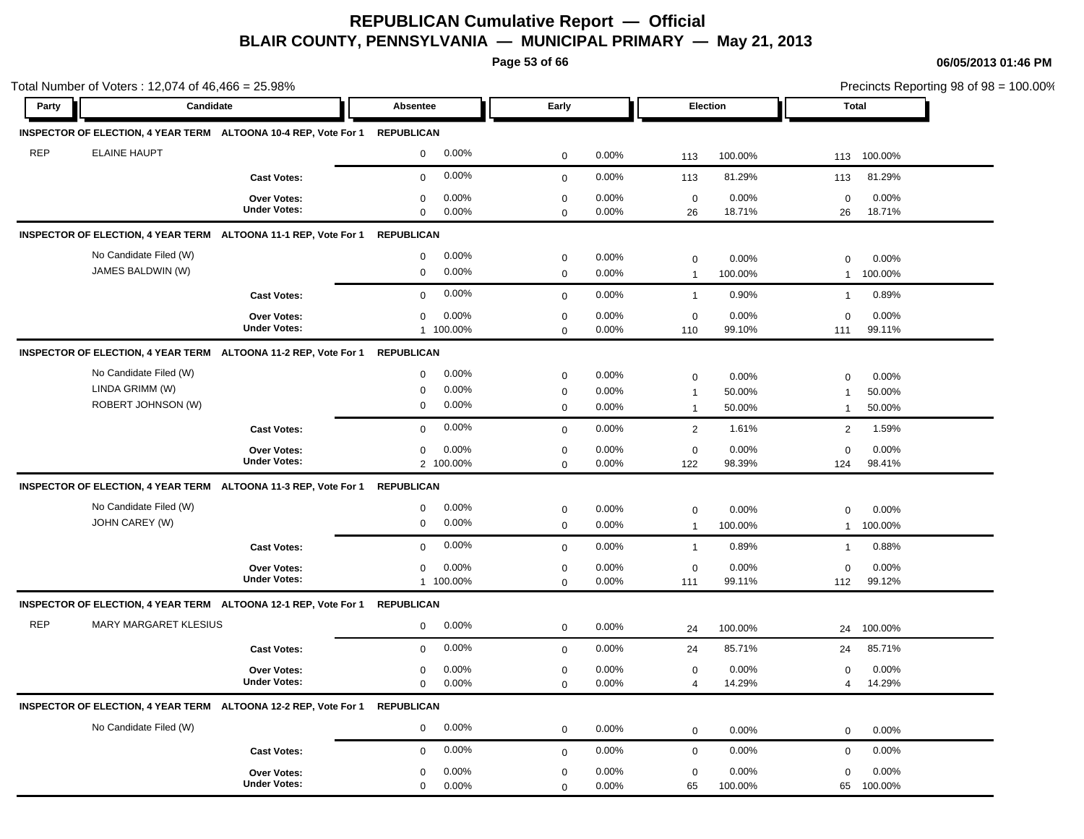**Page 53 of 66**

|            | Total Number of Voters: $12,074$ of $46,466 = 25.98\%$          |                                                                            |                                           |                                           |                         |                                                                          | Precincts Reporting 98 of 98 = 100.00%                                  |  |
|------------|-----------------------------------------------------------------|----------------------------------------------------------------------------|-------------------------------------------|-------------------------------------------|-------------------------|--------------------------------------------------------------------------|-------------------------------------------------------------------------|--|
| Party      | Candidate                                                       |                                                                            | Absentee                                  | Early                                     |                         | Election                                                                 | Total                                                                   |  |
|            |                                                                 | INSPECTOR OF ELECTION, 4 YEAR TERM ALTOONA 10-4 REP, Vote For 1 REPUBLICAN |                                           |                                           |                         |                                                                          |                                                                         |  |
| <b>REP</b> | <b>ELAINE HAUPT</b>                                             |                                                                            | 0.00%<br>$\mathbf 0$                      | $\mathbf 0$                               | 0.00%                   | 100.00%<br>113                                                           | 113 100.00%                                                             |  |
|            |                                                                 | <b>Cast Votes:</b>                                                         | $0.00\%$<br>0                             | $\mathbf 0$                               | 0.00%                   | 81.29%<br>113                                                            | 81.29%<br>113                                                           |  |
|            |                                                                 | <b>Over Votes:</b><br><b>Under Votes:</b>                                  | 0.00%<br>0<br>0.00%<br>0                  | $\mathbf 0$<br>$\mathbf 0$                | 0.00%<br>0.00%          | $\mathbf 0$<br>0.00%<br>18.71%<br>26                                     | 0.00%<br>$\mathbf 0$<br>18.71%<br>26                                    |  |
|            |                                                                 | INSPECTOR OF ELECTION, 4 YEAR TERM ALTOONA 11-1 REP, Vote For 1            | <b>REPUBLICAN</b>                         |                                           |                         |                                                                          |                                                                         |  |
|            | No Candidate Filed (W)<br>JAMES BALDWIN (W)                     |                                                                            | $0.00\%$<br>0<br>$0.00\%$<br>0            | 0<br>$\mathbf 0$                          | $0.00\%$<br>0.00%       | 0.00%<br>$\mathbf 0$<br>100.00%<br>$\mathbf{1}$                          | $\mathbf 0$<br>0.00%<br>100.00%<br>$\mathbf{1}$                         |  |
|            |                                                                 | <b>Cast Votes:</b>                                                         | 0.00%<br>0                                | $\mathbf 0$                               | 0.00%                   | 0.90%<br>$\mathbf{1}$                                                    | 0.89%<br>$\mathbf{1}$                                                   |  |
|            |                                                                 | <b>Over Votes:</b><br><b>Under Votes:</b>                                  | 0.00%<br>$\mathbf 0$<br>1 100.00%         | 0<br>$\mathbf 0$                          | 0.00%<br>0.00%          | 0.00%<br>0<br>110<br>99.10%                                              | 0.00%<br>$\mathbf 0$<br>99.11%<br>111                                   |  |
|            |                                                                 | INSPECTOR OF ELECTION, 4 YEAR TERM ALTOONA 11-2 REP, Vote For 1            | <b>REPUBLICAN</b>                         |                                           |                         |                                                                          |                                                                         |  |
|            | No Candidate Filed (W)<br>LINDA GRIMM (W)<br>ROBERT JOHNSON (W) |                                                                            | $0.00\%$<br>0<br>0.00%<br>0<br>0.00%<br>0 | $\mathbf 0$<br>$\mathbf 0$<br>$\mathbf 0$ | 0.00%<br>0.00%<br>0.00% | 0.00%<br>$\mathbf 0$<br>50.00%<br>$\mathbf{1}$<br>50.00%<br>$\mathbf{1}$ | 0.00%<br>$\mathbf 0$<br>50.00%<br>$\mathbf 1$<br>50.00%<br>$\mathbf{1}$ |  |
|            |                                                                 | <b>Cast Votes:</b>                                                         | $0.00\%$<br>$\mathbf 0$                   | $\mathbf 0$                               | 0.00%                   | $\overline{2}$<br>1.61%                                                  | 1.59%<br>$\overline{2}$                                                 |  |
|            |                                                                 | <b>Over Votes:</b><br><b>Under Votes:</b>                                  | 0.00%<br>0<br>2 100.00%                   | $\mathbf 0$<br>$\mathbf 0$                | 0.00%<br>0.00%          | $\mathbf 0$<br>0.00%<br>122<br>98.39%                                    | 0.00%<br>$\mathbf 0$<br>124<br>98.41%                                   |  |
|            |                                                                 | INSPECTOR OF ELECTION, 4 YEAR TERM ALTOONA 11-3 REP, Vote For 1            | <b>REPUBLICAN</b>                         |                                           |                         |                                                                          |                                                                         |  |
|            | No Candidate Filed (W)<br>JOHN CAREY (W)                        |                                                                            | 0.00%<br>0<br>$0.00\%$<br>0               | $\mathbf 0$<br>$\mathbf 0$                | 0.00%<br>0.00%          | $\mathbf 0$<br>0.00%<br>100.00%<br>$\mathbf{1}$                          | 0.00%<br>$\mathbf 0$<br>100.00%<br>$\mathbf 1$                          |  |
|            |                                                                 | <b>Cast Votes:</b>                                                         | 0.00%<br>$\mathbf 0$                      | $\mathbf 0$                               | 0.00%                   | 0.89%<br>$\mathbf{1}$                                                    | 0.88%<br>$\overline{1}$                                                 |  |
|            |                                                                 | <b>Over Votes:</b><br><b>Under Votes:</b>                                  | 0.00%<br>$\mathbf 0$<br>1 100.00%         | $\mathbf 0$<br>$\mathbf 0$                | 0.00%<br>0.00%          | 0.00%<br>$\mathbf 0$<br>99.11%<br>111                                    | 0.00%<br>$\mathbf 0$<br>99.12%<br>112                                   |  |
|            |                                                                 | INSPECTOR OF ELECTION, 4 YEAR TERM ALTOONA 12-1 REP, Vote For 1 REPUBLICAN |                                           |                                           |                         |                                                                          |                                                                         |  |
| <b>REP</b> | <b>MARY MARGARET KLESIUS</b>                                    |                                                                            | 0.00%<br>0                                | $\mathbf 0$                               | 0.00%                   | 100.00%<br>24                                                            | 24 100.00%                                                              |  |
|            |                                                                 | <b>Cast Votes:</b>                                                         | 0.00%<br>$\mathbf 0$                      | $\mathbf 0$                               | 0.00%                   | 85.71%<br>24                                                             | 85.71%<br>24                                                            |  |
|            |                                                                 | <b>Over Votes:</b><br><b>Under Votes:</b>                                  | $0.00\%$<br>0<br>0.00%<br>$\mathbf 0$     | $\mathbf 0$<br>$\mathbf 0$                | 0.00%<br>0.00%          | 0.00%<br>$\mathbf 0$<br>14.29%<br>$\overline{4}$                         | 0.00%<br>$\mathbf 0$<br>14.29%<br>4                                     |  |
|            |                                                                 | INSPECTOR OF ELECTION, 4 YEAR TERM ALTOONA 12-2 REP, Vote For 1 REPUBLICAN |                                           |                                           |                         |                                                                          |                                                                         |  |
|            | No Candidate Filed (W)                                          |                                                                            | 0.00%<br>0                                | $\mathbf 0$                               | 0.00%                   | 0.00%<br>$\mathbf 0$                                                     | 0.00%<br>$\mathbf 0$                                                    |  |
|            |                                                                 | <b>Cast Votes:</b>                                                         | 0.00%<br>$\mathbf 0$                      | $\mathbf 0$                               | 0.00%                   | 0.00%<br>$\mathbf 0$                                                     | 0.00%<br>$\mathbf 0$                                                    |  |
|            |                                                                 | Over Votes:<br><b>Under Votes:</b>                                         | $0.00\%$<br>$\mathbf 0$<br>0.00%<br>0     | $\mathbf 0$<br>$\mathbf 0$                | 0.00%<br>0.00%          | 0.00%<br>$\mathbf 0$<br>65<br>100.00%                                    | 0.00%<br>$\mathbf 0$<br>100.00%<br>65                                   |  |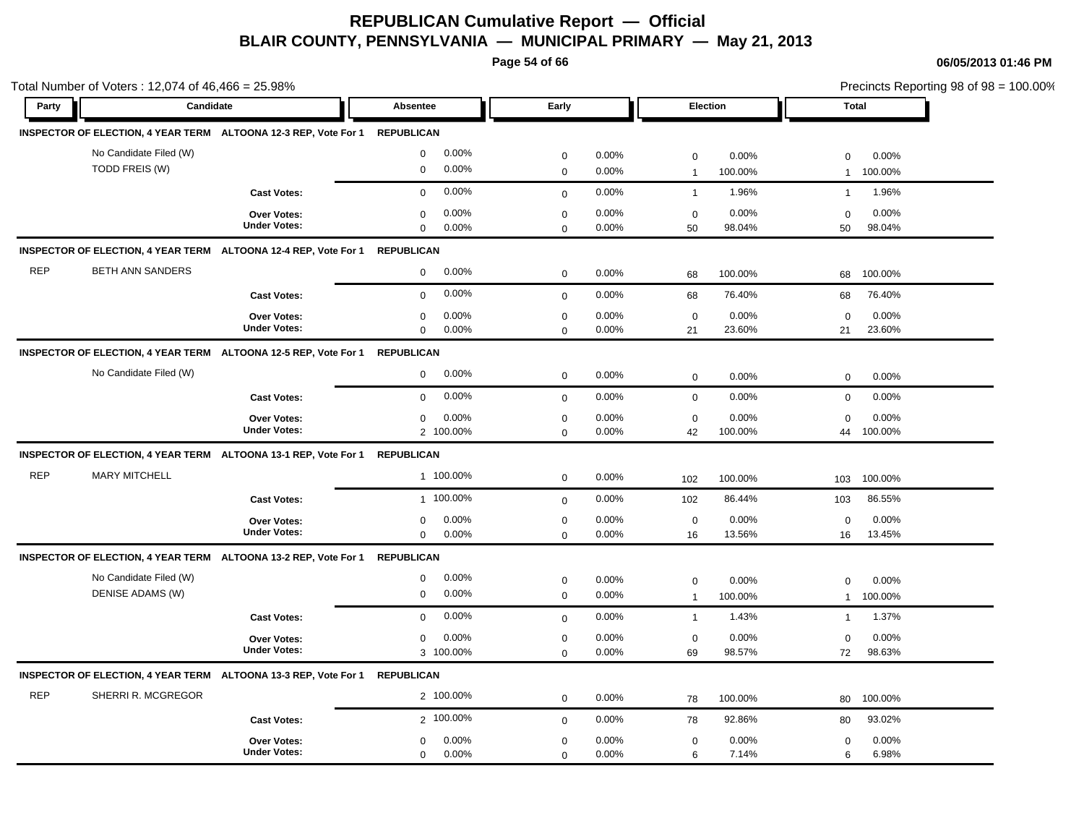**Page 54 of 66**

|            | Total Number of Voters: 12,074 of 46,466 = 25.98%                          |                                           |                                              |                            |                |                             |                  | Precincts Reporting 98 of 98 = 100.00% |                  |
|------------|----------------------------------------------------------------------------|-------------------------------------------|----------------------------------------------|----------------------------|----------------|-----------------------------|------------------|----------------------------------------|------------------|
| Party      | Candidate                                                                  |                                           | <b>Absentee</b>                              | Early                      |                | Election                    |                  | <b>Total</b>                           |                  |
|            | INSPECTOR OF ELECTION, 4 YEAR TERM ALTOONA 12-3 REP, Vote For 1 REPUBLICAN |                                           |                                              |                            |                |                             |                  |                                        |                  |
|            | No Candidate Filed (W)                                                     |                                           | 0.00%<br>$\mathbf 0$                         | $\mathbf 0$                | 0.00%          | $\mathsf 0$                 | 0.00%            | $\mathbf 0$                            | 0.00%            |
|            | TODD FREIS (W)                                                             |                                           | 0.00%<br>$\mathbf 0$                         | $\pmb{0}$                  | 0.00%          | $\overline{1}$              | 100.00%          | $\mathbf{1}$                           | 100.00%          |
|            |                                                                            | <b>Cast Votes:</b>                        | 0.00%<br>$\mathbf 0$                         | $\mathbf 0$                | 0.00%          | $\mathbf{1}$                | 1.96%            | $\mathbf{1}$                           | 1.96%            |
|            |                                                                            | Over Votes:<br><b>Under Votes:</b>        | 0.00%<br>$\mathbf 0$<br>$\Omega$<br>0.00%    | $\mathbf 0$<br>$\mathbf 0$ | 0.00%<br>0.00% | $\mathbf 0$<br>50           | 0.00%<br>98.04%  | $\mathbf 0$<br>50                      | 0.00%<br>98.04%  |
|            | INSPECTOR OF ELECTION, 4 YEAR TERM ALTOONA 12-4 REP, Vote For 1 REPUBLICAN |                                           |                                              |                            |                |                             |                  |                                        |                  |
| <b>REP</b> | <b>BETH ANN SANDERS</b>                                                    |                                           | 0.00%<br>$\mathbf 0$                         | $\mathbf 0$                | 0.00%          | 68                          | 100.00%          | 68                                     | 100.00%          |
|            |                                                                            | <b>Cast Votes:</b>                        | 0.00%<br>$\mathbf 0$                         | $\mathbf 0$                | 0.00%          | 68                          | 76.40%           | 68                                     | 76.40%           |
|            |                                                                            | <b>Over Votes:</b><br><b>Under Votes:</b> | 0.00%<br>0<br>0.00%<br>$\mathbf 0$           | $\mathbf 0$<br>$\mathbf 0$ | 0.00%<br>0.00% | $\mathbf 0$<br>21           | 0.00%<br>23.60%  | $\mathbf 0$<br>21                      | 0.00%<br>23.60%  |
|            | INSPECTOR OF ELECTION, 4 YEAR TERM ALTOONA 12-5 REP, Vote For 1            |                                           | <b>REPUBLICAN</b>                            |                            |                |                             |                  |                                        |                  |
|            | No Candidate Filed (W)                                                     |                                           | 0.00%<br>$\mathbf 0$                         | $\pmb{0}$                  | 0.00%          | $\mathbf 0$                 | 0.00%            | $\mathbf 0$                            | 0.00%            |
|            |                                                                            | <b>Cast Votes:</b>                        | 0.00%<br>$\mathbf 0$                         | $\mathbf 0$                | 0.00%          | $\mathbf 0$                 | 0.00%            | $\mathbf 0$                            | 0.00%            |
|            |                                                                            | Over Votes:<br><b>Under Votes:</b>        | 0.00%<br>$\mathbf 0$<br>2 100.00%            | $\mathbf 0$<br>$\mathbf 0$ | 0.00%<br>0.00% | $\mathbf 0$<br>42           | 0.00%<br>100.00% | $\Omega$<br>44                         | 0.00%<br>100.00% |
|            | INSPECTOR OF ELECTION, 4 YEAR TERM ALTOONA 13-1 REP, Vote For 1 REPUBLICAN |                                           |                                              |                            |                |                             |                  |                                        |                  |
| <b>REP</b> | <b>MARY MITCHELL</b>                                                       |                                           | 1 100.00%                                    | $\mathbf 0$                | 0.00%          | 102                         | 100.00%          | 103                                    | 100.00%          |
|            |                                                                            | <b>Cast Votes:</b>                        | 1 100.00%                                    | $\mathbf 0$                | 0.00%          | 102                         | 86.44%           | 103                                    | 86.55%           |
|            |                                                                            | Over Votes:<br><b>Under Votes:</b>        | 0.00%<br>$\mathbf 0$<br>0.00%<br>$\mathbf 0$ | $\pmb{0}$<br>$\mathsf 0$   | 0.00%<br>0.00% | $\mathbf 0$<br>16           | 0.00%<br>13.56%  | $\mathbf 0$<br>16                      | 0.00%<br>13.45%  |
|            | INSPECTOR OF ELECTION, 4 YEAR TERM ALTOONA 13-2 REP, Vote For 1            |                                           | <b>REPUBLICAN</b>                            |                            |                |                             |                  |                                        |                  |
|            | No Candidate Filed (W)<br>DENISE ADAMS (W)                                 |                                           | 0.00%<br>$\mathbf 0$<br>0.00%<br>0           | $\pmb{0}$<br>$\mathbf 0$   | 0.00%<br>0.00% | $\mathbf 0$<br>$\mathbf{1}$ | 0.00%<br>100.00% | $\mathbf 0$<br>$\mathbf{1}$            | 0.00%<br>100.00% |
|            |                                                                            | <b>Cast Votes:</b>                        | 0.00%<br>$\Omega$                            | $\mathbf 0$                | 0.00%          | $\mathbf{1}$                | 1.43%            | $\mathbf{1}$                           | 1.37%            |
|            |                                                                            | Over Votes:<br><b>Under Votes:</b>        | 0.00%<br>0<br>3 100.00%                      | $\mathbf 0$<br>$\Omega$    | 0.00%<br>0.00% | $\mathbf 0$<br>69           | 0.00%<br>98.57%  | $\mathbf 0$<br>72                      | 0.00%<br>98.63%  |
|            | INSPECTOR OF ELECTION, 4 YEAR TERM ALTOONA 13-3 REP, Vote For 1 REPUBLICAN |                                           |                                              |                            |                |                             |                  |                                        |                  |
| <b>REP</b> | SHERRI R. MCGREGOR                                                         |                                           | 2 100.00%                                    | $\mathbf 0$                | 0.00%          | 78                          | 100.00%          | 80                                     | 100.00%          |
|            |                                                                            | <b>Cast Votes:</b>                        | 2 100.00%                                    | $\mathbf 0$                | 0.00%          | 78                          | 92.86%           | 80                                     | 93.02%           |
|            |                                                                            | Over Votes:<br><b>Under Votes:</b>        | 0.00%<br>0<br>$\mathbf 0$<br>0.00%           | $\mathbf 0$<br>$\mathbf 0$ | 0.00%<br>0.00% | $\mathbf 0$<br>6            | 0.00%<br>7.14%   | 0<br>6                                 | 0.00%<br>6.98%   |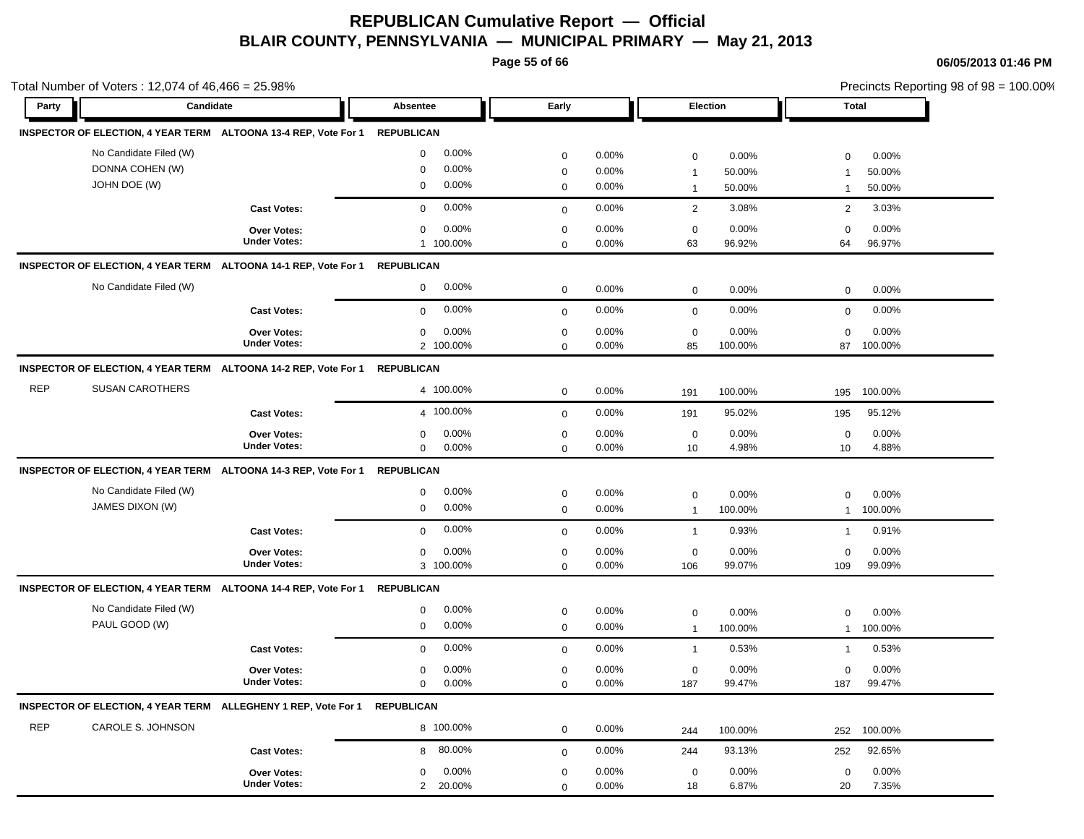**Page 55 of 66**

|            | Total Number of Voters: 12,074 of 46,466 = 25.98%         |                                                                            |                                                                      |                                           |                         |                                             | Precincts Reporting 98 of 98 = 100.00% |                                |                           |
|------------|-----------------------------------------------------------|----------------------------------------------------------------------------|----------------------------------------------------------------------|-------------------------------------------|-------------------------|---------------------------------------------|----------------------------------------|--------------------------------|---------------------------|
| Party      | Candidate                                                 |                                                                            | Absentee                                                             | Early                                     |                         | Election                                    |                                        | <b>Total</b>                   |                           |
|            |                                                           | INSPECTOR OF ELECTION, 4 YEAR TERM ALTOONA 13-4 REP, Vote For 1 REPUBLICAN |                                                                      |                                           |                         |                                             |                                        |                                |                           |
|            | No Candidate Filed (W)<br>DONNA COHEN (W)<br>JOHN DOE (W) |                                                                            | 0.00%<br>$\mathbf 0$<br>0.00%<br>$\mathbf 0$<br>0.00%<br>$\mathbf 0$ | $\mathbf 0$<br>$\mathbf 0$<br>$\mathbf 0$ | 0.00%<br>0.00%<br>0.00% | $\mathbf 0$<br>$\mathbf{1}$<br>$\mathbf{1}$ | 0.00%<br>50.00%<br>50.00%              | $\Omega$<br>-1<br>$\mathbf{1}$ | 0.00%<br>50.00%<br>50.00% |
|            |                                                           | <b>Cast Votes:</b>                                                         | 0.00%<br>$\mathbf 0$                                                 | $\mathbf 0$                               | 0.00%                   | $\overline{2}$                              | 3.08%                                  | 2                              | 3.03%                     |
|            |                                                           | <b>Over Votes:</b><br><b>Under Votes:</b>                                  | 0.00%<br>$\mathbf 0$<br>1 100.00%                                    | $\mathbf 0$<br>$\mathbf 0$                | 0.00%<br>0.00%          | $\mathbf 0$<br>63                           | 0.00%<br>96.92%                        | $\Omega$<br>64                 | 0.00%<br>96.97%           |
|            |                                                           | INSPECTOR OF ELECTION, 4 YEAR TERM ALTOONA 14-1 REP, Vote For 1 REPUBLICAN |                                                                      |                                           |                         |                                             |                                        |                                |                           |
|            | No Candidate Filed (W)                                    |                                                                            | $\mathbf 0$<br>0.00%                                                 | $\mathbf 0$                               | 0.00%                   | $\mathbf 0$                                 | 0.00%                                  | 0                              | 0.00%                     |
|            |                                                           | <b>Cast Votes:</b>                                                         | 0.00%<br>$\mathbf 0$                                                 | $\mathbf{0}$                              | 0.00%                   | $\mathbf 0$                                 | 0.00%                                  | $\mathbf 0$                    | 0.00%                     |
|            |                                                           | <b>Over Votes:</b><br><b>Under Votes:</b>                                  | 0.00%<br>$\mathsf 0$<br>2 100.00%                                    | $\mathbf 0$<br>$\mathbf 0$                | 0.00%<br>0.00%          | $\mathsf 0$<br>85                           | 0.00%<br>100.00%                       | $\mathbf 0$<br>87              | 0.00%<br>100.00%          |
|            |                                                           | INSPECTOR OF ELECTION, 4 YEAR TERM ALTOONA 14-2 REP, Vote For 1 REPUBLICAN |                                                                      |                                           |                         |                                             |                                        |                                |                           |
| <b>REP</b> | <b>SUSAN CAROTHERS</b>                                    |                                                                            | 4 100.00%                                                            | $\mathbf 0$                               | 0.00%                   | 191                                         | 100.00%                                | 195                            | 100.00%                   |
|            |                                                           | <b>Cast Votes:</b>                                                         | 4 100.00%                                                            | $\mathbf 0$                               | 0.00%                   | 191                                         | 95.02%                                 | 195                            | 95.12%                    |
|            |                                                           | <b>Over Votes:</b><br><b>Under Votes:</b>                                  | 0.00%<br>$\mathbf 0$<br>$\mathbf 0$<br>0.00%                         | $\mathbf 0$<br>$\mathbf 0$                | 0.00%<br>0.00%          | $\mathbf 0$<br>10                           | 0.00%<br>4.98%                         | $\mathbf 0$<br>10              | 0.00%<br>4.88%            |
|            |                                                           | INSPECTOR OF ELECTION, 4 YEAR TERM ALTOONA 14-3 REP, Vote For 1 REPUBLICAN |                                                                      |                                           |                         |                                             |                                        |                                |                           |
|            | No Candidate Filed (W)<br>JAMES DIXON (W)                 |                                                                            | 0.00%<br>$\mathbf 0$<br>0.00%<br>$\mathsf 0$                         | $\mathbf 0$<br>$\mathbf 0$                | 0.00%<br>0.00%          | $\mathsf 0$<br>$\mathbf{1}$                 | 0.00%<br>100.00%                       | $\mathbf 0$<br>$\mathbf{1}$    | 0.00%<br>100.00%          |
|            |                                                           | <b>Cast Votes:</b>                                                         | 0.00%<br>$\mathbf 0$                                                 | $\mathbf 0$                               | 0.00%                   | $\mathbf{1}$                                | 0.93%                                  | $\mathbf{1}$                   | 0.91%                     |
|            |                                                           | Over Votes:<br><b>Under Votes:</b>                                         | 0.00%<br>$\mathbf 0$<br>3 100.00%                                    | $\,0\,$<br>$\mathbf 0$                    | 0.00%<br>0.00%          | $\mathbf 0$<br>106                          | 0.00%<br>99.07%                        | $\mathbf 0$<br>109             | 0.00%<br>99.09%           |
|            |                                                           | INSPECTOR OF ELECTION, 4 YEAR TERM ALTOONA 14-4 REP, Vote For 1 REPUBLICAN |                                                                      |                                           |                         |                                             |                                        |                                |                           |
|            | No Candidate Filed (W)<br>PAUL GOOD (W)                   |                                                                            | 0.00%<br>$\mathbf 0$<br>0.00%<br>$\mathbf 0$                         | $\mathbf 0$<br>$\mathbf 0$                | 0.00%<br>0.00%          | $\mathbf 0$<br>$\overline{1}$               | 0.00%<br>100.00%                       | 0<br>$\mathbf{1}$              | 0.00%<br>100.00%          |
|            |                                                           | <b>Cast Votes:</b>                                                         | 0.00%<br>$\mathbf 0$                                                 | $\mathbf 0$                               | 0.00%                   | $\mathbf{1}$                                | 0.53%                                  | $\mathbf{1}$                   | 0.53%                     |
|            |                                                           | Over Votes:<br><b>Under Votes:</b>                                         | 0.00%<br>$\mathbf 0$<br>0.00%<br>$\mathbf 0$                         | $\mathbf 0$<br>$\mathbf 0$                | 0.00%<br>0.00%          | $\mathbf 0$<br>187                          | 0.00%<br>99.47%                        | $\mathbf 0$<br>187             | 0.00%<br>99.47%           |
|            |                                                           | INSPECTOR OF ELECTION, 4 YEAR TERM ALLEGHENY 1 REP, Vote For 1             | <b>REPUBLICAN</b>                                                    |                                           |                         |                                             |                                        |                                |                           |
| <b>REP</b> | CAROLE S. JOHNSON                                         |                                                                            | 8 100.00%                                                            | $\mathbf 0$                               | 0.00%                   | 244                                         | 100.00%                                | 252                            | 100.00%                   |
|            |                                                           | <b>Cast Votes:</b>                                                         | 80.00%<br>8                                                          | $\mathbf 0$                               | 0.00%                   | 244                                         | 93.13%                                 | 252                            | 92.65%                    |
|            |                                                           | <b>Over Votes:</b><br><b>Under Votes:</b>                                  | 0.00%<br>$\mathbf 0$<br>20.00%<br>$\overline{2}$                     | $\mathbf 0$<br>$\mathbf 0$                | 0.00%<br>0.00%          | $\mathbf 0$<br>18                           | 0.00%<br>6.87%                         | $\mathbf 0$<br>20              | 0.00%<br>7.35%            |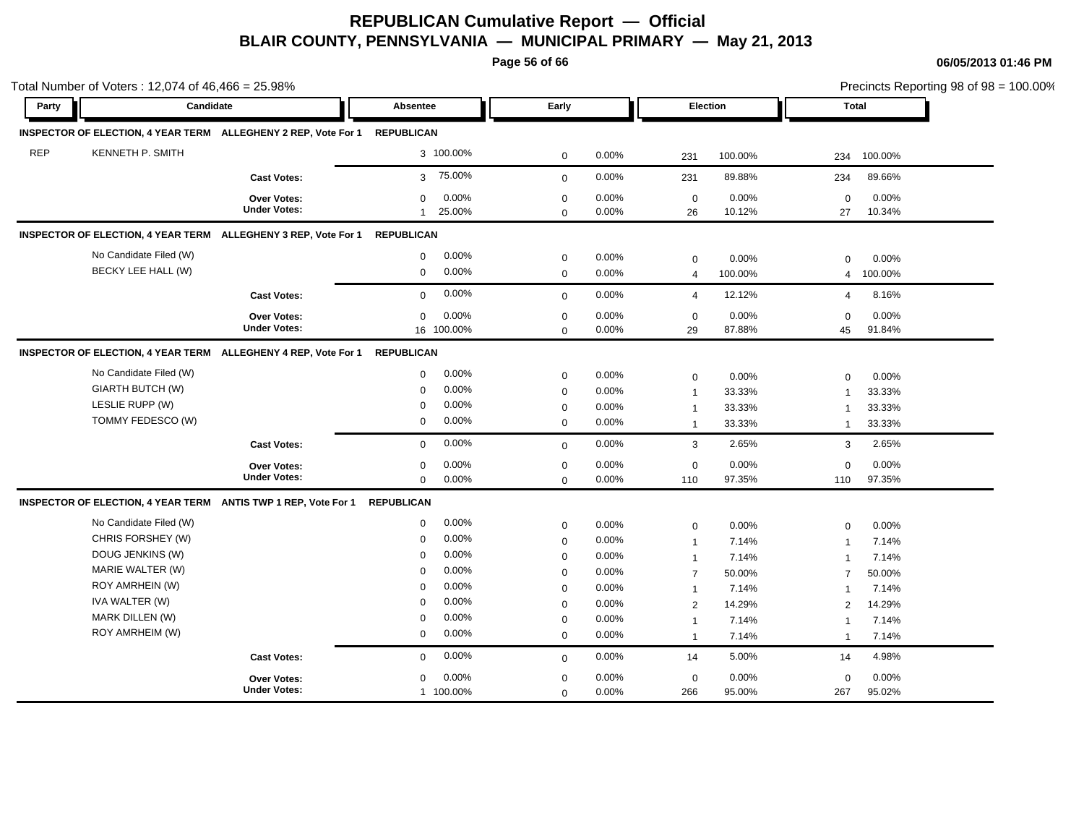**Page 56 of 66**

| Party      | Candidate               |                                                                | <b>Absentee</b>          | Early        |       |                | Election | Total          |         |  |
|------------|-------------------------|----------------------------------------------------------------|--------------------------|--------------|-------|----------------|----------|----------------|---------|--|
|            |                         |                                                                |                          |              |       |                |          |                |         |  |
|            |                         | INSPECTOR OF ELECTION, 4 YEAR TERM ALLEGHENY 2 REP, Vote For 1 | <b>REPUBLICAN</b>        |              |       |                |          |                |         |  |
| <b>REP</b> | <b>KENNETH P. SMITH</b> |                                                                | 3 100.00%                | $\mathbf 0$  | 0.00% | 231            | 100.00%  | 234            | 100.00% |  |
|            |                         | <b>Cast Votes:</b>                                             | 75.00%<br>3 <sup>7</sup> | $\mathbf 0$  | 0.00% | 231            | 89.88%   | 234            | 89.66%  |  |
|            |                         | <b>Over Votes:</b>                                             | 0.00%<br>$\mathbf 0$     | $\mathbf 0$  | 0.00% | $\mathbf 0$    | 0.00%    | $\mathbf 0$    | 0.00%   |  |
|            |                         | <b>Under Votes:</b>                                            | 25.00%<br>$\mathbf{1}$   | $\mathbf 0$  | 0.00% | 26             | 10.12%   | 27             | 10.34%  |  |
|            |                         | INSPECTOR OF ELECTION, 4 YEAR TERM ALLEGHENY 3 REP, Vote For 1 | <b>REPUBLICAN</b>        |              |       |                |          |                |         |  |
|            | No Candidate Filed (W)  |                                                                | 0.00%<br>$\mathbf 0$     | $\mathbf 0$  | 0.00% | $\mathbf 0$    | 0.00%    | 0              | 0.00%   |  |
|            | BECKY LEE HALL (W)      |                                                                | 0.00%<br>$\mathbf 0$     | $\mathbf 0$  | 0.00% | $\overline{4}$ | 100.00%  | 4              | 100.00% |  |
|            |                         | <b>Cast Votes:</b>                                             | 0.00%<br>$\mathbf 0$     | $\mathbf 0$  | 0.00% | $\overline{4}$ | 12.12%   | $\overline{4}$ | 8.16%   |  |
|            |                         | <b>Over Votes:</b>                                             | 0.00%<br>$\mathbf 0$     | $\mathbf 0$  | 0.00% | $\mathbf 0$    | 0.00%    | $\mathbf 0$    | 0.00%   |  |
|            |                         | <b>Under Votes:</b>                                            | 16 100.00%               | $\Omega$     | 0.00% | 29             | 87.88%   | 45             | 91.84%  |  |
|            |                         | INSPECTOR OF ELECTION, 4 YEAR TERM ALLEGHENY 4 REP, Vote For 1 | <b>REPUBLICAN</b>        |              |       |                |          |                |         |  |
|            | No Candidate Filed (W)  |                                                                | 0.00%<br>$\mathbf 0$     | $\mathbf 0$  | 0.00% | $\mathbf 0$    | 0.00%    | $\Omega$       | 0.00%   |  |
|            | GIARTH BUTCH (W)        |                                                                | 0.00%<br>$\mathbf 0$     | $\mathbf 0$  | 0.00% | $\overline{1}$ | 33.33%   | $\overline{1}$ | 33.33%  |  |
|            | LESLIE RUPP (W)         |                                                                | 0.00%<br>$\mathbf 0$     | $\mathbf 0$  | 0.00% | $\mathbf{1}$   | 33.33%   | $\overline{1}$ | 33.33%  |  |
|            | TOMMY FEDESCO (W)       |                                                                | 0.00%<br>$\mathbf 0$     | $\mathbf 0$  | 0.00% | $\overline{1}$ | 33.33%   | $\mathbf{1}$   | 33.33%  |  |
|            |                         | <b>Cast Votes:</b>                                             | 0.00%<br>$\mathbf 0$     | $\mathbf{0}$ | 0.00% | 3              | 2.65%    | 3              | 2.65%   |  |
|            |                         | <b>Over Votes:</b>                                             | 0.00%<br>$\mathbf 0$     | $\mathbf 0$  | 0.00% | $\mathbf 0$    | 0.00%    | $\mathbf 0$    | 0.00%   |  |
|            |                         | <b>Under Votes:</b>                                            | $\mathbf 0$<br>0.00%     | $\mathbf 0$  | 0.00% | 110            | 97.35%   | 110            | 97.35%  |  |
|            |                         | INSPECTOR OF ELECTION, 4 YEAR TERM ANTIS TWP 1 REP, Vote For 1 | <b>REPUBLICAN</b>        |              |       |                |          |                |         |  |
|            | No Candidate Filed (W)  |                                                                | 0.00%<br>$\mathbf 0$     | $\mathbf 0$  | 0.00% | $\mathbf 0$    | 0.00%    | $\Omega$       | 0.00%   |  |
|            | CHRIS FORSHEY (W)       |                                                                | 0.00%<br>$\mathbf 0$     | $\mathbf 0$  | 0.00% | $\mathbf{1}$   | 7.14%    | $\mathbf 1$    | 7.14%   |  |
|            | DOUG JENKINS (W)        |                                                                | 0.00%<br>$\Omega$        | $\mathbf 0$  | 0.00% | $\overline{1}$ | 7.14%    | $\overline{1}$ | 7.14%   |  |
|            | MARIE WALTER (W)        |                                                                | 0.00%<br>$\mathbf 0$     | $\mathbf 0$  | 0.00% | $\overline{7}$ | 50.00%   | $\overline{7}$ | 50.00%  |  |
|            | ROY AMRHEIN (W)         |                                                                | 0.00%<br>$\mathbf 0$     | $\mathbf 0$  | 0.00% | $\mathbf{1}$   | 7.14%    | 1              | 7.14%   |  |
|            | IVA WALTER (W)          |                                                                | 0.00%<br>$\Omega$        | $\mathbf 0$  | 0.00% | $\overline{2}$ | 14.29%   | 2              | 14.29%  |  |
|            | MARK DILLEN (W)         |                                                                | 0.00%<br>$\mathbf 0$     | $\mathbf 0$  | 0.00% | $\overline{1}$ | 7.14%    | $\overline{1}$ | 7.14%   |  |
|            | ROY AMRHEIM (W)         |                                                                | 0.00%<br>$\mathbf 0$     | $\mathbf 0$  | 0.00% | $\overline{1}$ | 7.14%    | $\overline{1}$ | 7.14%   |  |
|            |                         | <b>Cast Votes:</b>                                             | 0.00%<br>$\mathbf 0$     | $\mathbf 0$  | 0.00% | 14             | 5.00%    | 14             | 4.98%   |  |
|            |                         | <b>Over Votes:</b>                                             | 0.00%<br>$\mathbf 0$     | $\mathbf 0$  | 0.00% | $\mathbf 0$    | 0.00%    | 0              | 0.00%   |  |
|            |                         | <b>Under Votes:</b>                                            | 1 100.00%                | $\mathbf 0$  | 0.00% | 266            | 95.00%   | 267            | 95.02%  |  |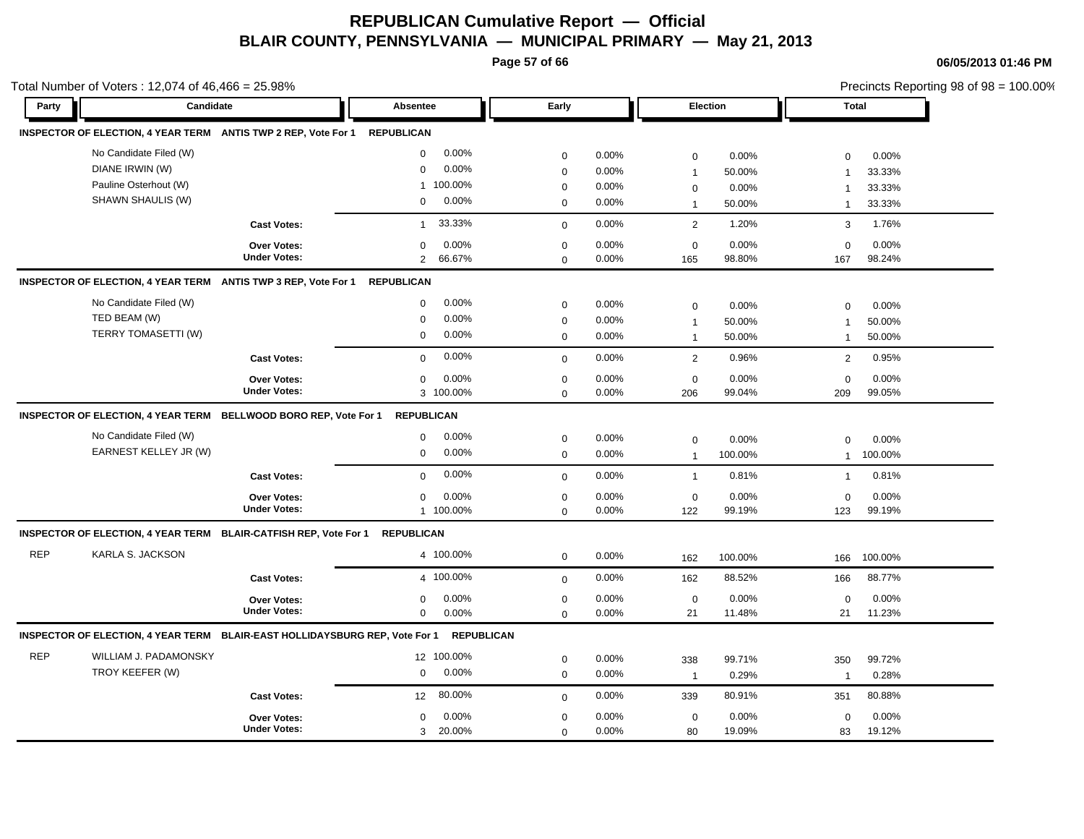**Page 57 of 66**

**06/05/2013 01:46 PM**

|            | Total Number of Voters: 12,074 of 46,466 = 25.98%                           |                     |                          |                  |       |                |          |                | Precincts Reporting 98 of 98 = 100.00% |  |
|------------|-----------------------------------------------------------------------------|---------------------|--------------------------|------------------|-------|----------------|----------|----------------|----------------------------------------|--|
| Party      | Candidate                                                                   |                     | Absentee                 | Early            |       |                | Election | <b>Total</b>   |                                        |  |
|            | INSPECTOR OF ELECTION, 4 YEAR TERM ANTIS TWP 2 REP, Vote For 1              |                     | <b>REPUBLICAN</b>        |                  |       |                |          |                |                                        |  |
|            | No Candidate Filed (W)                                                      |                     | 0.00%<br>$\mathbf 0$     | $\mathbf 0$      | 0.00% | $\pmb{0}$      | 0.00%    | $\Omega$       | 0.00%                                  |  |
|            | DIANE IRWIN (W)                                                             |                     | 0.00%<br>$\mathbf 0$     | $\boldsymbol{0}$ | 0.00% | $\mathbf 1$    | 50.00%   | $\overline{1}$ | 33.33%                                 |  |
|            | Pauline Osterhout (W)                                                       |                     | 1 100.00%                | $\mathbf 0$      | 0.00% | $\mathbf 0$    | 0.00%    | $\overline{1}$ | 33.33%                                 |  |
|            | SHAWN SHAULIS (W)                                                           |                     | 0.00%<br>0               | $\mathbf 0$      | 0.00% | $\mathbf{1}$   | 50.00%   | $\mathbf{1}$   | 33.33%                                 |  |
|            |                                                                             | <b>Cast Votes:</b>  | 33.33%<br>$\mathbf{1}$   | $\mathbf 0$      | 0.00% | $\overline{2}$ | 1.20%    | 3              | 1.76%                                  |  |
|            |                                                                             | <b>Over Votes:</b>  | 0.00%<br>0               | $\mathbf 0$      | 0.00% | $\mathbf 0$    | 0.00%    | $\mathbf 0$    | 0.00%                                  |  |
|            |                                                                             | <b>Under Votes:</b> | 66.67%<br>$\overline{2}$ | $\Omega$         | 0.00% | 165            | 98.80%   | 167            | 98.24%                                 |  |
|            | INSPECTOR OF ELECTION, 4 YEAR TERM ANTIS TWP 3 REP, Vote For 1              |                     | <b>REPUBLICAN</b>        |                  |       |                |          |                |                                        |  |
|            | No Candidate Filed (W)                                                      |                     | 0.00%<br>0               | $\mathbf 0$      | 0.00% | $\mathbf 0$    | 0.00%    | $\mathbf 0$    | 0.00%                                  |  |
|            | TED BEAM (W)                                                                |                     | 0.00%<br>$\mathbf 0$     | $\mathbf 0$      | 0.00% | $\overline{1}$ | 50.00%   | $\mathbf{1}$   | 50.00%                                 |  |
|            | TERRY TOMASETTI (W)                                                         |                     | 0.00%<br>$\mathbf 0$     | $\mathbf 0$      | 0.00% | $\mathbf{1}$   | 50.00%   | $\mathbf{1}$   | 50.00%                                 |  |
|            |                                                                             | <b>Cast Votes:</b>  | 0.00%<br>$\mathbf 0$     | $\mathbf 0$      | 0.00% | $\overline{2}$ | 0.96%    | 2              | 0.95%                                  |  |
|            |                                                                             | Over Votes:         | 0.00%<br>0               | 0                | 0.00% | 0              | 0.00%    | 0              | 0.00%                                  |  |
|            |                                                                             | <b>Under Votes:</b> | 3 100.00%                | $\mathbf 0$      | 0.00% | 206            | 99.04%   | 209            | 99.05%                                 |  |
|            | INSPECTOR OF ELECTION, 4 YEAR TERM BELLWOOD BORO REP, Vote For 1            |                     | <b>REPUBLICAN</b>        |                  |       |                |          |                |                                        |  |
|            | No Candidate Filed (W)                                                      |                     | 0.00%<br>0               | $\mathbf 0$      | 0.00% | $\mathbf 0$    | 0.00%    | $\mathbf 0$    | 0.00%                                  |  |
|            | EARNEST KELLEY JR (W)                                                       |                     | 0.00%<br>0               | $\mathbf 0$      | 0.00% | $\mathbf{1}$   | 100.00%  | $\mathbf{1}$   | 100.00%                                |  |
|            |                                                                             | <b>Cast Votes:</b>  | 0.00%<br>$\mathbf 0$     | $\mathbf 0$      | 0.00% | $\mathbf{1}$   | 0.81%    | $\mathbf{1}$   | 0.81%                                  |  |
|            |                                                                             | <b>Over Votes:</b>  | 0.00%<br>0               | $\mathbf 0$      | 0.00% | $\mathbf 0$    | 0.00%    | $\mathbf 0$    | 0.00%                                  |  |
|            |                                                                             | <b>Under Votes:</b> | 1 100.00%                | $\Omega$         | 0.00% | 122            | 99.19%   | 123            | 99.19%                                 |  |
|            | INSPECTOR OF ELECTION, 4 YEAR TERM BLAIR-CATFISH REP, Vote For 1            |                     | <b>REPUBLICAN</b>        |                  |       |                |          |                |                                        |  |
| <b>REP</b> | KARLA S. JACKSON                                                            |                     | 4 100.00%                | $\mathbf 0$      | 0.00% | 162            | 100.00%  | 166            | 100.00%                                |  |
|            |                                                                             | <b>Cast Votes:</b>  | 4 100.00%                | $\mathbf 0$      | 0.00% | 162            | 88.52%   | 166            | 88.77%                                 |  |
|            |                                                                             | Over Votes:         | 0.00%<br>0               | 0                | 0.00% | $\mathbf 0$    | 0.00%    | $\mathbf 0$    | 0.00%                                  |  |
|            |                                                                             | <b>Under Votes:</b> | 0.00%<br>$\mathbf 0$     | $\mathbf 0$      | 0.00% | 21             | 11.48%   | 21             | 11.23%                                 |  |
|            | INSPECTOR OF ELECTION, 4 YEAR TERM BLAIR-EAST HOLLIDAYSBURG REP, Vote For 1 |                     | <b>REPUBLICAN</b>        |                  |       |                |          |                |                                        |  |
| <b>REP</b> | <b>WILLIAM J. PADAMONSKY</b>                                                |                     | 12 100.00%               | $\mathbf 0$      | 0.00% | 338            | 99.71%   | 350            | 99.72%                                 |  |
|            | TROY KEEFER (W)                                                             |                     | 0.00%<br>0               | $\mathbf 0$      | 0.00% | $\overline{1}$ | 0.29%    | $\mathbf{1}$   | 0.28%                                  |  |
|            |                                                                             | <b>Cast Votes:</b>  | 80.00%<br>12             | $\mathbf 0$      | 0.00% | 339            | 80.91%   | 351            | 80.88%                                 |  |
|            |                                                                             | <b>Over Votes:</b>  | 0.00%<br>$\Omega$        | $\mathbf 0$      | 0.00% | $\mathbf 0$    | 0.00%    | $\mathbf 0$    | 0.00%                                  |  |
|            |                                                                             | <b>Under Votes:</b> | 20.00%<br>3              | $\mathbf 0$      | 0.00% | 80             | 19.09%   | 83             | 19.12%                                 |  |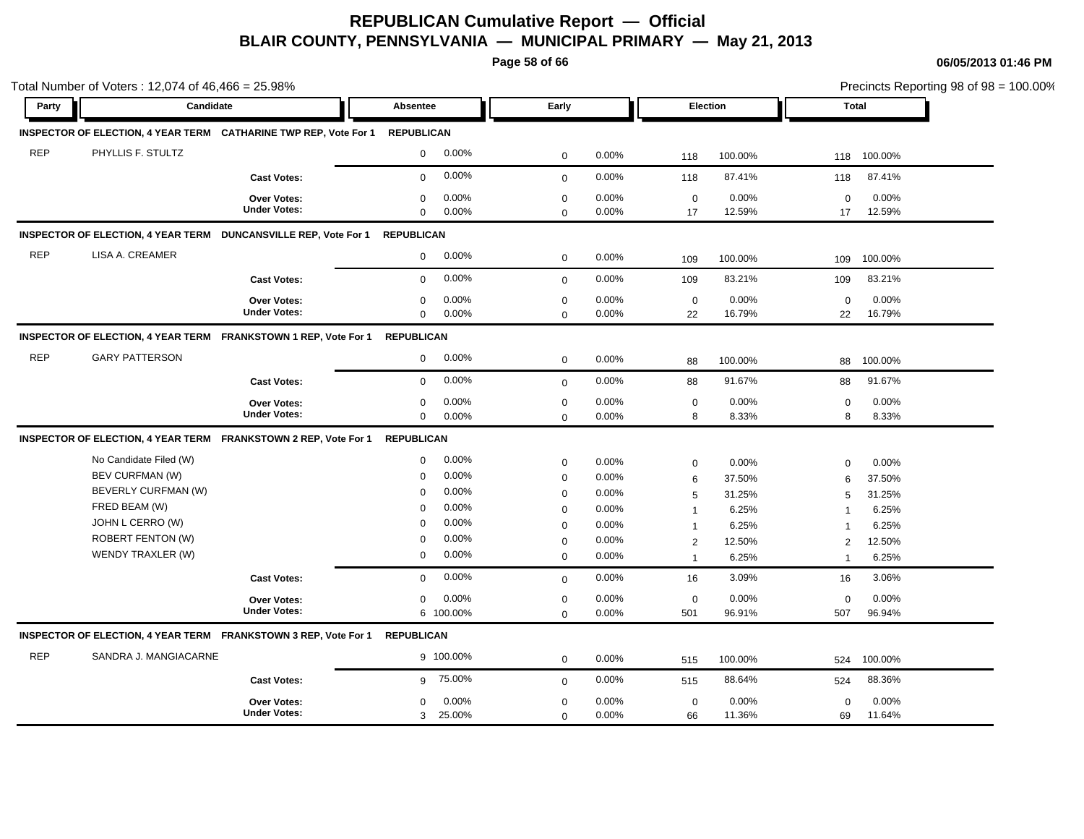**Page 58 of 66**

| Party      | Candidate                |                                                                  | Absentee                   |                | Early                      |                |                                  | Election        |                   | Total           |  |
|------------|--------------------------|------------------------------------------------------------------|----------------------------|----------------|----------------------------|----------------|----------------------------------|-----------------|-------------------|-----------------|--|
|            |                          |                                                                  |                            |                |                            |                |                                  |                 |                   |                 |  |
|            |                          | INSPECTOR OF ELECTION, 4 YEAR TERM CATHARINE TWP REP, Vote For 1 | <b>REPUBLICAN</b>          |                |                            |                |                                  |                 |                   |                 |  |
| <b>REP</b> | PHYLLIS F. STULTZ        |                                                                  | $\mathbf 0$                | 0.00%          | $\mathbf 0$                | 0.00%          | 118                              | 100.00%         | 118               | 100.00%         |  |
|            |                          | <b>Cast Votes:</b>                                               | $\mathbf 0$                | 0.00%          | $\mathbf 0$                | 0.00%          | 118                              | 87.41%          | 118               | 87.41%          |  |
|            |                          | <b>Over Votes:</b><br><b>Under Votes:</b>                        | $\mathbf 0$<br>$\mathbf 0$ | 0.00%<br>0.00% | $\mathbf 0$<br>$\mathbf 0$ | 0.00%<br>0.00% | $\mathbf 0$<br>17                | 0.00%<br>12.59% | $\mathbf 0$<br>17 | 0.00%<br>12.59% |  |
|            |                          | INSPECTOR OF ELECTION, 4 YEAR TERM DUNCANSVILLE REP, Vote For 1  | <b>REPUBLICAN</b>          |                |                            |                |                                  |                 |                   |                 |  |
| <b>REP</b> | LISA A. CREAMER          |                                                                  | $\mathbf 0$                | 0.00%          | $\mathbf 0$                | 0.00%          | 109                              | 100.00%         | 109               | 100.00%         |  |
|            |                          | <b>Cast Votes:</b>                                               | $\mathbf 0$                | 0.00%          | $\mathbf{0}$               | 0.00%          | 109                              | 83.21%          | 109               | 83.21%          |  |
|            |                          | Over Votes:<br><b>Under Votes:</b>                               | 0<br>$\mathbf 0$           | 0.00%<br>0.00% | $\mathbf 0$<br>$\Omega$    | 0.00%<br>0.00% | $\mathbf 0$<br>22                | 0.00%<br>16.79% | 0<br>22           | 0.00%<br>16.79% |  |
|            |                          | INSPECTOR OF ELECTION, 4 YEAR TERM FRANKSTOWN 1 REP, Vote For 1  | <b>REPUBLICAN</b>          |                |                            |                |                                  |                 |                   |                 |  |
| <b>REP</b> | <b>GARY PATTERSON</b>    |                                                                  | $\mathbf 0$                | 0.00%          | $\mathbf 0$                | 0.00%          | 88                               | 100.00%         | 88                | 100.00%         |  |
|            |                          | <b>Cast Votes:</b>                                               | $\mathbf 0$                | 0.00%          | $\mathbf 0$                | 0.00%          | 88                               | 91.67%          | 88                | 91.67%          |  |
|            |                          | <b>Over Votes:</b><br><b>Under Votes:</b>                        | $\mathbf 0$<br>$\mathbf 0$ | 0.00%<br>0.00% | $\mathbf 0$<br>$\mathbf 0$ | 0.00%<br>0.00% | $\mathbf 0$<br>8                 | 0.00%<br>8.33%  | $\Omega$<br>8     | 0.00%<br>8.33%  |  |
|            |                          | INSPECTOR OF ELECTION, 4 YEAR TERM FRANKSTOWN 2 REP, Vote For 1  | <b>REPUBLICAN</b>          |                |                            |                |                                  |                 |                   |                 |  |
|            | No Candidate Filed (W)   |                                                                  | $\mathbf 0$                | 0.00%          |                            |                |                                  |                 |                   |                 |  |
|            | BEV CURFMAN (W)          |                                                                  | $\mathbf 0$                | 0.00%          | $\mathbf 0$                | 0.00%          | $\mathsf{O}\xspace$              | 0.00%           | $\mathbf 0$       | 0.00%           |  |
|            | BEVERLY CURFMAN (W)      |                                                                  | $\mathbf 0$                | 0.00%          | $\mathbf 0$<br>$\mathbf 0$ | 0.00%<br>0.00% | 6                                | 37.50%          | 6                 | 37.50%          |  |
|            | FRED BEAM (W)            |                                                                  | $\mathbf 0$                | 0.00%          | $\mathbf 0$                | 0.00%          | 5                                | 31.25%          | 5                 | 31.25%          |  |
|            | JOHN L CERRO (W)         |                                                                  | $\Omega$                   | 0.00%          | $\mathbf 0$                | 0.00%          | $\mathbf{1}$                     | 6.25%<br>6.25%  | $\overline{1}$    | 6.25%<br>6.25%  |  |
|            | <b>ROBERT FENTON (W)</b> |                                                                  | $\mathbf 0$                | 0.00%          | $\mathbf 0$                | 0.00%          | $\overline{1}$                   | 12.50%          | -1                | 12.50%          |  |
|            | WENDY TRAXLER (W)        |                                                                  | $\mathbf 0$                | 0.00%          | $\mathbf{0}$               | 0.00%          | $\overline{2}$<br>$\overline{1}$ | 6.25%           | 2<br>$\mathbf{1}$ | 6.25%           |  |
|            |                          | <b>Cast Votes:</b>                                               | $\mathbf 0$                | 0.00%          | $\mathbf 0$                | 0.00%          | 16                               | 3.09%           | 16                | 3.06%           |  |
|            |                          | <b>Over Votes:</b>                                               | $\mathbf 0$                | 0.00%          | $\mathbf 0$                | 0.00%          | $\mathbf 0$                      | 0.00%           | $\mathbf 0$       | 0.00%           |  |
|            |                          | <b>Under Votes:</b>                                              |                            | 6 100.00%      | $\mathbf 0$                | 0.00%          | 501                              | 96.91%          | 507               | 96.94%          |  |
|            |                          | INSPECTOR OF ELECTION, 4 YEAR TERM FRANKSTOWN 3 REP, Vote For 1  | <b>REPUBLICAN</b>          |                |                            |                |                                  |                 |                   |                 |  |
| <b>REP</b> | SANDRA J. MANGIACARNE    |                                                                  |                            | 9 100.00%      | $\mathbf 0$                | 0.00%          | 515                              | 100.00%         | 524               | 100.00%         |  |
|            |                          | <b>Cast Votes:</b>                                               | 9                          | 75.00%         | $\mathbf 0$                | 0.00%          | 515                              | 88.64%          | 524               | 88.36%          |  |
|            |                          | <b>Over Votes:</b>                                               | $\mathbf 0$                | 0.00%          | $\mathbf 0$                | 0.00%          | $\mathbf 0$                      | 0.00%           | $\mathbf 0$       | 0.00%           |  |
|            |                          | <b>Under Votes:</b>                                              |                            | 3 25.00%       | $\mathbf 0$                | 0.00%          | 66                               | 11.36%          | 69                | 11.64%          |  |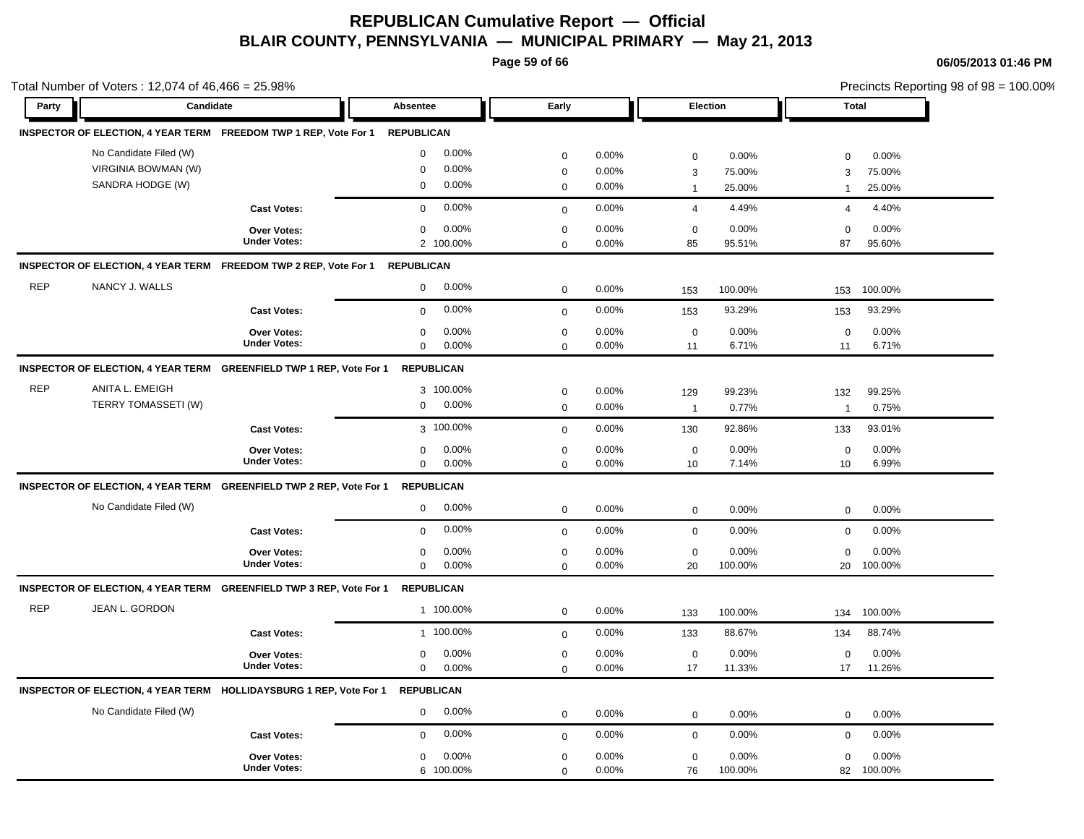**Page 59 of 66**

|            | Total Number of Voters: 12,074 of 46,466 = 25.98% |                                                                     |                   |                    |                            |                |                   |                 |                   |                 | Precincts Reporting 98 of 98 = 100.00% |
|------------|---------------------------------------------------|---------------------------------------------------------------------|-------------------|--------------------|----------------------------|----------------|-------------------|-----------------|-------------------|-----------------|----------------------------------------|
| Party      | Candidate                                         |                                                                     | Absentee          |                    | Early                      |                | Election          |                 | <b>Total</b>      |                 |                                        |
|            |                                                   | INSPECTOR OF ELECTION, 4 YEAR TERM FREEDOM TWP 1 REP, Vote For 1    | <b>REPUBLICAN</b> |                    |                            |                |                   |                 |                   |                 |                                        |
|            | No Candidate Filed (W)                            |                                                                     | $\mathbf 0$       | 0.00%              | $\mathbf 0$                | 0.00%          | $\mathbf 0$       | 0.00%           | $\mathbf 0$       | 0.00%           |                                        |
|            | VIRGINIA BOWMAN (W)                               |                                                                     | $\mathbf 0$       | 0.00%              | $\mathbf 0$                | 0.00%          | 3                 | 75.00%          | 3                 | 75.00%          |                                        |
|            | SANDRA HODGE (W)                                  |                                                                     | $\mathbf 0$       | 0.00%              | $\mathbf 0$                | 0.00%          | $\overline{1}$    | 25.00%          | $\overline{1}$    | 25.00%          |                                        |
|            |                                                   | <b>Cast Votes:</b>                                                  | $\mathbf 0$       | 0.00%              | $\mathbf 0$                | 0.00%          | $\overline{4}$    | 4.49%           | $\overline{4}$    | 4.40%           |                                        |
|            |                                                   | <b>Over Votes:</b><br><b>Under Votes:</b>                           | $\mathbf 0$       | 0.00%<br>2 100.00% | $\mathbf 0$<br>$\mathbf 0$ | 0.00%<br>0.00% | $\mathbf 0$<br>85 | 0.00%<br>95.51% | $\mathbf 0$<br>87 | 0.00%<br>95.60% |                                        |
|            |                                                   | INSPECTOR OF ELECTION, 4 YEAR TERM FREEDOM TWP 2 REP, Vote For 1    | <b>REPUBLICAN</b> |                    |                            |                |                   |                 |                   |                 |                                        |
| <b>REP</b> | NANCY J. WALLS                                    |                                                                     | $\mathbf 0$       | 0.00%              | $\mathbf 0$                | 0.00%          | 153               | 100.00%         | 153               | 100.00%         |                                        |
|            |                                                   | <b>Cast Votes:</b>                                                  | $\mathbf 0$       | 0.00%              | $\mathbf{0}$               | 0.00%          | 153               | 93.29%          | 153               | 93.29%          |                                        |
|            |                                                   | Over Votes:                                                         | $\mathbf 0$       | 0.00%              | $\mathbf 0$                | 0.00%          | $\mathbf 0$       | 0.00%           | $\mathbf 0$       | 0.00%           |                                        |
|            |                                                   | <b>Under Votes:</b>                                                 | $\mathbf 0$       | 0.00%              | $\mathbf 0$                | 0.00%          | 11                | 6.71%           | 11                | 6.71%           |                                        |
|            |                                                   | INSPECTOR OF ELECTION, 4 YEAR TERM GREENFIELD TWP 1 REP, Vote For 1 |                   | <b>REPUBLICAN</b>  |                            |                |                   |                 |                   |                 |                                        |
| <b>REP</b> | ANITA L. EMEIGH                                   |                                                                     |                   | 3 100.00%          | $\mathbf 0$                | 0.00%          | 129               | 99.23%          | 132               | 99.25%          |                                        |
|            | TERRY TOMASSETI (W)                               |                                                                     | $\mathbf 0$       | 0.00%              | $\mathbf 0$                | 0.00%          | $\overline{1}$    | 0.77%           | $\overline{1}$    | 0.75%           |                                        |
|            |                                                   | <b>Cast Votes:</b>                                                  |                   | 3 100.00%          | $\mathbf 0$                | 0.00%          | 130               | 92.86%          | 133               | 93.01%          |                                        |
|            |                                                   | <b>Over Votes:</b>                                                  | 0                 | 0.00%              | $\mathbf 0$                | 0.00%          | $\mathbf 0$       | 0.00%           | 0                 | 0.00%           |                                        |
|            |                                                   | <b>Under Votes:</b>                                                 | $\mathbf 0$       | 0.00%              | $\Omega$                   | 0.00%          | 10 <sup>1</sup>   | 7.14%           | 10                | 6.99%           |                                        |
|            |                                                   | INSPECTOR OF ELECTION, 4 YEAR TERM GREENFIELD TWP 2 REP, Vote For 1 |                   | <b>REPUBLICAN</b>  |                            |                |                   |                 |                   |                 |                                        |
|            | No Candidate Filed (W)                            |                                                                     | $\mathbf 0$       | 0.00%              | $\mathbf 0$                | 0.00%          | $\mathbf 0$       | 0.00%           | $\mathbf 0$       | 0.00%           |                                        |
|            |                                                   | <b>Cast Votes:</b>                                                  | $\mathbf 0$       | 0.00%              | $\mathbf 0$                | 0.00%          | $\mathbf 0$       | 0.00%           | $\mathbf 0$       | 0.00%           |                                        |
|            |                                                   | <b>Over Votes:</b>                                                  | $\mathbf 0$       | 0.00%              | $\mathbf 0$                | 0.00%          | $\mathbf 0$       | 0.00%           | $\mathbf 0$       | 0.00%           |                                        |
|            |                                                   | <b>Under Votes:</b>                                                 | $\mathbf 0$       | 0.00%              | $\mathbf 0$                | 0.00%          | 20                | 100.00%         | 20                | 100.00%         |                                        |
|            |                                                   | INSPECTOR OF ELECTION, 4 YEAR TERM GREENFIELD TWP 3 REP, Vote For 1 |                   | <b>REPUBLICAN</b>  |                            |                |                   |                 |                   |                 |                                        |
| <b>REP</b> | JEAN L. GORDON                                    |                                                                     |                   | 1 100.00%          | $\mathbf 0$                | 0.00%          | 133               | 100.00%         | 134               | 100.00%         |                                        |
|            |                                                   | <b>Cast Votes:</b>                                                  |                   | 1 100.00%          | $\mathbf 0$                | 0.00%          | 133               | 88.67%          | 134               | 88.74%          |                                        |
|            |                                                   | Over Votes:                                                         | $\mathbf 0$       | 0.00%              | $\mathbf 0$                | 0.00%          | $\mathbf 0$       | 0.00%           | $\mathbf 0$       | 0.00%           |                                        |
|            |                                                   | <b>Under Votes:</b>                                                 | $\mathbf 0$       | 0.00%              | $\mathbf 0$                | 0.00%          | 17                | 11.33%          | 17                | 11.26%          |                                        |
|            |                                                   | INSPECTOR OF ELECTION, 4 YEAR TERM HOLLIDAYSBURG 1 REP, Vote For 1  | <b>REPUBLICAN</b> |                    |                            |                |                   |                 |                   |                 |                                        |
|            | No Candidate Filed (W)                            |                                                                     | $\mathbf 0$       | 0.00%              | $\mathbf 0$                | 0.00%          | $\mathbf 0$       | 0.00%           | 0                 | 0.00%           |                                        |
|            |                                                   | <b>Cast Votes:</b>                                                  | $\mathbf 0$       | 0.00%              | $\mathbf 0$                | 0.00%          | $\mathbf 0$       | 0.00%           | $\mathbf 0$       | 0.00%           |                                        |
|            |                                                   | Over Votes:                                                         | $\mathbf 0$       | 0.00%              | $\mathbf 0$                | 0.00%          | $\mathbf 0$       | 0.00%           | $\mathbf 0$       | 0.00%           |                                        |
|            |                                                   | <b>Under Votes:</b>                                                 |                   | 6 100.00%          | $\mathbf 0$                | 0.00%          | 76                | 100.00%         | 82                | 100.00%         |                                        |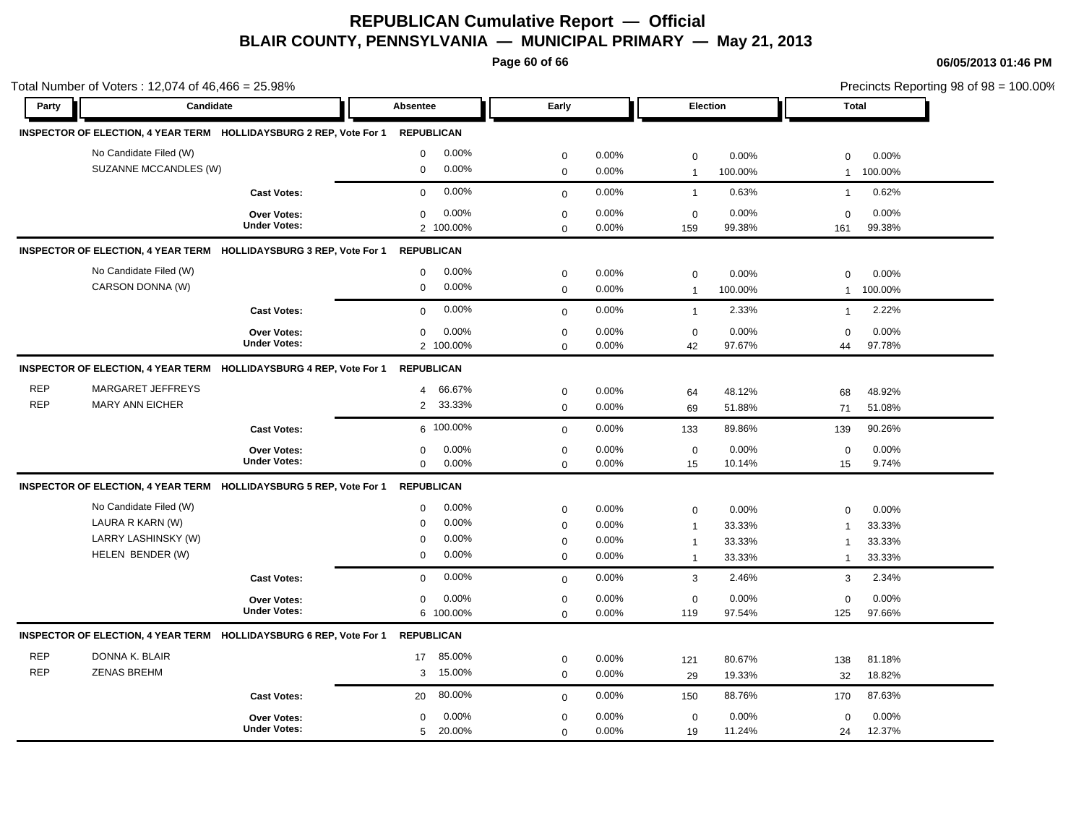**Page 60 of 66**

|            | Total Number of Voters: 12,074 of 46,466 = 25.98%                  |                     |                   |                   |              |          |                |         |                |         | Precincts Reporting 98 of 98 = 100.00% |
|------------|--------------------------------------------------------------------|---------------------|-------------------|-------------------|--------------|----------|----------------|---------|----------------|---------|----------------------------------------|
| Party      | Candidate                                                          |                     | Absentee          |                   | Early        |          | Election       |         | <b>Total</b>   |         |                                        |
|            | INSPECTOR OF ELECTION, 4 YEAR TERM HOLLIDAYSBURG 2 REP, Vote For 1 |                     |                   | <b>REPUBLICAN</b> |              |          |                |         |                |         |                                        |
|            | No Candidate Filed (W)                                             |                     | $\mathbf 0$       | 0.00%             | $\mathbf 0$  | 0.00%    | $\mathbf 0$    | 0.00%   | 0              | 0.00%   |                                        |
|            | SUZANNE MCCANDLES (W)                                              |                     | $\boldsymbol{0}$  | 0.00%             | $\mathbf 0$  | 0.00%    | $\overline{1}$ | 100.00% | $\mathbf{1}$   | 100.00% |                                        |
|            |                                                                    | <b>Cast Votes:</b>  | $\Omega$          | 0.00%             | $\mathbf 0$  | 0.00%    | $\overline{1}$ | 0.63%   | $\mathbf{1}$   | 0.62%   |                                        |
|            |                                                                    | Over Votes:         | $\mathbf 0$       | 0.00%             | $\mathbf 0$  | 0.00%    | $\mathbf 0$    | 0.00%   | $\mathbf 0$    | 0.00%   |                                        |
|            |                                                                    | <b>Under Votes:</b> |                   | 2 100.00%         | $\Omega$     | 0.00%    | 159            | 99.38%  | 161            | 99.38%  |                                        |
|            | INSPECTOR OF ELECTION, 4 YEAR TERM HOLLIDAYSBURG 3 REP, Vote For 1 |                     | <b>REPUBLICAN</b> |                   |              |          |                |         |                |         |                                        |
|            | No Candidate Filed (W)                                             |                     | $\mathbf 0$       | 0.00%             | $\mathbf 0$  | 0.00%    | $\mathbf 0$    | 0.00%   | $\Omega$       | 0.00%   |                                        |
|            | CARSON DONNA (W)                                                   |                     | $\mathbf 0$       | 0.00%             | $\pmb{0}$    | 0.00%    | $\overline{1}$ | 100.00% | $\mathbf{1}$   | 100.00% |                                        |
|            |                                                                    | <b>Cast Votes:</b>  | $\mathbf 0$       | 0.00%             | $\mathbf 0$  | 0.00%    | $\mathbf{1}$   | 2.33%   | $\mathbf{1}$   | 2.22%   |                                        |
|            |                                                                    | Over Votes:         | $\mathbf 0$       | 0.00%             | $\mathbf 0$  | 0.00%    | $\mathbf 0$    | 0.00%   | $\mathbf 0$    | 0.00%   |                                        |
|            |                                                                    | <b>Under Votes:</b> |                   | 2 100.00%         | $\mathbf 0$  | 0.00%    | 42             | 97.67%  | 44             | 97.78%  |                                        |
|            | INSPECTOR OF ELECTION, 4 YEAR TERM HOLLIDAYSBURG 4 REP, Vote For 1 |                     | <b>REPUBLICAN</b> |                   |              |          |                |         |                |         |                                        |
| <b>REP</b> | <b>MARGARET JEFFREYS</b>                                           |                     | $\overline{4}$    | 66.67%            | $\mathbf 0$  | $0.00\%$ | 64             | 48.12%  | 68             | 48.92%  |                                        |
| <b>REP</b> | <b>MARY ANN EICHER</b>                                             |                     | $\overline{2}$    | 33.33%            | $\mathbf 0$  | 0.00%    | 69             | 51.88%  | 71             | 51.08%  |                                        |
|            |                                                                    | <b>Cast Votes:</b>  |                   | 6 100.00%         | $\mathbf 0$  | 0.00%    | 133            | 89.86%  | 139            | 90.26%  |                                        |
|            |                                                                    | Over Votes:         | $\mathbf 0$       | 0.00%             | $\mathbf 0$  | 0.00%    | $\mathbf 0$    | 0.00%   | $\mathbf 0$    | 0.00%   |                                        |
|            |                                                                    | <b>Under Votes:</b> | $\mathbf 0$       | 0.00%             | $\mathbf 0$  | 0.00%    | 15             | 10.14%  | 15             | 9.74%   |                                        |
|            | INSPECTOR OF ELECTION, 4 YEAR TERM HOLLIDAYSBURG 5 REP, Vote For 1 |                     |                   | <b>REPUBLICAN</b> |              |          |                |         |                |         |                                        |
|            | No Candidate Filed (W)                                             |                     | $\mathbf 0$       | 0.00%             | $\mathbf 0$  | 0.00%    | $\mathbf 0$    | 0.00%   | 0              | 0.00%   |                                        |
|            | LAURA R KARN (W)                                                   |                     | $\Omega$          | 0.00%             | $\mathbf 0$  | 0.00%    | $\overline{1}$ | 33.33%  | $\overline{1}$ | 33.33%  |                                        |
|            | LARRY LASHINSKY (W)                                                |                     | $\mathbf 0$       | 0.00%             | $\mathbf 0$  | 0.00%    | $\overline{1}$ | 33.33%  | $\overline{1}$ | 33.33%  |                                        |
|            | HELEN BENDER (W)                                                   |                     | $\mathbf 0$       | 0.00%             | $\mathbf 0$  | 0.00%    | $\overline{1}$ | 33.33%  | $\mathbf{1}$   | 33.33%  |                                        |
|            |                                                                    | <b>Cast Votes:</b>  | $\mathbf 0$       | 0.00%             | $\mathbf 0$  | 0.00%    | $\mathbf{3}$   | 2.46%   | 3              | 2.34%   |                                        |
|            |                                                                    | <b>Over Votes:</b>  | $\mathbf 0$       | 0.00%             | $\mathbf 0$  | 0.00%    | $\mathbf 0$    | 0.00%   | $\mathbf 0$    | 0.00%   |                                        |
|            |                                                                    | <b>Under Votes:</b> |                   | 6 100.00%         | $\mathbf 0$  | 0.00%    | 119            | 97.54%  | 125            | 97.66%  |                                        |
|            | INSPECTOR OF ELECTION, 4 YEAR TERM HOLLIDAYSBURG 6 REP, Vote For 1 |                     | <b>REPUBLICAN</b> |                   |              |          |                |         |                |         |                                        |
| <b>REP</b> | DONNA K. BLAIR                                                     |                     | 17                | 85.00%            | $\mathbf 0$  | $0.00\%$ | 121            | 80.67%  | 138            | 81.18%  |                                        |
| <b>REP</b> | <b>ZENAS BREHM</b>                                                 |                     | 3                 | 15.00%            | $\mathbf{0}$ | 0.00%    | 29             | 19.33%  | 32             | 18.82%  |                                        |
|            |                                                                    | <b>Cast Votes:</b>  | 20                | 80.00%            | $\mathbf 0$  | 0.00%    | 150            | 88.76%  | 170            | 87.63%  |                                        |
|            |                                                                    | Over Votes:         | $\mathbf 0$       | 0.00%             | $\mathbf 0$  | 0.00%    | $\mathbf 0$    | 0.00%   | 0              | 0.00%   |                                        |
|            |                                                                    | <b>Under Votes:</b> | 5                 | 20.00%            | $\mathbf 0$  | 0.00%    | 19             | 11.24%  | 24             | 12.37%  |                                        |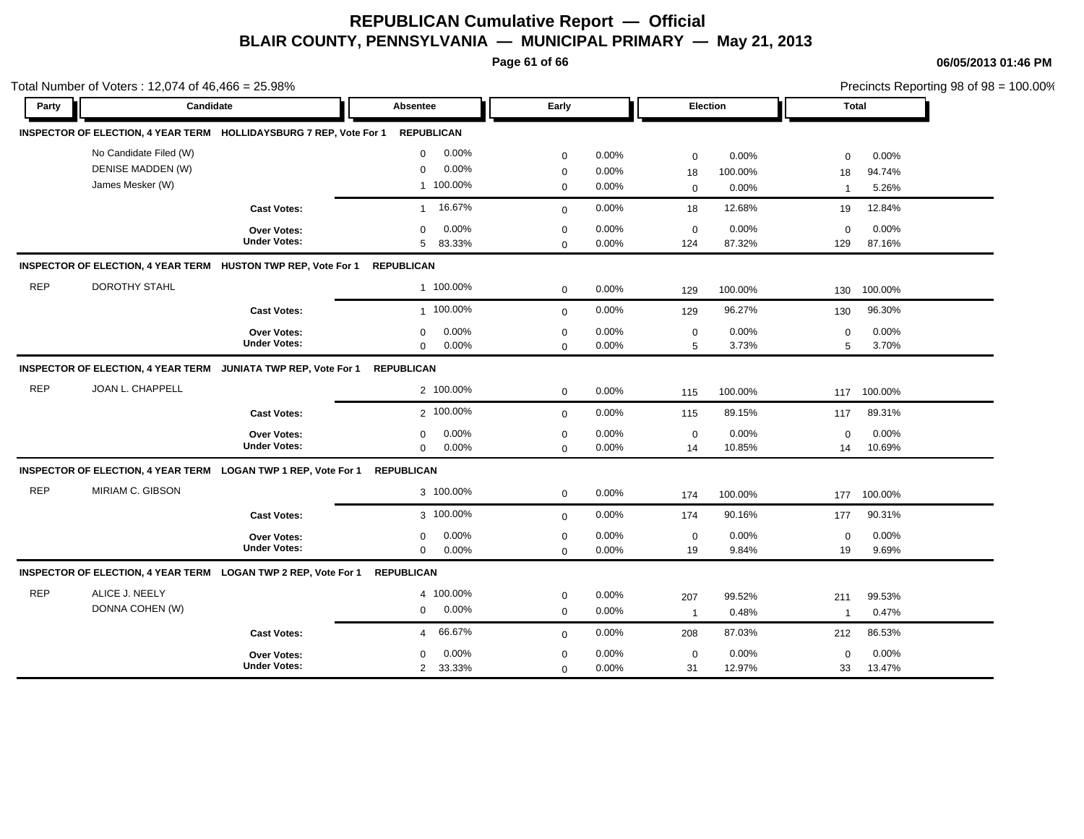**Page 61 of 66**

|            | Total Number of Voters: 12,074 of 46,466 = 25.98%<br>Candidate            |                     |                          |              |       |                |          |                | Precincts Reporting 98 of 98 = 100.00% |
|------------|---------------------------------------------------------------------------|---------------------|--------------------------|--------------|-------|----------------|----------|----------------|----------------------------------------|
| Party      |                                                                           |                     | Absentee                 | Early        |       |                | Election |                | <b>Total</b>                           |
|            | INSPECTOR OF ELECTION, 4 YEAR TERM HOLLIDAYSBURG 7 REP, Vote For 1        |                     | <b>REPUBLICAN</b>        |              |       |                |          |                |                                        |
|            | No Candidate Filed (W)                                                    |                     | 0.00%<br>$\mathbf 0$     | $\mathbf 0$  | 0.00% | $\mathbf 0$    | 0.00%    | $\mathbf 0$    | 0.00%                                  |
|            | DENISE MADDEN (W)                                                         |                     | 0.00%<br>$\mathbf 0$     | $\mathbf 0$  | 0.00% | 18             | 100.00%  | 18             | 94.74%                                 |
|            | James Mesker (W)                                                          |                     | 1 100.00%                | $\mathbf 0$  | 0.00% | $\mathbf 0$    | 0.00%    | $\overline{1}$ | 5.26%                                  |
|            |                                                                           | <b>Cast Votes:</b>  | 16.67%<br>$\mathbf{1}$   | $\mathbf 0$  | 0.00% | 18             | 12.68%   | 19             | 12.84%                                 |
|            |                                                                           | Over Votes:         | 0.00%<br>$\mathbf 0$     | $\mathbf 0$  | 0.00% | $\mathbf 0$    | 0.00%    | $\mathbf 0$    | 0.00%                                  |
|            |                                                                           | <b>Under Votes:</b> | 83.33%<br>5 <sup>5</sup> | $\mathbf 0$  | 0.00% | 124            | 87.32%   | 129            | 87.16%                                 |
|            | INSPECTOR OF ELECTION, 4 YEAR TERM HUSTON TWP REP, Vote For 1             |                     | <b>REPUBLICAN</b>        |              |       |                |          |                |                                        |
| <b>REP</b> | <b>DOROTHY STAHL</b>                                                      |                     | 1 100.00%                | $\mathbf 0$  | 0.00% | 129            | 100.00%  | 130            | 100.00%                                |
|            |                                                                           | <b>Cast Votes:</b>  | 1 100.00%                | $\Omega$     | 0.00% | 129            | 96.27%   | 130            | 96.30%                                 |
|            |                                                                           | Over Votes:         | 0.00%<br>$\mathbf 0$     | $\pmb{0}$    | 0.00% | $\mathbf 0$    | 0.00%    | 0              | 0.00%                                  |
|            |                                                                           | <b>Under Votes:</b> | $\mathbf 0$<br>0.00%     | $\mathbf 0$  | 0.00% | 5              | 3.73%    | 5              | 3.70%                                  |
|            | INSPECTOR OF ELECTION, 4 YEAR TERM JUNIATA TWP REP, Vote For 1 REPUBLICAN |                     |                          |              |       |                |          |                |                                        |
| <b>REP</b> | JOAN L. CHAPPELL                                                          |                     | 2 100.00%                | $\mathbf 0$  | 0.00% | 115            | 100.00%  | 117            | 100.00%                                |
|            |                                                                           | <b>Cast Votes:</b>  | 2 100.00%                | $\mathbf{0}$ | 0.00% | 115            | 89.15%   | 117            | 89.31%                                 |
|            |                                                                           | <b>Over Votes:</b>  | 0.00%<br>$\mathbf 0$     | $\mathbf 0$  | 0.00% | $\mathbf 0$    | 0.00%    | $\mathbf 0$    | $0.00\%$                               |
|            |                                                                           | <b>Under Votes:</b> | 0.00%<br>$\mathbf 0$     | $\mathbf 0$  | 0.00% | 14             | 10.85%   | 14             | 10.69%                                 |
|            | INSPECTOR OF ELECTION, 4 YEAR TERM LOGAN TWP 1 REP, Vote For 1            |                     | <b>REPUBLICAN</b>        |              |       |                |          |                |                                        |
| <b>REP</b> | MIRIAM C. GIBSON                                                          |                     | 3 100.00%                | $\pmb{0}$    | 0.00% | 174            | 100.00%  | 177            | 100.00%                                |
|            |                                                                           | <b>Cast Votes:</b>  | 3 100.00%                | $\mathbf 0$  | 0.00% | 174            | 90.16%   | 177            | 90.31%                                 |
|            |                                                                           | Over Votes:         | 0.00%<br>$\mathbf 0$     | $\mathbf 0$  | 0.00% | $\mathbf 0$    | 0.00%    | $\mathbf 0$    | 0.00%                                  |
|            |                                                                           | <b>Under Votes:</b> | $\mathbf 0$<br>0.00%     | $\mathbf 0$  | 0.00% | 19             | 9.84%    | 19             | 9.69%                                  |
|            | INSPECTOR OF ELECTION, 4 YEAR TERM LOGAN TWP 2 REP, Vote For 1            |                     | <b>REPUBLICAN</b>        |              |       |                |          |                |                                        |
| <b>REP</b> | ALICE J. NEELY                                                            |                     | 4 100.00%                | $\mathbf 0$  | 0.00% | 207            | 99.52%   | 211            | 99.53%                                 |
|            | DONNA COHEN (W)                                                           |                     | 0.00%<br>$\mathbf 0$     | $\mathbf 0$  | 0.00% | $\overline{1}$ | 0.48%    | $\mathbf{1}$   | 0.47%                                  |
|            |                                                                           | <b>Cast Votes:</b>  | 66.67%<br>$\overline{4}$ | $\mathbf 0$  | 0.00% | 208            | 87.03%   | 212            | 86.53%                                 |
|            |                                                                           | <b>Over Votes:</b>  | 0.00%<br>$\Omega$        | $\mathbf 0$  | 0.00% | $\mathbf 0$    | 0.00%    | 0              | 0.00%                                  |
|            |                                                                           | <b>Under Votes:</b> | 33.33%<br>$\overline{2}$ | $\mathbf 0$  | 0.00% | 31             | 12.97%   | 33             | 13.47%                                 |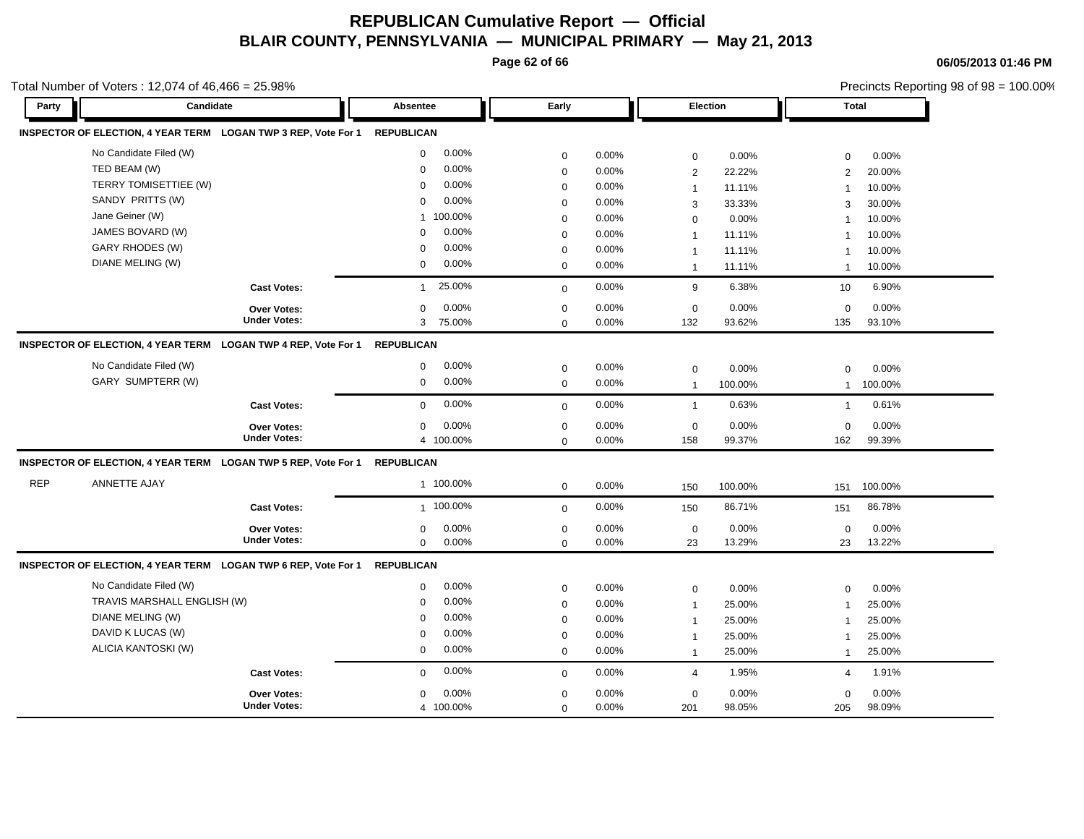**Page 62 of 66**

**06/05/2013 01:46 PM**

|            | Total Number of Voters: 12,074 of 46,466 = 25.98%                         |                        |             |       | Precincts Reporting 98 of 98 = 100.00% |          |                |              |
|------------|---------------------------------------------------------------------------|------------------------|-------------|-------|----------------------------------------|----------|----------------|--------------|
| Party      | Candidate                                                                 | Absentee               | Early       |       |                                        | Election |                | <b>Total</b> |
|            | INSPECTOR OF ELECTION, 4 YEAR TERM LOGAN TWP 3 REP, Vote For 1 REPUBLICAN |                        |             |       |                                        |          |                |              |
|            | No Candidate Filed (W)                                                    | 0.00%<br>$\mathbf 0$   | $\pmb{0}$   | 0.00% | $\mathbf 0$                            | 0.00%    | $\mathbf 0$    | 0.00%        |
|            | TED BEAM (W)                                                              | 0.00%<br>$\mathbf 0$   | $\mathbf 0$ | 0.00% | 2                                      | 22.22%   | $\overline{2}$ | 20.00%       |
|            | TERRY TOMISETTIEE (W)                                                     | 0.00%<br>$\Omega$      | $\mathbf 0$ | 0.00% | $\mathbf{1}$                           | 11.11%   | $\mathbf{1}$   | 10.00%       |
|            | SANDY PRITTS (W)                                                          | 0.00%<br>$\Omega$      | $\mathbf 0$ | 0.00% | 3                                      | 33.33%   | 3              | 30.00%       |
|            | Jane Geiner (W)                                                           | 1 100.00%              | $\mathbf 0$ | 0.00% | $\mathbf 0$                            | 0.00%    | $\overline{1}$ | 10.00%       |
|            | JAMES BOVARD (W)                                                          | 0.00%<br>$\Omega$      | $\mathbf 0$ | 0.00% | $\mathbf{1}$                           | 11.11%   | $\mathbf{1}$   | 10.00%       |
|            | GARY RHODES (W)                                                           | 0.00%<br>$\Omega$      | $\mathbf 0$ | 0.00% | $\mathbf{1}$                           | 11.11%   | $\mathbf{1}$   | 10.00%       |
|            | DIANE MELING (W)                                                          | 0.00%<br>$\mathbf 0$   | $\mathbf 0$ | 0.00% | $\mathbf{1}$                           | 11.11%   | $\overline{1}$ | 10.00%       |
|            | <b>Cast Votes:</b>                                                        | 25.00%<br>$\mathbf{1}$ | $\mathbf 0$ | 0.00% | 9                                      | 6.38%    | 10             | 6.90%        |
|            | <b>Over Votes:</b>                                                        | 0.00%<br>0             | $\mathbf 0$ | 0.00% | $\mathbf 0$                            | 0.00%    | $\mathbf 0$    | 0.00%        |
|            | <b>Under Votes:</b>                                                       | 75.00%<br>3            | $\mathbf 0$ | 0.00% | 132                                    | 93.62%   | 135            | 93.10%       |
|            | INSPECTOR OF ELECTION, 4 YEAR TERM LOGAN TWP 4 REP, Vote For 1            | <b>REPUBLICAN</b>      |             |       |                                        |          |                |              |
|            | No Candidate Filed (W)                                                    | 0.00%<br>0             | $\pmb{0}$   | 0.00% | $\mathbf 0$                            | 0.00%    | $\mathbf 0$    | 0.00%        |
|            | GARY SUMPTERR (W)                                                         | 0.00%<br>$\mathbf 0$   | $\mathbf 0$ | 0.00% | $\mathbf{1}$                           | 100.00%  | 1              | 100.00%      |
|            | <b>Cast Votes:</b>                                                        | 0.00%<br>$\mathbf 0$   | $\mathbf 0$ | 0.00% | $\mathbf{1}$                           | 0.63%    | $\mathbf{1}$   | 0.61%        |
|            | <b>Over Votes:</b>                                                        | 0.00%<br>0             | $\pmb{0}$   | 0.00% | $\mathbf 0$                            | 0.00%    | $\mathbf 0$    | 0.00%        |
|            | <b>Under Votes:</b>                                                       | 4 100.00%              | $\mathbf 0$ | 0.00% | 158                                    | 99.37%   | 162            | 99.39%       |
|            | INSPECTOR OF ELECTION, 4 YEAR TERM LOGAN TWP 5 REP, Vote For 1 REPUBLICAN |                        |             |       |                                        |          |                |              |
| <b>REP</b> | ANNETTE AJAY                                                              | 1 100.00%              | $\mathbf 0$ | 0.00% | 150                                    | 100.00%  | 151            | 100.00%      |
|            | <b>Cast Votes:</b>                                                        | 1 100.00%              | $\mathbf 0$ | 0.00% | 150                                    | 86.71%   | 151            | 86.78%       |
|            | Over Votes:                                                               | 0.00%<br>$\mathbf 0$   | $\pmb{0}$   | 0.00% | $\mathbf 0$                            | 0.00%    | $\mathbf 0$    | 0.00%        |
|            | <b>Under Votes:</b>                                                       | 0<br>0.00%             | $\mathbf 0$ | 0.00% | 23                                     | 13.29%   | 23             | 13.22%       |
|            | INSPECTOR OF ELECTION, 4 YEAR TERM LOGAN TWP 6 REP, Vote For 1            | <b>REPUBLICAN</b>      |             |       |                                        |          |                |              |
|            | No Candidate Filed (W)                                                    | 0.00%<br>0             | $\mathbf 0$ | 0.00% | $\mathbf 0$                            | 0.00%    | $\mathbf 0$    | 0.00%        |
|            | TRAVIS MARSHALL ENGLISH (W)                                               | 0.00%<br>$\mathbf 0$   | $\pmb{0}$   | 0.00% | $\mathbf{1}$                           | 25.00%   | $\mathbf{1}$   | 25.00%       |
|            | DIANE MELING (W)                                                          | 0.00%<br>$\mathbf 0$   | $\mathbf 0$ | 0.00% | $\mathbf{1}$                           | 25.00%   | $\overline{1}$ | 25.00%       |
|            | DAVID K LUCAS (W)                                                         | 0.00%<br>$\Omega$      | $\mathbf 0$ | 0.00% | $\mathbf{1}$                           | 25.00%   | $\mathbf{1}$   | 25.00%       |
|            | ALICIA KANTOSKI (W)                                                       | 0.00%<br>$\mathbf 0$   | $\mathbf 0$ | 0.00% | $\mathbf{1}$                           | 25.00%   | $\mathbf{1}$   | 25.00%       |
|            | <b>Cast Votes:</b>                                                        | 0.00%<br>$\mathbf 0$   | $\mathbf 0$ | 0.00% | $\overline{4}$                         | 1.95%    | 4              | 1.91%        |
|            | Over Votes:                                                               | 0.00%<br>0             | $\pmb{0}$   | 0.00% | $\mathbf 0$                            | 0.00%    | $\mathbf 0$    | 0.00%        |
|            | <b>Under Votes:</b>                                                       | 4 100.00%              | $\mathbf 0$ | 0.00% | 201                                    | 98.05%   | 205            | 98.09%       |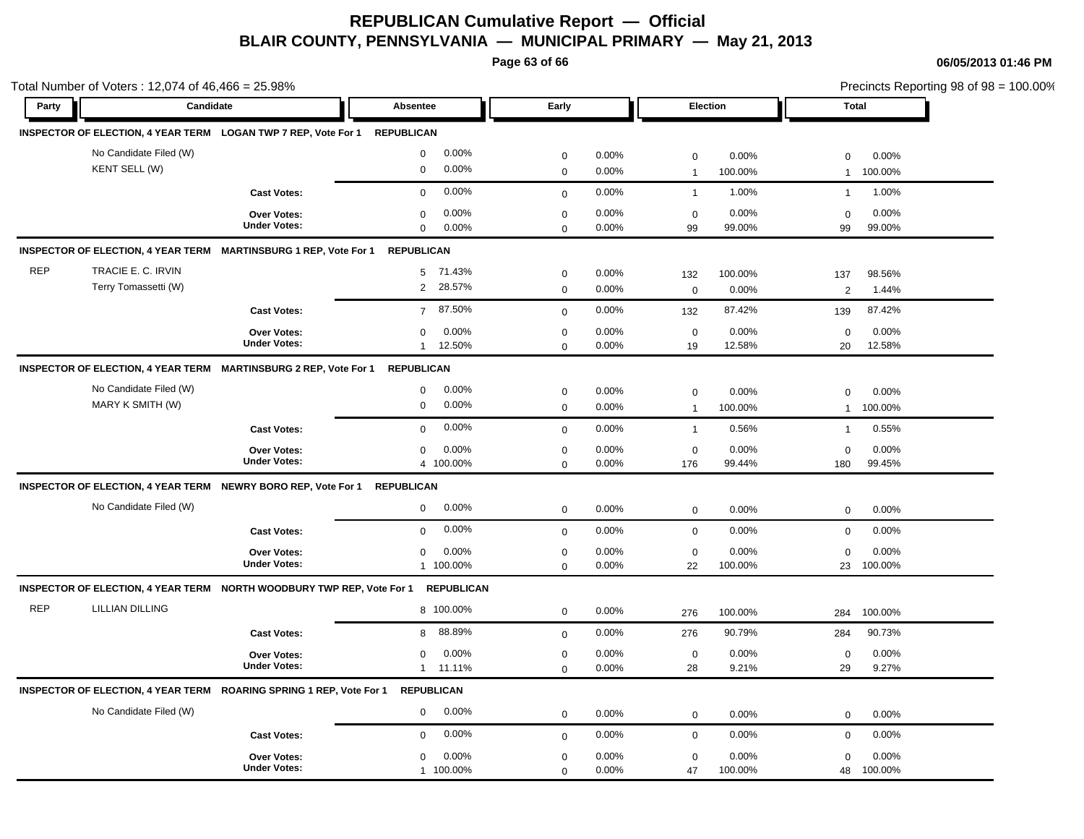**Page 63 of 66**

| Party      | Candidate                                                                 |                                           | <b>Absentee</b><br>Early          |                            |                |                   | Election         |                   | Precincts Reporting 98 of 98 = 100.00%<br><b>Total</b> |  |  |  |  |  |
|------------|---------------------------------------------------------------------------|-------------------------------------------|-----------------------------------|----------------------------|----------------|-------------------|------------------|-------------------|--------------------------------------------------------|--|--|--|--|--|
|            |                                                                           |                                           |                                   |                            |                |                   |                  |                   |                                                        |  |  |  |  |  |
|            | INSPECTOR OF ELECTION, 4 YEAR TERM LOGAN TWP 7 REP, Vote For 1 REPUBLICAN |                                           |                                   |                            |                |                   |                  |                   |                                                        |  |  |  |  |  |
|            | No Candidate Filed (W)                                                    |                                           | 0.00%<br>$\mathbf 0$              | $\pmb{0}$                  | 0.00%          | $\mathbf 0$       | 0.00%            | $\mathbf 0$       | 0.00%                                                  |  |  |  |  |  |
|            | KENT SELL (W)                                                             |                                           | 0.00%<br>$\mathbf 0$              | $\mathsf 0$                | 0.00%          | $\overline{1}$    | 100.00%          | $\mathbf{1}$      | 100.00%                                                |  |  |  |  |  |
|            |                                                                           | <b>Cast Votes:</b>                        | 0.00%<br>$\mathbf 0$              | $\mathbf 0$                | 0.00%          | $\mathbf{1}$      | 1.00%            | $\mathbf{1}$      | 1.00%                                                  |  |  |  |  |  |
|            |                                                                           | <b>Over Votes:</b>                        | 0.00%<br>$\mathbf 0$              | $\mathbf 0$                | 0.00%          | $\mathbf 0$       | 0.00%            | $\mathbf 0$       | 0.00%                                                  |  |  |  |  |  |
|            |                                                                           | <b>Under Votes:</b>                       | 0.00%<br>$\mathbf 0$              | $\Omega$                   | 0.00%          | 99                | 99.00%           | 99                | 99.00%                                                 |  |  |  |  |  |
|            | INSPECTOR OF ELECTION, 4 YEAR TERM MARTINSBURG 1 REP, Vote For 1          |                                           | <b>REPUBLICAN</b>                 |                            |                |                   |                  |                   |                                                        |  |  |  |  |  |
| <b>REP</b> | TRACIE E. C. IRVIN                                                        |                                           | 5 71.43%                          | $\mathbf 0$                | 0.00%          | 132               | 100.00%          | 137               | 98.56%                                                 |  |  |  |  |  |
|            | Terry Tomassetti (W)                                                      |                                           | $\overline{2}$<br>28.57%          | $\mathsf 0$                | 0.00%          | $\mathbf 0$       | 0.00%            | 2                 | 1.44%                                                  |  |  |  |  |  |
|            |                                                                           | <b>Cast Votes:</b>                        | 87.50%<br>$\overline{7}$          | $\mathsf 0$                | 0.00%          | 132               | 87.42%           | 139               | 87.42%                                                 |  |  |  |  |  |
|            |                                                                           | <b>Over Votes:</b>                        | 0.00%<br>$\mathbf 0$              | $\pmb{0}$                  | 0.00%          | $\mathbf 0$       | 0.00%            | $\mathbf 0$       | 0.00%                                                  |  |  |  |  |  |
|            |                                                                           | <b>Under Votes:</b>                       | 12.50%<br>$\mathbf{1}$            | $\mathbf 0$                | 0.00%          | 19                | 12.58%           | 20                | 12.58%                                                 |  |  |  |  |  |
|            | <b>INSPECTOR OF ELECTION, 4 YEAR TERM</b>                                 | <b>MARTINSBURG 2 REP, Vote For 1</b>      | <b>REPUBLICAN</b>                 |                            |                |                   |                  |                   |                                                        |  |  |  |  |  |
|            | No Candidate Filed (W)                                                    |                                           | 0.00%<br>$\mathbf 0$              | $\pmb{0}$                  | 0.00%          | $\mathbf 0$       | 0.00%            | 0                 | 0.00%                                                  |  |  |  |  |  |
|            | MARY K SMITH (W)                                                          |                                           | $\mathbf 0$<br>0.00%              | $\mathbf 0$                | 0.00%          | $\overline{1}$    | 100.00%          | $\mathbf{1}$      | 100.00%                                                |  |  |  |  |  |
|            |                                                                           | <b>Cast Votes:</b>                        | 0.00%<br>$\mathbf 0$              | $\mathbf 0$                | 0.00%          | $\mathbf{1}$      | 0.56%            | $\mathbf{1}$      | 0.55%                                                  |  |  |  |  |  |
|            |                                                                           | <b>Over Votes:</b>                        | 0.00%<br>$\mathbf 0$              | $\mathbf 0$                | 0.00%          | $\mathbf 0$       | 0.00%            | $\mathbf 0$       | 0.00%                                                  |  |  |  |  |  |
|            |                                                                           | <b>Under Votes:</b>                       | 4 100.00%                         | $\mathbf 0$                | 0.00%          | 176               | 99.44%           | 180               | 99.45%                                                 |  |  |  |  |  |
|            | INSPECTOR OF ELECTION, 4 YEAR TERM NEWRY BORO REP, Vote For 1             |                                           | <b>REPUBLICAN</b>                 |                            |                |                   |                  |                   |                                                        |  |  |  |  |  |
|            | No Candidate Filed (W)                                                    |                                           | 0.00%<br>$\mathbf 0$              | $\mathbf 0$                | 0.00%          | $\mathsf 0$       | 0.00%            | $\mathbf 0$       | 0.00%                                                  |  |  |  |  |  |
|            |                                                                           | <b>Cast Votes:</b>                        | 0.00%<br>$\mathbf 0$              | $\mathsf 0$                | 0.00%          | $\mathbf 0$       | 0.00%            | $\mathbf 0$       | 0.00%                                                  |  |  |  |  |  |
|            |                                                                           | <b>Over Votes:</b>                        | 0.00%<br>$\mathbf 0$              | $\mathbf 0$                | 0.00%          | $\mathbf 0$       | 0.00%            | $\mathbf 0$       | 0.00%                                                  |  |  |  |  |  |
|            |                                                                           | <b>Under Votes:</b>                       | 1 100.00%                         | $\mathbf 0$                | 0.00%          | 22                | 100.00%          | 23                | 100.00%                                                |  |  |  |  |  |
|            | INSPECTOR OF ELECTION, 4 YEAR TERM NORTH WOODBURY TWP REP, Vote For 1     |                                           | <b>REPUBLICAN</b>                 |                            |                |                   |                  |                   |                                                        |  |  |  |  |  |
| <b>REP</b> | <b>LILLIAN DILLING</b>                                                    |                                           | 8 100.00%                         | $\mathbf 0$                | 0.00%          | 276               | 100.00%          | 284               | 100.00%                                                |  |  |  |  |  |
|            |                                                                           | <b>Cast Votes:</b>                        | 88.89%<br>8                       | $\mathbf 0$                | 0.00%          | 276               | 90.79%           | 284               | 90.73%                                                 |  |  |  |  |  |
|            |                                                                           | <b>Over Votes:</b>                        | 0.00%<br>$\mathbf 0$              | $\mathbf 0$                | 0.00%          | $\mathbf 0$       | 0.00%            | $\mathbf 0$       | 0.00%                                                  |  |  |  |  |  |
|            |                                                                           | <b>Under Votes:</b>                       | 11.11%<br>1                       | $\mathbf 0$                | 0.00%          | 28                | 9.21%            | 29                | 9.27%                                                  |  |  |  |  |  |
|            | INSPECTOR OF ELECTION, 4 YEAR TERM ROARING SPRING 1 REP, Vote For 1       |                                           | <b>REPUBLICAN</b>                 |                            |                |                   |                  |                   |                                                        |  |  |  |  |  |
|            | No Candidate Filed (W)                                                    |                                           | 0.00%<br>$\mathbf 0$              | $\mathbf 0$                | 0.00%          |                   | 0.00%            |                   | 0.00%                                                  |  |  |  |  |  |
|            |                                                                           |                                           |                                   |                            |                | $\mathbf 0$       |                  | $\mathbf 0$       |                                                        |  |  |  |  |  |
|            |                                                                           | <b>Cast Votes:</b>                        | 0.00%<br>$\mathbf 0$              | $\mathbf 0$                | 0.00%          | $\mathbf 0$       | 0.00%            | $\mathbf 0$       | 0.00%                                                  |  |  |  |  |  |
|            |                                                                           | <b>Over Votes:</b><br><b>Under Votes:</b> | 0.00%<br>$\mathbf 0$<br>1 100.00% | $\mathbf 0$<br>$\mathsf 0$ | 0.00%<br>0.00% | $\mathbf 0$<br>47 | 0.00%<br>100.00% | $\mathbf 0$<br>48 | 0.00%<br>100.00%                                       |  |  |  |  |  |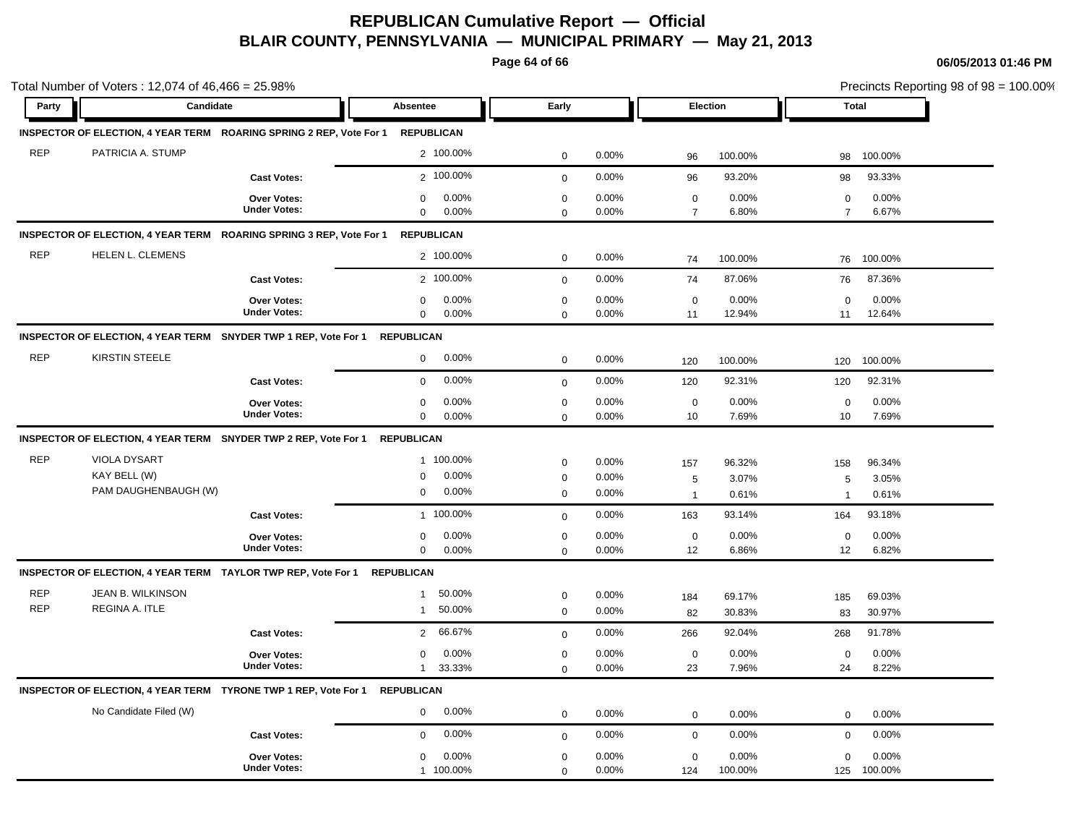**Page 64 of 66**

| Party      | Candidate                                                                  |                                    | Absentee                                     | Early                      |                |                               | Election       | <b>Total</b>                  |                |
|------------|----------------------------------------------------------------------------|------------------------------------|----------------------------------------------|----------------------------|----------------|-------------------------------|----------------|-------------------------------|----------------|
|            |                                                                            |                                    |                                              |                            |                |                               |                |                               |                |
|            | INSPECTOR OF ELECTION, 4 YEAR TERM ROARING SPRING 2 REP, Vote For 1        |                                    | <b>REPUBLICAN</b>                            |                            |                |                               |                |                               |                |
| <b>REP</b> | PATRICIA A. STUMP                                                          |                                    | 2 100.00%                                    | $\pmb{0}$                  | 0.00%          | 96                            | 100.00%        | 98                            | 100.00%        |
|            |                                                                            | <b>Cast Votes:</b>                 | 2 100.00%                                    | $\mathbf 0$                | 0.00%          | 96                            | 93.20%         | 98                            | 93.33%         |
|            |                                                                            | Over Votes:<br><b>Under Votes:</b> | 0.00%<br>$\mathbf 0$<br>$\mathbf 0$<br>0.00% | $\mathbf 0$<br>$\mathbf 0$ | 0.00%<br>0.00% | $\mathbf 0$<br>$\overline{7}$ | 0.00%<br>6.80% | $\mathbf 0$<br>$\overline{7}$ | 0.00%<br>6.67% |
|            | INSPECTOR OF ELECTION, 4 YEAR TERM ROARING SPRING 3 REP, Vote For 1        |                                    | <b>REPUBLICAN</b>                            |                            |                |                               |                |                               |                |
| <b>REP</b> | HELEN L. CLEMENS                                                           |                                    | 2 100.00%                                    | $\mathbf 0$                | 0.00%          | 74                            | 100.00%        | 76                            | 100.00%        |
|            |                                                                            | <b>Cast Votes:</b>                 | 2 100.00%                                    | $\mathsf 0$                | 0.00%          | 74                            | 87.06%         | 76                            | 87.36%         |
|            |                                                                            | Over Votes:                        | 0.00%<br>$\mathbf 0$                         | $\mathbf 0$                | 0.00%          | $\mathbf 0$                   | 0.00%          | $\mathbf 0$                   | 0.00%          |
|            |                                                                            | <b>Under Votes:</b>                | $\mathbf 0$<br>0.00%                         | $\mathbf 0$                | 0.00%          | 11                            | 12.94%         | 11                            | 12.64%         |
|            | INSPECTOR OF ELECTION, 4 YEAR TERM SNYDER TWP 1 REP, Vote For 1 REPUBLICAN |                                    |                                              |                            |                |                               |                |                               |                |
| <b>REP</b> | <b>KIRSTIN STEELE</b>                                                      |                                    | 0.00%<br>$\mathbf 0$                         | $\pmb{0}$                  | 0.00%          | 120                           | 100.00%        | 120                           | 100.00%        |
|            |                                                                            | <b>Cast Votes:</b>                 | 0.00%<br>$\mathbf 0$                         | $\mathbf{0}$               | 0.00%          | 120                           | 92.31%         | 120                           | 92.31%         |
|            |                                                                            | Over Votes:                        | 0.00%<br>$\mathbf 0$                         | $\pmb{0}$                  | 0.00%          | $\mathbf 0$                   | 0.00%          | $\mathbf 0$                   | 0.00%          |
|            |                                                                            | <b>Under Votes:</b>                | 0.00%<br>$\mathbf 0$                         | $\mathbf 0$                | 0.00%          | 10                            | 7.69%          | 10                            | 7.69%          |
|            | INSPECTOR OF ELECTION, 4 YEAR TERM SNYDER TWP 2 REP, Vote For 1            |                                    | <b>REPUBLICAN</b>                            |                            |                |                               |                |                               |                |
| <b>REP</b> | VIOLA DYSART                                                               |                                    | 1 100.00%                                    | $\mathbf 0$                | 0.00%          | 157                           | 96.32%         | 158                           | 96.34%         |
|            | KAY BELL (W)                                                               |                                    | 0.00%<br>$\mathbf 0$                         | $\mathbf 0$                | 0.00%          | 5                             | 3.07%          | 5                             | 3.05%          |
|            | PAM DAUGHENBAUGH (W)                                                       |                                    | 0.00%<br>$\mathbf 0$                         | $\mathbf 0$                | 0.00%          | $\overline{1}$                | 0.61%          | $\overline{1}$                | 0.61%          |
|            |                                                                            | <b>Cast Votes:</b>                 | 1 100.00%                                    | $\mathbf 0$                | 0.00%          | 163                           | 93.14%         | 164                           | 93.18%         |
|            |                                                                            | Over Votes:<br><b>Under Votes:</b> | 0.00%<br>$\mathbf 0$                         | $\mathbf 0$                | 0.00%          | $\mathbf 0$                   | 0.00%          | $\mathbf 0$                   | 0.00%          |
|            |                                                                            |                                    | 0.00%<br>$\mathbf 0$                         | $\mathbf 0$                | 0.00%          | 12                            | 6.86%          | 12                            | 6.82%          |
|            | INSPECTOR OF ELECTION, 4 YEAR TERM TAYLOR TWP REP, Vote For 1              |                                    | <b>REPUBLICAN</b>                            |                            |                |                               |                |                               |                |
| <b>REP</b> | JEAN B. WILKINSON                                                          |                                    | 50.00%<br>$\mathbf{1}$                       | $\mathbf 0$                | 0.00%          | 184                           | 69.17%         | 185                           | 69.03%         |
| <b>REP</b> | REGINA A. ITLE                                                             |                                    | 50.00%<br>$\mathbf{1}$                       | $\mathbf 0$                | 0.00%          | 82                            | 30.83%         | 83                            | 30.97%         |
|            |                                                                            | <b>Cast Votes:</b>                 | 66.67%<br>$\overline{2}$                     | $\mathbf{0}$               | 0.00%          | 266                           | 92.04%         | 268                           | 91.78%         |
|            |                                                                            | <b>Over Votes:</b>                 | 0.00%<br>$\mathbf 0$                         | $\mathbf 0$                | 0.00%          | $\mathbf 0$                   | 0.00%          | $\mathbf 0$                   | 0.00%          |
|            |                                                                            | <b>Under Votes:</b>                | 33.33%<br>1                                  | $\mathbf 0$                | 0.00%          | 23                            | 7.96%          | 24                            | 8.22%          |
|            | INSPECTOR OF ELECTION, 4 YEAR TERM TYRONE TWP 1 REP, Vote For 1 REPUBLICAN |                                    |                                              |                            |                |                               |                |                               |                |
|            | No Candidate Filed (W)                                                     |                                    | 0.00%<br>$\mathbf 0$                         | $\mathbf 0$                | 0.00%          | $\mathbf 0$                   | 0.00%          | $\mathbf 0$                   | 0.00%          |
|            |                                                                            | <b>Cast Votes:</b>                 | 0.00%<br>$\mathbf 0$                         | $\mathbf 0$                | 0.00%          | $\mathbf 0$                   | 0.00%          | $\mathbf 0$                   | 0.00%          |
|            |                                                                            | <b>Over Votes:</b>                 | 0.00%<br>$\mathbf 0$                         | $\mathbf 0$                | 0.00%          | $\mathbf 0$                   | 0.00%          | $\mathbf 0$                   | 0.00%          |
|            |                                                                            | <b>Under Votes:</b>                | 1 100.00%                                    | $\Omega$                   | 0.00%          | 124                           | 100.00%        | 125                           | 100.00%        |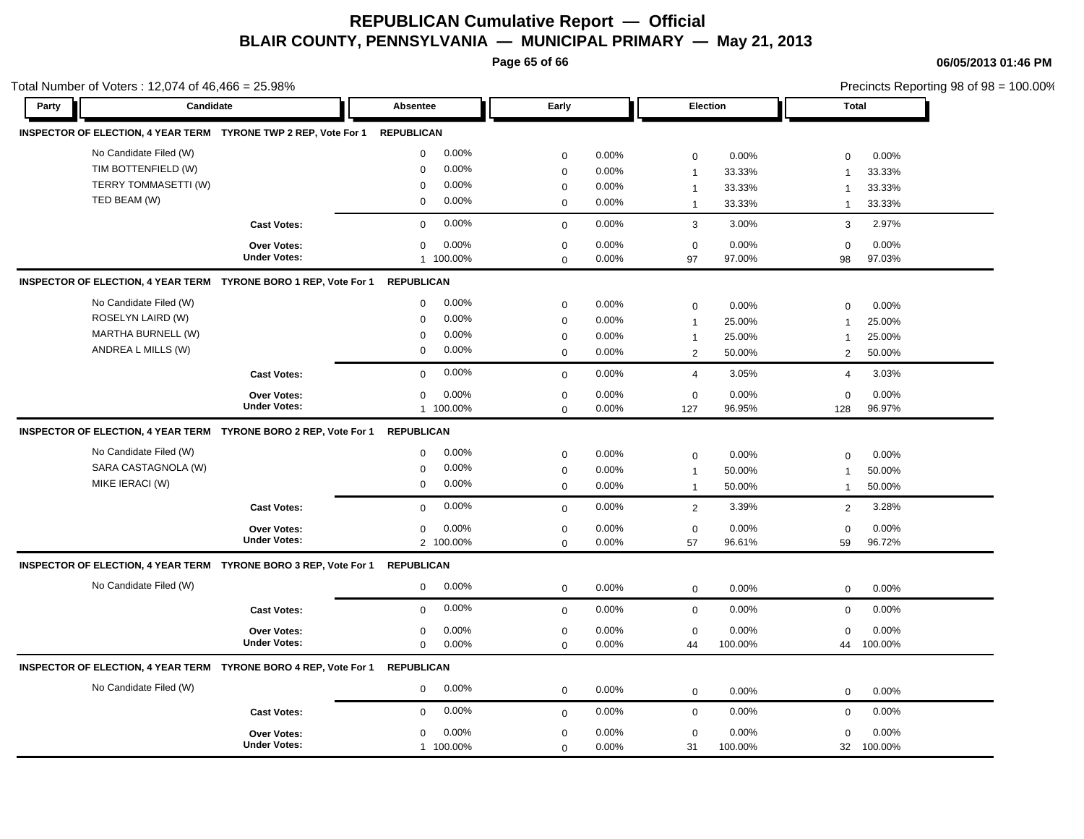**Page 65 of 66**

| Total Number of Voters: 12,074 of $46,466 = 25.98\%$ |                        |                                                                  |                   |           |             |       |                  |         | Precincts Reporting 98 of 98 = 100.00% |         |  |
|------------------------------------------------------|------------------------|------------------------------------------------------------------|-------------------|-----------|-------------|-------|------------------|---------|----------------------------------------|---------|--|
| Party                                                | Candidate              |                                                                  | Absentee          |           | Early       |       | Election         |         | <b>Total</b>                           |         |  |
|                                                      |                        | INSPECTOR OF ELECTION, 4 YEAR TERM TYRONE TWP 2 REP, Vote For 1  | <b>REPUBLICAN</b> |           |             |       |                  |         |                                        |         |  |
|                                                      | No Candidate Filed (W) |                                                                  | 0                 | $0.00\%$  | $\mathbf 0$ | 0.00% | $\mathbf 0$      | 0.00%   | $\mathbf 0$                            | 0.00%   |  |
|                                                      | TIM BOTTENFIELD (W)    |                                                                  | 0                 | 0.00%     | $\mathbf 0$ | 0.00% | $\mathbf{1}$     | 33.33%  | $\overline{\mathbf{1}}$                | 33.33%  |  |
|                                                      | TERRY TOMMASETTI (W)   |                                                                  | $\mathbf 0$       | 0.00%     | $\mathbf 0$ | 0.00% | $\mathbf{1}$     | 33.33%  | $\mathbf 1$                            | 33.33%  |  |
|                                                      | TED BEAM (W)           |                                                                  | $\mathbf 0$       | 0.00%     | $\mathbf 0$ | 0.00% | $\mathbf{1}$     | 33.33%  | $\mathbf{1}$                           | 33.33%  |  |
|                                                      |                        | <b>Cast Votes:</b>                                               | $\mathbf 0$       | 0.00%     | $\mathbf 0$ | 0.00% | 3                | 3.00%   | 3                                      | 2.97%   |  |
|                                                      |                        | <b>Over Votes:</b>                                               | $\mathbf 0$       | 0.00%     | $\mathbf 0$ | 0.00% | $\mathbf 0$      | 0.00%   | $\mathbf 0$                            | 0.00%   |  |
|                                                      |                        | <b>Under Votes:</b>                                              |                   | 1 100.00% | $\mathbf 0$ | 0.00% | 97               | 97.00%  | 98                                     | 97.03%  |  |
|                                                      |                        | INSPECTOR OF ELECTION, 4 YEAR TERM TYRONE BORO 1 REP, Vote For 1 | <b>REPUBLICAN</b> |           |             |       |                  |         |                                        |         |  |
|                                                      | No Candidate Filed (W) |                                                                  | 0                 | 0.00%     | $\mathbf 0$ | 0.00% | $\mathbf 0$      | 0.00%   | $\mathbf 0$                            | 0.00%   |  |
|                                                      | ROSELYN LAIRD (W)      |                                                                  | 0                 | 0.00%     | $\mathbf 0$ | 0.00% | $\mathbf{1}$     | 25.00%  | $\overline{1}$                         | 25.00%  |  |
|                                                      | MARTHA BURNELL (W)     |                                                                  | $\mathbf 0$       | $0.00\%$  | $\mathbf 0$ | 0.00% | $\mathbf{1}$     | 25.00%  | $\mathbf 1$                            | 25.00%  |  |
|                                                      | ANDREA L MILLS (W)     |                                                                  | $\mathbf 0$       | $0.00\%$  | $\mathbf 0$ | 0.00% | 2                | 50.00%  | 2                                      | 50.00%  |  |
|                                                      |                        | <b>Cast Votes:</b>                                               | $\Omega$          | 0.00%     | $\mathbf 0$ | 0.00% | $\overline{4}$   | 3.05%   | $\overline{4}$                         | 3.03%   |  |
|                                                      |                        | Over Votes:                                                      | $\mathbf 0$       | 0.00%     | $\mathbf 0$ | 0.00% | $\mathbf 0$      | 0.00%   | $\mathbf 0$                            | 0.00%   |  |
|                                                      |                        | <b>Under Votes:</b>                                              |                   | 1 100.00% | $\Omega$    | 0.00% | 127              | 96.95%  | 128                                    | 96.97%  |  |
|                                                      |                        | INSPECTOR OF ELECTION, 4 YEAR TERM TYRONE BORO 2 REP, Vote For 1 | <b>REPUBLICAN</b> |           |             |       |                  |         |                                        |         |  |
|                                                      | No Candidate Filed (W) |                                                                  | $\mathbf 0$       | 0.00%     | $\mathbf 0$ | 0.00% | $\mathbf 0$      | 0.00%   | $\mathbf 0$                            | 0.00%   |  |
|                                                      | SARA CASTAGNOLA (W)    |                                                                  | 0                 | 0.00%     | $\mathbf 0$ | 0.00% | $\mathbf{1}$     | 50.00%  | $\overline{1}$                         | 50.00%  |  |
|                                                      | MIKE IERACI (W)        |                                                                  | 0                 | 0.00%     | $\mathbf 0$ | 0.00% | $\mathbf{1}$     | 50.00%  | $\overline{1}$                         | 50.00%  |  |
|                                                      |                        | <b>Cast Votes:</b>                                               | 0                 | 0.00%     | $\mathbf 0$ | 0.00% | $\overline{2}$   | 3.39%   | 2                                      | 3.28%   |  |
|                                                      |                        | <b>Over Votes:</b>                                               | 0                 | 0.00%     | $\mathbf 0$ | 0.00% | $\boldsymbol{0}$ | 0.00%   | $\mathbf 0$                            | 0.00%   |  |
|                                                      |                        | <b>Under Votes:</b>                                              |                   | 2 100.00% | $\Omega$    | 0.00% | 57               | 96.61%  | 59                                     | 96.72%  |  |
|                                                      |                        | INSPECTOR OF ELECTION, 4 YEAR TERM TYRONE BORO 3 REP, Vote For 1 | <b>REPUBLICAN</b> |           |             |       |                  |         |                                        |         |  |
|                                                      | No Candidate Filed (W) |                                                                  | 0                 | 0.00%     | $\mathbf 0$ | 0.00% | $\mathbf 0$      | 0.00%   | $\mathbf 0$                            | 0.00%   |  |
|                                                      |                        | <b>Cast Votes:</b>                                               | $\mathbf 0$       | 0.00%     | $\Omega$    | 0.00% | $\mathbf 0$      | 0.00%   | $\mathbf 0$                            | 0.00%   |  |
|                                                      |                        | <b>Over Votes:</b>                                               | $\mathbf 0$       | 0.00%     | $\mathbf 0$ | 0.00% | $\mathbf 0$      | 0.00%   | $\mathbf 0$                            | 0.00%   |  |
|                                                      |                        | <b>Under Votes:</b>                                              | 0                 | $0.00\%$  | $\mathbf 0$ | 0.00% | 44               | 100.00% | 44                                     | 100.00% |  |
|                                                      |                        | INSPECTOR OF ELECTION, 4 YEAR TERM TYRONE BORO 4 REP, Vote For 1 | <b>REPUBLICAN</b> |           |             |       |                  |         |                                        |         |  |
|                                                      | No Candidate Filed (W) |                                                                  | $\mathbf 0$       | 0.00%     | $\mathbf 0$ | 0.00% | $\mathbf 0$      | 0.00%   | $\mathbf 0$                            | 0.00%   |  |
|                                                      |                        | <b>Cast Votes:</b>                                               | $\mathbf 0$       | 0.00%     | $\mathbf 0$ | 0.00% | $\mathbf 0$      | 0.00%   | $\mathbf 0$                            | 0.00%   |  |
|                                                      |                        | Over Votes:                                                      | 0                 | 0.00%     | $\mathbf 0$ | 0.00% | $\mathbf 0$      | 0.00%   | $\mathbf 0$                            | 0.00%   |  |
|                                                      |                        | <b>Under Votes:</b>                                              |                   | 1 100.00% | $\mathbf 0$ | 0.00% | 31               | 100.00% | 32                                     | 100.00% |  |